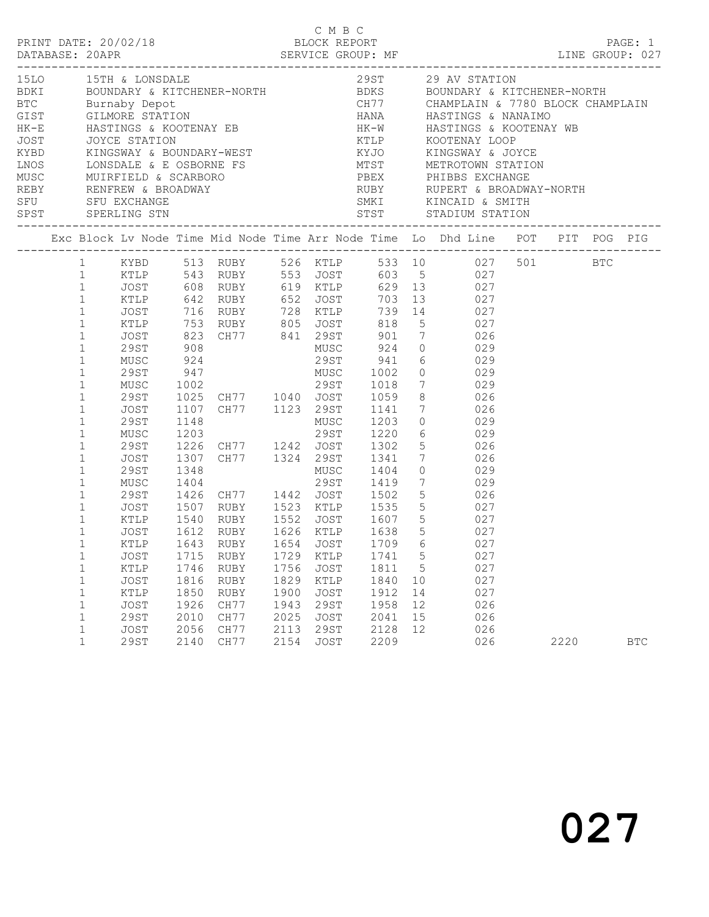|  |                                                                                                                                                                                                                                                                                |                                                                                                    |                                                              |                                                                                                   |                                                              |                                                                                          |                                                              |                                      | C M B C<br>PRINT DATE: 20/02/18 BLOCK REPORT PAGE: 1<br>DATABASE: 20APR SERVICE GROUP: MF LINE GROUP: 027                                                                                                                                                                                                                                                                                                                                               |      | PAGE: 1    |
|--|--------------------------------------------------------------------------------------------------------------------------------------------------------------------------------------------------------------------------------------------------------------------------------|----------------------------------------------------------------------------------------------------|--------------------------------------------------------------|---------------------------------------------------------------------------------------------------|--------------------------------------------------------------|------------------------------------------------------------------------------------------|--------------------------------------------------------------|--------------------------------------|---------------------------------------------------------------------------------------------------------------------------------------------------------------------------------------------------------------------------------------------------------------------------------------------------------------------------------------------------------------------------------------------------------------------------------------------------------|------|------------|
|  |                                                                                                                                                                                                                                                                                |                                                                                                    |                                                              |                                                                                                   |                                                              |                                                                                          |                                                              |                                      |                                                                                                                                                                                                                                                                                                                                                                                                                                                         |      |            |
|  |                                                                                                                                                                                                                                                                                |                                                                                                    |                                                              |                                                                                                   |                                                              |                                                                                          |                                                              |                                      | Exc Block Lv Node Time Mid Node Time Arr Node Time Lo Dhd Line POT PIT POG PIG                                                                                                                                                                                                                                                                                                                                                                          |      |            |
|  | $\mathbf{1}$<br>$\mathbf{1}$<br>$\mathbf{1}$<br>$\mathbf{1}$<br>$\mathbf{1}$<br>$\mathbf{1}$<br>$1\,$<br>$\mathbf{1}$<br>$\mathbf{1}$<br>$\mathbf{1}$<br>$\mathbf{1}$<br>$\mathbf{1}$<br>$\mathbf{1}$<br>$\mathbf{1}$<br>$\mathbf{1}$<br>$\mathbf{1}$<br>$1\,$<br>$\mathbf{1}$ | 29ST<br>JOST<br>29ST                                                                               |                                                              |                                                                                                   |                                                              |                                                                                          |                                                              |                                      | 1 KYBD 513 RUBY 526 KTLP 533 10 027 501 BTC<br>1711<br>1711 1832<br>1711 1843<br>1711 1842<br>1716 1847<br>1728 1711 1849<br>1728 1711 1849<br>1728 1711 1849<br>1739 14<br>1739 14<br>1739 14<br>1740 1753<br>1740 1845<br>1740 1753<br>1740 1753<br>1740 1753<br>1740 1753<br>1740 1753<br>1740 1753<br>1753<br>175<br>1220 6 029<br>1226 CH77 1242 JOST 1302 5 026<br>1307 CH77 1324 29ST 1341 7 026<br>1348 MUSC 1404 0 029<br>1404 29ST 1419 7 029 |      |            |
|  | $\mathbf{1}$<br>$\mathbf{1}$<br>$\mathbf{1}$<br>$\mathbf{1}$<br>$\mathbf{1}$<br>$\mathbf 1$<br>1<br>1<br>1<br>$\mathbf 1$<br>$\mathbf 1$<br>$\mathbf 1$<br>$\mathbf 1$                                                                                                         | 29ST<br>JOST<br>KTLP<br>JOST<br>KTLP<br>JOST<br>KTLP<br>JOST<br><b>29ST</b><br>JOST<br><b>29ST</b> | 1715<br>1746<br>1816<br>1850<br>1926<br>2010<br>2056<br>2140 | 1643 RUBY 1654 JOST 1709 6<br>RUBY<br>RUBY<br><b>RUBY</b><br>RUBY<br>CH77<br>CH77<br>CH77<br>CH77 | 1729<br>1756<br>1829<br>1900<br>1943<br>2025<br>2113<br>2154 | KTLP<br>JOST<br>KTLP<br>JOST<br><b>29ST</b><br><b>JOST</b><br><b>29ST</b><br><b>JOST</b> | 1741<br>1811<br>1840<br>1912<br>1958<br>2041<br>2128<br>2209 | 5<br>5<br>10<br>14<br>12<br>15<br>12 | MUSC 1404 29ST 1419 7 029<br>29ST 1426 CH77 1442 JOST 1502 5 026<br>JOST 1507 RUBY 1523 KTLP 1535 5 027<br>KTLP 1540 RUBY 1552 JOST 1607 5 027<br>1612 RUBY 1626 KTLP 1638 5 027<br>027<br>027<br>027<br>027<br>027<br>026<br>026<br>026<br>026                                                                                                                                                                                                         | 2220 | <b>BTC</b> |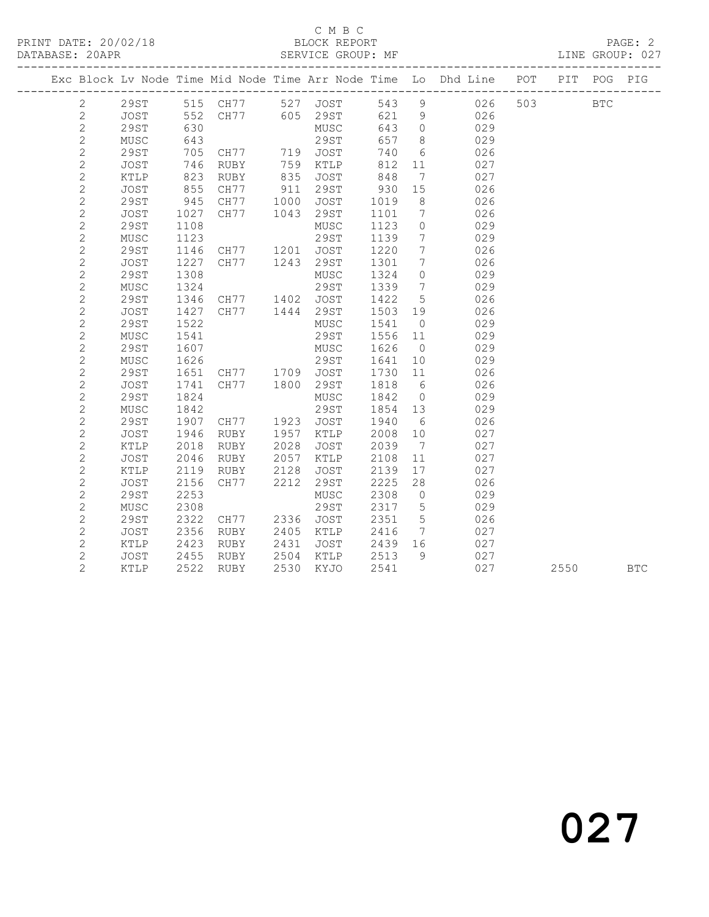## C M B C<br>BLOCK REPORT

|  |                |             |            |                                          |                      |                                                              |            |                              | ---------------                                                                |     |            |            |
|--|----------------|-------------|------------|------------------------------------------|----------------------|--------------------------------------------------------------|------------|------------------------------|--------------------------------------------------------------------------------|-----|------------|------------|
|  |                |             |            |                                          |                      |                                                              |            |                              | Exc Block Lv Node Time Mid Node Time Arr Node Time Lo Dhd Line POT PIT POG PIG |     |            |            |
|  | $\mathbf{2}$   |             |            |                                          |                      | 29ST 515 CH77 527 JOST 543 9<br>JOST 552 CH77 605 29ST 621 9 |            |                              | 543 9 026                                                                      | 503 | <b>BTC</b> |            |
|  | $\mathbf{2}$   |             |            |                                          |                      |                                                              |            |                              | 026                                                                            |     |            |            |
|  | $\sqrt{2}$     | 29ST        | 630        |                                          |                      | MUSC                                                         | 643 0      |                              | 029                                                                            |     |            |            |
|  | $\mathbf{2}$   | MUSC        | 643        |                                          |                      | 29ST                                                         | 657        | 8 <sup>8</sup>               | 029                                                                            |     |            |            |
|  | $\mathbf{2}$   | 29ST        | 705<br>746 |                                          |                      |                                                              | 740<br>812 | $6\overline{6}$              | 026                                                                            |     |            |            |
|  | $\sqrt{2}$     | JOST        | 746        | CH77 719 JOST<br>RUBY 759 KTLP           |                      |                                                              | 812        | 11                           | 027                                                                            |     |            |            |
|  | $\sqrt{2}$     | KTLP        | 823        | RUBY                                     | 835                  | JOST                                                         | 848        | $7\phantom{.0}\phantom{.0}7$ | 027                                                                            |     |            |            |
|  | $\sqrt{2}$     | JOST        | 855        | CH77                                     | 911                  | 29ST                                                         | 930        | 15                           | 026                                                                            |     |            |            |
|  | $\sqrt{2}$     | <b>29ST</b> | 945        | CH77                                     |                      |                                                              | 1019       | 8 <sup>8</sup>               | 026                                                                            |     |            |            |
|  | $\mathbf{2}$   | JOST        | 1027       | CH77                                     |                      | 1000 JOST<br>1043 29ST                                       | 1101 7     |                              | 026                                                                            |     |            |            |
|  | $\sqrt{2}$     | 29ST        | 1108       |                                          |                      | MUSC                                                         | 1123       | $\overline{0}$               | 029                                                                            |     |            |            |
|  | $\mathbf{2}$   | MUSC        | 1123       |                                          |                      | 29ST                                                         | 1139       | $7\overline{ }$              | 029                                                                            |     |            |            |
|  | $\mathbf{2}$   | <b>29ST</b> | 1146       | CH77 1201                                |                      | JOST                                                         | 1220       | $7\phantom{.0}\phantom{.0}7$ | 026                                                                            |     |            |            |
|  | $\mathbf{2}$   | JOST        | 1227       | CH77                                     |                      | 1243 29ST                                                    | 1301       | $\overline{7}$               | 026                                                                            |     |            |            |
|  | $\sqrt{2}$     | 29ST        | 1308       |                                          |                      | MUSC                                                         | 1324 0     |                              | 029                                                                            |     |            |            |
|  | $\sqrt{2}$     | MUSC        | 1324       |                                          |                      | 29ST                                                         | 1339 7     |                              | 029                                                                            |     |            |            |
|  | $\sqrt{2}$     | <b>29ST</b> |            | 1346 CH77 1402 JOST                      |                      |                                                              | 1422 5     |                              | 026                                                                            |     |            |            |
|  | $\sqrt{2}$     | JOST        |            | 1427 CH77                                |                      | 1444 29ST                                                    | 1503 19    |                              | 026                                                                            |     |            |            |
|  | $\overline{c}$ | 29ST        | 1522       |                                          |                      | MUSC                                                         | 1541 0     |                              | 029                                                                            |     |            |            |
|  | $\sqrt{2}$     | MUSC        | 1541       |                                          |                      | 29ST                                                         | 1556 11    |                              | 029                                                                            |     |            |            |
|  | $\sqrt{2}$     | 29ST        | 1607       |                                          |                      | MUSC                                                         | 1626       | $\overline{0}$               | 029                                                                            |     |            |            |
|  | $\mathbf{2}$   | MUSC        | 1626       | 29ST<br>CH77 1709 JOST<br>CH77 1800 29ST |                      |                                                              | 1641       | 10                           | 029                                                                            |     |            |            |
|  | $\overline{c}$ | 29ST        | 1651       |                                          |                      |                                                              | 1730       | 11                           | 026                                                                            |     |            |            |
|  | $\sqrt{2}$     | JOST        | 1741       |                                          |                      |                                                              | 1818       | $6\overline{6}$              | 026                                                                            |     |            |            |
|  | $\sqrt{2}$     | 29ST        | 1824       |                                          |                      | MUSC                                                         | 1842       | $\overline{0}$               | 029                                                                            |     |            |            |
|  | $\sqrt{2}$     | MUSC        | 1842       |                                          |                      | 29ST                                                         | 1854 13    |                              | 029                                                                            |     |            |            |
|  | $\sqrt{2}$     | <b>29ST</b> |            | 1907 CH77                                | 1923                 | JOST                                                         | 1940       | $6\overline{6}$              | 026                                                                            |     |            |            |
|  | $\mathbf{2}$   | JOST        | 1946       | RUBY                                     | 1957                 | KTLP                                                         | 2008       | 10                           | 027                                                                            |     |            |            |
|  | $\sqrt{2}$     | KTLP        | 2018       | RUBY                                     | 2028                 | JOST                                                         | 2039       | $\overline{7}$               | 027                                                                            |     |            |            |
|  | $\mathbf{2}$   | JOST        | 2046       | RUBY                                     | 2057                 | KTLP                                                         | 2108       | 11                           | 027                                                                            |     |            |            |
|  | $\mathbf{2}$   | KTLP        | 2119       | RUBY                                     | 2128                 | JOST                                                         | 2139       | 17                           | 027                                                                            |     |            |            |
|  | $\mathbf{2}$   | JOST        | 2156       | CH77                                     | 2212                 | 29ST                                                         | 2225       | 28                           | 026                                                                            |     |            |            |
|  | $\sqrt{2}$     | 29ST        | 2253       |                                          |                      | MUSC                                                         | 2308       | $\overline{0}$               | 029                                                                            |     |            |            |
|  | $\sqrt{2}$     | MUSC        | 2308       |                                          |                      | 29ST                                                         | 2317       | $5\overline{)}$              | 029                                                                            |     |            |            |
|  | $\sqrt{2}$     | 29ST        | 2322       | CH77                                     | 2336                 | JOST                                                         | 2351       | $5\overline{)}$              | 026                                                                            |     |            |            |
|  | $\mathbf{2}$   | JOST        | 2356       | RUBY                                     | 2405<br>2431<br>2504 | KTLP                                                         | 2416       | $7\overline{7}$              | 027                                                                            |     |            |            |
|  | $\overline{c}$ | KTLP        | 2423       | RUBY                                     |                      | JOST                                                         | 2439 16    |                              | 027                                                                            |     |            |            |
|  | $\mathbf{2}$   | JOST        | 2455       | RUBY                                     |                      | KTLP                                                         | 2513 9     |                              | 027                                                                            |     |            |            |
|  | $\overline{2}$ | KTLP        | 2522       | RUBY                                     |                      | 2530 KYJO                                                    | 2541       |                              | 027                                                                            |     | 2550       | <b>BTC</b> |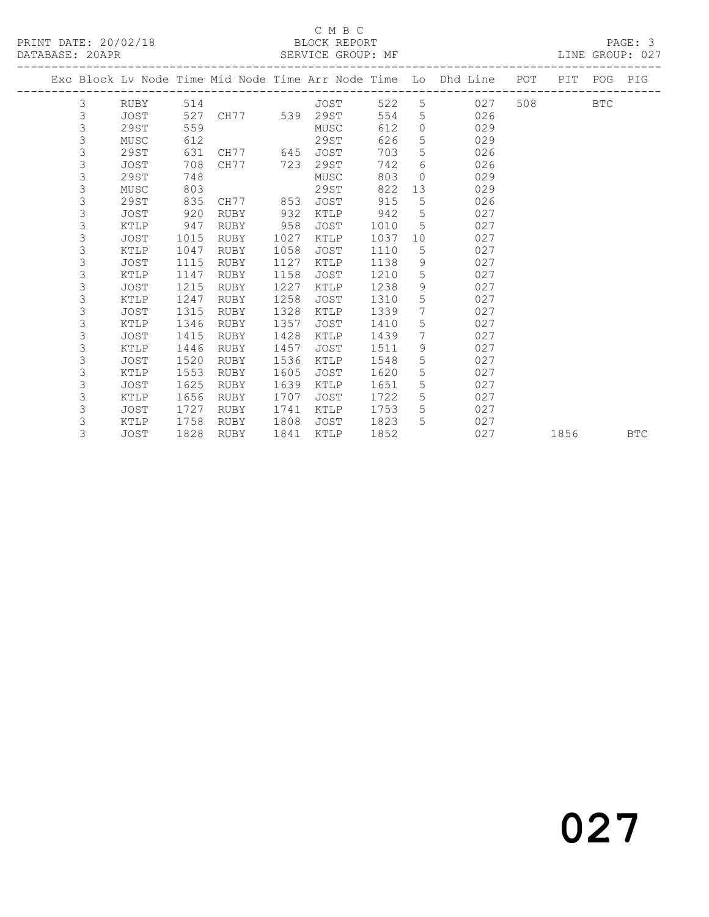### C M B C<br>BLOCK REPORT

LINE GROUP: 027

|  |             |      |      |               |      |             |      |                 | Exc Block Lv Node Time Mid Node Time Arr Node Time Lo Dhd Line POT PIT POG |     |      |            | PIG        |
|--|-------------|------|------|---------------|------|-------------|------|-----------------|----------------------------------------------------------------------------|-----|------|------------|------------|
|  | 3           | RUBY |      | 514           |      | JOST        | 522  |                 | $5 \quad \overline{\phantom{1}}$<br>027                                    | 508 |      | <b>BTC</b> |            |
|  | $\mathsf 3$ | JOST | 527  | CH77 539 29ST |      |             | 554  | 5               | 026                                                                        |     |      |            |            |
|  | 3           | 29ST | 559  |               |      | MUSC        | 612  | $\Omega$        | 029                                                                        |     |      |            |            |
|  | 3           | MUSC | 612  |               |      | 29ST        | 626  | $5\overline{)}$ | 029                                                                        |     |      |            |            |
|  | 3           | 29ST | 631  | CH77 645 JOST |      |             | 703  | 5               | 026                                                                        |     |      |            |            |
|  | 3           | JOST | 708  | CH77          | 723  | 29ST        | 742  | 6               | 026                                                                        |     |      |            |            |
|  | 3           | 29ST | 748  |               |      | MUSC        | 803  | $\circ$         | 029                                                                        |     |      |            |            |
|  | 3           | MUSC | 803  |               |      | 29ST        | 822  | 13              | 029                                                                        |     |      |            |            |
|  | 3           | 29ST | 835  | CH77 853      |      | JOST        | 915  | 5               | 026                                                                        |     |      |            |            |
|  | 3           | JOST | 920  | RUBY          | 932  | KTLP        | 942  | $5^{\circ}$     | 027                                                                        |     |      |            |            |
|  | 3           | KTLP | 947  | RUBY          | 958  | JOST        | 1010 | 5               | 027                                                                        |     |      |            |            |
|  | 3           | JOST | 1015 | RUBY          | 1027 | KTLP        | 1037 | 10              | 027                                                                        |     |      |            |            |
|  | 3           | KTLP | 1047 | RUBY          | 1058 | <b>JOST</b> | 1110 | 5               | 027                                                                        |     |      |            |            |
|  | 3           | JOST | 1115 | RUBY          | 1127 | KTLP        | 1138 | 9               | 027                                                                        |     |      |            |            |
|  | 3           | KTLP | 1147 | RUBY          | 1158 | <b>JOST</b> | 1210 | 5               | 027                                                                        |     |      |            |            |
|  | 3           | JOST | 1215 | RUBY          | 1227 | KTLP        | 1238 | 9               | 027                                                                        |     |      |            |            |
|  | 3           | KTLP | 1247 | RUBY          | 1258 | JOST        | 1310 | $5\overline{)}$ | 027                                                                        |     |      |            |            |
|  | 3           | JOST | 1315 | RUBY          | 1328 | KTLP        | 1339 | 7               | 027                                                                        |     |      |            |            |
|  | 3           | KTLP | 1346 | RUBY          | 1357 | JOST        | 1410 | 5 <sub>5</sub>  | 027                                                                        |     |      |            |            |
|  | 3           | JOST | 1415 | RUBY          | 1428 | KTLP        | 1439 | $7\phantom{0}$  | 027                                                                        |     |      |            |            |
|  | 3           | KTLP | 1446 | RUBY          | 1457 | JOST        | 1511 | 9               | 027                                                                        |     |      |            |            |
|  | 3           | JOST | 1520 | RUBY          | 1536 | KTLP        | 1548 | 5               | 027                                                                        |     |      |            |            |
|  | 3           | KTLP | 1553 | RUBY          | 1605 | JOST        | 1620 | $5\overline{)}$ | 027                                                                        |     |      |            |            |
|  | 3           | JOST | 1625 | RUBY          | 1639 | KTLP        | 1651 | 5               | 027                                                                        |     |      |            |            |
|  | 3           | KTLP | 1656 | RUBY          | 1707 | JOST        | 1722 | 5               | 027                                                                        |     |      |            |            |
|  | 3           | JOST | 1727 | RUBY          | 1741 | KTLP        | 1753 | $5\phantom{.}$  | 027                                                                        |     |      |            |            |
|  | 3           | KTLP | 1758 | RUBY          | 1808 | JOST        | 1823 | $5^{\circ}$     | 027                                                                        |     |      |            |            |
|  | 3           | JOST | 1828 | RUBY          | 1841 | KTLP        | 1852 |                 | 027                                                                        |     | 1856 |            | <b>BTC</b> |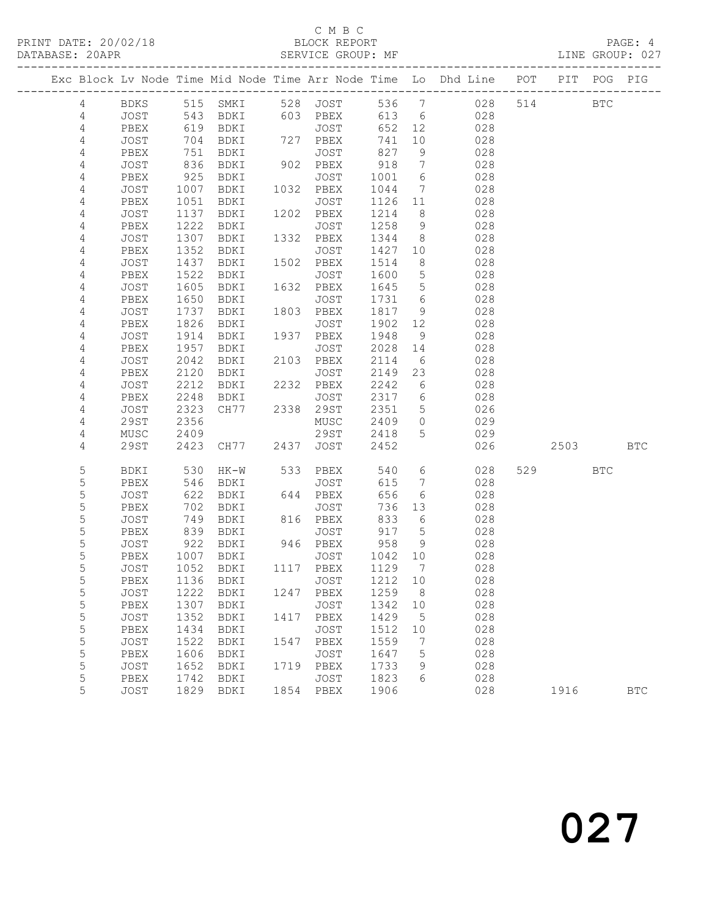## C M B C<br>BLOCK REPORT

LINE GROUP: 027

|                     |              |              |                   |             |                             |              |                              | Exc Block Lv Node Time Mid Node Time Arr Node Time Lo Dhd Line POT |     |            | PIT POG PIG |              |
|---------------------|--------------|--------------|-------------------|-------------|-----------------------------|--------------|------------------------------|--------------------------------------------------------------------|-----|------------|-------------|--------------|
| 4                   |              |              |                   |             | BDKS 515 SMKI 528 JOST      | 536 7        |                              | 028                                                                | 514 |            | <b>BTC</b>  |              |
| $\overline{4}$      | JOST         |              | 543 BDKI          |             | 603 PBEX 613 6              |              |                              | 028                                                                |     |            |             |              |
| $\overline{4}$      | PBEX         |              | 619 BDKI          |             | JOST                        | 652          | 12                           | 028                                                                |     |            |             |              |
| 4                   | JOST         | 704          | BDKI              |             | 727 PBEX                    | 741          | 10                           | 028                                                                |     |            |             |              |
| $\overline{4}$      | PBEX         | 751          | BDKI              |             | JOST                        | 827          | 9                            | 028                                                                |     |            |             |              |
| $\overline{4}$      | JOST         | 836          | BDKI              |             | $902$ PBEX                  | 918          | $7\overline{ }$              | 028                                                                |     |            |             |              |
| 4                   | PBEX         | 925          | BDKI              |             | JOST                        | 1001         | 6                            | 028                                                                |     |            |             |              |
| 4                   | JOST         | 1007         | BDKI              | 1032        | PBEX                        | 1044         | $\overline{7}$               | 028                                                                |     |            |             |              |
| $\overline{4}$      | PBEX         | 1051         | BDKI              |             | JOST                        | 1126         | 11                           | 028                                                                |     |            |             |              |
| 4                   | JOST         | 1137         | BDKI              |             | 1202 PBEX                   | 1214         | 8 <sup>8</sup>               | 028                                                                |     |            |             |              |
| 4                   | PBEX         | 1222         | BDKI              |             | JOST                        | 1258         | 9                            | 028                                                                |     |            |             |              |
| 4                   | JOST         | 1307         | BDKI              | 1332        | PBEX                        | 1344         | 8 <sup>8</sup>               | 028                                                                |     |            |             |              |
| $\overline{4}$<br>4 | PBEX<br>JOST | 1352<br>1437 | BDKI              | 1502        | JOST<br>PBEX                | 1427<br>1514 | 10<br>8 <sup>8</sup>         | 028<br>028                                                         |     |            |             |              |
| $\overline{4}$      | PBEX         | 1522         | BDKI<br>BDKI      |             | JOST                        | 1600         | $5\overline{)}$              | 028                                                                |     |            |             |              |
| 4                   | JOST         | 1605         | BDKI              | 1632        | PBEX                        | 1645         | $5\overline{)}$              | 028                                                                |     |            |             |              |
| 4                   | PBEX         | 1650         | BDKI              |             | JOST                        | 1731         | $6\overline{6}$              | 028                                                                |     |            |             |              |
| 4                   | JOST         | 1737         | BDKI              | $rac{1}{1}$ | 1803 PBEX                   | 1817         | 9                            | 028                                                                |     |            |             |              |
| 4                   | PBEX         | 1826         | BDKI              |             | JOST                        | 1902         | 12                           | 028                                                                |     |            |             |              |
| 4                   | JOST         | 1914         | BDKI              |             | 1937 PBEX                   | 1948         | 9                            | 028                                                                |     |            |             |              |
| $\overline{4}$      | PBEX         | 1957         | BDKI              |             | JOST                        | 2028         | 14                           | 028                                                                |     |            |             |              |
| $\overline{4}$      | JOST         | 2042         | BDKI              |             | 2103 PBEX                   | 2114         | $6\overline{6}$              | 028                                                                |     |            |             |              |
| 4                   | PBEX         | 2120         | BDKI              |             | JOST                        | 2149         | 23                           | 028                                                                |     |            |             |              |
| 4                   | JOST         | 2212         | BDKI              |             | 2232 PBEX                   | 2242         | $6\overline{6}$              | 028                                                                |     |            |             |              |
| 4                   | PBEX         | 2248         | BDKI              | 2338        | JOST                        | 2317         | $6\overline{6}$              | 028                                                                |     |            |             |              |
| $\overline{4}$      | JOST         | 2323         | CH77              |             | 2338 29ST                   | 2351 5       |                              | 026                                                                |     |            |             |              |
| $\overline{4}$      | 29ST         | 2356         |                   |             | MUSC                        | 2409 0       |                              | 029                                                                |     |            |             |              |
| 4                   | MUSC         | 2409         |                   |             | 29ST                        | 2418         | $5^{\circ}$                  | 029                                                                |     |            |             |              |
| 4                   | 29ST         | 2423         | CH77              |             | 2437 JOST                   | 2452         |                              | 026                                                                |     | 2503       |             | <b>BTC</b>   |
| $\mathsf S$         | BDKI         | 530          | HK-W              |             | 533 PBEX                    | 540          | $6\overline{6}$              | 028                                                                | 529 | <b>BTC</b> |             |              |
| $\mathsf S$         | PBEX         | 546          | BDKI              |             | JOST                        | 615          | $7\phantom{.0}\phantom{.0}7$ | 028                                                                |     |            |             |              |
| 5                   | JOST         | 622          | BDKI              |             | 644 PBEX                    | 656          | 6                            | 028                                                                |     |            |             |              |
| 5                   | PBEX         | 702          | BDKI              | 816         | JOST                        | 736          | 13                           | 028                                                                |     |            |             |              |
| $\mathsf S$         | JOST         | 749          | BDKI              |             | 816 PBEX                    | 833          | $6\overline{6}$              | 028                                                                |     |            |             |              |
| 5                   | PBEX         | 839          | BDKI              |             | JOST                        | 917          | $5\overline{)}$              | 028                                                                |     |            |             |              |
| $\mathsf S$         | JOST         | 922          | BDKI              |             | 946 PBEX                    | 958          | 9                            | 028                                                                |     |            |             |              |
| $\mathsf S$         | PBEX         |              | 1007 BDKI         |             | JOST                        | 1042         | 10                           | 028                                                                |     |            |             |              |
| 5<br>$\overline{5}$ | JOST         |              | 1052 BDKI         |             | 1117 PBEX                   | 1129         | $\overline{7}$               | 028                                                                |     |            |             |              |
|                     |              |              |                   |             | PBEX 1136 BDKI JOST 1212 10 |              |                              | 028                                                                |     |            |             |              |
| 5<br>5              | JOST<br>PBEX | 1307         | 1222 BDKI<br>BDKI |             | 1247 PBEX<br>JOST           | 1259<br>1342 | 8<br>10                      | 028<br>028                                                         |     |            |             |              |
| $\mathsf S$         | JOST         | 1352         | BDKI              | 1417        | PBEX                        | 1429         | $5^{\circ}$                  | 028                                                                |     |            |             |              |
| 5                   | PBEX         | 1434         | BDKI              |             | JOST                        | 1512         | 10                           | 028                                                                |     |            |             |              |
| 5                   | JOST         | 1522         | BDKI              | 1547        | PBEX                        | 1559         | 7                            | 028                                                                |     |            |             |              |
| 5                   | PBEX         | 1606         | <b>BDKI</b>       |             | JOST                        | 1647         | 5                            | 028                                                                |     |            |             |              |
| 5                   | JOST         | 1652         | BDKI              |             | 1719 PBEX                   | 1733         | 9                            | 028                                                                |     |            |             |              |
| $\mathsf S$         | PBEX         | 1742         | <b>BDKI</b>       |             | JOST                        | 1823         | 6                            | 028                                                                |     |            |             |              |
| 5                   | JOST         | 1829         | BDKI              |             | 1854 PBEX                   | 1906         |                              | 028                                                                |     | 1916       |             | $_{\rm BTC}$ |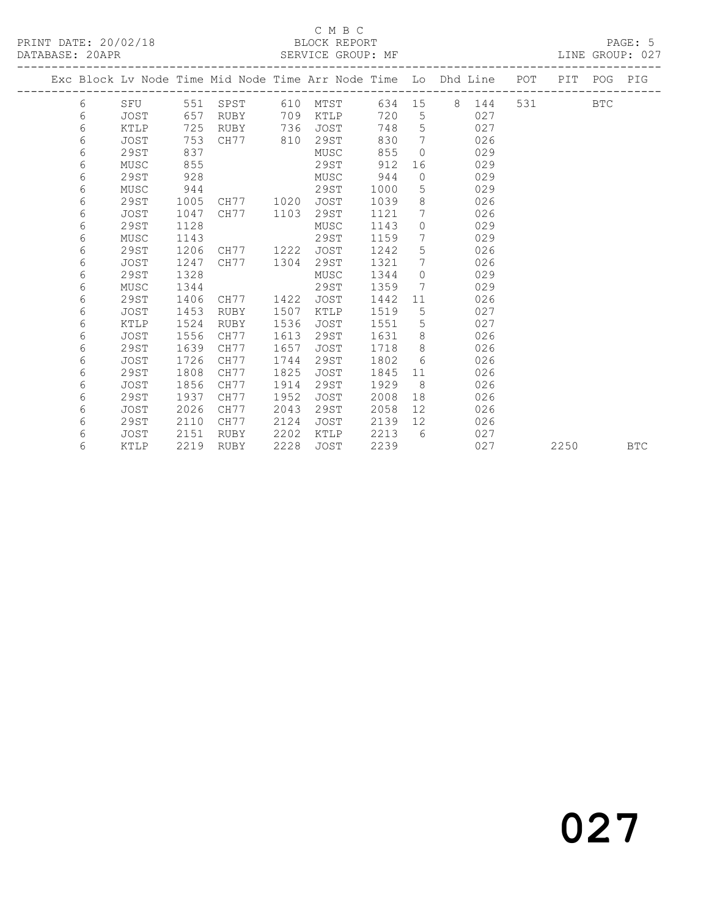## C M B C<br>BLOCK REPORT

### SERVICE GROUP: MF

|  |   |      |      |      |      |                   |      |                 | Exc Block Lv Node Time Mid Node Time Arr Node Time Lo Dhd Line POT |       |      | PIT POG PIG |            |
|--|---|------|------|------|------|-------------------|------|-----------------|--------------------------------------------------------------------|-------|------|-------------|------------|
|  |   |      |      |      |      |                   |      |                 |                                                                    |       |      |             |            |
|  | 6 | SFU  |      |      |      | 551 SPST 610 MTST |      |                 | 634 15 8 144                                                       | 531 6 |      | <b>BTC</b>  |            |
|  | 6 | JOST | 657  | RUBY | 709  | KTLP              | 720  | 5               | 027                                                                |       |      |             |            |
|  | 6 | KTLP | 725  | RUBY | 736  | JOST              | 748  | 5               | 027                                                                |       |      |             |            |
|  | 6 | JOST | 753  | CH77 | 810  | 29ST              | 830  | $\overline{7}$  | 026                                                                |       |      |             |            |
|  | 6 | 29ST | 837  |      |      | MUSC              | 855  | $\Omega$        | 029                                                                |       |      |             |            |
|  | 6 | MUSC | 855  |      |      | 29ST              | 912  | 16              | 029                                                                |       |      |             |            |
|  | 6 | 29ST | 928  |      |      | MUSC              | 944  | $\circ$         | 029                                                                |       |      |             |            |
|  | 6 | MUSC | 944  |      |      | 29ST              | 1000 | 5               | 029                                                                |       |      |             |            |
|  | 6 | 29ST | 1005 | CH77 | 1020 | JOST              | 1039 | 8               | 026                                                                |       |      |             |            |
|  | 6 | JOST | 1047 | CH77 | 1103 | 29ST              | 1121 | $7\phantom{0}$  | 026                                                                |       |      |             |            |
|  | 6 | 29ST | 1128 |      |      | MUSC              | 1143 | $\circ$         | 029                                                                |       |      |             |            |
|  | 6 | MUSC | 1143 |      |      | 29ST              | 1159 | $7\phantom{.0}$ | 029                                                                |       |      |             |            |
|  | 6 | 29ST | 1206 | CH77 | 1222 | JOST              | 1242 | 5 <sup>5</sup>  | 026                                                                |       |      |             |            |
|  | 6 | JOST | 1247 | CH77 | 1304 | 29ST              | 1321 | $7\phantom{.0}$ | 026                                                                |       |      |             |            |
|  | 6 | 29ST | 1328 |      |      | MUSC              | 1344 | $\circ$         | 029                                                                |       |      |             |            |
|  | 6 | MUSC | 1344 |      |      | 29ST              | 1359 | $7\phantom{0}$  | 029                                                                |       |      |             |            |
|  | 6 | 29ST | 1406 | CH77 | 1422 | JOST              | 1442 | 11              | 026                                                                |       |      |             |            |
|  | 6 | JOST | 1453 | RUBY | 1507 | KTLP              | 1519 | 5               | 027                                                                |       |      |             |            |
|  | 6 | KTLP | 1524 | RUBY | 1536 | JOST              | 1551 | $5^{\circ}$     | 027                                                                |       |      |             |            |
|  | 6 | JOST | 1556 | CH77 | 1613 | 29ST              | 1631 | 8               | 026                                                                |       |      |             |            |
|  | 6 | 29ST | 1639 | CH77 | 1657 | JOST              | 1718 | 8               | 026                                                                |       |      |             |            |
|  | 6 | JOST | 1726 | CH77 | 1744 | 29ST              | 1802 | 6               | 026                                                                |       |      |             |            |
|  | 6 | 29ST | 1808 | CH77 | 1825 | <b>JOST</b>       | 1845 | 11              | 026                                                                |       |      |             |            |
|  | 6 | JOST | 1856 | CH77 | 1914 | 29ST              | 1929 | 8 <sup>8</sup>  | 026                                                                |       |      |             |            |
|  | 6 | 29ST | 1937 | CH77 | 1952 | JOST              | 2008 | 18              | 026                                                                |       |      |             |            |
|  | 6 | JOST | 2026 | CH77 | 2043 | 29ST              | 2058 | 12 <sup>°</sup> | 026                                                                |       |      |             |            |
|  | 6 | 29ST | 2110 | CH77 | 2124 | JOST              | 2139 | 12 <sup>°</sup> | 026                                                                |       |      |             |            |
|  | 6 | JOST | 2151 | RUBY | 2202 | KTLP              | 2213 | - 6             | 027                                                                |       |      |             |            |
|  | 6 | KTLP | 2219 | RUBY | 2228 | <b>JOST</b>       | 2239 |                 | 027                                                                |       | 2250 |             | <b>BTC</b> |
|  |   |      |      |      |      |                   |      |                 |                                                                    |       |      |             |            |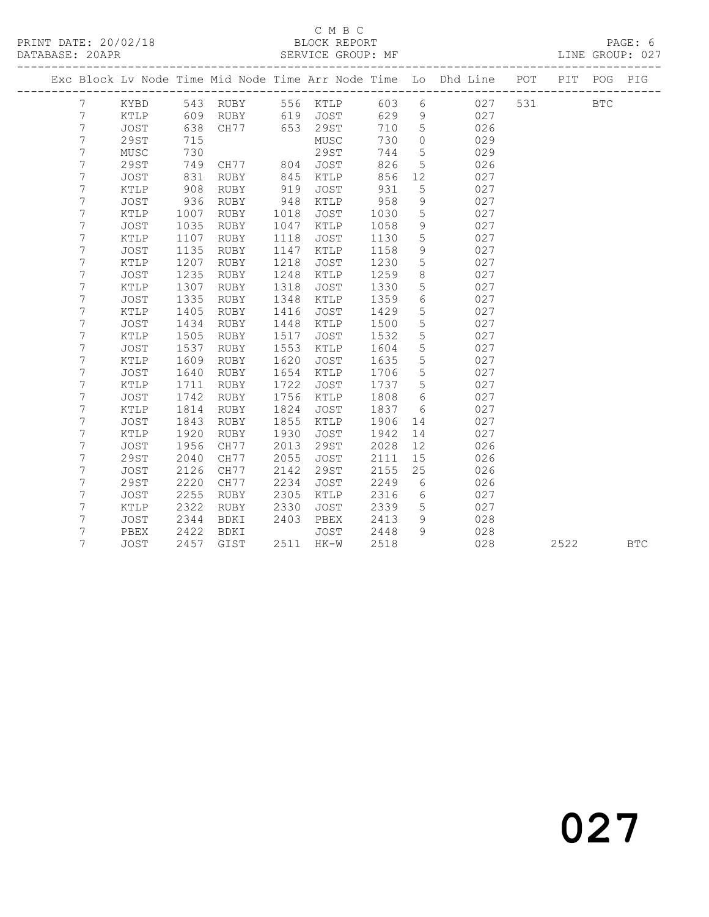### C M B C<br>BLOCK REPORT

### SERVICE GROUP: MF

|                  |               |      |             |      |                 |      |                 | Exc Block Lv Node Time Mid Node Time Arr Node Time Lo Dhd Line | POT | PIT  | POG        | PIG        |
|------------------|---------------|------|-------------|------|-----------------|------|-----------------|----------------------------------------------------------------|-----|------|------------|------------|
| 7                | KYBD          |      | 543 RUBY    |      | 556 KTLP        | 603  | 6               | 027                                                            | 531 |      | <b>BTC</b> |            |
| 7                | KTLP          | 609  | RUBY        | 619  | JOST            | 629  | 9               | 027                                                            |     |      |            |            |
| $\boldsymbol{7}$ | JOST          | 638  | CH77        | 653  | 29ST            | 710  | 5               | 026                                                            |     |      |            |            |
| $\overline{7}$   | 29ST          | 715  |             |      | ${\tt MUSC}$    | 730  | $\circ$         | 029                                                            |     |      |            |            |
| $\overline{7}$   | MUSC          | 730  |             |      | 29ST            | 744  | 5               | 029                                                            |     |      |            |            |
| 7                | 29ST          | 749  | CH77        | 804  | JOST            | 826  | 5               | 026                                                            |     |      |            |            |
| 7                | JOST          | 831  | RUBY        | 845  | KTLP            | 856  | 12              | 027                                                            |     |      |            |            |
| 7                | KTLP          | 908  | RUBY        | 919  | JOST            | 931  | 5               | 027                                                            |     |      |            |            |
| 7                | JOST          | 936  | RUBY        | 948  | KTLP            | 958  | 9               | 027                                                            |     |      |            |            |
| $\overline{7}$   | KTLP          | 1007 | RUBY        | 1018 | JOST            | 1030 | 5               | 027                                                            |     |      |            |            |
| 7                | JOST          | 1035 | RUBY        | 1047 | KTLP            | 1058 | $\mathsf 9$     | 027                                                            |     |      |            |            |
| $\overline{7}$   | KTLP          | 1107 | RUBY        | 1118 | JOST            | 1130 | 5               | 027                                                            |     |      |            |            |
| $\overline{7}$   | <b>JOST</b>   | 1135 | RUBY        | 1147 | $\verb KTLP $   | 1158 | $\mathsf 9$     | 027                                                            |     |      |            |            |
| 7                | $\verb KTLP $ | 1207 | RUBY        | 1218 | JOST            | 1230 | 5               | 027                                                            |     |      |            |            |
| 7                | <b>JOST</b>   | 1235 | <b>RUBY</b> | 1248 | $\verb KTLP $   | 1259 | 8               | 027                                                            |     |      |            |            |
| 7                | KTLP          | 1307 | RUBY        | 1318 | JOST            | 1330 | $5\phantom{.0}$ | 027                                                            |     |      |            |            |
| 7                | JOST          | 1335 | RUBY        | 1348 | KTLP            | 1359 | $6\phantom{.}6$ | 027                                                            |     |      |            |            |
| 7                | KTLP          | 1405 | RUBY        | 1416 | JOST            | 1429 | 5               | 027                                                            |     |      |            |            |
| 7                | JOST          | 1434 | RUBY        | 1448 | KTLP            | 1500 | 5               | 027                                                            |     |      |            |            |
| $\overline{7}$   | KTLP          | 1505 | RUBY        | 1517 | JOST            | 1532 | 5               | 027                                                            |     |      |            |            |
| $\overline{7}$   | <b>JOST</b>   | 1537 | RUBY        | 1553 | $\verb KTLP $   | 1604 | 5               | 027                                                            |     |      |            |            |
| 7                | KTLP          | 1609 | RUBY        | 1620 | JOST            | 1635 | 5               | 027                                                            |     |      |            |            |
| 7                | JOST          | 1640 | RUBY        | 1654 | $\verb KTLP $   | 1706 | $5\phantom{.0}$ | 027                                                            |     |      |            |            |
| 7                | KTLP          | 1711 | RUBY        | 1722 | JOST            | 1737 | 5               | 027                                                            |     |      |            |            |
| 7                | JOST          | 1742 | RUBY        | 1756 | KTLP            | 1808 | 6               | 027                                                            |     |      |            |            |
| 7                | KTLP          | 1814 | RUBY        | 1824 | JOST            | 1837 | 6               | 027                                                            |     |      |            |            |
| $\overline{7}$   | <b>JOST</b>   | 1843 | RUBY        | 1855 | $\texttt{KTLP}$ | 1906 | 14              | 027                                                            |     |      |            |            |
| 7                | KTLP          | 1920 | RUBY        | 1930 | JOST            | 1942 | 14              | 027                                                            |     |      |            |            |
| $\overline{7}$   | <b>JOST</b>   | 1956 | CH77        | 2013 | 29ST            | 2028 | 12              | 026                                                            |     |      |            |            |
| 7                | <b>29ST</b>   | 2040 | CH77        | 2055 | JOST            | 2111 | 15              | 026                                                            |     |      |            |            |
| 7                | <b>JOST</b>   | 2126 | CH77        | 2142 | 29ST            | 2155 | 25              | 026                                                            |     |      |            |            |
| 7                | 29ST          | 2220 | CH77        | 2234 | JOST            | 2249 | - 6             | 026                                                            |     |      |            |            |
| 7                | JOST          | 2255 | RUBY        | 2305 | KTLP            | 2316 | 6               | 027                                                            |     |      |            |            |
| 7                | KTLP          | 2322 | RUBY        | 2330 | <b>JOST</b>     | 2339 | 5               | 027                                                            |     |      |            |            |
| 7                | JOST          | 2344 | BDKI        | 2403 | PBEX            | 2413 | 9               | 028                                                            |     |      |            |            |
| 7                | PBEX          | 2422 | BDKI        |      | JOST            | 2448 | $\overline{9}$  | 028                                                            |     |      |            |            |
| 7                | <b>JOST</b>   | 2457 | GIST        | 2511 | $HK-W$          | 2518 |                 | 028                                                            |     | 2522 |            | <b>BTC</b> |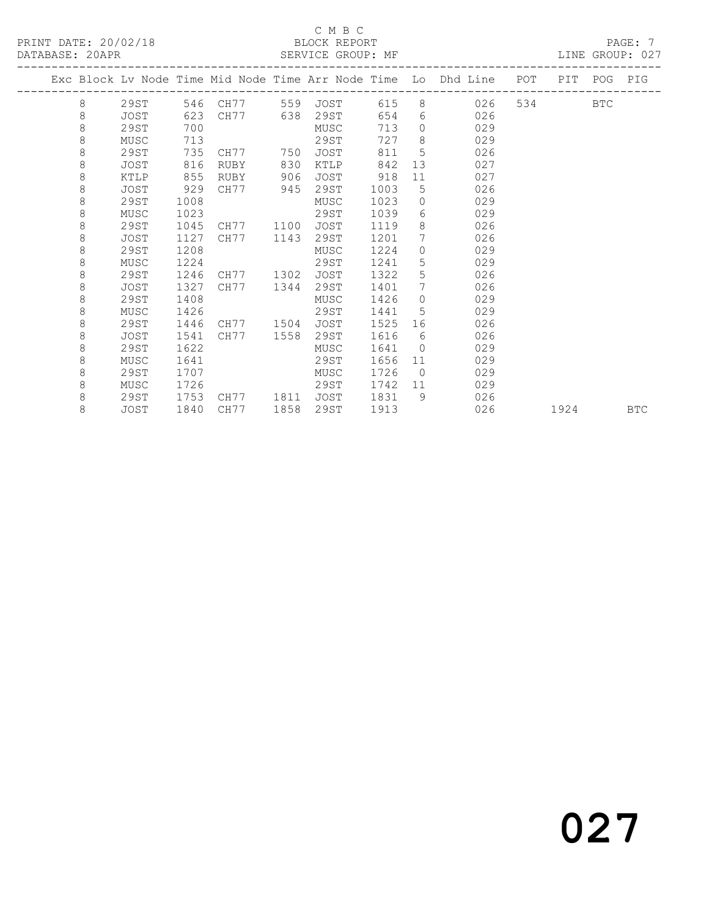### C M B C<br>BLOCK REPORT

|  |   |      |      |              |      |             |      |                 | Exc Block Lv Node Time Mid Node Time Arr Node Time Lo Dhd Line | POT PIT POG |      | PIG        |
|--|---|------|------|--------------|------|-------------|------|-----------------|----------------------------------------------------------------|-------------|------|------------|
|  | 8 | 29ST |      | 546 CH77 559 |      | JOST        | 615  |                 | 8<br>026                                                       | 534 BTC     |      |            |
|  | 8 | JOST | 623  | CH77 638     |      | 29ST        | 654  |                 | $6 \qquad \qquad$<br>026                                       |             |      |            |
|  | 8 | 29ST | 700  |              |      | MUSC        | 713  | $\Omega$        | 029                                                            |             |      |            |
|  | 8 | MUSC | 713  |              |      | 29ST        | 727  | 8               | 029                                                            |             |      |            |
|  | 8 | 29ST | 735  | CH77 750     |      | JOST        | 811  | 5               | 026                                                            |             |      |            |
|  | 8 | JOST | 816  | RUBY         | 830  | KTLP        | 842  |                 | 13<br>027                                                      |             |      |            |
|  | 8 | KTLP | 855  | RUBY         | 906  | <b>JOST</b> | 918  | 11              | 027                                                            |             |      |            |
|  | 8 | JOST | 929  | CH77         | 945  | 29ST        | 1003 | 5               | 026                                                            |             |      |            |
|  | 8 | 29ST | 1008 |              |      | MUSC        | 1023 | $\circ$         | 029                                                            |             |      |            |
|  | 8 | MUSC | 1023 |              |      | 29ST        | 1039 | 6               | 029                                                            |             |      |            |
|  | 8 | 29ST | 1045 | CH77         | 1100 | JOST        | 1119 | 8               | 026                                                            |             |      |            |
|  | 8 | JOST | 1127 | CH77         | 1143 | 29ST        | 1201 | $7\phantom{0}$  | 026                                                            |             |      |            |
|  | 8 | 29ST | 1208 |              |      | MUSC        | 1224 | $\circ$         | 029                                                            |             |      |            |
|  | 8 | MUSC | 1224 |              |      | 29ST        | 1241 | 5               | 029                                                            |             |      |            |
|  | 8 | 29ST | 1246 | CH77 1302    |      | JOST        | 1322 | 5               | 026                                                            |             |      |            |
|  | 8 | JOST | 1327 | CH77         | 1344 | 29ST        | 1401 | $7\overline{ }$ | 026                                                            |             |      |            |
|  | 8 | 29ST | 1408 |              |      | MUSC        | 1426 | $\Omega$        | 029                                                            |             |      |            |
|  | 8 | MUSC | 1426 |              |      | 29ST        | 1441 | 5               | 029                                                            |             |      |            |
|  | 8 | 29ST | 1446 | CH77 1504    |      | JOST        | 1525 | 16              | 026                                                            |             |      |            |
|  | 8 | JOST | 1541 | CH77         | 1558 | 29ST        | 1616 | 6               | 026                                                            |             |      |            |
|  | 8 | 29ST | 1622 |              |      | MUSC        | 1641 | $\circ$         | 029                                                            |             |      |            |
|  | 8 | MUSC | 1641 |              |      | 29ST        | 1656 | 11              | 029                                                            |             |      |            |
|  | 8 | 29ST | 1707 |              |      | MUSC        | 1726 | $\overline{0}$  | 029                                                            |             |      |            |
|  | 8 | MUSC | 1726 |              |      | 29ST        | 1742 | 11              | 029                                                            |             |      |            |
|  | 8 | 29ST | 1753 | CH77 1811    |      | JOST        | 1831 | 9               | 026                                                            |             |      |            |
|  | 8 | JOST | 1840 | CH77         | 1858 | 29ST        | 1913 |                 | 026                                                            |             | 1924 | <b>BTC</b> |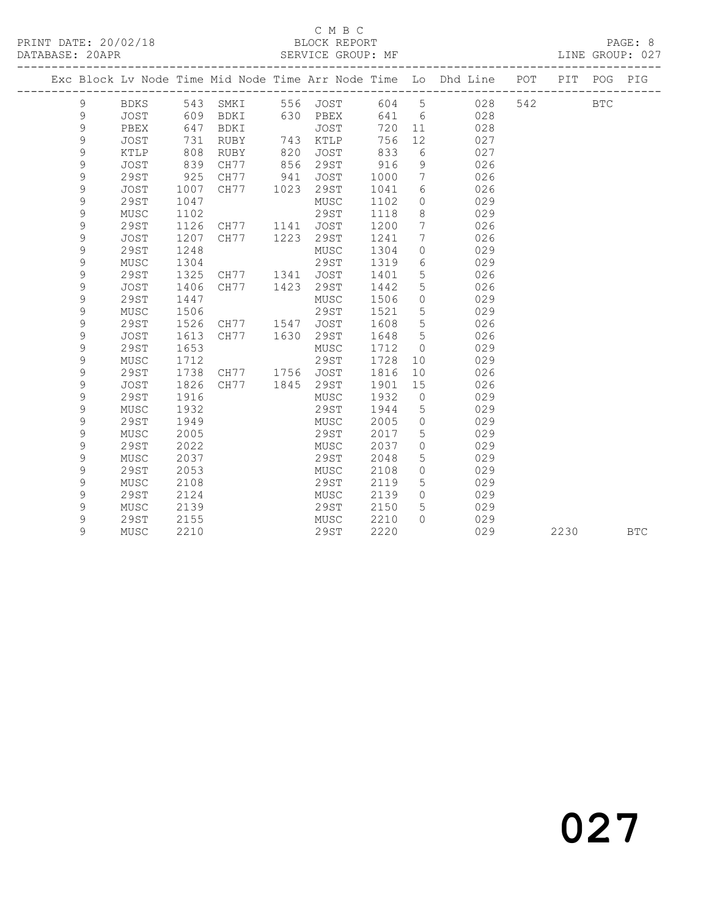## C M B C<br>BLOCK REPORT

### SERVICE GROUP: MF

|  |               |              |      |                |             |           |      |                              | Exc Block Lv Node Time Mid Node Time Arr Node Time Lo Dhd Line | POT | PIT        | POG | PIG        |
|--|---------------|--------------|------|----------------|-------------|-----------|------|------------------------------|----------------------------------------------------------------|-----|------------|-----|------------|
|  | 9             | BDKS 543     |      | SMKI           |             | 556 JOST  |      |                              | 604 5 028                                                      | 542 | <b>BTC</b> |     |            |
|  | 9             | <b>JOST</b>  | 609  | BDKI           |             | 630 PBEX  | 641  |                              | $6\overline{6}$<br>028                                         |     |            |     |            |
|  | $\mathsf 9$   | PBEX         | 647  | BDKI           |             | JOST      | 720  |                              | 028<br>11                                                      |     |            |     |            |
|  | $\mathcal{G}$ | <b>JOST</b>  | 731  | RUBY           | 743         | KTLP      | 756  | 12                           | 027                                                            |     |            |     |            |
|  | 9             | KTLP         | 808  | RUBY           | 820         | JOST      | 833  | 6                            | 027                                                            |     |            |     |            |
|  | $\mathsf 9$   | JOST         | 839  | CH77           | 856         | 29ST      | 916  | 9                            | 026                                                            |     |            |     |            |
|  | $\mathcal{G}$ | 29ST         | 925  | CH77           | 941<br>1023 | JOST      | 1000 | $7\overline{ }$              | 026                                                            |     |            |     |            |
|  | $\mathsf 9$   | JOST         | 1007 | CH77           |             | 29ST      | 1041 | 6                            | 026                                                            |     |            |     |            |
|  | 9             | 29ST         | 1047 |                |             | MUSC      | 1102 | $\circ$                      | 029                                                            |     |            |     |            |
|  | 9             | MUSC         | 1102 |                |             | 29ST      | 1118 | 8                            | 029                                                            |     |            |     |            |
|  | 9             | <b>29ST</b>  | 1126 | CH77           |             | 1141 JOST | 1200 | $7\phantom{.0}\phantom{.0}7$ | 026                                                            |     |            |     |            |
|  | 9             | <b>JOST</b>  | 1207 | CH77           | 1223        | 29ST      | 1241 | 7                            | 026                                                            |     |            |     |            |
|  | $\mathcal{G}$ | 29ST         | 1248 |                |             | MUSC      | 1304 | $\circ$                      | 029                                                            |     |            |     |            |
|  | $\mathcal{G}$ | MUSC         | 1304 |                |             | 29ST      | 1319 | 6                            | 029                                                            |     |            |     |            |
|  | $\mathcal{G}$ | 29ST         | 1325 | CH77 1341      |             | JOST      | 1401 | 5                            | 026                                                            |     |            |     |            |
|  | $\mathsf 9$   | <b>JOST</b>  | 1406 | CH77           | 1423        | 29ST      | 1442 | 5                            | 026                                                            |     |            |     |            |
|  | $\mathcal{G}$ | 29ST         | 1447 |                |             | MUSC      | 1506 | $\Omega$                     | 029                                                            |     |            |     |            |
|  | $\mathsf 9$   | MUSC         | 1506 |                |             | 29ST      | 1521 | 5                            | 029                                                            |     |            |     |            |
|  | 9             | <b>29ST</b>  | 1526 | CH77 1547      |             | JOST      | 1608 | 5                            | 026                                                            |     |            |     |            |
|  | $\mathsf 9$   | JOST         | 1613 | CH77           | 1630        | 29ST      | 1648 | 5                            | 026                                                            |     |            |     |            |
|  | 9             | <b>29ST</b>  | 1653 |                |             | MUSC      | 1712 | $\overline{0}$               | 029                                                            |     |            |     |            |
|  | 9             | MUSC         | 1712 |                |             | 29ST      | 1728 | 10 <sup>°</sup>              | 029                                                            |     |            |     |            |
|  | 9             | 29ST         | 1738 | CH77 1756 JOST |             |           | 1816 | 10 <sup>°</sup>              | 026                                                            |     |            |     |            |
|  | 9             | <b>JOST</b>  | 1826 | CH77           | 1845        | 29ST      | 1901 | 15                           | 026                                                            |     |            |     |            |
|  | 9             | <b>29ST</b>  | 1916 |                |             | MUSC      | 1932 | $\overline{0}$               | 029                                                            |     |            |     |            |
|  | $\mathcal{G}$ | MUSC         | 1932 |                |             | 29ST      | 1944 | $5\overline{)}$              | 029                                                            |     |            |     |            |
|  | 9             | <b>29ST</b>  | 1949 |                |             | MUSC      | 2005 | $\overline{0}$               | 029                                                            |     |            |     |            |
|  | 9             | MUSC         | 2005 |                |             | 29ST      | 2017 | 5                            | 029                                                            |     |            |     |            |
|  | $\mathcal{G}$ | <b>29ST</b>  | 2022 |                |             | MUSC      | 2037 | $\circ$                      | 029                                                            |     |            |     |            |
|  | $\mathsf 9$   | MUSC         | 2037 |                |             | 29ST      | 2048 | 5                            | 029                                                            |     |            |     |            |
|  | 9             | <b>29ST</b>  | 2053 |                |             | MUSC      | 2108 | $\circ$                      | 029                                                            |     |            |     |            |
|  | $\mathsf 9$   | ${\tt MUSC}$ | 2108 |                |             | 29ST      | 2119 | $5\phantom{.0}$              | 029                                                            |     |            |     |            |
|  | $\mathsf 9$   | 29ST         | 2124 |                |             | MUSC      | 2139 | $\overline{0}$               | 029                                                            |     |            |     |            |
|  | $\mathsf 9$   | MUSC         | 2139 |                |             | 29ST      | 2150 | 5                            | 029                                                            |     |            |     |            |
|  | 9             | 29ST         | 2155 |                |             | MUSC      | 2210 | $\bigcap$                    | 029                                                            |     |            |     |            |
|  | 9             | MUSC         | 2210 |                |             | 29ST      | 2220 |                              | 029                                                            |     | 2230       |     | <b>BTC</b> |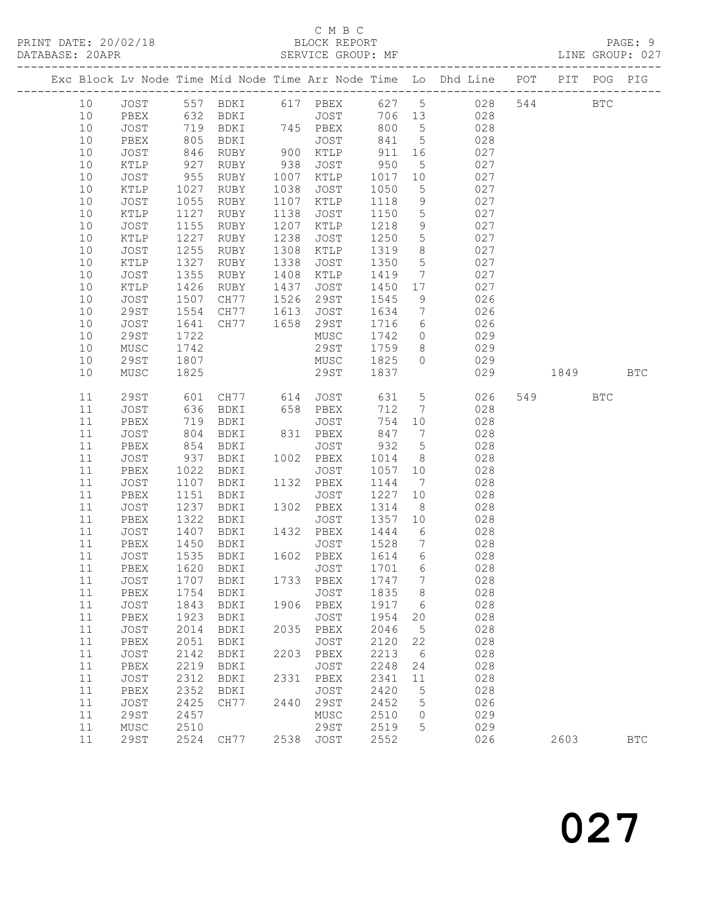## C M B C<br>BLOCK REPORT

|  |        |             |            |                      |      |                               |         |                              | Exc Block Lv Node Time Mid Node Time Arr Node Time Lo Dhd Line POT PIT POG PIG |     |      |              |              |
|--|--------|-------------|------------|----------------------|------|-------------------------------|---------|------------------------------|--------------------------------------------------------------------------------|-----|------|--------------|--------------|
|  | 10     |             |            |                      |      |                               |         |                              | JOST 557 BDKI 617 PBEX 627 5 028                                               | 544 |      | $_{\rm BTC}$ |              |
|  | 10     | PBEX        |            | 632 BDKI             |      | JOST 706 13                   |         |                              | 028                                                                            |     |      |              |              |
|  | 10     | JOST        |            | 719 BDKI             |      | 745 PBEX                      | 800     | $5^{\circ}$                  | 028                                                                            |     |      |              |              |
|  | 10     | PBEX        | 805        | BDKI                 |      | JOST                          | 841     | $5\overline{)}$              | 028                                                                            |     |      |              |              |
|  | $10$   | JOST        |            | RUBY                 |      | JOST<br>900 KTLP<br>938 JOST  | 911     | 16                           | 027                                                                            |     |      |              |              |
|  | $10$   | KTLP        | 846<br>927 | RUBY                 |      |                               | 950     | $5\overline{)}$              | 027                                                                            |     |      |              |              |
|  | $10$   | JOST        | 955        | RUBY                 | 1007 | KTLP                          | 1017 10 |                              | 027                                                                            |     |      |              |              |
|  | $10$   | KTLP        | 1027       | RUBY                 | 1038 | JOST                          | 1050    | $5\overline{)}$              | 027                                                                            |     |      |              |              |
|  | 10     | JOST        | 1055       | RUBY                 | 1107 | KTLP                          | 1118    | 9                            | 027                                                                            |     |      |              |              |
|  | 10     | KTLP        | 1127       | RUBY                 | 1138 | JOST                          | 1150    | $5\overline{)}$              | 027                                                                            |     |      |              |              |
|  | 10     | JOST        | 1155       | RUBY                 | 1207 | KTLP                          | 1218    | 9                            | 027                                                                            |     |      |              |              |
|  | 10     | KTLP        | 1227       | RUBY                 | 1238 | JOST                          | 1250    | $5\overline{)}$              | 027                                                                            |     |      |              |              |
|  | 10     | JOST        | 1255       | RUBY                 | 1308 | KTLP                          | 1319    | 8                            | 027                                                                            |     |      |              |              |
|  | 10     | KTLP        | 1327       | RUBY                 | 1338 | JOST                          | 1350    | $5\overline{)}$              | 027                                                                            |     |      |              |              |
|  | 10     | JOST        | 1355       | RUBY                 | 1408 | KTLP                          | 1419    | $7\phantom{.0}\phantom{.0}7$ | 027                                                                            |     |      |              |              |
|  | 10     | KTLP        | 1426       | RUBY                 | 1437 | JOST                          | 1450    | 17                           | 027                                                                            |     |      |              |              |
|  | 10     | JOST        | 1507       | CH77                 |      |                               | 1545    | 9                            | 026                                                                            |     |      |              |              |
|  | 10     | 29ST        | 1554       | CH77                 |      | $1526$ $222$<br>$1613$ $JOST$ | 1634    | $7\overline{)}$              | 026                                                                            |     |      |              |              |
|  | 10     | JOST        | 1641       | CH77                 |      | 1658 29ST                     | 1716    | 6                            | 026                                                                            |     |      |              |              |
|  | 10     | <b>29ST</b> | 1722       |                      |      | MUSC                          | 1742    | $\overline{0}$               | 029                                                                            |     |      |              |              |
|  | 10     | MUSC        | 1742       |                      |      | 29ST                          | 1759 8  |                              | 029                                                                            |     |      |              |              |
|  | 10     | <b>29ST</b> | 1807       |                      |      | MUSC                          | 1825    | $\circ$                      | 029                                                                            |     |      |              |              |
|  | $10$   | MUSC        | 1825       |                      |      | 29ST                          | 1837    |                              | 029                                                                            |     | 1849 |              | <b>BTC</b>   |
|  | 11     | <b>29ST</b> |            |                      |      |                               | 631     | $5\overline{)}$              | 026                                                                            |     | 549  | <b>BTC</b>   |              |
|  | 11     | JOST        |            | 601 CH77<br>636 BDKI |      |                               | 712     | $\overline{7}$               | 028                                                                            |     |      |              |              |
|  | 11     | PBEX        |            | 719 BDKI             |      | JOST                          | 754     | 10                           | 028                                                                            |     |      |              |              |
|  | 11     | JOST        | 804        | BDKI                 |      | 831 PBEX                      | 847     | $\overline{7}$               | 028                                                                            |     |      |              |              |
|  | 11     | PBEX        | 854        | BDKI                 |      | JOST                          | 932     | $5\overline{)}$              | 028                                                                            |     |      |              |              |
|  | 11     | JOST        | 937        | BDKI                 |      | 1002 PBEX                     | 1014    | 8 <sup>8</sup>               | 028                                                                            |     |      |              |              |
|  | $11$   | PBEX        | 1022       | BDKI                 |      | JOST                          | 1057    | 10                           | 028                                                                            |     |      |              |              |
|  | 11     | JOST        | 1107       | BDKI                 |      | 1132 PBEX                     | 1144    | $\overline{7}$               | 028                                                                            |     |      |              |              |
|  | 11     | PBEX        | 1151       | BDKI                 |      | JOST                          | 1227    | 10                           | 028                                                                            |     |      |              |              |
|  | 11     | JOST        | 1237       | BDKI                 | 1302 | PBEX                          | 1314    | 8 <sup>8</sup>               | 028                                                                            |     |      |              |              |
|  | 11     | PBEX        | 1322       | BDKI                 |      | JOST                          | 1357    | 10                           | 028                                                                            |     |      |              |              |
|  | 11     | JOST        | 1407       | BDKI                 |      | 1432 PBEX                     | 1444    | $6\overline{6}$              | 028                                                                            |     |      |              |              |
|  | 11     | PBEX        | 1450       | BDKI                 |      | JOST                          | 1528    | $7\overline{ }$              | 028                                                                            |     |      |              |              |
|  | $11\,$ | JOST        | 1535       | BDKI                 |      | 1602 PBEX                     | 1614    | $6\overline{6}$              | 028                                                                            |     |      |              |              |
|  | 11     | PBEX        |            | 1620 BDKI            |      | JOST                          | 1701    | $6\overline{6}$              | 028                                                                            |     |      |              |              |
|  |        |             |            | 11 JOST 1707 BDKI    |      | 1733 PBEX 1747                |         | $7\overline{ }$              | 028                                                                            |     |      |              |              |
|  | 11     | PBEX        |            | 1754 BDKI            |      | JOST                          | 1835    | 8 <sup>8</sup>               | 028                                                                            |     |      |              |              |
|  | 11     | JOST        | 1843       | BDKI                 |      | 1906 PBEX                     | 1917    | 6                            | 028                                                                            |     |      |              |              |
|  | 11     | PBEX        | 1923       | BDKI                 |      | JOST                          | 1954    | 20                           | 028                                                                            |     |      |              |              |
|  | $11$   | JOST        | 2014       | BDKI                 | 2035 | PBEX                          | 2046    | $5\phantom{0}$               | 028                                                                            |     |      |              |              |
|  | $11$   | PBEX        | 2051       | BDKI                 |      | JOST                          | 2120    | 22                           | 028                                                                            |     |      |              |              |
|  | $11\,$ | JOST        | 2142       | BDKI                 | 2203 | PBEX                          | 2213    | 6                            | 028                                                                            |     |      |              |              |
|  | 11     | PBEX        | 2219       | <b>BDKI</b>          |      | JOST                          | 2248    | 24                           | 028                                                                            |     |      |              |              |
|  | $11$   | JOST        | 2312       | BDKI                 |      | 2331 PBEX                     | 2341    | 11                           | 028                                                                            |     |      |              |              |
|  | 11     | PBEX        | 2352       | BDKI                 |      | JOST                          | 2420    | $5\phantom{.0}$              | 028                                                                            |     |      |              |              |
|  | $11$   | JOST        | 2425       | CH77                 | 2440 | 29ST                          | 2452    | 5                            | 026                                                                            |     |      |              |              |
|  | 11     | 29ST        | 2457       |                      |      | MUSC                          | 2510    | $\circ$                      | 029                                                                            |     |      |              |              |
|  | 11     | MUSC        | 2510       |                      |      | 29ST                          | 2519    | 5                            | 029                                                                            |     |      |              |              |
|  | 11     | 29ST        | 2524       | CH77                 |      | 2538 JOST                     | 2552    |                              | 026                                                                            |     | 2603 |              | $_{\rm BTC}$ |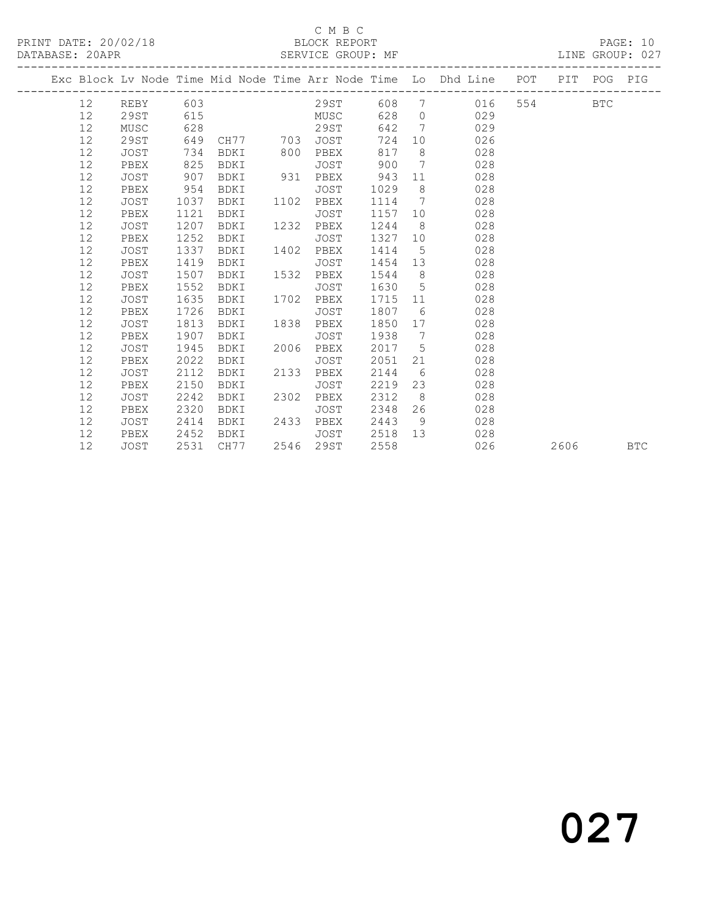### C M B C<br>BLOCK REPORT

### SERVICE GROUP: MF

|  |        |             |      |             |      |                                     |         |                 | Exc Block Lv Node Time Mid Node Time Arr Node Time Lo Dhd Line POT PIT POG PIG<br>----------------- |         |      |            |
|--|--------|-------------|------|-------------|------|-------------------------------------|---------|-----------------|-----------------------------------------------------------------------------------------------------|---------|------|------------|
|  | 12     |             |      |             |      |                                     |         |                 | REBY 603 29ST 608 7 016                                                                             | 554 BTC |      |            |
|  | 12     | 29ST        | 615  |             |      | MUSC <sub>2</sub> MUSC <sub>2</sub> | 628     |                 | $0$ 029                                                                                             |         |      |            |
|  | 12     | MUSC        | 628  |             |      | 29ST                                | 642     |                 | $7\overline{ }$<br>029                                                                              |         |      |            |
|  | 12     | 29ST        | 649  |             |      | CH77 703 JOST                       | 724     | 10              | 026                                                                                                 |         |      |            |
|  | 12     | <b>JOST</b> | 734  | BDKI        | 800  | PBEX                                | 817     |                 | $8 \pm 1$<br>028                                                                                    |         |      |            |
|  | 12     | PBEX        | 825  | BDKI        |      | JOST                                | 900     |                 | $7\overline{ }$<br>028                                                                              |         |      |            |
|  | 12     | JOST        | 907  | BDKI        |      | 931 PBEX                            | 943     | 11              | 028                                                                                                 |         |      |            |
|  | 12     | PBEX        | 954  | BDKI        |      | JOST                                | 1029    |                 | $8 \overline{)}$<br>028                                                                             |         |      |            |
|  | 12     | JOST        | 1037 | BDKI        | 1102 | PBEX                                | 1114 7  |                 | 028                                                                                                 |         |      |            |
|  | 12     | PBEX        | 1121 | <b>BDKI</b> |      | JOST                                | 1157    | 10              | 028                                                                                                 |         |      |            |
|  | 12     | <b>JOST</b> | 1207 | BDKI        | 1232 | PBEX                                | 1244    | 8 <sup>8</sup>  | 028                                                                                                 |         |      |            |
|  | 12     | PBEX        | 1252 | BDKI        |      | JOST                                | 1327 10 |                 | 028                                                                                                 |         |      |            |
|  | 12     | JOST        | 1337 | BDKI        | 1402 | PBEX                                | 1414    | $5\overline{)}$ | 028                                                                                                 |         |      |            |
|  | 12     | PBEX        | 1419 | BDKI        |      | JOST                                | 1454    |                 | 028<br>13                                                                                           |         |      |            |
|  | 12     | JOST        | 1507 | BDKI        | 1532 | PBEX                                | 1544    |                 | $8 - 8$<br>028                                                                                      |         |      |            |
|  | 12     | PBEX        | 1552 | BDKI        |      | JOST                                | 1630    | $5 -$           | 028                                                                                                 |         |      |            |
|  | 12     | JOST        | 1635 | BDKI        | 1702 | PBEX                                | 1715 11 |                 | 028                                                                                                 |         |      |            |
|  | 12     | PBEX        | 1726 | BDKI        |      | JOST                                | 1807    |                 | $6\overline{6}$<br>028                                                                              |         |      |            |
|  | 12     | JOST        | 1813 | BDKI        | 1838 | PBEX                                | 1850 17 |                 | 028                                                                                                 |         |      |            |
|  | 12     | PBEX        | 1907 | BDKI        |      | JOST                                | 1938    | $7\phantom{0}$  | 028                                                                                                 |         |      |            |
|  | 12     | JOST        | 1945 | <b>BDKI</b> | 2006 | PBEX                                | 2017    |                 | $5^{\circ}$<br>028                                                                                  |         |      |            |
|  | 12     | PBEX        | 2022 | BDKI        |      | JOST                                | 2051    | 21              | 028                                                                                                 |         |      |            |
|  | 12     | <b>JOST</b> | 2112 | BDKI        | 2133 | PBEX                                | 2144    | 6               | 028                                                                                                 |         |      |            |
|  | 12     | PBEX        | 2150 | BDKI        |      | JOST                                | 2219    |                 | 23<br>028                                                                                           |         |      |            |
|  | $12\,$ | JOST        | 2242 | BDKI        | 2302 | PBEX                                | 2312    | 8 <sup>1</sup>  | 028                                                                                                 |         |      |            |
|  | 12     | PBEX        | 2320 | BDKI        |      | JOST                                | 2348    | 26              | 028                                                                                                 |         |      |            |
|  | 12     | JOST        | 2414 | BDKI        | 2433 | PBEX                                | 2443    | 9               | 028                                                                                                 |         |      |            |
|  | 12     | PBEX        | 2452 | BDKI        |      | JOST                                | 2518 13 |                 | 028                                                                                                 |         |      |            |
|  | 12     | JOST        | 2531 | CH77        |      | 2546 29ST                           | 2558    |                 | 026                                                                                                 |         | 2606 | <b>BTC</b> |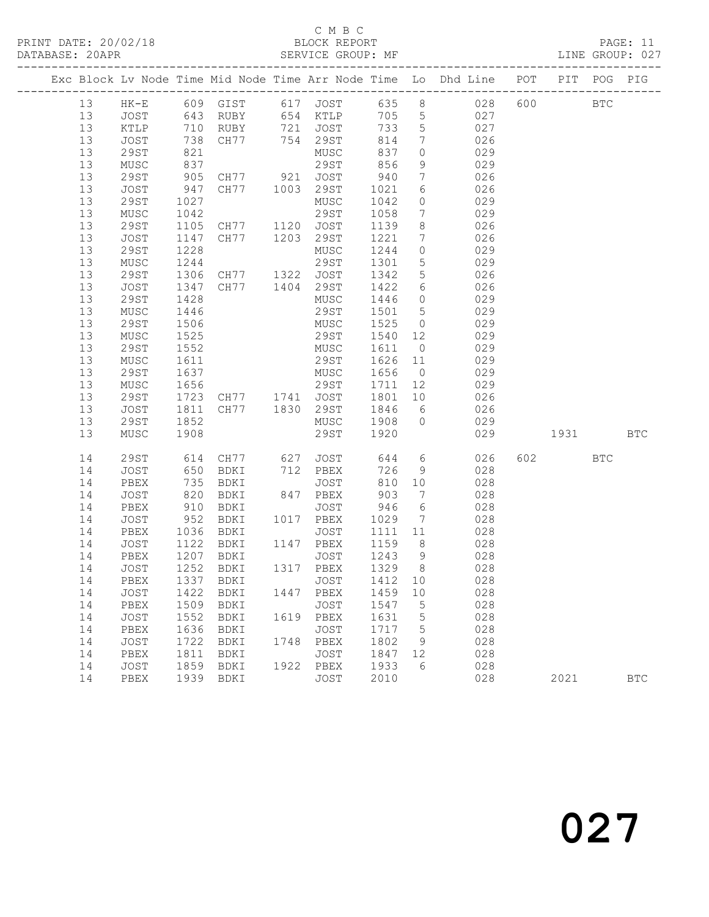## C M B C<br>BLOCK REPORT

| PRINT DATE: 20/02/18 BLOCK REPORT PASSE: 11<br>DATABASE: 20APR SERVICE GROUP: MF CATABASE: 20APR |                                     |      |                                                              |      |              |                      |                 |                                                                                |     |          |              |
|--------------------------------------------------------------------------------------------------|-------------------------------------|------|--------------------------------------------------------------|------|--------------|----------------------|-----------------|--------------------------------------------------------------------------------|-----|----------|--------------|
|                                                                                                  |                                     |      |                                                              |      |              |                      |                 | Exc Block Lv Node Time Mid Node Time Arr Node Time Lo Dhd Line POT PIT POG PIG |     |          |              |
|                                                                                                  |                                     |      |                                                              |      |              |                      |                 | 13 HK-E 609 GIST 617 JOST 635 8 028 600 BTC                                    |     |          |              |
|                                                                                                  | 13 JOST 643 RUBY 654 KTLP 705 5 027 |      |                                                              |      |              |                      |                 |                                                                                |     |          |              |
| 13                                                                                               | KTLP 710 RUBY 721 JOST 733 5 027    |      |                                                              |      |              |                      |                 |                                                                                |     |          |              |
| 13                                                                                               | JOST                                |      | 738 CH77 754 29ST 814<br>821 MUSC 837                        |      |              |                      |                 | $\begin{array}{ccc} 7 & 026 \end{array}$                                       |     |          |              |
| 13                                                                                               | 29ST                                |      |                                                              |      |              |                      | $\overline{0}$  | 029                                                                            |     |          |              |
| 13                                                                                               | MUSC                                | 837  |                                                              |      | 29ST 856     |                      |                 | 9 029                                                                          |     |          |              |
| 13                                                                                               | 29ST                                |      | 905 CH77 921 JOST 940                                        |      |              |                      |                 | $7\overline{ }$<br>026                                                         |     |          |              |
| 13                                                                                               |                                     |      | JOST 947 CH77 1003 29ST                                      |      |              | 1021 6               |                 | 026                                                                            |     |          |              |
| 13                                                                                               | 29ST                                | 1027 |                                                              |      | MUSC         | 1042 0               |                 | 029                                                                            |     |          |              |
| 13                                                                                               | MUSC                                | 1042 |                                                              |      | 29ST         | 1058 7               |                 | 029                                                                            |     |          |              |
| 13                                                                                               | 29ST                                |      | 1105 CH77 1120 JOST                                          |      |              |                      |                 | 1139 8<br>026                                                                  |     |          |              |
| 13                                                                                               | JOST                                |      | 1147 CH77 1203 29ST                                          |      |              | 1221                 | $7\overline{ }$ | 026                                                                            |     |          |              |
| 13                                                                                               | 29ST                                |      | 1228<br>1244                                                 |      | MUSC         | 1244 0               |                 | 029                                                                            |     |          |              |
| 13                                                                                               | MUSC                                |      |                                                              |      | 29ST         | 1301                 |                 | $5$ 029                                                                        |     |          |              |
| 13                                                                                               | 29ST                                |      | 1306 CH77 1322 JOST                                          |      |              | 1342                 |                 | $5 - 5$<br>026                                                                 |     |          |              |
| 13                                                                                               | JOST                                |      | 1347 CH77 1404 29ST                                          |      |              | 1422 6               |                 | 026                                                                            |     |          |              |
| 13                                                                                               | 29ST                                |      |                                                              |      | MUSC         | 1446 0               |                 | 029                                                                            |     |          |              |
| 13                                                                                               | MUSC                                |      | $1428$ $-331$<br>$1446$                                      |      | 29ST         | $\frac{1501}{150}$ 5 |                 | 029                                                                            |     |          |              |
| 13                                                                                               | 29ST                                |      | 1506 MUSC                                                    |      |              | 1525 0               |                 | 029                                                                            |     |          |              |
| 13                                                                                               | MUSC                                |      | 1525 29ST                                                    |      |              | 1540 12              |                 | 029                                                                            |     |          |              |
| 13                                                                                               | 29ST                                |      | 1552 MUSC<br>1611 29ST                                       |      |              | 1611 0               |                 | 029                                                                            |     |          |              |
| 13                                                                                               | MUSC                                |      |                                                              |      |              | 1626 11              |                 | 029                                                                            |     |          |              |
| 13                                                                                               | 29ST                                |      | 1637 MUSC 1656 0                                             |      |              |                      |                 | 029                                                                            |     |          |              |
| 13                                                                                               | MUSC                                |      | 1656 8                                                       |      | 29ST         | 1711                 |                 | 12 and $\overline{a}$<br>029                                                   |     |          |              |
| 13                                                                                               | 29ST                                |      | 1723 CH77 1741 JOST<br>1811 CH77 1830 29ST<br>1958 1958 1959 |      |              | 1801 10              |                 | 026                                                                            |     |          |              |
| 13                                                                                               | JOST                                |      |                                                              |      |              | 1846 6               |                 | 026                                                                            |     |          |              |
| 13                                                                                               | 29ST                                | 1852 |                                                              |      | MUSC 1908 0  |                      |                 | 029                                                                            |     |          |              |
| 13                                                                                               | MUSC                                | 1908 |                                                              |      | 29ST 1920    |                      |                 |                                                                                | 029 | 1931 BTC |              |
| 14                                                                                               |                                     |      | 29ST 614 CH77 627 JOST 644 6                                 |      |              |                      |                 | 026                                                                            |     | 602 BTC  |              |
| 14                                                                                               | JOST                                |      | 650 BDKI                                                     |      | 712 PBEX     |                      |                 | 726 9<br>028                                                                   |     |          |              |
| 14                                                                                               | PBEX                                |      | 735 BDKI                                                     |      | JOST         | 810                  |                 | 10<br>028                                                                      |     |          |              |
| 14                                                                                               | JOST                                | 820  | BDKI                                                         |      | 847 PBEX     | 903 7                |                 | 028                                                                            |     |          |              |
| 14                                                                                               |                                     |      |                                                              |      |              |                      |                 | PBEX 910 BDKI JOST 946 6 028<br>JOST 952 BDKI 1017 PBEX 1029 7 028             |     |          |              |
| 14                                                                                               |                                     |      |                                                              |      |              |                      |                 |                                                                                |     |          |              |
| 14                                                                                               | PBEX 1036 BDKI                      |      |                                                              |      |              |                      |                 | JOST 1111 11 028                                                               |     |          |              |
| 14                                                                                               | JOST                                |      | 1122 BDKI                                                    |      | 1147 PBEX    | 1159 8               |                 | 028                                                                            |     |          |              |
|                                                                                                  | 14 PBEX 1207 BDKI JOST 1243 9       |      |                                                              |      |              |                      |                 | 028                                                                            |     |          |              |
| 14                                                                                               | JOST                                | 1252 | BDKI                                                         | 1317 | PBEX         | 1329                 | 8               | 028                                                                            |     |          |              |
| 14                                                                                               | PBEX                                | 1337 | <b>BDKI</b>                                                  |      | JOST         | 1412                 | 10              | 028                                                                            |     |          |              |
| 14                                                                                               | <b>JOST</b>                         | 1422 | BDKI                                                         | 1447 | PBEX         | 1459                 | 10              | 028                                                                            |     |          |              |
| 14                                                                                               | PBEX                                | 1509 | BDKI                                                         |      | <b>JOST</b>  | 1547                 | 5               | 028                                                                            |     |          |              |
| 14                                                                                               | JOST                                | 1552 | BDKI                                                         | 1619 | ${\tt PBEX}$ | 1631                 | 5               | 028                                                                            |     |          |              |
| 14                                                                                               | PBEX                                | 1636 | BDKI                                                         |      | <b>JOST</b>  | 1717                 | 5               | 028                                                                            |     |          |              |
| 14                                                                                               | JOST                                | 1722 | BDKI                                                         | 1748 | PBEX         | 1802                 | 9               | 028                                                                            |     |          |              |
| 14                                                                                               | PBEX                                | 1811 | BDKI                                                         |      | <b>JOST</b>  | 1847                 | 12              | 028                                                                            |     |          |              |
| 14                                                                                               | JOST                                | 1859 | BDKI                                                         | 1922 | PBEX         | 1933                 | 6               | 028                                                                            |     |          |              |
| 14                                                                                               | PBEX                                | 1939 | BDKI                                                         |      | <b>JOST</b>  | 2010                 |                 | 028                                                                            |     | 2021     | $_{\rm BTC}$ |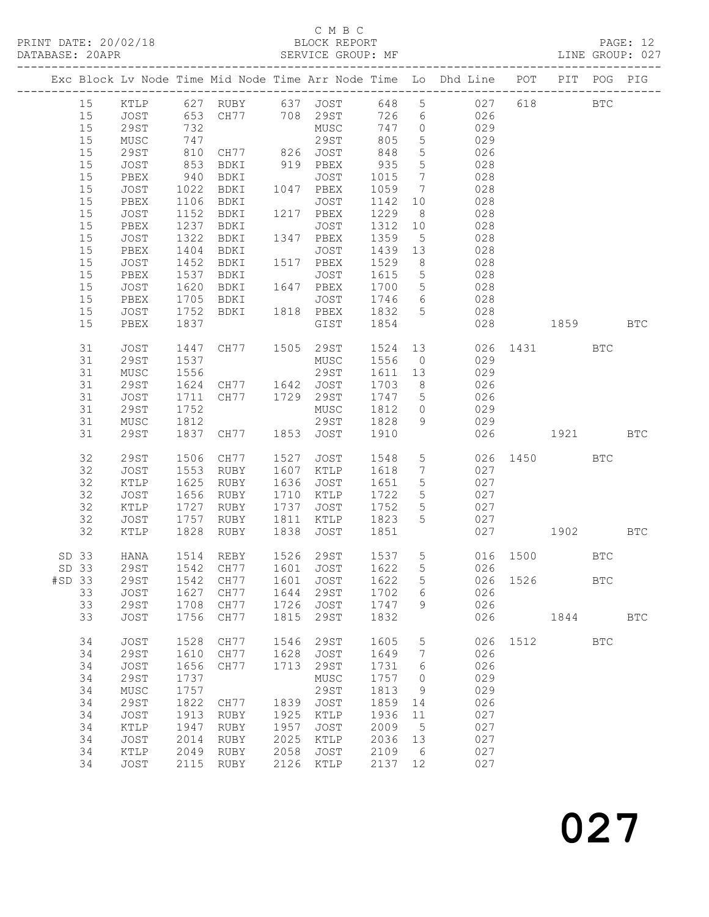## C M B C<br>BLOCK REPORT

|       |          |              |      |                |                    |                                      |              |                              | Exc Block Lv Node Time Mid Node Time Arr Node Time Lo Dhd Line POT PIT POG PIG |              |            |              |            |
|-------|----------|--------------|------|----------------|--------------------|--------------------------------------|--------------|------------------------------|--------------------------------------------------------------------------------|--------------|------------|--------------|------------|
|       |          |              |      |                |                    |                                      |              |                              | 15 KTLP 627 RUBY 637 JOST 648 5 027 618                                        |              | <b>BTC</b> |              |            |
|       | 15       | JOST         |      |                |                    | 653 CH77 708 29ST 726                |              | $6\overline{6}$              | 026                                                                            |              |            |              |            |
|       | $15$     | 29ST         | 732  |                |                    | MUSC                                 | 747          | $\overline{0}$               | 029                                                                            |              |            |              |            |
|       | 15       | MUSC         | 747  |                |                    |                                      | 805          | $5\overline{)}$              | 029                                                                            |              |            |              |            |
|       | 15       | 29ST         | 810  |                |                    |                                      | 848          | $5\phantom{.0}$              | 026                                                                            |              |            |              |            |
|       | $15$     | JOST         | 853  |                |                    |                                      | 935          | $5\phantom{.0}$              | 028                                                                            |              |            |              |            |
|       | $15$     | PBEX         | 940  | BDKI           |                    | JOST                                 | 1015         | $7\phantom{.0}\phantom{.0}7$ | 028                                                                            |              |            |              |            |
|       | $15$     | JOST         | 1022 | BDKI           |                    | 1047 PBEX                            | 1059 7       |                              | 028                                                                            |              |            |              |            |
|       | 15       | PBEX         | 1106 | BDKI           | $\frac{1}{10^{2}}$ | JOST                                 | 1142         | 10                           | 028                                                                            |              |            |              |            |
|       | $15$     | JOST         | 1152 | BDKI           |                    | 1217 PBEX                            | 1229         | 8 <sup>8</sup>               | 028                                                                            |              |            |              |            |
|       | $15$     | PBEX         | 1237 | BDKI           |                    | JOST                                 | 1312         | 10                           | 028                                                                            |              |            |              |            |
|       | $15$     | JOST         | 1322 | BDKI           |                    | 1347 PBEX                            | 1359         | $5\overline{)}$              | 028                                                                            |              |            |              |            |
|       | 15       | PBEX         | 1404 | BDKI           |                    | JOST                                 | 1439         | 13                           | 028                                                                            |              |            |              |            |
|       | $15$     | JOST         | 1452 | BDKI           |                    | 1517 PBEX                            | 1529         | 8 <sup>8</sup>               | 028                                                                            |              |            |              |            |
|       | $15$     | PBEX         | 1537 | BDKI           |                    | JOST                                 | 1615         | $5\overline{)}$              | 028                                                                            |              |            |              |            |
|       | $15$     | JOST         | 1620 | BDKI           |                    | 1647 PBEX                            | 1700         | $5\overline{)}$              | 028                                                                            |              |            |              |            |
|       | $15$     | PBEX         | 1705 | BDKI           | 1818               | JOST                                 | 1746 6       |                              | 028                                                                            |              |            |              |            |
|       | 15       | JOST         | 1752 | BDKI           |                    | 1818 PBEX                            | 1832 5       |                              | 028                                                                            |              | 1859 BTC   |              |            |
|       | 15       | PBEX         | 1837 |                |                    | GIST                                 | 1854         |                              | 028                                                                            |              |            |              |            |
|       | 31       | JOST         | 1447 | CH77 1505 29ST |                    |                                      | 1524         | 13                           |                                                                                | 026 1431 BTC |            |              |            |
|       | 31       | <b>29ST</b>  | 1537 |                |                    | MUSC                                 | 1556         | $\overline{0}$               | 029                                                                            |              |            |              |            |
|       | 31       | MUSC         | 1556 |                |                    | 29ST                                 | 1611 13      |                              | 029                                                                            |              |            |              |            |
|       | 31       | 29ST         |      | 1624 CH77 1642 |                    | JOST                                 | 1703         | 8 <sup>8</sup>               | 026                                                                            |              |            |              |            |
|       | 31       | JOST         | 1711 | CH77           |                    | 1729 29ST                            | 1747 5       |                              | 026                                                                            |              |            |              |            |
|       | 31<br>31 | 29ST         | 1752 |                |                    | MUSC<br>29ST                         | 1812 0       | 9                            | 029                                                                            |              |            |              |            |
|       | 31       | MUSC<br>29ST | 1812 | 1837 CH77      |                    | 1853 JOST                            | 1828<br>1910 |                              | 029<br>026                                                                     |              | 1921 BTC   |              |            |
|       |          |              |      |                |                    |                                      |              |                              |                                                                                |              |            |              |            |
|       | 32       | <b>29ST</b>  | 1506 | CH77           | 1527               | JOST                                 | 1548         | 5 <sub>5</sub>               |                                                                                | 026 1450 BTC |            |              |            |
|       | 32       | JOST         | 1553 | RUBY           | 1607               | KTLP                                 | 1618         | $7\phantom{.0}\phantom{.0}7$ | 027                                                                            |              |            |              |            |
|       | 32       | KTLP         | 1625 | RUBY           | 1636               | JOST                                 | 1651         | $5\overline{)}$              | 027                                                                            |              |            |              |            |
|       | 32       | JOST         | 1656 | RUBY           | 1710               | KTLP                                 | 1722         | $5\overline{)}$              | 027                                                                            |              |            |              |            |
|       | 32       | KTLP         | 1727 | RUBY           | 1737               | JOST                                 | 1752         | $5\overline{)}$              | 027                                                                            |              |            |              |            |
|       | 32       | JOST         | 1757 | RUBY           | 1811               | KTLP                                 | 1823         | $5\overline{)}$              | 027                                                                            |              |            |              |            |
|       | 32       | KTLP         | 1828 | RUBY           | 1838               | JOST                                 | 1851         |                              |                                                                                | 027          | 1902 BTC   |              |            |
| SD 33 |          | HANA         |      | 1514 REBY      | 1526               | 29ST                                 | 1537 5       |                              | $016$ 1500<br>026                                                              |              | <b>BTC</b> |              |            |
| SD 33 |          | 29ST         |      | 1542 CH77      |                    | 1601 JOST                            | 1622         | 5 <sup>5</sup>               |                                                                                |              |            |              |            |
|       |          |              |      |                |                    | #SD 33 29ST 1542 CH77 1601 JOST 1622 |              |                              | 5 026 1526                                                                     |              |            | $_{\rm BTC}$ |            |
|       | 33       | JOST         | 1627 | CH77           | 1644               | 29ST                                 | 1702         | 6                            | 026                                                                            |              |            |              |            |
|       | 33       | 29ST         | 1708 | CH77           |                    | 1726 JOST                            | 1747         | 9                            | 026                                                                            |              |            |              |            |
|       | 33       | JOST         | 1756 | CH77           |                    | 1815 29ST                            | 1832         |                              | 026                                                                            |              | 1844       |              | <b>BTC</b> |
|       | 34       | JOST         | 1528 | CH77           | 1546               | 29ST                                 | 1605         | 5                            |                                                                                | 026 1512     |            | <b>BTC</b>   |            |
|       | 34       | <b>29ST</b>  | 1610 | CH77           | 1628               | JOST                                 | 1649         | $7\phantom{.0}\phantom{.0}7$ | 026                                                                            |              |            |              |            |
|       | 34       | JOST         | 1656 | CH77           |                    | 1713 29ST                            | 1731         | 6                            | 026                                                                            |              |            |              |            |
|       | 34       | <b>29ST</b>  | 1737 |                |                    | MUSC                                 | 1757         | $\overline{0}$               | 029                                                                            |              |            |              |            |
|       | 34       | MUSC         | 1757 |                |                    | 29ST                                 | 1813         | - 9                          | 029                                                                            |              |            |              |            |
|       | 34       | <b>29ST</b>  | 1822 | CH77           |                    | 1839 JOST                            | 1859         | 14                           | 026                                                                            |              |            |              |            |
|       | 34       | <b>JOST</b>  | 1913 | RUBY           | 1925               | KTLP                                 | 1936         | 11                           | 027                                                                            |              |            |              |            |
|       | 34       | KTLP         | 1947 | RUBY           | 1957               | JOST                                 | 2009         | $5\phantom{0}$               | 027                                                                            |              |            |              |            |
|       | 34       | JOST         | 2014 | RUBY           | 2025               | KTLP                                 | 2036         | 13                           | 027                                                                            |              |            |              |            |
|       | 34       | KTLP         | 2049 | RUBY           | 2058               | JOST                                 | 2109         | 6                            | 027                                                                            |              |            |              |            |
|       | 34       | JOST         | 2115 | RUBY           |                    | 2126 KTLP                            | 2137 12      |                              | 027                                                                            |              |            |              |            |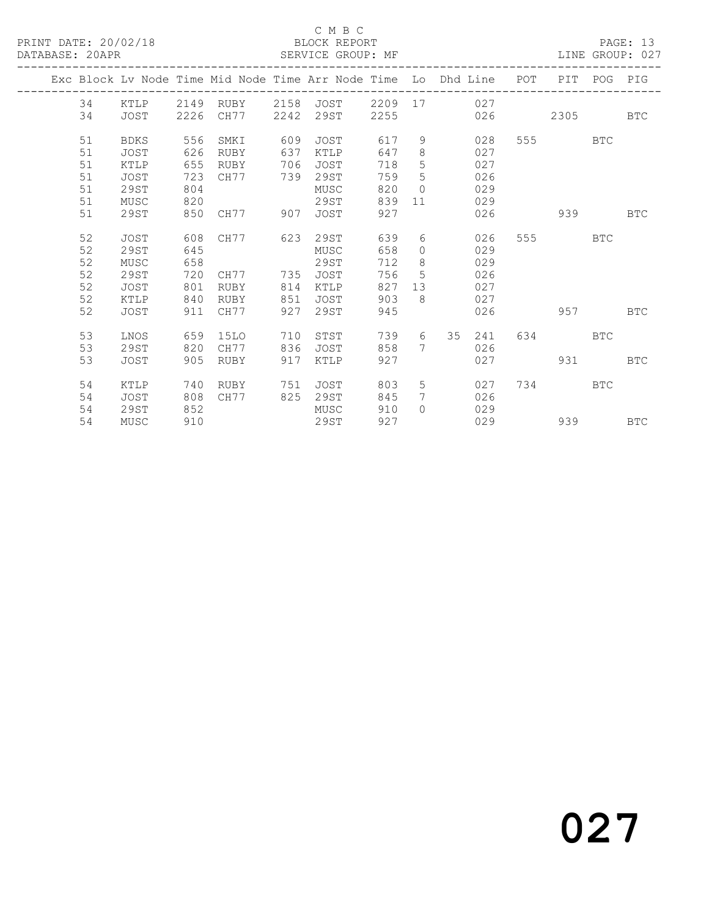## C M B C<br>BLOCK REPORT

| PRINT DATE: 20/02/18<br>DATABASE: 20APR |    |             |     | SERVICE GROUP: MF |     | BLOCK REPORT   |     |                |                                                                                |         |          |          | PAGE: 13   |
|-----------------------------------------|----|-------------|-----|-------------------|-----|----------------|-----|----------------|--------------------------------------------------------------------------------|---------|----------|----------|------------|
|                                         |    |             |     |                   |     |                |     |                | Exc Block Lv Node Time Mid Node Time Arr Node Time Lo Dhd Line POT PIT POG PIG |         |          |          |            |
|                                         | 34 |             |     | KTLP 2149 RUBY    |     |                |     |                | 2158 JOST 2209 17 027                                                          |         |          |          |            |
|                                         | 34 | JOST        |     | 2226 CH77         |     | 2242 29ST 2255 |     |                | 026                                                                            |         | 2305 BTC |          |            |
|                                         | 51 | BDKS        | 556 | SMKI              | 609 | JOST           | 617 | 9              | 028                                                                            |         | 555 BTC  |          |            |
|                                         | 51 | JOST        | 626 | RUBY              | 637 | KTLP           | 647 | 8              | 027                                                                            |         |          |          |            |
|                                         | 51 | KTLP        | 655 | RUBY              | 706 | JOST           | 718 | 5              | 027                                                                            |         |          |          |            |
|                                         | 51 | JOST        | 723 | CH77              |     | 739 29ST       | 759 | 5              | 026                                                                            |         |          |          |            |
|                                         | 51 | 29ST        | 804 |                   |     | MUSC           | 820 | $\circ$        | 029                                                                            |         |          |          |            |
|                                         | 51 | MUSC        | 820 |                   |     | 29ST           | 839 |                | 029<br>$11$ and $11$                                                           |         |          |          |            |
|                                         | 51 | 29ST        | 850 | CH77              | 907 | JOST           | 927 |                | 026                                                                            |         | 939      |          | BTC        |
|                                         | 52 | JOST        | 608 | CH77              | 623 | 29ST           | 639 |                | $6\degree$<br>026                                                              |         | 555 BTC  |          |            |
|                                         | 52 | 29ST        | 645 |                   |     | MUSC           | 658 | $\circ$        | 029                                                                            |         |          |          |            |
|                                         | 52 | MUSC        | 658 |                   |     | 29ST           | 712 | 8              | 029                                                                            |         |          |          |            |
|                                         | 52 | 29ST        | 720 | CH77 735 JOST     |     |                | 756 | 5              | 026                                                                            |         |          |          |            |
|                                         | 52 | JOST        | 801 | RUBY              | 814 | KTLP           | 827 | 13             | 027                                                                            |         |          |          |            |
|                                         | 52 | KTLP        | 840 | RUBY              | 851 | JOST           | 903 | $\mathcal{B}$  | 027                                                                            |         |          |          |            |
|                                         | 52 | JOST        | 911 | CH77              | 927 | 29ST           | 945 |                |                                                                                | 026 957 |          |          | BTC        |
|                                         | 53 | LNOS        | 659 | 15LO              | 710 | STST           | 739 | 6              | 35<br>241                                                                      |         | 634 BTC  |          |            |
|                                         | 53 | 29ST        | 820 | CH77              | 836 | JOST           | 858 |                | 7<br>026                                                                       |         |          |          |            |
|                                         | 53 | <b>JOST</b> | 905 | RUBY              | 917 | KTLP           | 927 |                | 027                                                                            |         | 931      |          | <b>BTC</b> |
|                                         | 54 | KTLP        | 740 | RUBY              | 751 | JOST           | 803 |                | $5 - 5$<br>027                                                                 |         | 734 BTC  |          |            |
|                                         | 54 | JOST        | 808 | CH77              |     | 825 29ST       | 845 | $7\phantom{0}$ | 026                                                                            |         |          |          |            |
|                                         | 54 | 29ST        | 852 |                   |     | MUSC           | 910 |                | $\Omega$<br>029                                                                |         |          |          |            |
|                                         | 54 | MUSC        | 910 |                   |     | 29ST           | 927 |                | 029                                                                            |         |          | 939 — 10 | <b>BTC</b> |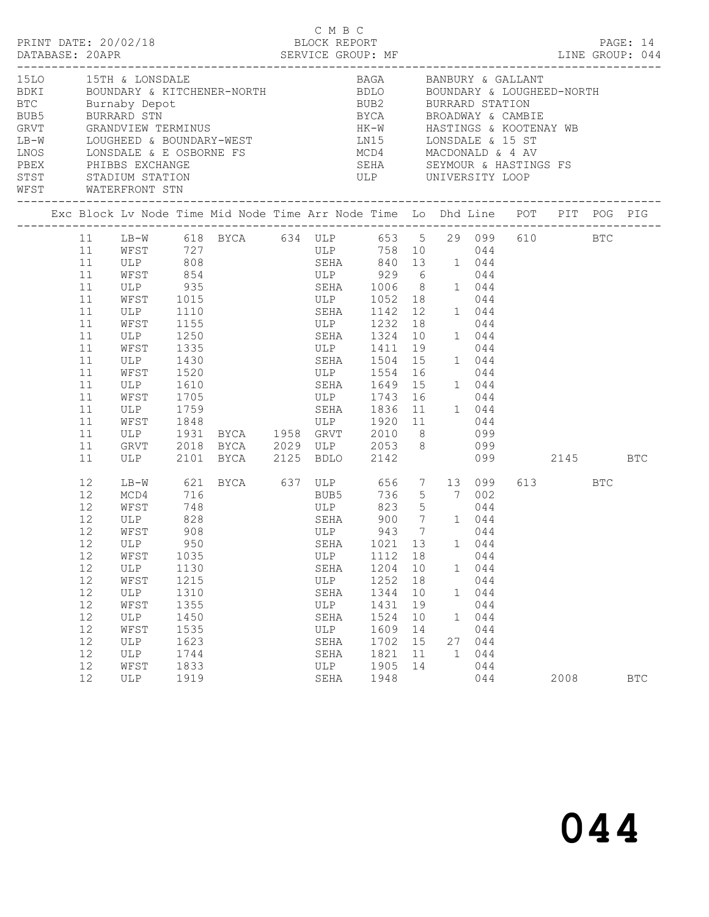|                                                                                                                                                                                                                                                                                                                                     |                                                                                                          |                                                                                                                                     |                                                                                                           |                                                                                                                                                                                                                                                                                                                                                                       |                                                                                 |                                                                                                                                                                                                |                                                          |                              |                                                                             |         |                 | PAGE: 14   |
|-------------------------------------------------------------------------------------------------------------------------------------------------------------------------------------------------------------------------------------------------------------------------------------------------------------------------------------|----------------------------------------------------------------------------------------------------------|-------------------------------------------------------------------------------------------------------------------------------------|-----------------------------------------------------------------------------------------------------------|-----------------------------------------------------------------------------------------------------------------------------------------------------------------------------------------------------------------------------------------------------------------------------------------------------------------------------------------------------------------------|---------------------------------------------------------------------------------|------------------------------------------------------------------------------------------------------------------------------------------------------------------------------------------------|----------------------------------------------------------|------------------------------|-----------------------------------------------------------------------------|---------|-----------------|------------|
| 15LO 15TH & LONSDALE<br>BDKI     BOUNDARY & KITCHENER-NORTH         BDLO     BOUNDARY & LOUGHEED-NORTH<br>BTC Burnaby Depot<br>BUB5<br>GRVT<br>LB-W LOUGHEED & BOUNDARY-WEST MEDICALL LONSDALE & 15 ST<br>LNOS LONSDALE & E OSBORNE FS MCD4 MACDONALD & 4 AV<br>PBEX PHIBBS EXCHANGE<br>STST STADIUM STATION<br>WFST WATERFRONT STN |                                                                                                          |                                                                                                                                     |                                                                                                           | BURRARD STN<br>GRANDVIEW TERMINUS                                                                                                                                                                                                                                                                                                                                     |                                                                                 | BAGA BANBURY & GALLANT<br>BUB2 BURRARD STATION<br>BYCA         BROADWAY & CAMBIE<br>HK-W         HASTINGS & KOOTENAY WB<br>------------------------------------                                |                                                          |                              |                                                                             |         |                 |            |
|                                                                                                                                                                                                                                                                                                                                     |                                                                                                          |                                                                                                                                     |                                                                                                           |                                                                                                                                                                                                                                                                                                                                                                       |                                                                                 |                                                                                                                                                                                                |                                                          |                              |                                                                             |         |                 |            |
|                                                                                                                                                                                                                                                                                                                                     | 11<br>11<br>11<br>11<br>11<br>11<br>11<br>11<br>11<br>11<br>11<br>11<br>11<br>11<br>11<br>11<br>11<br>11 | ULP<br>ULP 1110<br>WFST 1155<br>ULP 1250<br>ULP 1430<br>WFST 1520<br>ULP<br>ULP<br>ULP 2101 BYCA                                    | 1110<br>1430<br>1610                                                                                      | 11 LB-W 618 BYCA 634 ULP 653 5 29 099 610 BTC<br>WFST 727 ULP 758 10 044<br>ULP 808 SEHA 840 13 1 044<br>WFST 854 ULP 929 6 044<br>ULP 935 SEHA 1006 8 1 044<br>WFST 1015 ULP 1052 18<br>WFST 1335 ULP 1411<br>WFST 1705 ULP 1743<br>1759 SEHA 1836 11 1 044<br>WFST 1848 ULP 1920 11 044<br>ULP 1931 BYCA 1958 GRVT 2010 8 099<br>GRVT 2018 BYCA 2029 ULP 2053 8 099 |                                                                                 | $\begin{array}{cccc} 1142 & 12 & 1 & 044 \\ 1232 & 18 & 044 \end{array}$<br>SEHA 1142<br>ULP 1232<br>SEHA 1324 10 1 044<br>SEHA 1504 15<br>ULP 1554 16<br>SEHA 1649 15 1 044<br>2125 BDLO 2142 |                                                          | 19                           | 044<br>044<br>1 044<br>044<br>044                                           | 099 000 | 2145 BTC        |            |
|                                                                                                                                                                                                                                                                                                                                     | 12<br>12<br>12<br>12<br>12<br>12<br>12<br>12<br>12<br>12<br>12<br>12<br>12<br>12<br>12<br>12             | MCD4 716<br>WFST<br>ULP<br>WFST<br>12 ULP<br>WFST<br>ULP<br>${\tt WFST}$<br>ULP<br>WFST<br>ULP<br>WFST<br>ULP<br>ULP<br>WFST<br>ULP | 748<br>828<br>908<br>1035<br>1130<br>1215<br>1310<br>1355<br>1450<br>1535<br>1623<br>1744<br>1833<br>1919 | LB-W 621 BYCA 637 ULP 656 7 13 099<br>950 SEHA 1021 13 1 044                                                                                                                                                                                                                                                                                                          | ULP<br>SEHA<br>ULP<br>SEHA<br>ULP<br>SEHA<br>ULP<br>SEHA<br>SEHA<br>ULP<br>SEHA | BUB5 736 5 7 002<br>ULP 823 5 044<br>SEHA 900 7 1 044<br>ULP 943 7 044<br>SEHA 1001 1 044<br>1112<br>1204<br>1252<br>1344<br>1431<br>1524<br>1609<br>1702<br>1821<br>1905<br>1948              | 18<br>10<br>18<br>10<br>19<br>10<br>14<br>15<br>11<br>14 | 1<br>1<br>27<br>$\mathbf{1}$ | 044<br>1 044<br>044<br>044<br>044<br>044<br>044<br>044<br>044<br>044<br>044 |         | 613 BTC<br>2008 | <b>BTC</b> |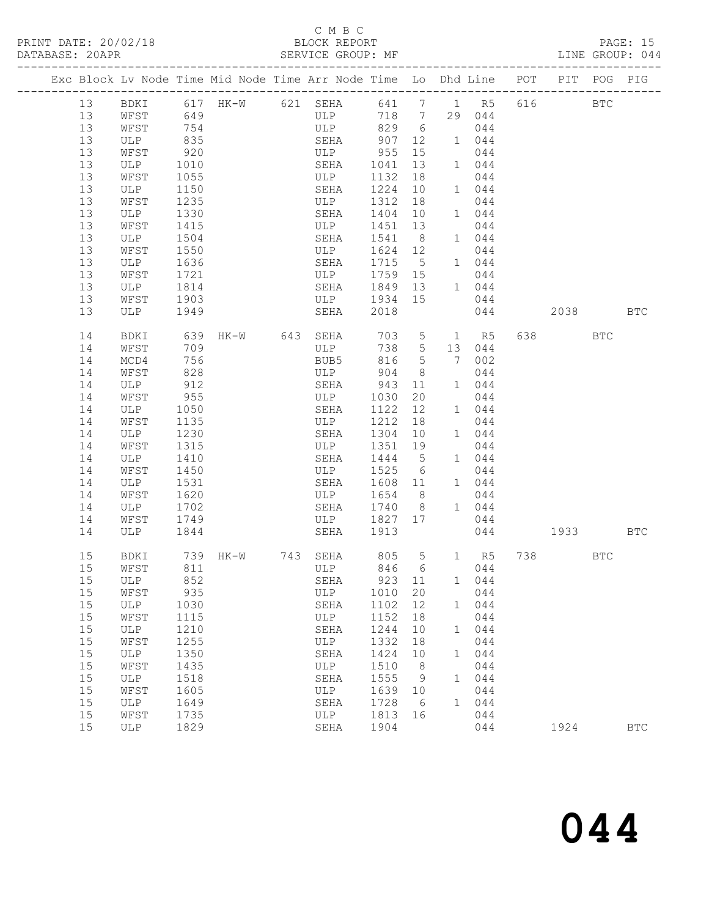## C M B C<br>BLOCK REPORT

|  |          |                      |              |                   | Exc Block Lv Node Time Mid Node Time Arr Node Time Lo Dhd Line POT |               |                |            |            |         | PIT POG PIG |            |
|--|----------|----------------------|--------------|-------------------|--------------------------------------------------------------------|---------------|----------------|------------|------------|---------|-------------|------------|
|  | 13       |                      |              |                   | BDKI 617 HK-W 621 SEHA 641 7 1 R5 616                              |               |                |            |            |         | <b>BTC</b>  |            |
|  | 13       | WFST                 | 649          |                   | ULP 718 7                                                          |               |                |            | 29 044     |         |             |            |
|  | 13       | WFST                 | 754          |                   | ULP 829 6                                                          |               |                |            | 044        |         |             |            |
|  | 13       | ULP                  | 835          |                   | SEHA                                                               | 907           |                | 12  1  044 |            |         |             |            |
|  | 13       | WFST                 | 920          |                   | ULP                                                                | 955           | 15             |            | 044        |         |             |            |
|  | 13       | ULP                  | 1010         |                   | SEHA                                                               | 1041          | 13             |            | $1$ 044    |         |             |            |
|  | 13       | WFST                 | 1055         |                   | ULP                                                                | 1132          | 18             |            | 044        |         |             |            |
|  | 13       | ULP                  | 1150         |                   | SEHA                                                               | 1224          | 10             |            | 1 044      |         |             |            |
|  | 13       | WFST                 | 1235         |                   | ULP                                                                | 1312          | 18             |            | 044        |         |             |            |
|  | 13       | ULP                  | 1330         |                   | SEHA                                                               | 1404 10       |                |            | 1 044      |         |             |            |
|  | 13       | WFST                 | 1415         |                   | ULP                                                                | 1451 13       |                |            | 044        |         |             |            |
|  | 13       | ULP                  | 1504         |                   | SEHA                                                               | 1541 8        |                |            | 1 044      |         |             |            |
|  | 13       | WFST                 | 1550         |                   | ULP                                                                | 1624 12       |                |            | 044        |         |             |            |
|  | 13       | ULP                  | 1636         |                   | SEHA                                                               | 1715 5        |                |            | $1$ 044    |         |             |            |
|  | 13       | WFST                 | 1721         |                   | ULP                                                                | 1759 15       |                |            | 044        |         |             |            |
|  | 13       | ULP                  | 1814         |                   | SEHA                                                               | 1849 13 1 044 |                |            |            |         |             |            |
|  | 13       | WFST                 | 1903         |                   | ULP 1934 15                                                        |               |                |            | 044        |         |             |            |
|  | 13       | ULP                  | 1949         |                   | SEHA                                                               | 2018          |                |            | 044        | 2038    |             | <b>BTC</b> |
|  | 14       | BDKI                 |              | 639 HK-W 643 SEHA |                                                                    |               |                |            | 703 5 1 R5 | 638 BTC |             |            |
|  | 14       | WFST                 | 709          |                   | ULP                                                                | 738 5         |                |            | 13 044     |         |             |            |
|  | 14       | MCD4                 | 756          |                   | BUB5                                                               | 816 5         |                |            | 7 002      |         |             |            |
|  | 14       | WFST                 | 828          |                   | ULP                                                                | 904           | 8 <sup>8</sup> |            | 044        |         |             |            |
|  | 14       | ULP                  | 912          |                   | SEHA                                                               | 943 11        |                |            | 1 044      |         |             |            |
|  | 14       | WFST                 | 955          |                   | ULP                                                                | 1030          | 20             |            | 044        |         |             |            |
|  | 14       | ULP                  | 1050         |                   | SEHA                                                               | 1122          | 12             |            | 1 044      |         |             |            |
|  | 14       | WFST                 | 1135         |                   | ULP                                                                | 1212          | 18             |            | 044        |         |             |            |
|  | 14       | ULP                  | 1230         |                   | SEHA                                                               | 1304 10       |                |            | 1 044      |         |             |            |
|  | 14       | WFST                 | 1315         |                   | ULP                                                                | 1351 19       |                |            | 044        |         |             |            |
|  | 14       | ULP                  | 1410         |                   | SEHA                                                               | 1444 5        |                |            | 1 044      |         |             |            |
|  | 14       | WFST                 | 1450         |                   | ULP                                                                | 1525 6        |                |            | 044        |         |             |            |
|  | 14       | ULP                  | 1531         |                   | SEHA                                                               | 1608 11       |                |            | 1 044      |         |             |            |
|  | 14       | WFST                 | 1620         |                   | ULP                                                                | 1654 8        |                |            | 044        |         |             |            |
|  | 14       | ULP                  | 1702         |                   | SEHA                                                               | 1740 8        |                |            | 1 044      |         |             |            |
|  | 14       | WFST                 | 1749         |                   | ULP                                                                | 1827 17       |                |            | 044        |         |             |            |
|  | 14       | ULP                  | 1844         |                   | SEHA                                                               | 1913          |                |            | 044        | 1933    | <b>BTC</b>  |            |
|  | 15       | BDKI                 |              |                   | SEHA 805 5<br>ULP 846 6                                            |               |                | $846$ 6    | 1 R5       | 738 BTC |             |            |
|  | 15       | WFST                 |              |                   |                                                                    |               |                |            | 044        |         |             |            |
|  |          | 15 ULP 852           |              |                   | SEHA                                                               | 923 11        |                |            | 1 044      |         |             |            |
|  | 15       | WFST                 | 935          |                   | ULP                                                                | 1010          | 20             |            | 044        |         |             |            |
|  | 15       | ULP                  | 1030         |                   | SEHA                                                               | 1102          | 12             |            | 1 044      |         |             |            |
|  | 15       | WFST                 | 1115         |                   | ULP                                                                | 1152          | 18             |            | 044        |         |             |            |
|  | 15       | ULP                  | 1210         |                   | SEHA                                                               | 1244          | 10             | 1          | 044        |         |             |            |
|  | 15       | WFST                 | 1255         |                   | ULP                                                                | 1332          | 18             |            | 044        |         |             |            |
|  | 15       | ULP                  | 1350         |                   | SEHA                                                               | 1424          | 10             | 1          | 044        |         |             |            |
|  | 15<br>15 | WFST<br>$_{\rm ULP}$ | 1435<br>1518 |                   | ULP                                                                | 1510<br>1555  | 8              |            | 044        |         |             |            |
|  | 15       | WFST                 | 1605         |                   | SEHA<br>ULP                                                        | 1639          | 9<br>10        | 1          | 044<br>044 |         |             |            |
|  | 15       | ULP                  | 1649         |                   | SEHA                                                               | 1728          | -6             | 1          | 044        |         |             |            |
|  | 15       | WFST                 | 1735         |                   | ULP                                                                | 1813          | 16             |            | 044        |         |             |            |
|  | 15       | ULP                  | 1829         |                   | SEHA                                                               | 1904          |                |            | 044        | 1924    |             | <b>BTC</b> |
|  |          |                      |              |                   |                                                                    |               |                |            |            |         |             |            |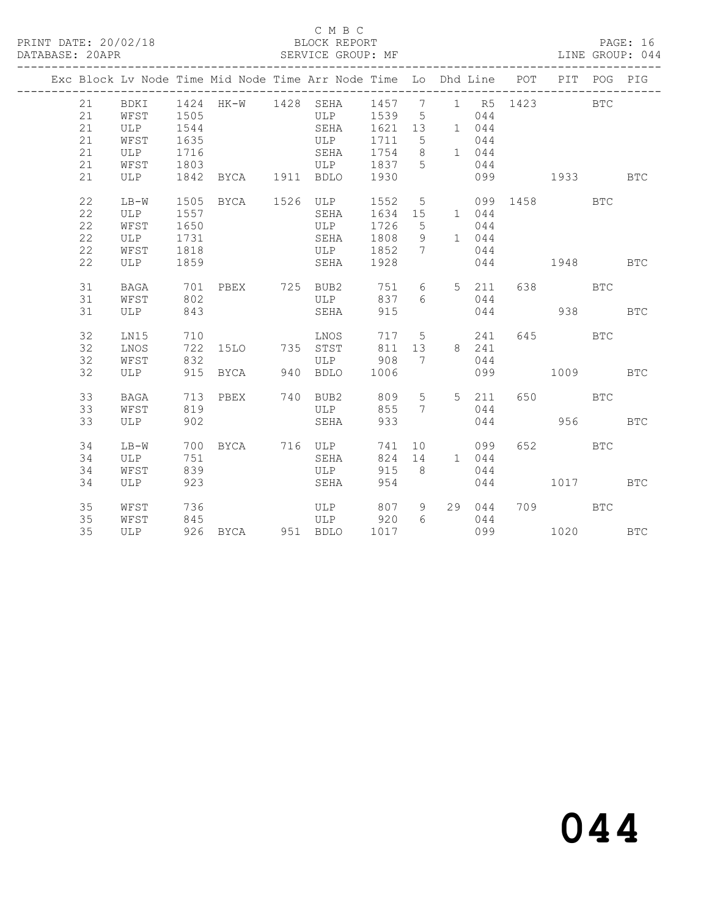PRINT DATE: 20/02/18 BLOCK REPORT BATABASE: 20APR BLOCK REPORT

## C M B C<br>BLOCK REPORT

PAGE: 16<br>LINE GROUP: 044

|  |    |             |           |          |      |     | Exc Block Lv Node Time Mid Node Time Arr Node Time Lo Dhd Line |         |                              |                |        | POT          | PIT        | POG        | PIG        |
|--|----|-------------|-----------|----------|------|-----|----------------------------------------------------------------|---------|------------------------------|----------------|--------|--------------|------------|------------|------------|
|  | 21 | BDKI        | 1424 HK-W |          |      |     | 1428 SEHA                                                      | 1457 7  |                              |                | 1 R5   | 1423         |            | <b>BTC</b> |            |
|  | 21 | WFST        | 1505      |          |      |     | ULP                                                            | 1539 5  |                              |                | 044    |              |            |            |            |
|  | 21 | ULP         | 1544      |          |      |     | SEHA                                                           | 1621    | 13                           |                | 1 044  |              |            |            |            |
|  | 21 | WFST        | 1635      |          |      |     | ULP                                                            | 1711    | 5                            |                | 044    |              |            |            |            |
|  | 21 | <b>ULP</b>  | 1716      |          |      |     | SEHA                                                           | 1754 8  |                              |                | 1 044  |              |            |            |            |
|  | 21 | WFST        | 1803      |          |      |     | ULP                                                            | 1837 5  |                              |                | 044    |              |            |            |            |
|  | 21 | ULP         | 1842      |          | BYCA |     | 1911 BDLO                                                      | 1930    |                              |                | 099    |              | 1933       |            | <b>BTC</b> |
|  | 22 | $LB-W$      | 1505 BYCA |          |      |     | 1526 ULP                                                       | 1552    | $5\overline{)}$              |                |        | 099 1458 BTC |            |            |            |
|  | 22 | ULP         | 1557      |          |      |     | SEHA                                                           | 1634 15 |                              |                | 1 044  |              |            |            |            |
|  | 22 | WFST        | 1650      |          |      |     | ULP                                                            | 1726    | $5^{\circ}$                  |                | 044    |              |            |            |            |
|  | 22 | ULP         | 1731      |          |      |     | SEHA                                                           | 1808    | $\overline{9}$               |                | 1 044  |              |            |            |            |
|  | 22 | WFST        | 1818      |          |      |     | ULP                                                            | 1852 7  |                              |                | 044    |              |            |            |            |
|  | 22 | ULP 1859    |           |          |      |     | SEHA                                                           | 1928    |                              |                | 044    |              | 1948       | <b>BTC</b> |            |
|  | 31 | <b>BAGA</b> |           |          |      |     | 701 PBEX 725 BUB2                                              | 751     | 6                            |                | 5 211  |              | 638 BTC    |            |            |
|  | 31 | WFST        | 802       |          |      |     | ULP                                                            | 837     | 6                            |                | 044    |              |            |            |            |
|  | 31 | ULP         | 843       |          |      |     | SEHA                                                           | 915     |                              |                | 044    |              | 938        |            | <b>BTC</b> |
|  | 32 | LN15        | 710       |          |      |     | LNOS                                                           | 717 5   |                              |                | 241    |              | 645 BTC    |            |            |
|  | 32 | LNOS        |           |          |      |     | 722 15LO 735 STST                                              | 811     | 13                           |                | 8 241  |              |            |            |            |
|  | 32 | WFST        | 832       |          |      |     | ULP                                                            | 908     | $7\phantom{.0}\phantom{.0}7$ |                | 044    |              |            |            |            |
|  | 32 | ULP         | 915       | BYCA     |      | 940 | <b>BDLO</b>                                                    | 1006    |                              |                | 099    |              | 1009       |            | <b>BTC</b> |
|  | 33 | BAGA        |           | 713 PBEX |      |     | 740 BUB2                                                       | 809     | $5\overline{)}$              | 5 <sup>7</sup> | 211    | 650          | <b>BTC</b> |            |            |
|  | 33 | WFST        | 819       |          |      |     | ULP                                                            | 855     | 7                            |                | 044    |              |            |            |            |
|  | 33 | ULP         | 902       |          |      |     | SEHA                                                           | 933     |                              |                | 044    |              | 956        |            | <b>BTC</b> |
|  | 34 | LB-W        |           |          |      |     | 700 BYCA 716 ULP                                               | 741     |                              | 10             | 099    | 652          | <b>BTC</b> |            |            |
|  | 34 | ULP         | 751       |          |      |     | SEHA                                                           | 824     | 14                           |                | 1 044  |              |            |            |            |
|  | 34 | WFST        | 839       |          |      |     | ULP                                                            | 915     | 8 <sup>8</sup>               |                | 044    |              |            |            |            |
|  | 34 | ULP         | 923       |          |      |     | SEHA                                                           | 954     |                              |                | 044    |              | 1017       |            | BTC        |
|  | 35 | WFST        | 736       |          |      |     | ULP                                                            | 807 9   |                              |                | 29 044 |              | 709 BTC    |            |            |
|  | 35 | WFST        | 845       |          |      |     | ULP                                                            | 920     | 6                            |                | 044    |              |            |            |            |
|  | 35 | ULP         |           |          |      |     | 926 BYCA 951 BDLO                                              | 1017    |                              |                | 099    |              | 1020 BTC   |            |            |
|  |    |             |           |          |      |     |                                                                |         |                              |                |        |              |            |            |            |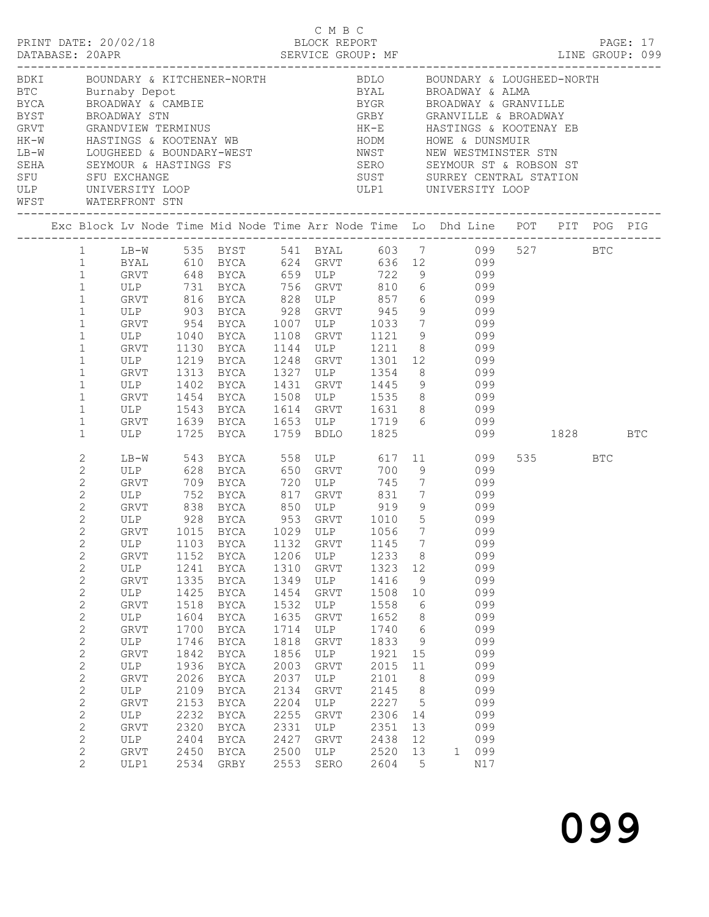|                                  |                                                                                                                                                                                                                                                                                                                                                                                                                                                   |                                                                                                                                                                                                                                               |                                                                                                                                              |                                                                                                                                                                                                                                                                                                                           |                                                                                                                                                                   |                                                                                                                                                                      |                                                                                                                                              |                                                                                                                | C M B C<br>PRINT DATE: 20/02/18<br>DATABASE: 20APR<br>DATABASE: 20APR<br>SERVICE GROUP: MF<br>SERVICE GROUP: MF                                                                                                                                                                                                                                                                                                                                 |           |          |  |
|----------------------------------|---------------------------------------------------------------------------------------------------------------------------------------------------------------------------------------------------------------------------------------------------------------------------------------------------------------------------------------------------------------------------------------------------------------------------------------------------|-----------------------------------------------------------------------------------------------------------------------------------------------------------------------------------------------------------------------------------------------|----------------------------------------------------------------------------------------------------------------------------------------------|---------------------------------------------------------------------------------------------------------------------------------------------------------------------------------------------------------------------------------------------------------------------------------------------------------------------------|-------------------------------------------------------------------------------------------------------------------------------------------------------------------|----------------------------------------------------------------------------------------------------------------------------------------------------------------------|----------------------------------------------------------------------------------------------------------------------------------------------|----------------------------------------------------------------------------------------------------------------|-------------------------------------------------------------------------------------------------------------------------------------------------------------------------------------------------------------------------------------------------------------------------------------------------------------------------------------------------------------------------------------------------------------------------------------------------|-----------|----------|--|
| WFST<br>________________________ |                                                                                                                                                                                                                                                                                                                                                                                                                                                   | WATERFRONT STN                                                                                                                                                                                                                                |                                                                                                                                              |                                                                                                                                                                                                                                                                                                                           |                                                                                                                                                                   |                                                                                                                                                                      |                                                                                                                                              |                                                                                                                | BDKI      BOUNDARY & KITCHENER-NORTH             BDLO     BOUNDARY & LOUGHEED-NORTH<br>BDAT BOONDARY & RITCHENER-NORTH BDAT BOLOGNE ROADWAY & ALOGHERE<br>BYCA BROADWAY & CAMBIE<br>BYCA BROADWAY & CAMBIE<br>BYCA BROADWAY & CAMBIE<br>BYCR BROADWAY STN<br>GREY GRANVILLE & BROADWAY & GRANVILLE<br>EYST GRANDVIEW TERMINUS<br>HK                                                                                                             |           |          |  |
|                                  |                                                                                                                                                                                                                                                                                                                                                                                                                                                   |                                                                                                                                                                                                                                               |                                                                                                                                              |                                                                                                                                                                                                                                                                                                                           |                                                                                                                                                                   |                                                                                                                                                                      |                                                                                                                                              |                                                                                                                | Exc Block Lv Node Time Mid Node Time Arr Node Time Lo Dhd Line POT PIT POG PIG                                                                                                                                                                                                                                                                                                                                                                  |           |          |  |
|                                  | $\mathbf{1}$<br>$\mathbf{1}$<br>$1\,$<br>$1\,$<br>$\mathbf 1$<br>$\mathbf 1$<br>$\mathbf 1$<br>$\mathbf 1$<br>$1\,$<br>1<br>$\mathbf 1$<br>1<br>$\mathbf{1}$<br>$\mathbf 1$<br>1<br>$\mathbf{1}$                                                                                                                                                                                                                                                  | ULP 1040 BYCA<br>GRVT<br>ULP<br>GRVT 1313 BYCA<br>ULP $1402$ BYCA<br>GRVT 1454 BYCA<br>ULP 1543 BYCA<br>ULP 1725 BYCA                                                                                                                         |                                                                                                                                              | 1130 BYCA<br>$1219$ BYCA                                                                                                                                                                                                                                                                                                  | 1108<br>1431                                                                                                                                                      | 1144 ULP<br>1248 GRVT<br>1759 BDLO                                                                                                                                   |                                                                                                                                              |                                                                                                                | LB-W 535 BYST 541 BYAL 603 7 099 527 BTC<br>BYAL 610 BYCA 624 GRVT 636 12 099<br>999<br>ULP 731 BYCA 659 ULP 722 9<br>ULP 731 BYCA 756 GRVT 810 6 099<br>GRVT 816 BYCA 828 ULP 857 6 099<br>ULP 903 BYCA 928 GRVT 945 9 099<br>GRVT 954 BYCA 1007 ULP 1033 7 099<br>GRVT 1121 9 099<br>1211 8 099<br>1301 12 099<br>1327 ULP 1354 8 099<br>GRVT 1445 9 099<br>1508 ULP 1535 8 099<br>1614 GRVT 1631 8 099<br>GRVT 1639 BYCA 1653 ULP 1719 6 099 | 099 — 100 | 1828 BTC |  |
|                                  | 2<br>$\overline{c}$<br>$\mathbf{2}$<br>$\overline{c}$<br>$\sqrt{2}$<br>$\overline{c}$<br>$\overline{c}$<br>$\mathbf{2}$<br>$\mathbf{2}$<br>$\mathbf{2}$<br>$\overline{c}$<br>$\overline{c}$<br>$\overline{c}$<br>$\overline{c}$<br>$\overline{c}$<br>$\overline{c}$<br>$\overline{c}$<br>$\overline{c}$<br>$\mathbf{2}$<br>$\overline{c}$<br>$\overline{c}$<br>$\mathbf{2}$<br>$\overline{c}$<br>$\mathbf{2}$<br>$\overline{c}$<br>$\overline{2}$ | LB-W 543 BYCA<br>ULP<br>GRVT<br>GRVT<br>ULP<br><b>GRVT</b><br>ULP<br><b>GRVT</b><br>ULP<br>GRVT<br>ULP<br><b>GRVT</b><br>$_{\rm ULP}$<br><b>GRVT</b><br>ULP<br><b>GRVT</b><br>ULP<br><b>GRVT</b><br>ULP<br><b>GRVT</b><br>ULP<br>GRVT<br>ULP1 | 1152<br>1241<br>1335<br>1425<br>1518<br>1604<br>1700<br>1746<br>1842<br>1936<br>2026<br>2109<br>2153<br>2232<br>2320<br>2404<br>2450<br>2534 | 628 BYCA<br>709 BYCA<br>1015 BYCA<br>1103 BYCA 1132 GRVT 1145 7<br><b>BYCA</b><br><b>BYCA</b><br><b>BYCA</b><br><b>BYCA</b><br>BYCA<br><b>BYCA</b><br><b>BYCA</b><br>BYCA<br><b>BYCA</b><br><b>BYCA</b><br><b>BYCA</b><br><b>BYCA</b><br><b>BYCA</b><br><b>BYCA</b><br><b>BYCA</b><br><b>BYCA</b><br>BYCA<br>${\tt GRBY}$ | 558<br>650<br>720<br>1206<br>1310<br>1349<br>1454<br>1532<br>1635<br>1714<br>1818<br>1856<br>2003<br>2037<br>2134<br>2204<br>2255<br>2331<br>2427<br>2500<br>2553 | ULP 617<br><b>GRVT</b><br>ULP<br>ULP<br>GRVT<br>ULP<br>GRVT<br>ULP<br>GRVT<br>ULP<br>GRVT<br>ULP<br>GRVT<br>ULP<br>GRVT<br>ULP<br>GRVT<br>ULP<br>GRVT<br>ULP<br>SERO | 1233<br>1323<br>1416<br>1508<br>1558<br>1652<br>1740<br>1833<br>1921<br>2015<br>2101<br>2145<br>2227<br>2306<br>2351<br>2438<br>2520<br>2604 | $\,8\,$<br>12<br>9<br>10<br>6<br>8<br>6<br>9<br>15<br>11<br>8<br>8<br>$\mathsf S$<br>14<br>13<br>12<br>13<br>5 | 11 099<br>700 9 099<br>745 7 099<br>ULP 752 BYCA 817 GRVT 831 7 099<br>GRVT 838 BYCA 850 ULP 919 9 099<br>ULP 928 BYCA 953 GRVT 1010 5 099<br>1029 ULP 1056 7 099<br>099<br>099<br>099<br>099<br>099<br>099<br>099<br>099<br>099<br>099<br>099<br>099<br>099<br>099<br>099<br>099<br>099<br>099<br>$\mathbf{1}$<br>N17                                                                                                                          |           | 535 BTC  |  |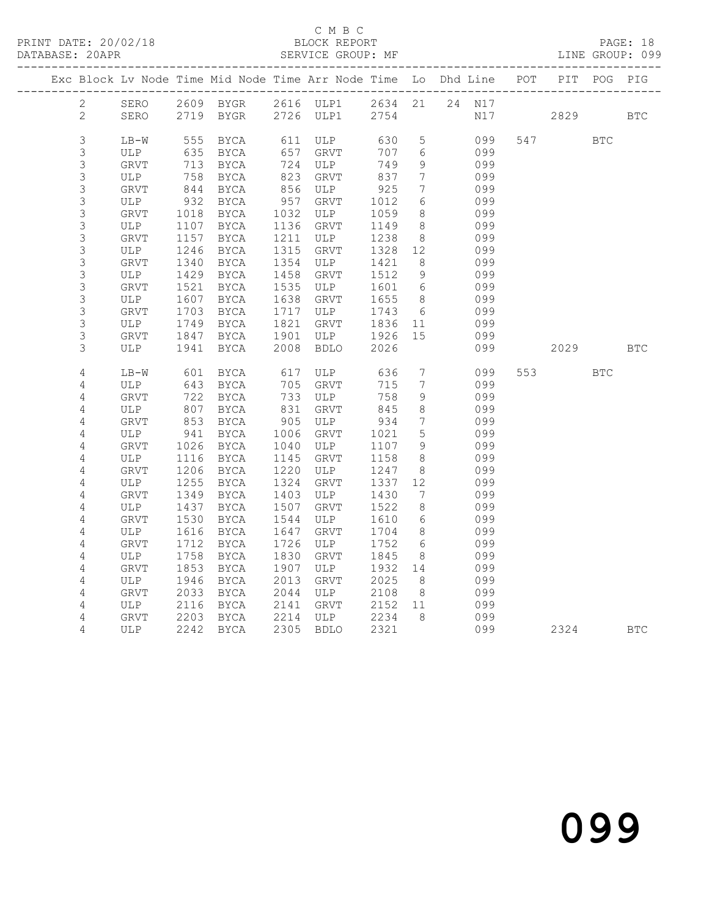## C M B C<br>BLOCK REPORT

|                                            |               |            | ---------------------------- |            | --------------------------- |            |                              | Exc Block Lv Node Time Mid Node Time Arr Node Time Lo Dhd Line POT<br>-------------- |     | PIT  | POG PIG    |            |
|--------------------------------------------|---------------|------------|------------------------------|------------|-----------------------------|------------|------------------------------|--------------------------------------------------------------------------------------|-----|------|------------|------------|
| $\mathbf{2}$                               | SERO          |            | 2609 BYGR                    |            | 2616 ULP1                   | 2634 21    |                              | 24 N17                                                                               |     |      |            |            |
| $\overline{c}$                             | SERO          |            | 2719 BYGR                    |            | 2726 ULP1                   | 2754       |                              | N17                                                                                  |     | 2829 |            | <b>BTC</b> |
|                                            |               |            |                              |            |                             |            |                              |                                                                                      |     |      |            |            |
| $\mathsf 3$<br>3                           | $LB-W$<br>ULP | 555<br>635 | BYCA                         | 61⊥<br>657 | ULP<br>GRVT                 | 630<br>707 | $5\phantom{.0}$<br>6         | 099<br>099                                                                           | 547 |      | <b>BTC</b> |            |
|                                            | GRVT          | 713        | BYCA<br>BYCA                 | 724        | ULP                         | 749        | 9                            | 099                                                                                  |     |      |            |            |
|                                            | ULP           | 758        | <b>BYCA</b>                  | 823        | GRVT                        | 837        | $7\phantom{.0}$              | 099                                                                                  |     |      |            |            |
|                                            | GRVT          | 844        | BYCA                         | 856        | ULP                         | 925        | $7\phantom{.0}$              | 099                                                                                  |     |      |            |            |
| $\begin{array}{c} 3 \\ 3 \\ 3 \end{array}$ | ULP           | 932        | <b>BYCA</b>                  |            | GRVT                        | 1012       | 6                            | 099                                                                                  |     |      |            |            |
|                                            | GRVT          | 1018       | BYCA                         | $-957$     | ULP                         | 1059       | 8 <sup>8</sup>               | 099                                                                                  |     |      |            |            |
| 3<br>3<br>3<br>3<br>3                      | <b>ULP</b>    | 1107       | <b>BYCA</b>                  | 1136       | GRVT                        | 1149       | 8                            | 099                                                                                  |     |      |            |            |
|                                            | GRVT          | 1157       | BYCA                         | 1211       | ULP                         | 1238       | 8 <sup>8</sup>               | 099                                                                                  |     |      |            |            |
|                                            | ULP           | 1246       | <b>BYCA</b>                  | 1315       | GRVT                        | 1328       | 12                           | 099                                                                                  |     |      |            |            |
|                                            | GRVT          | 1340       | BYCA                         | 1354       | ULP                         | 1421       | 8 <sup>8</sup>               | 099                                                                                  |     |      |            |            |
| <b>3333</b>                                | ULP           | 1429       | BYCA                         | 1458       | GRVT                        | 1512       | 9                            | 099                                                                                  |     |      |            |            |
|                                            | GRVT          | 1521       | BYCA                         | 1535       | ULP                         | 1601       | $6\overline{6}$              | 099                                                                                  |     |      |            |            |
|                                            | ULP           | 1607       | BYCA                         | 1638       | GRVT                        | 1655       | 8 <sup>8</sup>               | 099                                                                                  |     |      |            |            |
|                                            | ${\tt GRVT}$  | 1703       | BYCA                         | 1717       | ULP                         | 1743       | 6                            | 099                                                                                  |     |      |            |            |
|                                            | ULP           | 1749       | <b>BYCA</b>                  | 1821       | GRVT                        | 1836       | 11                           | 099                                                                                  |     |      |            |            |
| 3                                          | GRVT          | 1847       | BYCA                         | 1901       | ULP                         | 1926       | 15                           | 099                                                                                  |     |      |            |            |
| 3                                          | ULP           | 1941       | <b>BYCA</b>                  | 2008       | <b>BDLO</b>                 | 2026       |                              | 099                                                                                  |     | 2029 |            | <b>BTC</b> |
| $\sqrt{4}$                                 | $LB-W$        | 601        | BYCA                         |            | ULP                         | 636        | $7\phantom{.0}$              | 099                                                                                  | 553 |      | <b>BTC</b> |            |
| $\overline{4}$                             | ULP           | 643        | BYCA                         | 617<br>705 | GRVT                        | 715        | $7\overline{ }$              | 099                                                                                  |     |      |            |            |
| $\overline{4}$                             | GRVT          | 722        | BYCA                         | 733        | ULP                         | 758        | $\overline{9}$               | 099                                                                                  |     |      |            |            |
| $\sqrt{4}$                                 | ULP           | 807        | BYCA                         | 831        | GRVT                        | 845        | 8                            | 099                                                                                  |     |      |            |            |
| $\sqrt{4}$                                 | GRVT          | 853        | BYCA                         | 905        | ULP                         | 934        | $7\overline{ }$              | 099                                                                                  |     |      |            |            |
| $\sqrt{4}$                                 | ULP           | 941        | <b>BYCA</b>                  | 1006       | GRVT                        | 1021       | 5                            | 099                                                                                  |     |      |            |            |
| $\sqrt{4}$                                 | ${\tt GRVT}$  | 1026       | BYCA                         | 1040       | ULP                         | 1107       | 9                            | 099                                                                                  |     |      |            |            |
| 4                                          | ULP           | 1116       | BYCA                         | 1145       | GRVT                        | 1158       | 8                            | 099                                                                                  |     |      |            |            |
| $\sqrt{4}$                                 | GRVT          | 1206       | BYCA                         | 1220       | ULP                         | 1247       | 8                            | 099                                                                                  |     |      |            |            |
| $\sqrt{4}$                                 | ULP           | 1255       | BYCA                         | 1324       | GRVT                        | 1337       | 12                           | 099                                                                                  |     |      |            |            |
| $\overline{4}$                             | GRVT          | 1349       | BYCA                         | 1403       | ULP                         | 1430       | $7\phantom{.0}\phantom{.0}7$ | 099                                                                                  |     |      |            |            |
| $\sqrt{4}$                                 | ULP           | 1437       | BYCA                         | 1507       | GRVT                        | 1522       | 8                            | 099                                                                                  |     |      |            |            |
| 4                                          | GRVT          | 1530       | BYCA                         | 1544       | ULP                         | 1610       | 6                            | 099                                                                                  |     |      |            |            |
| $\overline{4}$                             | ULP           | 1616       | <b>BYCA</b>                  | 1647       | GRVT                        | 1704       | 8 <sup>8</sup>               | 099                                                                                  |     |      |            |            |
| $\overline{4}$                             | GRVT          | 1712       | BYCA                         | 1726       | ULP                         | 1752       | 6                            | 099                                                                                  |     |      |            |            |
| $\sqrt{4}$                                 | ULP           | 1758       | BYCA                         | 1830       | GRVT                        | 1845       | 8 <sup>8</sup>               | 099                                                                                  |     |      |            |            |
| $\overline{4}$                             | <b>GRVT</b>   | 1853       | BYCA                         | 1907       | ULP                         | 1932       | 14                           | 099                                                                                  |     |      |            |            |
| $\sqrt{4}$                                 | ULP           | 1946       | <b>BYCA</b>                  | 2013       | <b>GRVT</b>                 | 2025       | 8 <sup>8</sup>               | 099                                                                                  |     |      |            |            |
| $\overline{4}$                             | ${\tt GRVT}$  | 2033       | BYCA                         | 2044       | ULP                         | 2108       | 8 <sup>8</sup>               | 099                                                                                  |     |      |            |            |
| 4                                          | ULP           | 2116       | BYCA                         | 2141       | GRVT                        | 2152       | 11                           | 099                                                                                  |     |      |            |            |
| 4                                          | GRVT          | 2203       | BYCA                         | 2214       | ULP                         | 2234       | 8                            | 099                                                                                  |     |      |            |            |
| 4                                          | ULP           | 2242       | <b>BYCA</b>                  | 2305       | <b>BDLO</b>                 | 2321       |                              | 099                                                                                  |     | 2324 |            | <b>BTC</b> |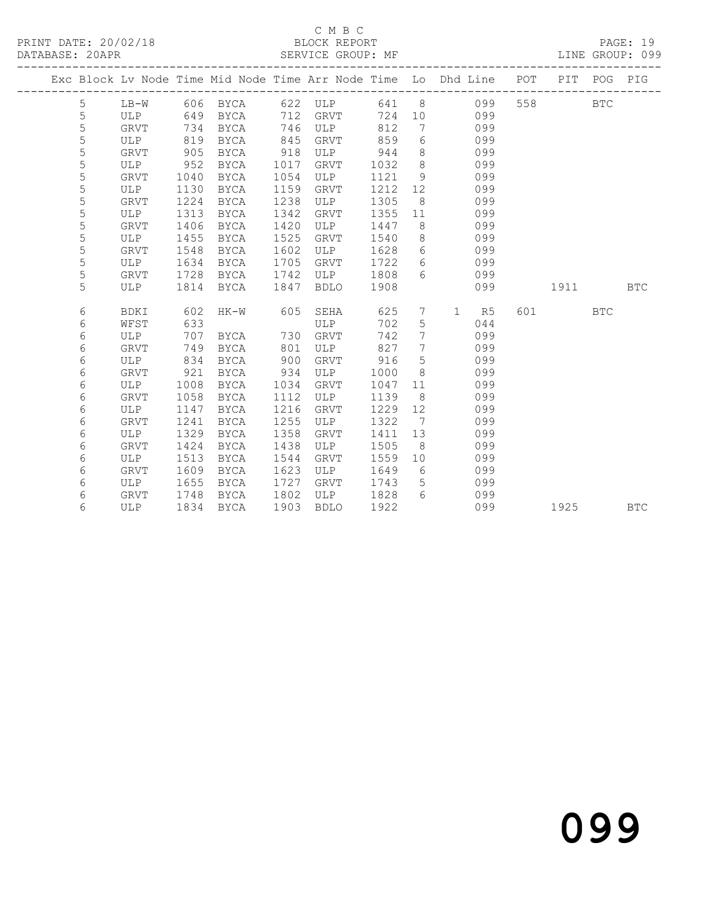|  |             |             |      |             |      | _____________________________________ |      |                              | Exc Block Lv Node Time Mid Node Time Arr Node Time Lo Dhd Line POT PIT<br>------------- |     |            | POG | PIG        |
|--|-------------|-------------|------|-------------|------|---------------------------------------|------|------------------------------|-----------------------------------------------------------------------------------------|-----|------------|-----|------------|
|  | 5           | $LB-W$      |      | 606 BYCA    |      | 622 ULP                               | 641  |                              | $8 \overline{)}$<br>099                                                                 | 558 | <b>BTC</b> |     |            |
|  | $\mathsf S$ | <b>ULP</b>  | 649  | BYCA        | 712  | GRVT                                  | 724  | 10 <sup>°</sup>              | 099                                                                                     |     |            |     |            |
|  | 5           | GRVT        | 734  | BYCA        | 746  | ULP                                   | 812  | 7                            | 099                                                                                     |     |            |     |            |
|  | 5           | ULP         | 819  | BYCA        | 845  | GRVT                                  | 859  | 6                            | 099                                                                                     |     |            |     |            |
|  | 5           | <b>GRVT</b> | 905  | <b>BYCA</b> | 918  | ULP                                   | 944  | 8                            | 099                                                                                     |     |            |     |            |
|  | 5           | ULP         | 952  | BYCA        | 1017 | GRVT                                  | 1032 | 8                            | 099                                                                                     |     |            |     |            |
|  | 5           | <b>GRVT</b> | 1040 | <b>BYCA</b> | 1054 | ULP                                   | 1121 | 9                            | 099                                                                                     |     |            |     |            |
|  | 5           | ULP         | 1130 | BYCA        | 1159 | GRVT                                  | 1212 | 12                           | 099                                                                                     |     |            |     |            |
|  | 5           | GRVT        | 1224 | BYCA        | 1238 | ULP                                   | 1305 | 8                            | 099                                                                                     |     |            |     |            |
|  | 5           | ULP         | 1313 | <b>BYCA</b> | 1342 | GRVT                                  | 1355 | 11                           | 099                                                                                     |     |            |     |            |
|  | 5           | <b>GRVT</b> | 1406 | <b>BYCA</b> | 1420 | ULP                                   | 1447 | 8                            | 099                                                                                     |     |            |     |            |
|  | 5           | ULP         | 1455 | <b>BYCA</b> | 1525 | <b>GRVT</b>                           | 1540 | 8                            | 099                                                                                     |     |            |     |            |
|  | 5           | GRVT        | 1548 | BYCA        | 1602 | ULP                                   | 1628 | 6                            | 099                                                                                     |     |            |     |            |
|  | 5           | ULP         | 1634 | <b>BYCA</b> | 1705 | <b>GRVT</b>                           | 1722 | 6                            | 099                                                                                     |     |            |     |            |
|  | 5           | <b>GRVT</b> | 1728 | BYCA        | 1742 | ULP                                   | 1808 | 6                            | 099                                                                                     |     |            |     |            |
|  | 5           | ULP         | 1814 | <b>BYCA</b> | 1847 | <b>BDLO</b>                           | 1908 |                              | 099                                                                                     |     | 1911       |     | <b>BTC</b> |
|  |             |             |      |             |      |                                       |      |                              |                                                                                         |     |            |     |            |
|  | 6           | BDKI        | 602  | $HK-W$      | 605  | SEHA                                  | 625  | $7\phantom{.0}$              | $\mathbf{1}$<br>R5                                                                      | 601 | <b>BTC</b> |     |            |
|  | 6           | WFST        | 633  |             |      | ULP                                   | 702  | 5                            | 044                                                                                     |     |            |     |            |
|  | 6           | ULP         | 707  | BYCA        | 730  | GRVT                                  | 742  | $7\phantom{.0}$              | 099                                                                                     |     |            |     |            |
|  | 6           | <b>GRVT</b> | 749  | <b>BYCA</b> | 801  | <b>ULP</b>                            | 827  | $7\phantom{.0}$              | 099                                                                                     |     |            |     |            |
|  | 6           | ULP         | 834  | BYCA        | 900  | <b>GRVT</b>                           | 916  | 5                            | 099                                                                                     |     |            |     |            |
|  | 6           | GRVT        | 921  | BYCA        | 934  | ULP                                   | 1000 | 8                            | 099                                                                                     |     |            |     |            |
|  | 6           | ULP         | 1008 | BYCA        | 1034 | GRVT                                  | 1047 | 11                           | 099                                                                                     |     |            |     |            |
|  | 6           | GRVT        | 1058 | BYCA        | 1112 | ULP                                   | 1139 | 8                            | 099                                                                                     |     |            |     |            |
|  | 6           | ULP         | 1147 | BYCA        | 1216 | GRVT                                  | 1229 | 12                           | 099                                                                                     |     |            |     |            |
|  | 6           | <b>GRVT</b> | 1241 | <b>BYCA</b> | 1255 | ULP                                   | 1322 | $7\phantom{.0}\phantom{.0}7$ | 099                                                                                     |     |            |     |            |
|  | 6           | ULP         | 1329 | <b>BYCA</b> | 1358 | <b>GRVT</b>                           | 1411 | 13                           | 099                                                                                     |     |            |     |            |
|  | 6           | GRVT        | 1424 | BYCA        | 1438 | ULP                                   | 1505 | - 8                          | 099                                                                                     |     |            |     |            |
|  | 6           | ULP         | 1513 | <b>BYCA</b> | 1544 | GRVT                                  | 1559 | 10                           | 099                                                                                     |     |            |     |            |
|  | 6           | <b>GRVT</b> | 1609 | BYCA        | 1623 | ULP                                   | 1649 | 6                            | 099                                                                                     |     |            |     |            |
|  | 6           | ULP         | 1655 | BYCA        | 1727 | GRVT                                  | 1743 | 5                            | 099                                                                                     |     |            |     |            |
|  | 6           | GRVT        | 1748 | BYCA        | 1802 | ULP                                   | 1828 | - 6                          | 099                                                                                     |     |            |     |            |
|  | 6           | ULP         | 1834 | <b>BYCA</b> | 1903 | <b>BDLO</b>                           | 1922 |                              | 099                                                                                     |     | 1925       |     | <b>BTC</b> |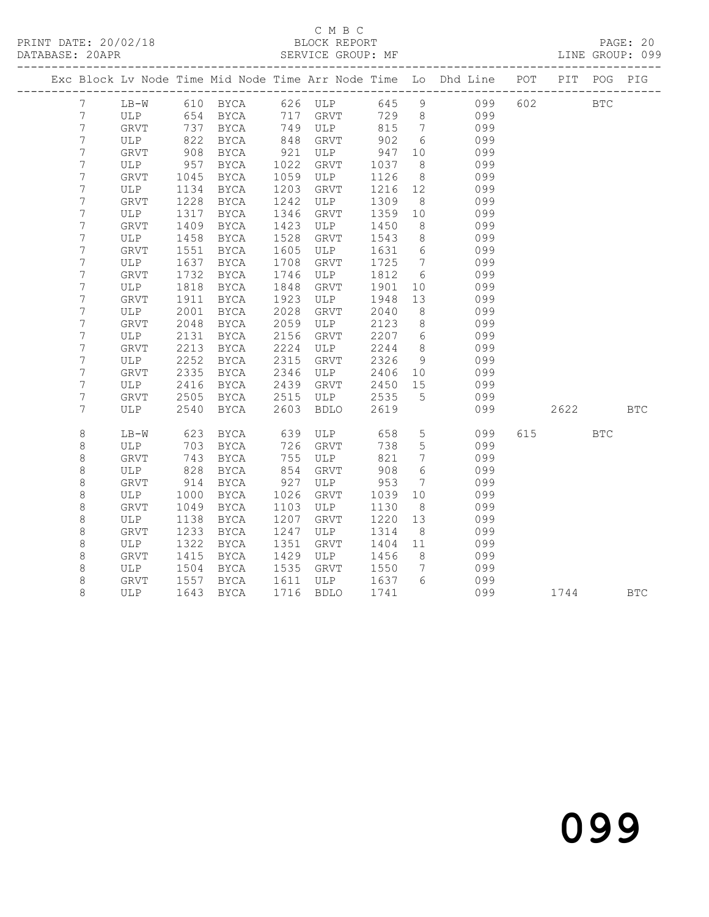## C M B C<br>BLOCK REPORT

LINE GROUP: 099

|  |                                 |              |      |             |                          |                             |            |                              | Exc Block Lv Node Time Mid Node Time Arr Node Time Lo Dhd Line POT PIT POG PIG |     |            |            |            |
|--|---------------------------------|--------------|------|-------------|--------------------------|-----------------------------|------------|------------------------------|--------------------------------------------------------------------------------|-----|------------|------------|------------|
|  | $7\overline{ }$                 |              |      |             |                          | LB-W 610 BYCA 626 ULP 645 9 |            |                              | 099                                                                            | 602 | <b>BTC</b> |            |            |
|  | $\boldsymbol{7}$                | ULP          |      | 654 BYCA    | 717                      | GRVT 729 8                  |            |                              | 099                                                                            |     |            |            |            |
|  | $\boldsymbol{7}$                | GRVT         |      | 737 BYCA    | 749<br>848               | ULP                         | 815<br>902 | $7\overline{ }$              | 099                                                                            |     |            |            |            |
|  | $\boldsymbol{7}$                | ULP          | 822  | BYCA        |                          | GRVT                        |            | $6\overline{6}$              | 099                                                                            |     |            |            |            |
|  | $\boldsymbol{7}$                | GRVT         | 908  | BYCA        | 921                      | ULP                         | 947        | 10                           | 099                                                                            |     |            |            |            |
|  | $\boldsymbol{7}$                | ULP          | 957  | BYCA        | 1022                     | GRVT                        | 1037       | 8 <sup>8</sup>               | 099                                                                            |     |            |            |            |
|  | $\overline{7}$                  | ${\tt GRVT}$ | 1045 | BYCA        | 1059                     | ULP                         | 1126       | 8 <sup>8</sup>               | 099                                                                            |     |            |            |            |
|  | $\boldsymbol{7}$                | ULP          | 1134 | BYCA        | 1203                     | GRVT                        | 1216 12    |                              | 099                                                                            |     |            |            |            |
|  | $\boldsymbol{7}$                | GRVT         | 1228 | BYCA        | 1242                     | ULP                         | 1309       | 8 <sup>8</sup>               | 099                                                                            |     |            |            |            |
|  | $\boldsymbol{7}$                | ULP          | 1317 | BYCA        | 134 <sub>b</sub><br>1423 | GRVT                        | 1359       | 10                           | 099                                                                            |     |            |            |            |
|  | $\boldsymbol{7}$                | GRVT         | 1409 | BYCA        |                          | ULP                         | 1450       | 8 <sup>8</sup>               | 099                                                                            |     |            |            |            |
|  | $\boldsymbol{7}$                | ULP          | 1458 | BYCA        | 1528                     | GRVT                        | 1543       | 8 <sup>8</sup>               | 099                                                                            |     |            |            |            |
|  | $\overline{7}$                  | GRVT         | 1551 | BYCA        | 1605                     | ULP                         | 1631       | $6\overline{6}$              | 099                                                                            |     |            |            |            |
|  | $\boldsymbol{7}$                | ULP          | 1637 | BYCA        | 1708                     | GRVT                        | 1725       | $\overline{7}$               | 099                                                                            |     |            |            |            |
|  | $\boldsymbol{7}$                | GRVT         | 1732 | BYCA        | 1746                     | ULP                         | 1812       | $6\overline{6}$              | 099                                                                            |     |            |            |            |
|  | $\boldsymbol{7}$                | ULP          | 1818 | BYCA        | 1848                     | GRVT                        | 1901       | 10                           | 099                                                                            |     |            |            |            |
|  | $\boldsymbol{7}$                | <b>GRVT</b>  | 1911 | BYCA        | 1923                     | ULP                         | 1948       | 13                           | 099                                                                            |     |            |            |            |
|  | $\boldsymbol{7}$                | ULP          | 2001 | BYCA        | 2028                     | GRVT                        | 2040       | 8 <sup>8</sup>               | 099                                                                            |     |            |            |            |
|  | $\boldsymbol{7}$                | <b>GRVT</b>  | 2048 | BYCA        | 2059                     | ULP                         | 2123       | 8 <sup>8</sup>               | 099                                                                            |     |            |            |            |
|  | $\overline{7}$                  | ULP          | 2131 | BYCA        | 2156<br>2224             | GRVT                        | 2207       | $6\overline{6}$              | 099                                                                            |     |            |            |            |
|  | $\boldsymbol{7}$                | GRVT         | 2213 | BYCA        |                          | ULP                         | 2244       | 8 <sup>8</sup>               | 099                                                                            |     |            |            |            |
|  | $\boldsymbol{7}$                | ULP          | 2252 | BYCA        | 2315                     | GRVT                        | 2326       | 9                            | 099                                                                            |     |            |            |            |
|  | $\overline{\phantom{a}}$        | GRVT         | 2335 | <b>BYCA</b> | 2346                     | ULP                         | 2406       | 10                           | 099                                                                            |     |            |            |            |
|  | $\boldsymbol{7}$                | ULP          | 2416 | BYCA        | 2439                     | GRVT                        | 2450       | 15                           | 099                                                                            |     |            |            |            |
|  | $\boldsymbol{7}$                | GRVT         | 2505 | BYCA        | 2515                     | ULP                         | 2535       | $5\overline{)}$              | 099                                                                            |     |            |            |            |
|  | $\boldsymbol{7}$                | ULP          | 2540 | BYCA        | 2603                     | BDLO                        | 2619       |                              | 099                                                                            |     | 2622       | <b>BTC</b> |            |
|  | $\,8\,$                         | $LB-W$       | 623  | BYCA        | 639                      | ULP                         | 658        | $5\overline{)}$              | 099                                                                            | 615 | <b>BTC</b> |            |            |
|  | $\,8\,$                         | ULP          | 703  | BYCA        | 726                      | GRVT                        | 738        | $5\phantom{.0}$              | 099                                                                            |     |            |            |            |
|  | $\,8\,$                         | GRVT         | 743  | BYCA        |                          | ULP                         | 821        | $7\phantom{.0}\phantom{.0}7$ | 099                                                                            |     |            |            |            |
|  | $\begin{matrix} 8 \end{matrix}$ | ULP          | 828  | BYCA        | 755<br>854               | GRVT                        | 908        | $6\overline{6}$              | 099                                                                            |     |            |            |            |
|  | $\,8\,$                         | GRVT         | 914  | BYCA        | 927                      | ULP                         | 953        | $7\phantom{.0}\phantom{.0}7$ | 099                                                                            |     |            |            |            |
|  | $\,8\,$                         | ULP          | 1000 | BYCA        | 1026                     | GRVT                        | 1039       | 10                           | 099                                                                            |     |            |            |            |
|  | $\,8\,$                         | GRVT         | 1049 | BYCA        | 1103                     | ULP                         | 1130       | 8 <sup>8</sup>               | 099                                                                            |     |            |            |            |
|  | $\,8\,$                         | ULP          | 1138 | BYCA        | 1207                     | GRVT                        | 1220       | 13                           | 099                                                                            |     |            |            |            |
|  | $\,8\,$                         | GRVT         | 1233 | BYCA        | 1247                     | ULP                         | 1314       | 8 <sup>8</sup>               | 099                                                                            |     |            |            |            |
|  | $\,8\,$                         | ULP          | 1322 | BYCA        | 1351                     | GRVT                        | 1404       | 11                           | 099                                                                            |     |            |            |            |
|  | $\,8\,$                         | <b>GRVT</b>  | 1415 | BYCA        | 1429                     | ULP                         | 1456       | 8 <sup>8</sup>               | 099                                                                            |     |            |            |            |
|  | $\,8\,$                         | ULP          | 1504 | BYCA        | 1535                     | GRVT                        | 1550       | $\overline{7}$               | 099                                                                            |     |            |            |            |
|  | $\,8\,$                         | <b>GRVT</b>  | 1557 | BYCA        | 1611<br>1716             | ULP                         | 1637 6     |                              | 099                                                                            |     |            |            |            |
|  | 8                               | ULP          | 1643 | BYCA        |                          | BDLO                        | 1741       |                              | 099                                                                            |     | 1744       |            | <b>BTC</b> |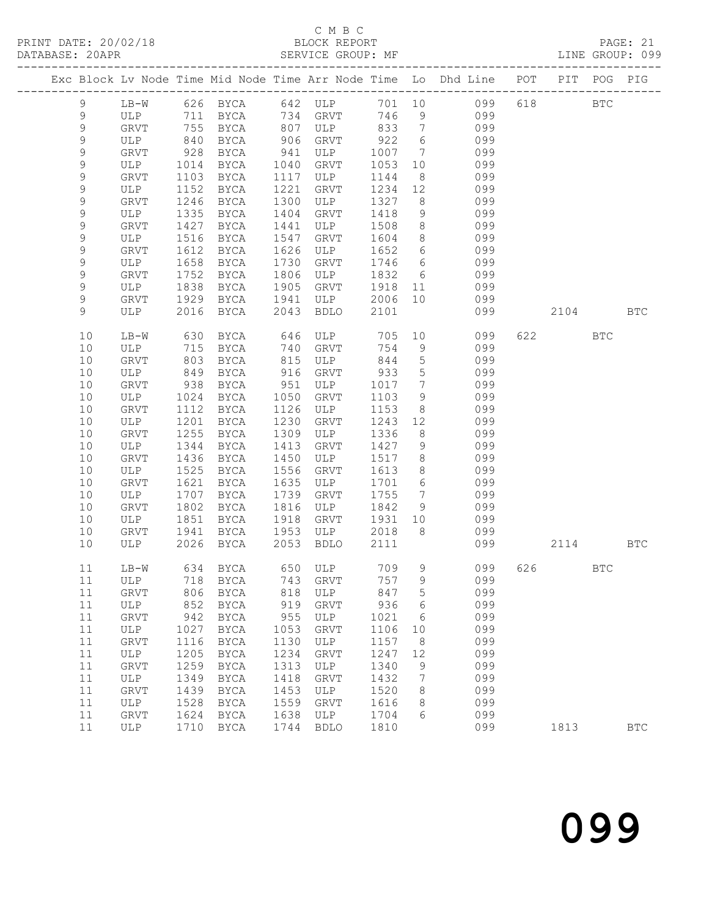### C M B C

|  |                            |             |              |                                              |              |                |                 |                 |                                                                                |     |                        |              | PAGE: 21<br>LINE GROUP: 099 |
|--|----------------------------|-------------|--------------|----------------------------------------------|--------------|----------------|-----------------|-----------------|--------------------------------------------------------------------------------|-----|------------------------|--------------|-----------------------------|
|  |                            |             |              |                                              |              |                |                 |                 | Exc Block Lv Node Time Mid Node Time Arr Node Time Lo Dhd Line POT PIT POG PIG |     |                        |              |                             |
|  | 9                          | $LB-W$      |              | 626 BYCA                                     |              | 642 ULP 701 10 |                 |                 | 099                                                                            |     | 618 BTC                |              |                             |
|  | 9                          | ULP         |              | 711 BYCA                                     | 734          | GRVT           | 746             | 9               | 099                                                                            |     |                        |              |                             |
|  | $\mathsf 9$                | <b>GRVT</b> |              | 711 BYCA 734<br>755 BYCA 807<br>840 BYCA 906 |              | ULP            | 833             |                 | 7 099<br>6 099                                                                 |     |                        |              |                             |
|  | $\mathsf 9$                | ULP         |              |                                              |              | ${\tt GRVT}$   | 922             |                 |                                                                                |     |                        |              |                             |
|  | $\mathsf 9$                | <b>GRVT</b> | 928          | BYCA                                         | 941          | ULP            | 1007            |                 | 7 099                                                                          |     |                        |              |                             |
|  | $\mathsf 9$                | ULP         | 1014         | BYCA                                         | 1040         | GRVT           | 1053            |                 | 10 099                                                                         |     |                        |              |                             |
|  | $\mathsf 9$                | GRVT        | 1103         | BYCA                                         | 1117         | ULP            | 1144            |                 |                                                                                |     |                        |              |                             |
|  | $\mathsf 9$                | ULP         | 1152         | BYCA                                         | 1221         | GRVT           | 1234            |                 | $\begin{array}{ccc} & 8 & & 099 \\ 12 & & 099 \\ 8 & & 099 \end{array}$        |     |                        |              |                             |
|  | $\mathsf 9$                | GRVT        | 1246         | BYCA                                         | 1300         | ULP            | 1327            |                 |                                                                                |     |                        |              |                             |
|  | $\mathsf 9$                | ULP         | 1335         | BYCA                                         | 1404         | GRVT           | 1418            |                 | 9 099                                                                          |     |                        |              |                             |
|  | $\mathsf 9$                | GRVT        | 1427         | BYCA                                         | 1441         | ULP            | 1508            |                 | $\begin{array}{ccc} 8 & 099 \\ 8 & 099 \\ 6 & 099 \end{array}$                 |     |                        |              |                             |
|  | 9                          | ULP         | 1516         | BYCA                                         | 1547         | GRVT           | 1604            |                 |                                                                                |     |                        |              |                             |
|  | $\mathsf 9$                | <b>GRVT</b> | 1612         | BYCA                                         | 1626         | ULP            | 1652            |                 |                                                                                |     |                        |              |                             |
|  | $\mathsf 9$                | ULP         | 1658         | BYCA                                         | 1730         | GRVT           | 1746            |                 | 6 099                                                                          |     |                        |              |                             |
|  | $\mathsf 9$<br>$\mathsf 9$ | <b>GRVT</b> | 1752<br>1838 | BYCA                                         | 1806<br>1905 | ULP            | 1832<br>1918 11 | $6\overline{6}$ | 099<br>099                                                                     |     |                        |              |                             |
|  | $\mathsf 9$                | ULP<br>GRVT | 1929         | BYCA<br>BYCA                                 | 1941         | GRVT<br>ULP    | 2006 10         |                 | 099                                                                            |     |                        |              |                             |
|  | 9                          | ULP         | 2016         | BYCA                                         | 2043         | BDLO           | 2101            |                 | 099                                                                            |     | 2104                   |              | <b>BTC</b>                  |
|  |                            |             |              |                                              |              |                |                 |                 |                                                                                |     |                        |              |                             |
|  | 10                         | LB-W        | 630          | BYCA                                         | 646          | ULP            |                 |                 | 705 10<br>099                                                                  |     | 622 and $\overline{a}$ | <b>BTC</b>   |                             |
|  | $10$                       | ULP         | 715          | BYCA                                         | 740          | GRVT           | 754             |                 | $9$ 099                                                                        |     |                        |              |                             |
|  | 10                         | <b>GRVT</b> | 803          | BYCA                                         | 815          | ULP            | 844             |                 | 5 099                                                                          |     |                        |              |                             |
|  | $10$                       | ULP         | 849          | BYCA                                         | 916<br>951   | GRVT           | 933             |                 | $\frac{5}{7}$ 099                                                              |     |                        |              |                             |
|  | 10                         | GRVT        | 938          | BYCA                                         |              | ULP            | 1017            | $7\overline{ }$ | 099                                                                            |     |                        |              |                             |
|  | $10$                       | ULP         | 1024         | BYCA                                         | 1050         | GRVT           | 1103            |                 | $\frac{3}{9}$ 099                                                              |     |                        |              |                             |
|  | 10                         | GRVT        | 1112         | BYCA                                         | 1126         | ULP            | 1153            |                 | 8 099                                                                          |     |                        |              |                             |
|  | $10$                       | ULP         | 1201         | BYCA                                         | 1230         | GRVT           | 1243            |                 | 12 099                                                                         |     |                        |              |                             |
|  | 10                         | <b>GRVT</b> | 1255         | BYCA                                         | 1309         | ULP            | 1336            |                 | 8 099<br>9 099                                                                 |     |                        |              |                             |
|  | $10$                       | ULP         | 1344         | BYCA                                         | 1413         | GRVT           | 1427            |                 |                                                                                |     |                        |              |                             |
|  | 10                         | GRVT        | 1436         | BYCA                                         | 1450         | ULP            | 1517            |                 | 8 099                                                                          |     |                        |              |                             |
|  | $10$<br>10                 | ULP         | 1525<br>1621 | BYCA                                         | 1556<br>1635 | GRVT<br>ULP    | 1613<br>1701    |                 | 8 099<br>099                                                                   |     |                        |              |                             |
|  | 10                         | GRVT<br>ULP | 1707         | BYCA<br>BYCA                                 | 1739         | GRVT           | 1755            |                 | $\begin{array}{c} 6 \\ 7 \end{array}$<br>099                                   |     |                        |              |                             |
|  | 10                         | GRVT        | 1802         | BYCA                                         | 1816         | ULP            | 1842            |                 | 9 099                                                                          |     |                        |              |                             |
|  | 10                         | ULP         | 1851         | BYCA                                         | 1918         | GRVT           | 1931            |                 | 10 099                                                                         |     |                        |              |                             |
|  | 10                         | <b>GRVT</b> | 1941         | BYCA                                         | 1953         | ULP            | 2018            | 8 <sup>8</sup>  | 099                                                                            |     |                        |              |                             |
|  | 10                         | ULP         |              | 2026 BYCA 2053                               |              | BDLO           | 2111            |                 | 099                                                                            |     | 2114                   |              | <b>BTC</b>                  |
|  |                            |             |              |                                              |              |                |                 |                 |                                                                                |     |                        |              |                             |
|  | 11                         | $LB-W$      | 634          | BYCA                                         | 650          | ULP            | 709             | 9               | 099                                                                            | 626 |                        | $_{\rm BTC}$ |                             |
|  | $11\,$                     | ULP         | 718          | <b>BYCA</b>                                  | 743          | GRVT           | 757             | 9               | 099                                                                            |     |                        |              |                             |
|  | $11$                       | GRVT        | 806          | <b>BYCA</b>                                  | 818          | ULP            | 847             | 5               | 099                                                                            |     |                        |              |                             |
|  | $11$                       | ULP         | 852          | <b>BYCA</b>                                  | 919          | GRVT           | 936             | 6               | 099                                                                            |     |                        |              |                             |
|  | $11$                       | GRVT        | 942          | <b>BYCA</b>                                  | 955          | ULP            | 1021            | 6               | 099                                                                            |     |                        |              |                             |
|  | $11$                       | ULP         | 1027         | BYCA                                         | 1053         | GRVT           | 1106            | 10              | 099                                                                            |     |                        |              |                             |
|  | 11                         | GRVT        | 1116         | <b>BYCA</b>                                  | 1130         | ULP            | 1157            | 8               | 099                                                                            |     |                        |              |                             |
|  | $11$                       | ULP         | 1205         | <b>BYCA</b>                                  | 1234         | GRVT           | 1247            | 12              | 099                                                                            |     |                        |              |                             |
|  | 11                         | GRVT        | 1259         | ${\tt BYCA}$                                 | 1313         | ULP            | 1340            | 9               | 099                                                                            |     |                        |              |                             |

 11 ULP 1349 BYCA 1418 GRVT 1432 7 099 11 GRVT 1439 BYCA 1453 ULP 1520 8 099 11 ULP 1528 BYCA 1559 GRVT 1616 8 099 11 GRVT 1624 BYCA 1638 ULP 1704 6 099

11 ULP 1710 BYCA 1744 BDLO 1810 099 1813 BTC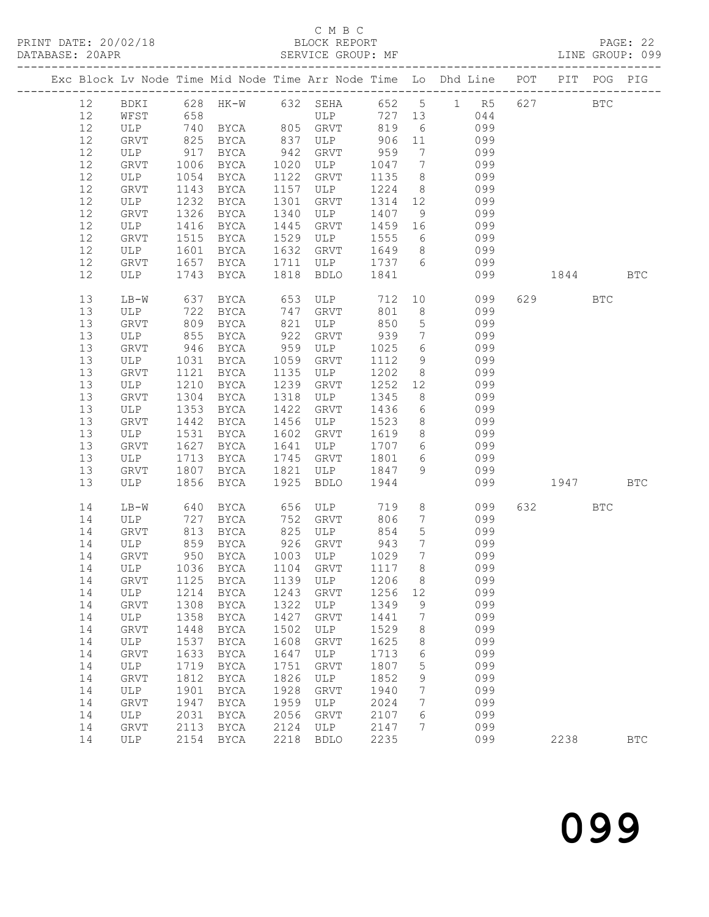## C M B C<br>BLOCK REPORT

|        |                                       |                   |                       |                 |             |              |                              | Exc Block Lv Node Time Mid Node Time Arr Node Time Lo Dhd Line POT |     |            | PIT POG PIG |            |
|--------|---------------------------------------|-------------------|-----------------------|-----------------|-------------|--------------|------------------------------|--------------------------------------------------------------------|-----|------------|-------------|------------|
| 12     |                                       |                   |                       |                 |             |              |                              | BDKI 628 HK-W 632 SEHA 652 5 1 R5                                  | 627 | <b>BTC</b> |             |            |
| 12     | WFST                                  | 658               |                       |                 | ULP 727 13  |              |                              | 044                                                                |     |            |             |            |
| $12\,$ | ULP                                   |                   | 740 BYCA 805 GRVT 819 |                 |             |              | $6\overline{6}$              | 099                                                                |     |            |             |            |
| 12     | GRVT                                  | 825               | BYCA                  |                 | ULP         | 906          | 11                           | 099                                                                |     |            |             |            |
| 12     | ULP                                   | 917               | BYCA                  | 837<br>942      | GRVT        | 959          | $7\phantom{.0}\phantom{.0}7$ | 099                                                                |     |            |             |            |
| $12\,$ | GRVT                                  | 1006              | BYCA                  | 1020            | ULP         | 1047         | $7\overline{ }$              | 099                                                                |     |            |             |            |
| $12\,$ | ULP                                   | 1054              | BYCA                  | 1122            | GRVT        | 1135         | 8 <sup>8</sup>               | 099                                                                |     |            |             |            |
| $12$   | GRVT                                  | 1143              | BYCA                  | 1157            | ULP         | 1224         | 8 <sup>8</sup>               | 099                                                                |     |            |             |            |
| $12\,$ | ULP                                   | 1232              | BYCA                  | 1301            | GRVT        | 1314         | 12                           | 099                                                                |     |            |             |            |
| $12\,$ | GRVT                                  | 1326              | BYCA                  | 1340            | ULP         | 1407         | 9                            | 099                                                                |     |            |             |            |
| $12\,$ | ULP                                   | 1416              | BYCA                  | 1445            | GRVT        | 1459 16      |                              | 099                                                                |     |            |             |            |
| 12     | GRVT                                  | 1515              | BYCA                  | 1529            | ULP         | 1555         | 6                            | 099                                                                |     |            |             |            |
| 12     | ULP                                   | 1601              | BYCA                  | 1632            | GRVT        | 1649         | 8 <sup>8</sup>               | 099                                                                |     |            |             |            |
| $12\,$ | GRVT                                  | 1657              | BYCA                  | 1711            | ULP         | 1737 6       |                              | 099                                                                |     |            |             |            |
| 12     | ULP                                   | 1743              | BYCA                  | 1818            | BDLO        | 1841         |                              | 099                                                                |     | 1844 BTC   |             |            |
|        |                                       |                   |                       |                 |             |              |                              |                                                                    |     |            |             |            |
| 13     | $LB-W$                                | 637               | BYCA                  | 653<br>747      | ULP         | 712          | 10                           | 099                                                                |     | 629        | <b>BTC</b>  |            |
| 13     | ULP                                   | 722               | BYCA                  |                 | GRVT        | 801          | 8 <sup>8</sup>               | 099                                                                |     |            |             |            |
| 13     | GRVT                                  | 809               | BYCA                  | 821             | ULP         | 850          | $5\overline{)}$              | 099                                                                |     |            |             |            |
| 13     | ULP                                   | 855               | BYCA                  | 922             | GRVT        | 939          | $7\phantom{.0}\phantom{.0}7$ | 099                                                                |     |            |             |            |
| 13     | GRVT                                  | 946               | BYCA                  | $959$<br>$1059$ | ULP         | 1025         | 6                            | 099                                                                |     |            |             |            |
| 13     | ULP                                   | 1031              | BYCA                  | 1059            | GRVT        | 1112         | 9                            | 099                                                                |     |            |             |            |
| 13     | GRVT                                  | 1121              | BYCA                  | 1135            | ULP         | 1202         | 8 <sup>8</sup>               | 099                                                                |     |            |             |            |
| 13     | ULP                                   | 1210              | BYCA                  | 1239            | GRVT        | 1252         | 12                           | 099                                                                |     |            |             |            |
| 13     | GRVT                                  | 1304              | BYCA                  | 1318            | ULP         | 1345         | 8 <sup>8</sup>               | 099                                                                |     |            |             |            |
| 13     | ULP                                   | 1353              | BYCA                  | 1422            | GRVT        | 1436         | $6\overline{6}$              | 099                                                                |     |            |             |            |
| 13     | GRVT                                  | 1442              | BYCA                  | 1456            | ULP         | 1523         | 8 <sup>8</sup>               | 099                                                                |     |            |             |            |
| 13     | ULP                                   | 1531              | BYCA                  | 1602            | GRVT        | 1619         | 8 <sup>8</sup>               | 099                                                                |     |            |             |            |
| 13     | GRVT                                  | 1627              | BYCA                  | 1641            | ULP         | 1707         | $6\overline{6}$              | 099                                                                |     |            |             |            |
| 13     | ULP                                   | 1713              | BYCA                  | 1745            | GRVT        | 1801         | $6\overline{6}$              | 099                                                                |     |            |             |            |
| 13     | GRVT                                  | 1807              | BYCA                  | 1821            | ULP         | 1847         | 9                            | 099                                                                |     |            |             |            |
| 13     | ULP                                   | 1856              | BYCA                  | 1925            | BDLO        | 1944         |                              | 099                                                                |     | 1947 BTC   |             |            |
| 14     | LB-W                                  |                   | BYCA                  |                 | ULP         | 719          | 8 <sup>8</sup>               | 099                                                                |     | 632 BTC    |             |            |
| 14     | ULP                                   | 640<br>727<br>727 | BYCA                  | 656<br>752      | GRVT        | 806          | $7\overline{ }$              | 099                                                                |     |            |             |            |
| 14     | <b>GRVT</b>                           | 813               | BYCA                  | 825             | ULP         | 854          | $5\phantom{.0}$              | 099                                                                |     |            |             |            |
| 14     | ULP                                   | 859               | BYCA                  | 926             | GRVT        | 943          | $7\overline{ }$              | 099                                                                |     |            |             |            |
| 14     | GRVT                                  | 950               | BYCA                  |                 | ULP         |              | $7\overline{ }$              | 099                                                                |     |            |             |            |
| 14     | ULP                                   |                   | 1036 BYCA             | 1003<br>1104    | GRVT        | 1029<br>1117 | 8 <sup>8</sup>               | 099                                                                |     |            |             |            |
|        | 14 GRVT 1125 BYCA 1139 ULP 1206 8 099 |                   |                       |                 |             |              |                              |                                                                    |     |            |             |            |
| 14     | ULP                                   |                   | 1214 BYCA             | 1243            | GRVT        | 1256         | 12                           | 099                                                                |     |            |             |            |
| 14     | GRVT                                  | 1308              | BYCA                  | 1322            | ULP         | 1349         | 9                            | 099                                                                |     |            |             |            |
| 14     | ULP                                   | 1358              | BYCA                  | 1427            | GRVT        | 1441         | $7\phantom{.0}$              | 099                                                                |     |            |             |            |
| 14     | GRVT                                  | 1448              | BYCA                  | 1502            | ULP         | 1529         | 8                            | 099                                                                |     |            |             |            |
| 14     | ULP                                   | 1537              | BYCA                  | 1608            | GRVT        | 1625         | 8                            | 099                                                                |     |            |             |            |
| 14     | GRVT                                  | 1633              | <b>BYCA</b>           | 1647            | ULP         | 1713         | 6                            | 099                                                                |     |            |             |            |
| 14     | ULP                                   | 1719              | BYCA                  | 1751            | GRVT        | 1807         | $\overline{5}$               | 099                                                                |     |            |             |            |
| 14     | GRVT                                  | 1812              | BYCA                  | 1826            | ULP         | 1852         | 9                            | 099                                                                |     |            |             |            |
| 14     | ULP                                   | 1901              | BYCA                  | 1928            | <b>GRVT</b> | 1940         | 7                            | 099                                                                |     |            |             |            |
| 14     | GRVT                                  | 1947              | <b>BYCA</b>           | 1959            | ULP         | 2024         | 7                            | 099                                                                |     |            |             |            |
| 14     | ULP                                   | 2031              | BYCA                  | 2056            | GRVT        | 2107         | 6                            | 099                                                                |     |            |             |            |
| 14     | <b>GRVT</b>                           | 2113              | BYCA                  | 2124            | ULP         | 2147         | 7                            | 099                                                                |     |            |             |            |
| 14     | ULP                                   | 2154              | BYCA                  | 2218            | <b>BDLO</b> | 2235         |                              | 099                                                                |     | 2238       |             | <b>BTC</b> |
|        |                                       |                   |                       |                 |             |              |                              |                                                                    |     |            |             |            |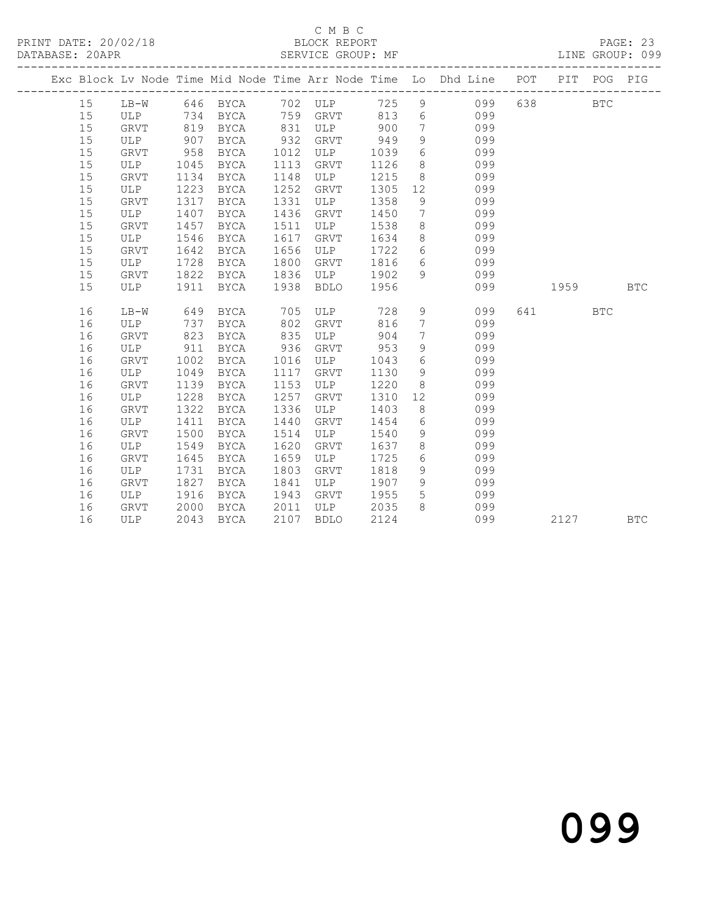|  |    |             |      |             |      |             |      |                 | Exc Block Lv Node Time Mid Node Time Arr Node Time Lo Dhd Line POT |     |      | PIT POG PIG |            |
|--|----|-------------|------|-------------|------|-------------|------|-----------------|--------------------------------------------------------------------|-----|------|-------------|------------|
|  | 15 | $LB-W$      |      | 646 BYCA    | 702  | ULP         | 725  | 9               | 099                                                                | 638 |      | <b>BTC</b>  |            |
|  | 15 | <b>ULP</b>  | 734  | BYCA        | 759  | GRVT        | 813  | 6               | 099                                                                |     |      |             |            |
|  | 15 | GRVT        | 819  | <b>BYCA</b> | 831  | ULP         | 900  | $7\overline{ }$ | 099                                                                |     |      |             |            |
|  | 15 | ULP         | 907  | <b>BYCA</b> | 932  | GRVT        | 949  | 9               | 099                                                                |     |      |             |            |
|  | 15 | GRVT        | 958  | BYCA        | 1012 | ULP         | 1039 | 6               | 099                                                                |     |      |             |            |
|  | 15 | ULP         | 1045 | BYCA        | 1113 | <b>GRVT</b> | 1126 | 8               | 099                                                                |     |      |             |            |
|  | 15 | <b>GRVT</b> | 1134 | BYCA        | 1148 | ULP         | 1215 | 8               | 099                                                                |     |      |             |            |
|  | 15 | ULP         | 1223 | BYCA        | 1252 | GRVT        | 1305 | 12              | 099                                                                |     |      |             |            |
|  | 15 | <b>GRVT</b> | 1317 | BYCA        | 1331 | ULP         | 1358 | 9               | 099                                                                |     |      |             |            |
|  | 15 | ULP         | 1407 | BYCA        | 1436 | GRVT        | 1450 | 7               | 099                                                                |     |      |             |            |
|  | 15 | GRVT        | 1457 | BYCA        | 1511 | ULP         | 1538 | 8               | 099                                                                |     |      |             |            |
|  | 15 | ULP         | 1546 | BYCA        | 1617 | GRVT        | 1634 | 8               | 099                                                                |     |      |             |            |
|  | 15 | GRVT        | 1642 | BYCA        | 1656 | ULP         | 1722 | 6               | 099                                                                |     |      |             |            |
|  | 15 | ULP         | 1728 | BYCA        | 1800 | GRVT        | 1816 | 6               | 099                                                                |     |      |             |            |
|  | 15 | <b>GRVT</b> | 1822 | <b>BYCA</b> | 1836 | ULP         | 1902 | 9               | 099                                                                |     |      |             |            |
|  | 15 | <b>ULP</b>  | 1911 | <b>BYCA</b> | 1938 | <b>BDLO</b> | 1956 |                 | 099                                                                |     | 1959 |             | <b>BTC</b> |
|  | 16 | $LB-W$      | 649  | <b>BYCA</b> | 705  | ULP         | 728  | 9               | 099                                                                | 641 |      | <b>BTC</b>  |            |
|  | 16 | ULP         | 737  | <b>BYCA</b> | 802  | <b>GRVT</b> | 816  | $7\phantom{.}$  | 099                                                                |     |      |             |            |
|  | 16 | <b>GRVT</b> | 823  | BYCA        | 835  | ULP         | 904  | $7\phantom{.0}$ | 099                                                                |     |      |             |            |
|  | 16 | ULP         | 911  | <b>BYCA</b> | 936  | <b>GRVT</b> | 953  | 9               | 099                                                                |     |      |             |            |
|  | 16 | GRVT        | 1002 | <b>BYCA</b> | 1016 | ULP         | 1043 | 6               | 099                                                                |     |      |             |            |
|  | 16 | ULP         | 1049 | <b>BYCA</b> | 1117 | <b>GRVT</b> | 1130 | 9               | 099                                                                |     |      |             |            |
|  | 16 | GRVT        | 1139 | BYCA        | 1153 | ULP         | 1220 | 8               | 099                                                                |     |      |             |            |
|  | 16 | ULP         | 1228 | BYCA        | 1257 | GRVT        | 1310 | 12              | 099                                                                |     |      |             |            |
|  | 16 | GRVT        | 1322 | BYCA        | 1336 | ULP         | 1403 | 8               | 099                                                                |     |      |             |            |
|  | 16 | ULP         | 1411 | <b>BYCA</b> | 1440 | GRVT        | 1454 | 6               | 099                                                                |     |      |             |            |
|  | 16 | <b>GRVT</b> | 1500 | <b>BYCA</b> | 1514 | ULP         | 1540 | 9               | 099                                                                |     |      |             |            |
|  | 16 | ULP         | 1549 | <b>BYCA</b> | 1620 | GRVT        | 1637 | 8               | 099                                                                |     |      |             |            |
|  | 16 | <b>GRVT</b> | 1645 | BYCA        | 1659 | ULP         | 1725 | 6               | 099                                                                |     |      |             |            |
|  | 16 | <b>ULP</b>  | 1731 | <b>BYCA</b> | 1803 | <b>GRVT</b> | 1818 | 9               | 099                                                                |     |      |             |            |
|  | 16 | <b>GRVT</b> | 1827 | BYCA        | 1841 | ULP         | 1907 | 9               | 099                                                                |     |      |             |            |
|  | 16 | ULP         | 1916 | BYCA        | 1943 | GRVT        | 1955 | 5               | 099                                                                |     |      |             |            |
|  | 16 | GRVT        | 2000 | BYCA        | 2011 | ULP         | 2035 | 8               | 099                                                                |     |      |             |            |
|  | 16 | ULP         | 2043 | <b>BYCA</b> | 2107 | <b>BDLO</b> | 2124 |                 | 099                                                                |     | 2127 |             | <b>BTC</b> |
|  |    |             |      |             |      |             |      |                 |                                                                    |     |      |             |            |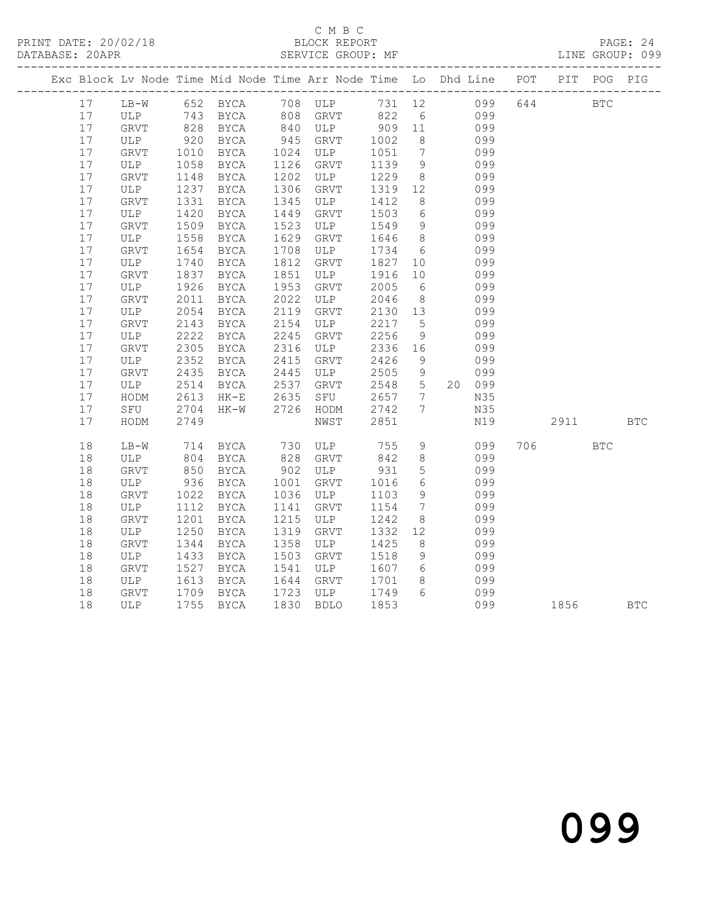## C M B C<br>BLOCK REPORT

### SERVICE GROUP: MF

|  |        |        |                  |                      |                      | Exc Block Lv Node Time Mid Node Time Arr Node Time Lo Dhd Line POT PIT POG PIG |         |                 |        |          |            |  |
|--|--------|--------|------------------|----------------------|----------------------|--------------------------------------------------------------------------------|---------|-----------------|--------|----------|------------|--|
|  | 17     |        |                  |                      |                      | LB-W 652 BYCA 708 ULP 731 12 099 644 BTC                                       |         |                 |        |          |            |  |
|  | 17     | ULP    |                  | 743 BYCA<br>828 BYCA | $808$<br>$840$       | GRVT 822<br>ULP 909                                                            |         | $6\overline{6}$ | 099    |          |            |  |
|  | 17     | GRVT   |                  |                      |                      |                                                                                |         | 11              | 099    |          |            |  |
|  | 17     | ULP    |                  | 920 BYCA             | 945                  | GRVT                                                                           | 1002    | 8 <sup>8</sup>  | 099    |          |            |  |
|  | $17$   | GRVT   | 1010             | BYCA                 | 1024<br>1126         | ULP                                                                            | 1051    | $7\overline{)}$ | 099    |          |            |  |
|  | 17     | ULP    | 1058             | BYCA                 |                      | GRVT                                                                           | 1139    | 9               | 099    |          |            |  |
|  | 17     | GRVT   | 1148             | BYCA                 | 1202                 | ULP                                                                            | 1229    | 8 <sup>8</sup>  | 099    |          |            |  |
|  | $17$   | ULP    | 1237             | BYCA                 | 1306<br>1345         | GRVT                                                                           | 1319 12 |                 | 099    |          |            |  |
|  | 17     | GRVT   | 1331             | BYCA                 |                      | ULP                                                                            | 1412    | 8 <sup>8</sup>  | 099    |          |            |  |
|  | $17$   | ULP    | 1420             | BYCA                 | 1449                 | GRVT                                                                           | 1503    | 6               | 099    |          |            |  |
|  | $17$   | GRVT   | 1509             | BYCA                 | 1523                 | ULP                                                                            | 1549    | 9               | 099    |          |            |  |
|  | 17     | ULP    | 1558             | BYCA                 | 1629                 | GRVT                                                                           | 1646    | 8 <sup>8</sup>  | 099    |          |            |  |
|  | $17$   | GRVT   | 1654             | BYCA                 | 1708                 | ULP                                                                            | 1734    | $6\overline{6}$ | 099    |          |            |  |
|  | 17     | ULP    | 1740             | BYCA                 | 1812<br>1851         | GRVT                                                                           | 1827    | 10              | 099    |          |            |  |
|  | $17$   | GRVT   | 1837             | BYCA                 |                      | ULP                                                                            | 1916    | 10              | 099    |          |            |  |
|  | $17$   | ULP    | 1926             | BYCA                 | 1953                 | GRVT                                                                           | 2005    | $6\overline{6}$ | 099    |          |            |  |
|  | 17     | GRVT   | 2011             | BYCA                 | 2022<br>2119         | ULP                                                                            | 2046    | 8 <sup>8</sup>  | 099    |          |            |  |
|  | 17     | ULP    | 2054             | BYCA                 |                      | GRVT                                                                           | 2130    | 13              | 099    |          |            |  |
|  | $17$   | GRVT   | 2143             | BYCA                 | 2154<br>2245<br>2316 | ULP                                                                            | 2217    | $5\overline{)}$ | 099    |          |            |  |
|  | $17\,$ | ULP    | 2222             | BYCA                 |                      | GRVT                                                                           | 2256    | 9               | 099    |          |            |  |
|  | $17$   | GRVT   | 2305             | BYCA                 |                      | ULP                                                                            | 2336    | 16              | 099    |          |            |  |
|  | $17$   | ULP    |                  | BYCA                 |                      | GRVT                                                                           | 2426    | 9               | 099    |          |            |  |
|  | 17     | GRVT   | $2352$<br>$2435$ | BYCA                 | 2415<br>2445<br>2537 | ULP                                                                            | 2505    | 9               | 099    |          |            |  |
|  | 17     | ULP    | 2514             | BYCA                 |                      | GRVT                                                                           | 2548 5  |                 | 20 099 |          |            |  |
|  | 17     | HODM   | 2613             | $HK-E$               | 2635<br>2726         | SFU                                                                            | 2657 7  |                 | N35    |          |            |  |
|  | 17     | SFU    | 2704             | HK-W                 |                      | HODM                                                                           | 2742    | $\overline{7}$  | N35    |          |            |  |
|  | 17     | HODM   | 2749             |                      |                      | NWST                                                                           | 2851    |                 | N19    | 2911 BTC |            |  |
|  | 18     | $LB-W$ |                  | 714 BYCA             | 730                  | ULP 755                                                                        |         | 9               | 099    | 706 — 10 | <b>BTC</b> |  |
|  | 18     | ULP    |                  | 804 BYCA             | 828                  | GRVT                                                                           | 842     | 8 <sup>8</sup>  | 099    |          |            |  |
|  | $18\,$ | GRVT   | 850              | BYCA                 | $902$<br>$1001$      | ULP                                                                            | 931     | $5\overline{)}$ | 099    |          |            |  |
|  | 18     | ULP    |                  | 936 BYCA             |                      | GRVT                                                                           | 1016    | $6\overline{6}$ | 099    |          |            |  |
|  | 18     | GRVT   | 1022             | BYCA                 | 1036                 | ULP                                                                            | 1103    | 9               | 099    |          |            |  |
|  | 18     | ULP    | 1112             | BYCA                 | 1141                 | GRVT                                                                           | 1154    | $7\overline{)}$ | 099    |          |            |  |
|  | 18     | GRVT   | 1201             | BYCA                 | 1215                 | ULP                                                                            | 1242    | 8 <sup>8</sup>  | 099    |          |            |  |
|  | 18     | ULP    | 1250             | BYCA                 | 1319                 | GRVT                                                                           | 1332    | 12              | 099    |          |            |  |
|  | 18     | GRVT   | 1344             | BYCA                 | 1358<br>1503         | ULP                                                                            | 1425    | 8 <sup>8</sup>  | 099    |          |            |  |
|  | 18     | ULP    | 1433             | BYCA                 |                      | GRVT                                                                           | 1518    | 9               | 099    |          |            |  |
|  | 18     | GRVT   | 1527             | BYCA                 | 1541                 | ULP                                                                            | 1607    | 6 <sup>6</sup>  | 099    |          |            |  |
|  | 18     | ULP    | 1613             | BYCA                 | 1644<br>1723         | GRVT                                                                           | 1701    | 8 <sup>8</sup>  | 099    |          |            |  |
|  | 18     | GRVT   |                  | 1709 BYCA            |                      | ULP                                                                            | 1749    | 6               | 099    |          |            |  |
|  | 18     | ULP    |                  | 1755 BYCA            | 1830                 | <b>BDLO</b>                                                                    | 1853    |                 | 099    | 1856 BTC |            |  |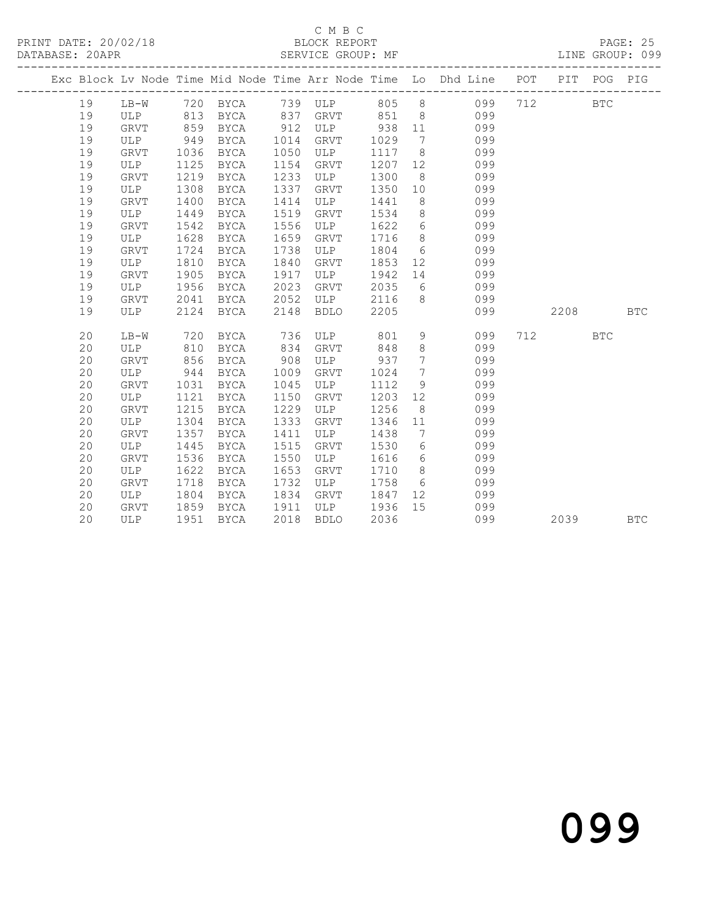## C M B C<br>BLOCK REPORT

### PRINT DATE: 20/02/18 BLOCK REPORT PAGE: 25

LINE GROUP: 099

|  |    |             |      |             |      |             |         |                 | Exc Block Lv Node Time Mid Node Time Arr Node Time Lo Dhd Line POT PIT POG PIG |     |                 |            |            |
|--|----|-------------|------|-------------|------|-------------|---------|-----------------|--------------------------------------------------------------------------------|-----|-----------------|------------|------------|
|  | 19 |             |      |             |      |             |         |                 | LB-W 720 BYCA 739 ULP 805 8 099                                                | 712 | <b>EXECUTE:</b> |            |            |
|  | 19 | ULP         |      | 813 BYCA    | 837  | GRVT        | 851     |                 | $8\overline{)}$<br>099                                                         |     |                 |            |            |
|  | 19 | <b>GRVT</b> | 859  | BYCA        | 912  | ULP 938     |         | 11              | 099                                                                            |     |                 |            |            |
|  | 19 | ULP         | 949  | BYCA        | 1014 | GRVT        | 1029    | $\overline{7}$  | 099                                                                            |     |                 |            |            |
|  | 19 | GRVT        | 1036 | BYCA        | 1050 | ULP         | 1117    | 8 <sup>8</sup>  | 099                                                                            |     |                 |            |            |
|  | 19 | ULP         | 1125 | BYCA        | 1154 | GRVT        | 1207    | 12              | 099                                                                            |     |                 |            |            |
|  | 19 | GRVT        | 1219 | BYCA        | 1233 | ULP         | 1300    | 8 <sup>8</sup>  | 099                                                                            |     |                 |            |            |
|  | 19 | ULP         | 1308 | BYCA        | 1337 | GRVT        | 1350    | 10              | 099                                                                            |     |                 |            |            |
|  | 19 | GRVT        | 1400 | BYCA        | 1414 | ULP         | 1441    | 8 <sup>8</sup>  | 099                                                                            |     |                 |            |            |
|  | 19 | ULP         | 1449 | BYCA        | 1519 | GRVT        | 1534    | 8 <sup>8</sup>  | 099                                                                            |     |                 |            |            |
|  | 19 | GRVT        | 1542 | BYCA        | 1556 | ULP         | 1622    | $6\overline{6}$ | 099                                                                            |     |                 |            |            |
|  | 19 | ULP         | 1628 | <b>BYCA</b> | 1659 | GRVT        | 1716    | 8 <sup>8</sup>  | 099                                                                            |     |                 |            |            |
|  | 19 | <b>GRVT</b> | 1724 | BYCA        | 1738 | ULP         | 1804    | $6\overline{6}$ | 099                                                                            |     |                 |            |            |
|  | 19 | ULP         | 1810 | BYCA        | 1840 | GRVT        | 1853    | 12              | 099                                                                            |     |                 |            |            |
|  | 19 | <b>GRVT</b> | 1905 | BYCA        | 1917 | ULP         | 1942    | 14              | 099                                                                            |     |                 |            |            |
|  | 19 | ULP         | 1956 | <b>BYCA</b> | 2023 | GRVT        | 2035    | 6               | 099                                                                            |     |                 |            |            |
|  | 19 | <b>GRVT</b> | 2041 | BYCA        | 2052 | ULP         | 2116    | 8 <sup>8</sup>  | 099                                                                            |     |                 |            |            |
|  | 19 | ULP         | 2124 | BYCA        | 2148 | <b>BDLO</b> | 2205    |                 | 099                                                                            |     | 2208            |            | <b>BTC</b> |
|  | 20 | $LB-W$      | 720  | BYCA        | 736  | ULP         | 801     | 9               | 099                                                                            |     | 712             | <b>BTC</b> |            |
|  | 20 | ULP         | 810  | BYCA        | 834  | GRVT        | 848     | 8               | 099                                                                            |     |                 |            |            |
|  | 20 | GRVT        | 856  | BYCA        | 908  | ULP         | 937     | $\overline{7}$  | 099                                                                            |     |                 |            |            |
|  | 20 | ULP         | 944  | BYCA        | 1009 | GRVT        | 1024    | $7\overline{ }$ | 099                                                                            |     |                 |            |            |
|  | 20 | GRVT        | 1031 | BYCA        | 1045 | ULP         | 1112    | 9               | 099                                                                            |     |                 |            |            |
|  | 20 | ULP         | 1121 | BYCA        | 1150 | GRVT        | 1203    | 12              | 099                                                                            |     |                 |            |            |
|  | 20 | <b>GRVT</b> | 1215 | BYCA        | 1229 | ULP         | 1256    | 8 <sup>8</sup>  | 099                                                                            |     |                 |            |            |
|  | 20 | ULP         | 1304 | BYCA        | 1333 | GRVT        | 1346    | 11              | 099                                                                            |     |                 |            |            |
|  | 20 | <b>GRVT</b> | 1357 | BYCA        | 1411 | ULP         | 1438    | $\overline{7}$  | 099                                                                            |     |                 |            |            |
|  | 20 | ULP         | 1445 | BYCA        | 1515 | GRVT        | 1530    | 6 <sup>6</sup>  | 099                                                                            |     |                 |            |            |
|  | 20 | <b>GRVT</b> | 1536 | BYCA        | 1550 | ULP         | 1616    | $6\overline{6}$ | 099                                                                            |     |                 |            |            |
|  | 20 | ULP         | 1622 | BYCA        | 1653 | GRVT        | 1710    | 8 <sup>8</sup>  | 099                                                                            |     |                 |            |            |
|  | 20 | GRVT        | 1718 | BYCA        | 1732 | ULP         | 1758    | 6               | 099                                                                            |     |                 |            |            |
|  | 20 | ULP         | 1804 | BYCA        | 1834 | GRVT        | 1847 12 |                 | 099                                                                            |     |                 |            |            |
|  | 20 | GRVT        | 1859 | BYCA        | 1911 | ULP 1936    |         | 15              | 099                                                                            |     |                 |            |            |
|  | 20 | ULP         | 1951 | BYCA        | 2018 | <b>BDLO</b> | 2036    |                 | 099                                                                            |     | 2039            |            | <b>BTC</b> |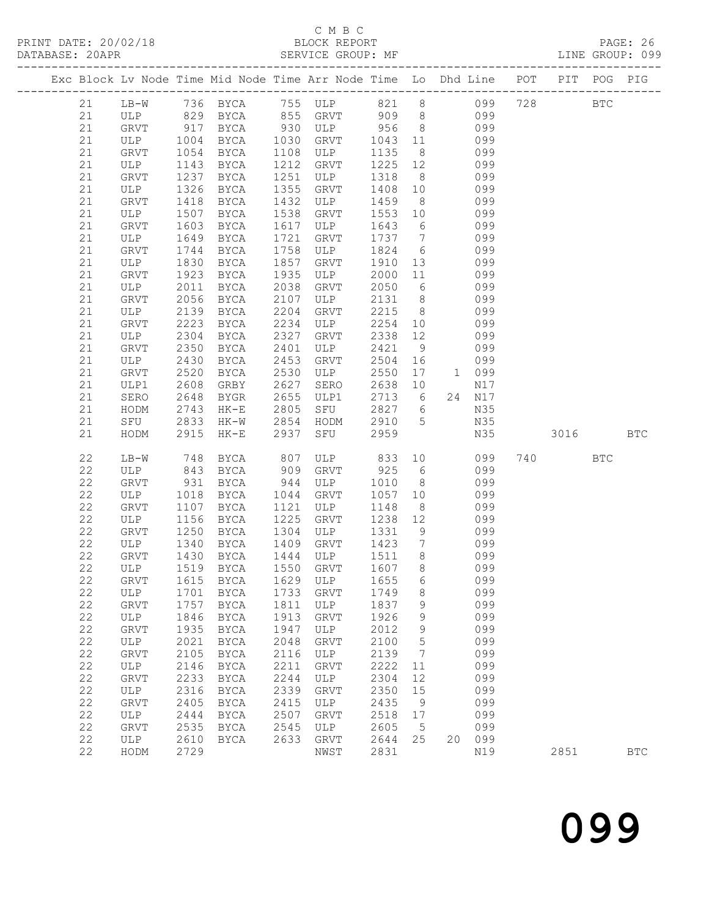## C M B C<br>BLOCK REPORT

LINE GROUP: 099

| Exc Block Lv Node Time Mid Node Time Arr Node Time Lo Dhd Line POT PIT POG PIG |               |              |              |                      |                                                                    |              |                              |                  |     |            |            |            |
|--------------------------------------------------------------------------------|---------------|--------------|--------------|----------------------|--------------------------------------------------------------------|--------------|------------------------------|------------------|-----|------------|------------|------------|
| 21                                                                             |               |              |              |                      | LB-W 736 BYCA 755 ULP 821 8 099<br>ULP 829 BYCA 855 GRVT 909 8 099 |              |                              |                  | 728 | <b>BTC</b> |            |            |
| 21                                                                             |               |              |              |                      |                                                                    |              |                              |                  |     |            |            |            |
| 21                                                                             | GRVT 917 BYCA |              |              | 930                  | ULP 956                                                            |              | 8 <sup>8</sup>               | 099              |     |            |            |            |
| 21                                                                             | ULP           |              | 1004 BYCA    | 1030<br>1108<br>1212 | GRVT                                                               | 1043         | 11                           | 099              |     |            |            |            |
| 21                                                                             | GRVT          |              | 1054 BYCA    |                      | ULP                                                                | 1135         | 8 <sup>8</sup>               | 099              |     |            |            |            |
| 21                                                                             | ULP           | 1143         | BYCA         |                      | GRVT                                                               | 1225         | 12                           | 099              |     |            |            |            |
| 21                                                                             | GRVT          | 1237         | BYCA         | 1251                 | ULP                                                                | 1318         | 8 <sup>8</sup>               | 099              |     |            |            |            |
| 21                                                                             | ULP           | 1326         | BYCA         | 1355                 | GRVT                                                               | 1408         | 10                           | 099              |     |            |            |            |
| 21                                                                             | GRVT          | 1418         | BYCA         | 1432                 | ULP                                                                | 1459         | 8 <sup>8</sup>               | 099              |     |            |            |            |
| 21                                                                             | ULP           | 1507         | BYCA         | 1538                 | GRVT                                                               | 1553 10      |                              | 099              |     |            |            |            |
| 21                                                                             | GRVT          | 1603         | BYCA         | 1617                 | ULP                                                                | 1643         | $6\overline{6}$              | 099              |     |            |            |            |
| 21                                                                             | ULP           | 1649         | BYCA         | 1721                 | GRVT                                                               | 1737 7       |                              | 099              |     |            |            |            |
| 21                                                                             | GRVT          | 1744         | BYCA         | 1758                 | ULP                                                                | 1824         | $6\overline{6}$              | 099              |     |            |            |            |
| 21                                                                             | ULP           | 1830         | BYCA         | 1857                 | GRVT                                                               | 1910         | 13                           | 099              |     |            |            |            |
| 21                                                                             | GRVT          | 1923         | BYCA         | 1935                 | ULP                                                                | 2000         | 11                           | 099              |     |            |            |            |
| 21                                                                             | ULP           | 2011         | BYCA         | 2038                 | GRVT                                                               | 2050         | $6\overline{6}$              | 099              |     |            |            |            |
| 21                                                                             | GRVT          | 2056         | BYCA         | 2107                 | ULP                                                                | 2131         | 8 <sup>1</sup>               | 099              |     |            |            |            |
| 21                                                                             | ULP           | 2139         | BYCA         | 2204                 | GRVT                                                               | 2215         | 8 <sup>1</sup>               | 099              |     |            |            |            |
| 21                                                                             | GRVT          | 2223         | BYCA         | 2234                 | ULP                                                                | 2254 10      |                              | 099              |     |            |            |            |
| 21                                                                             | ULP           | 2304         | BYCA         | 2327                 | GRVT                                                               | 2338         | 12                           | 099              |     |            |            |            |
| 21<br>21                                                                       | GRVT<br>ULP   | 2350<br>2430 | BYCA<br>BYCA | 2401<br>2453         | ULP<br>GRVT                                                        | 2421<br>2504 | 9<br>16                      | 099<br>099       |     |            |            |            |
| 21                                                                             | GRVT          | 2520         | BYCA         | 2530                 | ULP                                                                | 2550         | 17                           | 1 099            |     |            |            |            |
| 21                                                                             | ULP1          | 2608         | GRBY         | 2627                 | SERO                                                               | 2638         | 10                           | N17              |     |            |            |            |
| 21                                                                             | SERO          | 2648         | BYGR         |                      | ULP1                                                               | 2713 6       |                              | 24 N17           |     |            |            |            |
| 21                                                                             | HODM          | 2743         | $HK-E$       |                      | SFU                                                                | 2827 6       |                              | N35              |     |            |            |            |
| 21                                                                             | SFU           | 2833         | HK-W         | 2655<br>2805<br>2854 | HODM                                                               | 2910 5       |                              | N35              |     |            |            |            |
| 21                                                                             | HODM          | 2915         | HK-E         | 2937                 | SFU                                                                | 2959         |                              | N35              |     | 3016       | <b>BTC</b> |            |
|                                                                                |               |              |              |                      |                                                                    |              |                              |                  |     |            |            |            |
| 22<br>22                                                                       | LB-W          | 748<br>843   | BYCA         | 807<br>909           | ULP<br>GRVT                                                        | 833<br>925   | $6\overline{6}$              | 10<br>099<br>099 |     | 740 BTC    |            |            |
| 22                                                                             | ULP<br>GRVT   | 931          | BYCA<br>BYCA | 944                  | ULP                                                                | 1010         | 8 <sup>1</sup>               | 099              |     |            |            |            |
| 22                                                                             | ULP           | 1018         | BYCA         | 1044                 | GRVT                                                               | 1057         | 10                           | 099              |     |            |            |            |
| 22                                                                             | GRVT          | 1107         | BYCA         | 1121                 | ULP                                                                | 1148         | 8 <sup>8</sup>               | 099              |     |            |            |            |
| 22                                                                             | ULP           | 1156         | BYCA         | 1225                 | GRVT                                                               | 1238         | 12                           | 099              |     |            |            |            |
| 22                                                                             | GRVT          | 1250         | BYCA         | 1304                 | ULP                                                                | 1331         | 9                            | 099              |     |            |            |            |
| 22                                                                             | ULP           | 1340         | BYCA         |                      | GRVT                                                               | 1423         | $\overline{7}$               | 099              |     |            |            |            |
| 22                                                                             | GRVT          | 1430         | BYCA         |                      | ULP                                                                | 1511         | 8 <sup>8</sup>               | 099              |     |            |            |            |
| 22                                                                             | ULP           |              | 1519 BYCA    | 1409<br>1444<br>1550 | GRVT                                                               | 1607         | 8 <sup>8</sup>               | 099              |     |            |            |            |
| 22                                                                             | GRVT          |              |              |                      | 1615 BYCA 1629 ULP 1655 6                                          |              |                              | 099              |     |            |            |            |
| 22                                                                             | ULP           |              | 1701 BYCA    | 1733                 | GRVT                                                               | 1749         | 8                            | 099              |     |            |            |            |
| 22                                                                             | GRVT          | 1757         | BYCA         | 1811                 | ULP                                                                | 1837         | 9                            | 099              |     |            |            |            |
| 22                                                                             | ULP           | 1846         | BYCA         | 1913                 | GRVT                                                               | 1926         | 9                            | 099              |     |            |            |            |
| 22                                                                             | GRVT          | 1935         | BYCA         | 1947                 | ULP                                                                | 2012         | - 9                          | 099              |     |            |            |            |
| 22                                                                             | ULP           | 2021         | BYCA         | 2048                 | GRVT                                                               | 2100         | $5\phantom{.0}$              | 099              |     |            |            |            |
| 22                                                                             | GRVT          | 2105         | BYCA         | 2116                 | ULP                                                                | 2139         | $7\phantom{.0}\phantom{.0}7$ | 099              |     |            |            |            |
| 22                                                                             | ULP           | 2146         | BYCA         | 2211                 | GRVT                                                               | 2222         | 11                           | 099              |     |            |            |            |
| 22                                                                             | GRVT          | 2233         | BYCA         | 2244                 | ULP                                                                | 2304         | 12                           | 099              |     |            |            |            |
| 22                                                                             | ULP           | 2316         | BYCA         | 2339                 | GRVT                                                               | 2350         | 15                           | 099              |     |            |            |            |
| 22                                                                             | GRVT          | 2405         | BYCA         | 2415                 | ULP                                                                | 2435         | 9                            | 099              |     |            |            |            |
| 22                                                                             | ULP           | 2444         | BYCA         | 2507                 | GRVT                                                               | 2518         | 17                           | 099              |     |            |            |            |
| 22<br>22                                                                       | GRVT          | 2535         | BYCA         | 2545                 | ULP                                                                | 2605         | $5\overline{)}$              | 099<br>20 099    |     |            |            |            |
| 22                                                                             | ULP<br>HODM   | 2610<br>2729 | BYCA         | 2633                 | GRVT                                                               | 2644<br>2831 | 25                           | N19              |     | 2851       |            | <b>BTC</b> |
|                                                                                |               |              |              |                      | NWST                                                               |              |                              |                  |     |            |            |            |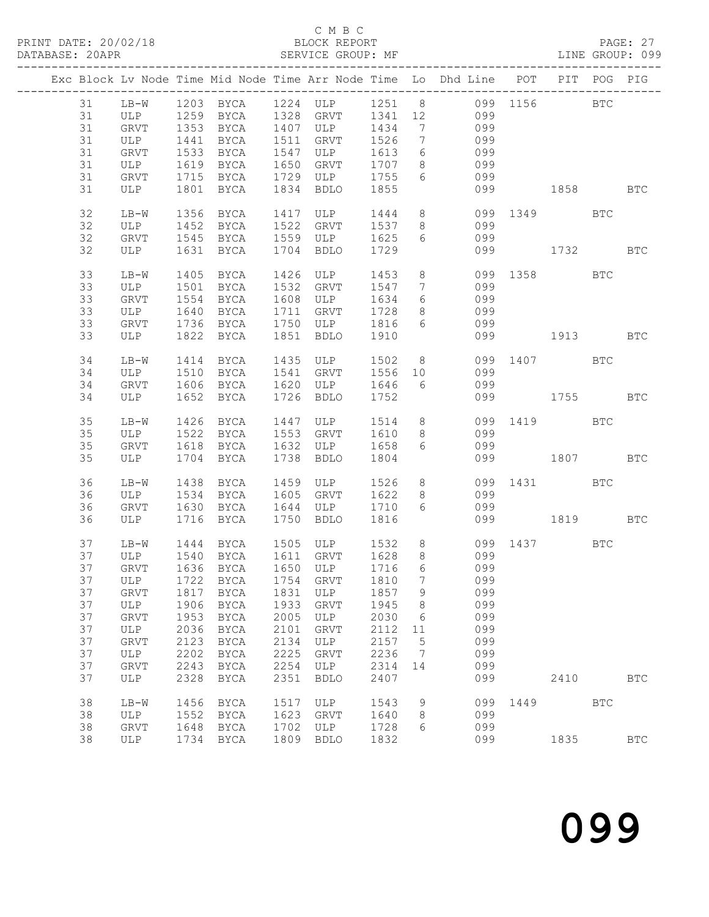|  |    |        |      |             |              |                         |              |                              | Exc Block Lv Node Time Mid Node Time Arr Node Time Lo Dhd Line POT PIT POG PIG |              |          |            |
|--|----|--------|------|-------------|--------------|-------------------------|--------------|------------------------------|--------------------------------------------------------------------------------|--------------|----------|------------|
|  | 31 |        |      |             |              |                         |              |                              | LB-W 1203 BYCA 1224 ULP 1251 8 099 1156 BTC                                    |              |          |            |
|  | 31 | ULP    |      | 1259 BYCA   |              | --<br>1328 GRVT 1341 12 |              |                              | 099                                                                            |              |          |            |
|  | 31 | GRVT   |      | 1353 BYCA   |              | 1407 ULP 1434           |              | $\overline{7}$               | 099                                                                            |              |          |            |
|  | 31 | ULP    | 1441 | BYCA        | 1511         | GRVT                    | 1526         | $\overline{7}$               | 099                                                                            |              |          |            |
|  | 31 | GRVT   | 1533 | BYCA        |              | ULP                     | 1613         | $6\overline{6}$              | 099                                                                            |              |          |            |
|  |    |        |      |             | 1547<br>1650 |                         | 1707         |                              |                                                                                |              |          |            |
|  | 31 | ULP    |      | 1619 BYCA   |              | GRVT                    |              | 8 <sup>1</sup>               | 099                                                                            |              |          |            |
|  | 31 | GRVT   |      | 1715 BYCA   | 1729         | ULP                     | 1755         | 6                            | 099                                                                            |              |          |            |
|  | 31 | ULP    | 1801 | BYCA        | 1834         | BDLO                    | 1855         |                              | 099                                                                            |              | 1858 BTC |            |
|  | 32 | $LB-W$ |      | 1356 BYCA   | 1417         | ULP                     | 1444 8       |                              |                                                                                | 099 1349 BTC |          |            |
|  | 32 | ULP    | 1452 | BYCA        | 1522         | GRVT                    | 1537         | 8 <sup>1</sup>               | 099                                                                            |              |          |            |
|  | 32 | GRVT   |      | 1545 BYCA   | 1559         | ULP                     | 1625         | 6                            | 099                                                                            |              |          |            |
|  | 32 | ULP    |      | 1631 BYCA   | 1704         | BDLO                    | 1729         |                              | 099                                                                            | 1732         |          | <b>BTC</b> |
|  |    |        |      |             |              |                         |              |                              |                                                                                |              |          |            |
|  | 33 | $LB-W$ | 1405 | BYCA        | 1426         | ULP                     | 1453         | 8 <sup>8</sup>               | 099                                                                            |              | 1358 BTC |            |
|  | 33 | ULP    |      | 1501 BYCA   | 1532         | GRVT                    | 1547         | $7\phantom{.0}\phantom{.0}7$ | 099                                                                            |              |          |            |
|  | 33 | GRVT   | 1554 | BYCA        | 1608         | ULP                     | 1634         | 6                            | 099                                                                            |              |          |            |
|  | 33 | ULP    | 1640 | BYCA        | 1711         | GRVT                    | 1728         | 8 <sup>8</sup>               | 099                                                                            |              |          |            |
|  | 33 | GRVT   |      | 1736 BYCA   | 1750         | ULP 1816                |              | $6\overline{6}$              | 099                                                                            |              |          |            |
|  | 33 | ULP    | 1822 | BYCA        | 1851         | BDLO                    | 1910         |                              | 099                                                                            |              | 1913 BTC |            |
|  | 34 | $LB-W$ |      | 1414 BYCA   | 1435         | ULP                     | 1502         |                              | 8 <sup>8</sup>                                                                 | 099 1407 BTC |          |            |
|  | 34 | ULP    | 1510 | BYCA        | 1541         | GRVT                    | 1556         | 10                           | 099                                                                            |              |          |            |
|  | 34 | GRVT   |      | 1606 BYCA   | 1620         | ULP                     | 1646         | $6\overline{6}$              | 099                                                                            |              |          |            |
|  | 34 | ULP    | 1652 | BYCA        | 1726         | BDLO                    | 1752         |                              |                                                                                | 099 00       | 1755     | <b>BTC</b> |
|  |    |        |      |             |              |                         |              |                              |                                                                                |              |          |            |
|  | 35 | $LB-W$ |      | 1426 BYCA   | 1447         | ULP                     | 1514 8       |                              |                                                                                | 099 1419 BTC |          |            |
|  | 35 | ULP    |      | 1522 BYCA   | 1553         | GRVT                    | 1610         | 8 <sup>8</sup>               | 099                                                                            |              |          |            |
|  | 35 | GRVT   |      | 1618 BYCA   | 1632         | ULP                     | 1658         | 6                            | 099                                                                            |              |          |            |
|  | 35 | ULP    |      | 1704 BYCA   | 1738         | BDLO                    | 1804         |                              | 099                                                                            |              | 1807     | <b>BTC</b> |
|  |    |        |      |             |              |                         |              |                              |                                                                                |              |          |            |
|  | 36 | LB-W   | 1438 | BYCA        | 1459         | ULP                     | 1526         | 8 <sup>8</sup>               | 099                                                                            |              | 1431 BTC |            |
|  | 36 | ULP    |      | 1534 BYCA   | 1605         | GRVT                    | 1622         | 8 <sup>8</sup>               | 099                                                                            |              |          |            |
|  | 36 | GRVT   | 1630 | BYCA        | 1644         | ULP                     | 1710         | 6                            | 099                                                                            |              |          |            |
|  | 36 | ULP    | 1716 | BYCA        | 1750         | BDLO                    | 1816         |                              | 099                                                                            |              | 1819     | BTC        |
|  |    |        |      |             |              |                         |              |                              |                                                                                |              |          |            |
|  | 37 | $LB-W$ |      | 1444 BYCA   | 1505         | ULP                     | 1532         | 8 <sup>8</sup>               |                                                                                | 099 1437 BTC |          |            |
|  | 37 | ULP    |      | 1540 BYCA   | 1611<br>1650 | GRVT                    | 1628<br>1716 | 8 <sup>8</sup>               | 099                                                                            |              |          |            |
|  | 37 | GRVT   |      | 1636 BYCA   |              | ULP                     |              | 6                            | 099                                                                            |              |          |            |
|  | 37 |        |      |             |              |                         |              |                              | ULP 1722 BYCA 1754 GRVT 1810 7 099                                             |              |          |            |
|  | 37 | GRVT   |      | 1817 BYCA   | 1831         | ULP                     | 1857         | - 9                          | 099                                                                            |              |          |            |
|  | 37 | ULP    | 1906 | BYCA        | 1933         | GRVT                    | 1945         | 8 <sup>8</sup>               | 099                                                                            |              |          |            |
|  | 37 | GRVT   | 1953 | BYCA        | 2005         | ULP                     | 2030         | 6                            | 099                                                                            |              |          |            |
|  | 37 | ULP    | 2036 | BYCA        | 2101         | GRVT                    | 2112         | 11                           | 099                                                                            |              |          |            |
|  | 37 |        |      |             |              |                         | 2157         | $5^{\circ}$                  | 099                                                                            |              |          |            |
|  |    | GRVT   | 2123 | BYCA        | 2134         | ULP                     |              |                              |                                                                                |              |          |            |
|  | 37 | ULP    | 2202 | <b>BYCA</b> | 2225         | GRVT                    | 2236         | $\overline{7}$               | 099                                                                            |              |          |            |
|  | 37 | GRVT   | 2243 | BYCA        | 2254         | ULP                     | 2314         | 14                           | 099                                                                            |              |          |            |
|  | 37 | ULP    | 2328 | BYCA        | 2351         | <b>BDLO</b>             | 2407         |                              | 099                                                                            |              | 2410     | <b>BTC</b> |
|  | 38 | $LB-W$ | 1456 | BYCA        | 1517         | ULP                     | 1543         | 9                            | 099                                                                            |              | 1449 BTC |            |
|  | 38 | ULP    | 1552 | BYCA        | 1623         | GRVT                    | 1640         | 8                            | 099                                                                            |              |          |            |
|  | 38 | GRVT   | 1648 | BYCA        | 1702         | ULP                     | 1728         | 6                            | 099                                                                            |              |          |            |
|  | 38 | ULP    | 1734 | BYCA        | 1809         | <b>BDLO</b>             | 1832         |                              | 099                                                                            |              | 1835     | <b>BTC</b> |
|  |    |        |      |             |              |                         |              |                              |                                                                                |              |          |            |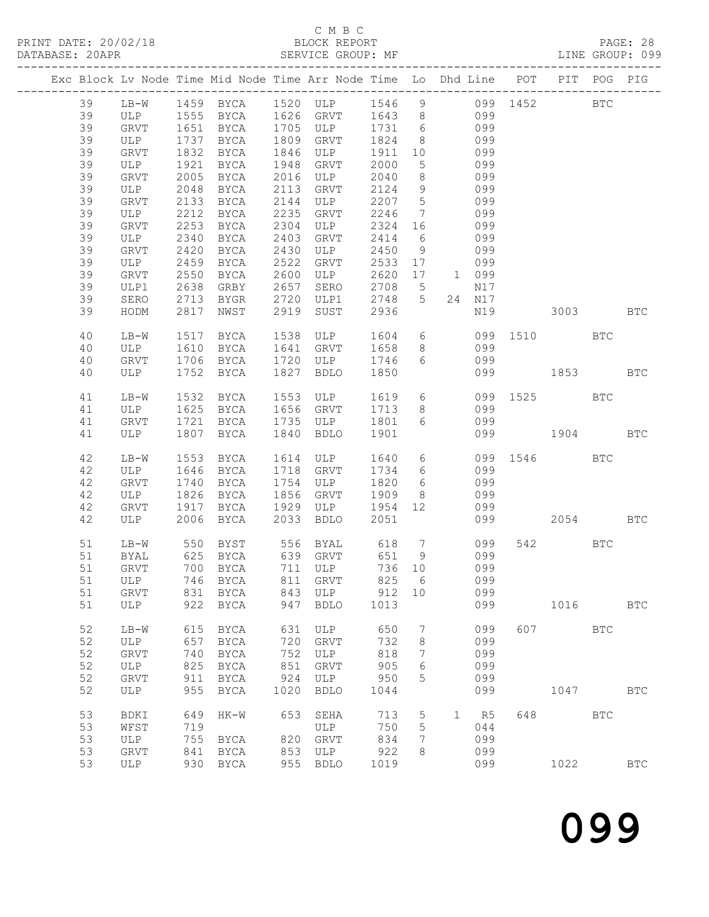## C M B C<br>BLOCK REPORT

|  |    |                |      |                     |              | Exc Block Lv Node Time Mid Node Time Arr Node Time Lo Dhd Line POT PIT POG PIG |              |                              |                 |        |              |          |              |
|--|----|----------------|------|---------------------|--------------|--------------------------------------------------------------------------------|--------------|------------------------------|-----------------|--------|--------------|----------|--------------|
|  | 39 |                |      |                     |              | LB-W 1459 BYCA 1520 ULP 1546 9 099 1452 BTC                                    |              |                              |                 |        |              |          |              |
|  | 39 | ULP 1555 BYCA  |      |                     |              | 1626 GRVT 1643 8 099                                                           |              |                              |                 |        |              |          |              |
|  | 39 | GRVT 1651 BYCA |      |                     | 1705         | ULP 1731                                                                       |              |                              | $6\overline{6}$ | 099    |              |          |              |
|  | 39 | ULP            |      | 1737 BYCA           | 1809         | GRVT                                                                           | 1824         | 8 <sup>8</sup>               |                 | 099    |              |          |              |
|  | 39 | GRVT           | 1832 | BYCA                |              | ULP                                                                            | 1911         | 10                           |                 | 099    |              |          |              |
|  | 39 | ULP            | 1921 | BYCA                | 1846<br>1948 | GRVT                                                                           | 2000         | $5\overline{)}$              |                 | 099    |              |          |              |
|  | 39 | GRVT           | 2005 | BYCA                | 2016         | ULP                                                                            | 2040         | 8 <sup>8</sup>               |                 | 099    |              |          |              |
|  | 39 | ULP            | 2048 | BYCA                | 2113         | GRVT                                                                           | 2124         | 9                            |                 | 099    |              |          |              |
|  | 39 | GRVT           | 2133 | BYCA                | 2144         | ULP                                                                            | 2207         | $5\overline{)}$              |                 | 099    |              |          |              |
|  | 39 | ULP            | 2212 | BYCA                | 2235         | GRVT                                                                           | 2246         | $7\overline{ }$              |                 | 099    |              |          |              |
|  | 39 | GRVT           | 2253 | BYCA                | 2304         | ULP                                                                            | 2324 16      |                              |                 | 099    |              |          |              |
|  | 39 | ULP            | 2340 | BYCA                | 2403         | GRVT                                                                           | 2414         | 6                            |                 | 099    |              |          |              |
|  | 39 | GRVT           | 2420 | BYCA                | 2430         | ULP                                                                            | 2450         | 9                            |                 | 099    |              |          |              |
|  | 39 | ULP            | 2459 | BYCA                | 2522         | GRVT                                                                           | 2533         | 17                           |                 | 099    |              |          |              |
|  | 39 | GRVT           | 2550 | BYCA                | 2600         | ULP                                                                            | 2620         | 17                           | 1 099           |        |              |          |              |
|  | 39 | ULP1           | 2638 | GRBY                | 2657         | SERO                                                                           | 2708         | $5\overline{)}$              |                 | N17    |              |          |              |
|  | 39 | SERO           | 2713 | BYGR                | 2720         | ULP1                                                                           | 2748         | 5 <sup>5</sup>               |                 | 24 N17 |              |          |              |
|  |    |                | 2817 |                     | 2919         |                                                                                |              |                              |                 | N19    |              |          |              |
|  | 39 | HODM           |      | NWST                |              | SUST                                                                           | 2936         |                              |                 |        |              | 3003 BTC |              |
|  | 40 | $LB-W$         | 1517 | BYCA                | 1538         | ULP                                                                            | 1604         |                              | $6\overline{6}$ |        | 099 1510 BTC |          |              |
|  | 40 | ULP            | 1610 | BYCA                | 1641         | GRVT                                                                           | 1658         | 8 <sup>8</sup>               |                 | 099    |              |          |              |
|  | 40 | GRVT           |      | 1706 BYCA           | 1720         | ULP                                                                            | 1746         | $6\overline{6}$              |                 | 099    |              |          |              |
|  | 40 | ULP            | 1752 | BYCA                |              | 1827 BDLO                                                                      | 1850         |                              |                 | 099    |              | 1853     | <b>BTC</b>   |
|  |    |                |      |                     |              |                                                                                |              |                              |                 |        |              |          |              |
|  | 41 | $LB-W$         |      | 1532 BYCA           | 1553<br>1656 | ULP                                                                            | 1619 6       |                              |                 |        | 099 1525 BTC |          |              |
|  | 41 | ULP            |      | 1625 BYCA           |              | GRVT                                                                           | 1713         | 8 <sup>8</sup>               |                 | 099    |              |          |              |
|  | 41 | GRVT           |      | 1721 BYCA           |              | $1735$ ULP                                                                     | 1801         | $6\overline{6}$              |                 | 099    |              |          |              |
|  | 41 | ULP            | 1807 | BYCA                |              | 1840 BDLO                                                                      | 1901         |                              |                 | 099    | 1904 BTC     |          |              |
|  |    |                |      |                     |              |                                                                                |              |                              |                 |        |              |          |              |
|  | 42 | $LB-W$         | 1553 | BYCA                | 1614         | ULP                                                                            | 1640         |                              | $6\overline{6}$ |        | 099 1546 BTC |          |              |
|  | 42 | ULP            | 1646 | BYCA                | 1718         | GRVT                                                                           | 1734         | 6 <sup>6</sup>               |                 | 099    |              |          |              |
|  | 42 | GRVT           | 1740 | BYCA                | 1754         | ULP                                                                            | 1820         | $6\overline{6}$              |                 | 099    |              |          |              |
|  | 42 | ULP            | 1826 | BYCA                | 1856         | GRVT                                                                           | 1909 8       |                              |                 | 099    |              |          |              |
|  | 42 | GRVT           | 1917 | BYCA                |              | I929 ULP<br>2033 PDTO                                                          | 1954 12      |                              |                 | 099    |              |          |              |
|  | 42 | ULP            | 2006 | BYCA                |              |                                                                                | 2051         |                              |                 | 099    |              | 2054 BTC |              |
|  | 51 | $LB-W$         |      | 550 BYST            | 556          | <b>BYAL</b>                                                                    | 618          | $7\overline{ }$              |                 | 099    |              | 542 BTC  |              |
|  | 51 | BYAL           |      | $625$ BYCA<br>$700$ |              | 639 GRVT<br>711 ULP<br>GRVT                                                    | $-18$<br>651 | 9                            |                 | 099    |              |          |              |
|  | 51 | GRVT           |      | 700 BYCA            |              |                                                                                | 736 10       |                              |                 | 099    |              |          |              |
|  |    |                |      |                     |              | 51 ULP 746 BYCA 811 GRVT 825 6 099                                             |              |                              |                 |        |              |          |              |
|  | 51 | GRVT           |      | 831 BYCA            |              | 843 ULP                                                                        | 912 10       |                              |                 | 099    |              |          |              |
|  | 51 | ULP            | 922  | BYCA                | 947          | <b>BDLO</b>                                                                    | 1013         |                              |                 | 099    |              | 1016     | $_{\rm BTC}$ |
|  | 52 | $LB-W$         |      | 615 BYCA            | 631          | ULP                                                                            | 650          | $7\phantom{.0}\phantom{.0}7$ |                 | 099    |              | 607 BTC  |              |
|  | 52 | ULP            | 657  | BYCA                | 720          | GRVT                                                                           | 732          | 8                            |                 | 099    |              |          |              |
|  | 52 | GRVT           | 740  | BYCA                | 752          | ULP                                                                            | 818          | 7                            |                 | 099    |              |          |              |
|  | 52 | ULP            | 825  | BYCA                | 851          | GRVT                                                                           | 905          | 6                            |                 | 099    |              |          |              |
|  | 52 | GRVT           | 911  | BYCA                | 924          | ULP                                                                            | 950          | 5                            |                 | 099    |              |          |              |
|  | 52 | ULP            | 955  | BYCA                | 1020         | BDLO                                                                           | 1044         |                              |                 | 099    |              | 1047     | <b>BTC</b>   |
|  | 53 |                |      |                     |              | 653 SEHA                                                                       | 713          |                              |                 |        |              | 648 BTC  |              |
|  |    | BDKI           | 649  | HK-W                |              |                                                                                |              | $5\overline{)}$              |                 | 1 R5   |              |          |              |
|  | 53 | WFST           | 719  |                     |              | ULP                                                                            | 750          | 5                            |                 | 044    |              |          |              |
|  | 53 | ULP            |      | 755 BYCA            | 820          | GRVT                                                                           | 834          | 7                            |                 | 099    |              |          |              |
|  | 53 | ${\tt GRVT}$   |      | 841 BYCA            | 853          | ULP                                                                            | 922          | 8                            |                 | 099    |              |          |              |
|  | 53 | ULP            |      | 930 BYCA            |              | 955 BDLO                                                                       | 1019         |                              |                 | 099    |              | 1022     | <b>BTC</b>   |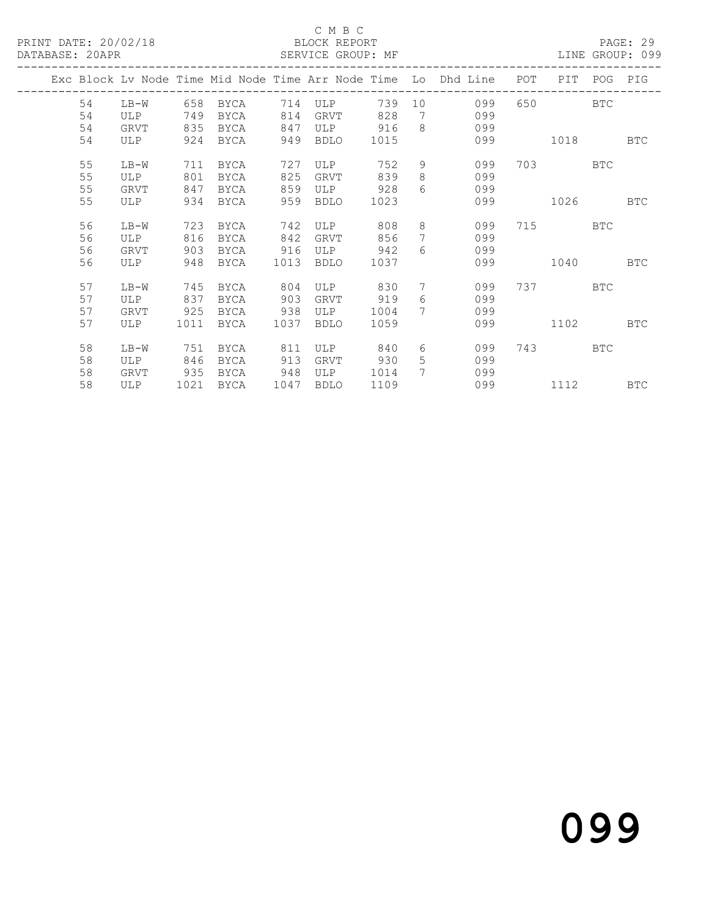## C M B C<br>BLOCK REPORT

LINE GROUP: 099

|  |    |            |            |              |      |             |      |                  | Exc Block Lv Node Time Mid Node Time Arr Node Time Lo Dhd Line | POT | PIT. | POG        | PIG        |
|--|----|------------|------------|--------------|------|-------------|------|------------------|----------------------------------------------------------------|-----|------|------------|------------|
|  | 54 | LB-W       | 658        | BYCA         | 714  | ULP         | 739  | 10               | 099                                                            | 650 |      | <b>BTC</b> |            |
|  | 54 | ULP        | 749        | <b>BYCA</b>  | 814  | GRVT        | 828  | 7                | 099                                                            |     |      |            |            |
|  | 54 | GRVT       | 835        | BYCA         | 847  | ULP         | 916  | 8                | 099                                                            |     |      |            |            |
|  | 54 | ULP        | 924        | <b>BYCA</b>  | 949  | <b>BDLO</b> | 1015 |                  | 099                                                            |     | 1018 |            | <b>BTC</b> |
|  | 55 | $LB-W$     | 711        | <b>BYCA</b>  | 727  | ULP         | 752  | 9                | 099                                                            | 703 |      | <b>BTC</b> |            |
|  | 55 | <b>ULP</b> | 801        | <b>BYCA</b>  | 825  | GRVT        | 839  | 8                | 099                                                            |     |      |            |            |
|  | 55 | GRVT       | 847        | <b>BYCA</b>  | 859  | ULP         | 928  | $6 \overline{6}$ | 099                                                            |     |      |            |            |
|  | 55 | ULP        | 934        | <b>BYCA</b>  | 959  | <b>BDLO</b> | 1023 |                  | 099                                                            |     | 1026 |            | BTC        |
|  | 56 | $LB-W$     | 723        | BYCA         | 742  | ULP         | 808  | 8                | 099                                                            | 715 |      | <b>BTC</b> |            |
|  | 56 | ULP        | 816        | <b>BYCA</b>  | 842  | GRVT        | 856  | 7                | 099                                                            |     |      |            |            |
|  | 56 | GRVT       | 903        | BYCA         | 916  | ULP         | 942  | 6                | 099                                                            |     |      |            |            |
|  | 56 | <b>ULP</b> | 948        | <b>BYCA</b>  | 1013 | <b>BDLO</b> | 1037 |                  | 099                                                            |     | 1040 |            | BTC        |
|  |    |            |            |              |      |             |      |                  |                                                                |     |      |            |            |
|  | 57 | $LB-W$     | 745        | BYCA         | 804  | ULP         | 830  | 7                | 099                                                            | 737 |      | BTC        |            |
|  | 57 | <b>ULP</b> | 837        | <b>BYCA</b>  | 903  | GRVT        | 919  | $6 \overline{6}$ | 099                                                            |     |      |            |            |
|  | 57 | GRVT       | 925        | BYCA         | 938  | ULP         | 1004 | 7                | 099                                                            |     |      |            |            |
|  | 57 | <b>ULP</b> | 1011       | BYCA         | 1037 | <b>BDLO</b> | 1059 |                  | 099                                                            |     | 1102 |            | <b>BTC</b> |
|  | 58 | $LB-W$     | 751        | <b>BYCA</b>  | 811  | <b>ULP</b>  | 840  | 6                | 099                                                            | 743 |      | <b>BTC</b> |            |
|  | 58 |            |            |              | 913  |             | 930  | 5                | 099                                                            |     |      |            |            |
|  |    | ULP        | 846<br>935 | BYCA<br>BYCA | 948  | GRVT<br>ULP | 1014 | 7                | 099                                                            |     |      |            |            |
|  | 58 | GRVT       |            |              |      |             |      |                  |                                                                |     |      |            |            |
|  | 58 | ULP        | 1021       | <b>BYCA</b>  | 1047 | <b>BDLO</b> | 1109 |                  | 099                                                            |     | 1112 |            | <b>BTC</b> |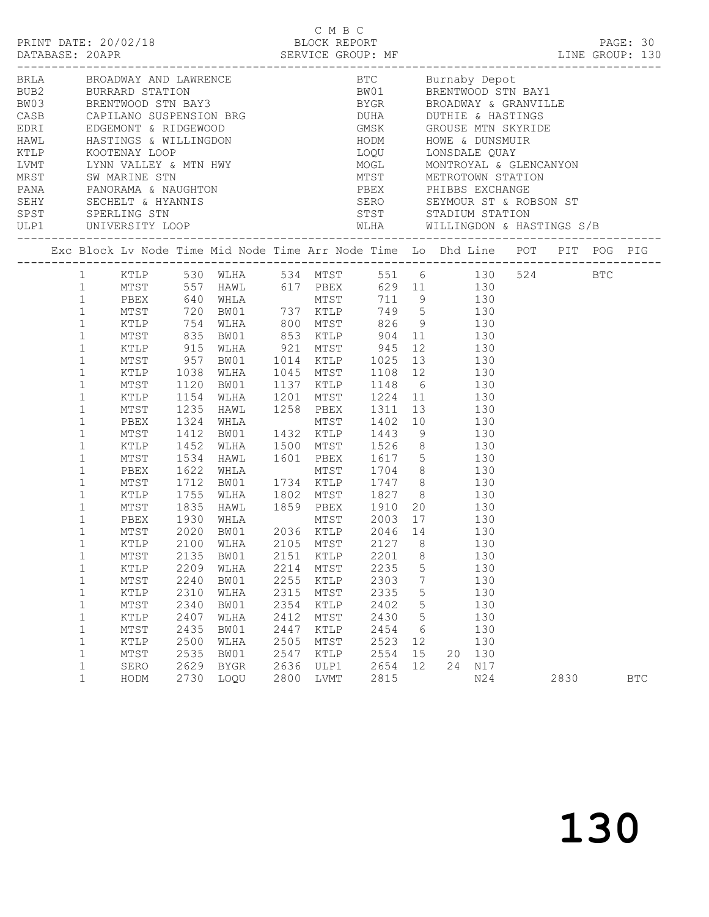| Exc Block Lv Node Time Mid Node Time Arr Node Time Lo Dhd Line POT PIT POG PIG                                                                                                                                                                                                                                                                                                                                                                                                                                                                                                                                                                                                                                                                                     |                                              |                                                                                                                                                                                                                                                    |                                              |                                              |                                                                                    |                          |                                                                                                                                                                                                                                                                                                                                                                  |      |            |
|--------------------------------------------------------------------------------------------------------------------------------------------------------------------------------------------------------------------------------------------------------------------------------------------------------------------------------------------------------------------------------------------------------------------------------------------------------------------------------------------------------------------------------------------------------------------------------------------------------------------------------------------------------------------------------------------------------------------------------------------------------------------|----------------------------------------------|----------------------------------------------------------------------------------------------------------------------------------------------------------------------------------------------------------------------------------------------------|----------------------------------------------|----------------------------------------------|------------------------------------------------------------------------------------|--------------------------|------------------------------------------------------------------------------------------------------------------------------------------------------------------------------------------------------------------------------------------------------------------------------------------------------------------------------------------------------------------|------|------------|
| 1 KTLP 530 WLHA 534 MTST 551 6 130 524 BTC<br>1 MTST 557 HAWL 617 PBEX 629 11 130<br>1 PBEX 640 WHLA MTST 711 9 130<br>MTST 720 BW01 737 KTLP 749 5 130<br>KTLP 754 WLHA 800 MTST 826 9 130<br>MTST 835 BW01 853 KTLP 904 11 130<br>$1\,$<br>$\mathbf{1}$<br>$\mathbf 1$<br>$\mathbf 1$<br>$\mathbf 1$<br>MTST 957 BW01<br>$\mathbf 1$<br>KTLP<br>$\mathbf 1$<br>MTST<br>$\mathbf{1}$<br>KTLP<br>$\mathbf 1$<br>MTST<br>$\mathbf{1}$<br>PBEX<br>$\mathbf 1$<br>MTST<br>$\mathbf{1}$<br>KTLP<br>$1\,$<br>MTST<br>$\mathbf{1}$<br>PBEX<br>$\mathbf 1$<br>MTST<br>$\mathbf 1$<br>KTLP<br>$\mathbf 1$<br>MTST<br>$\mathbf{1}$<br>PBEX<br>$\mathbf{1}$<br>MTST<br>$\mathbf 1$<br>KTLP<br>1<br>KTLP<br>$\mathbf 1$<br>MTST<br>$\mathbf 1$<br>KTLP<br>$\mathbf 1$<br>MTST | 1930<br>2209<br>2240<br>2310<br>2340         | 1038 WLHA<br>1120 BW01<br>1154 WLHA<br>1235 HAWL<br>1324 WHLA<br>1412 BW01<br>1452 WLHA<br>1534 HAWL<br>1622 WHLA<br>1712 BW01 1734<br>1755 WLHA 1802<br>1755 WLHA<br>1835 HAWL<br>MTST 2135 BW01 2151 KTLP 2201 8<br>WLHA<br>BW01<br>WLHA<br>BW01 | 1432<br>1500<br>2214<br>2255<br>2315<br>2354 | MTST<br>MTST<br>KTLP<br>MTST<br>KTLP         | 1137 KTLP 1148 6<br>MTST 1402<br>1859 PBEX 1910 20<br>2235<br>2303<br>2335<br>2402 | 5<br>7<br>5<br>5         | KTLP 915 WLHA 921 MTST 945 12 130<br>1014 KTLP 1025 13 130<br>1045 MTST 1108 12 130<br>130<br>1201 MTST 1224 11 130<br>1258 PBEX 1311 13 130<br>10   130<br>1432 KTLP 1443 9 130<br>1500 MTST 1526 8 130<br>1601 PBEX 1617 5 130<br>1704 8 130<br>1734 KTLP 1747 8 130<br>1802 MTST 1827 8 130<br>130<br>17 130<br>130<br>130<br>130<br>130<br>130<br>130<br>130 |      |            |
| $\mathbf 1$<br>KTLP<br>$\mathbf 1$<br>$\mathtt{MTST}$<br>$1\,$<br>KTLP<br>1<br>MTST<br>1<br>SERO<br>$\mathbf{1}$<br>HODM                                                                                                                                                                                                                                                                                                                                                                                                                                                                                                                                                                                                                                           | 2407<br>2435<br>2500<br>2535<br>2629<br>2730 | WLHA<br>BW01<br>WLHA<br>BW01<br><b>BYGR</b><br>LOQU                                                                                                                                                                                                | 2412<br>2447<br>2505<br>2547<br>2636<br>2800 | MTST<br>KTLP<br>MTST<br>KTLP<br>ULP1<br>LVMT | 2430<br>2454<br>2523<br>2554<br>2654<br>2815                                       | 5<br>6<br>12<br>15<br>12 | 130<br>130<br>130<br>20 130<br>24 N17<br>N24                                                                                                                                                                                                                                                                                                                     | 2830 | <b>BTC</b> |

C M B C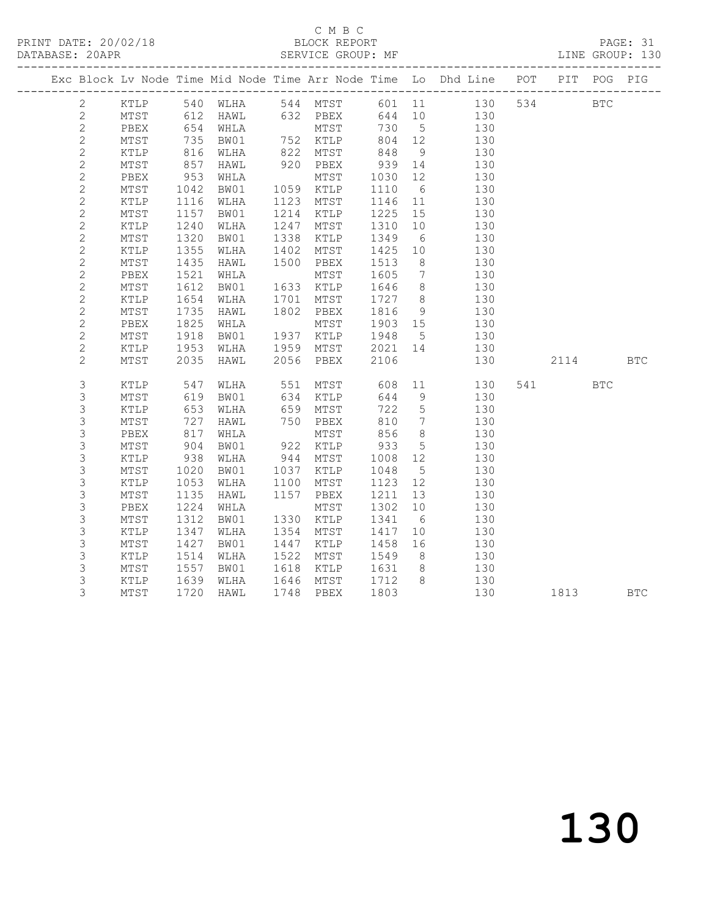## C M B C<br>BLOCK REPORT

PAGE: 31<br>LINE GROUP: 130

|  |                |               |                 |                      |                  |                              |            |                 | Exc Block Lv Node Time Mid Node Time Arr Node Time Lo Dhd Line POT PIT POG PIG |          |            |
|--|----------------|---------------|-----------------|----------------------|------------------|------------------------------|------------|-----------------|--------------------------------------------------------------------------------|----------|------------|
|  | $2^{\circ}$    |               |                 |                      |                  |                              |            |                 | KTLP 540 WLHA 544 MTST 601 11 130 534 BTC                                      |          |            |
|  | $\mathbf{2}$   | MTST 612 HAWL |                 |                      |                  |                              |            |                 | 632 PBEX 644 10 130                                                            |          |            |
|  | $\mathbf{2}$   | PBEX          |                 | 654 WHLA<br>735 BW01 |                  | MTST<br>752 KTLP             |            |                 | MTST 730 5 130<br>KTLP 804 12 130                                              |          |            |
|  | $\mathbf{2}$   | MTST          |                 |                      |                  |                              | 804        | 12              | 130                                                                            |          |            |
|  | $\mathbf{2}$   | KTLP          |                 | 816 WLHA             | 822              | MTST                         | 848        | 9               | 130                                                                            |          |            |
|  | $\sqrt{2}$     | MTST          | 857             | HAWL                 | 920              | PBEX                         | 939 14     |                 | 130                                                                            |          |            |
|  | $\mathbf{2}$   | PBEX          | $953$<br>$1042$ | WHLA                 |                  | MTST<br>1059 KTLP            | 1030       | 12              | 130                                                                            |          |            |
|  | $\sqrt{2}$     | MTST          |                 | BW01                 |                  |                              | 1110       | $6\overline{6}$ | 130                                                                            |          |            |
|  | $\mathbf{2}$   | KTLP          | 1116            | WLHA                 | 1123             | MTST                         | 1146 11    |                 | 130                                                                            |          |            |
|  | $\sqrt{2}$     | MTST          | 1157            | BW01                 | 1214<br>1247     | KTLP                         | 1225       | 15              | 130                                                                            |          |            |
|  | $\overline{c}$ | KTLP          | 1240            | WLHA                 |                  | MTST                         | 1310       | 10              | 130                                                                            |          |            |
|  | $\mathbf{2}$   | MTST          | 1320            | BW01                 | 1338             | KTLP                         | 1349       | 6               | 130                                                                            |          |            |
|  | $\sqrt{2}$     | KTLP          | 1355            | WLHA                 |                  | MTST                         | 1425       | 10              | 130                                                                            |          |            |
|  | $\overline{c}$ | MTST          | 1435            | HAWL                 | 1402<br>1500     | PBEX                         | 1513       | 8 <sup>8</sup>  | 130                                                                            |          |            |
|  | $\sqrt{2}$     | PBEX          | 1521            | WHLA                 |                  | MTST                         | 1605       | $\overline{7}$  | 130                                                                            |          |            |
|  | $\mathbf{2}$   | MTST          | 1612            | BW01                 |                  | 1633 KTLP                    | 1646       | 8 <sup>8</sup>  | 130                                                                            |          |            |
|  | $\sqrt{2}$     | KTLP          | 1654            | WLHA                 |                  | 1701 MTST<br>1802 PBEX       | 1727 8     |                 | 130                                                                            |          |            |
|  | $\mathbf{2}$   | MTST          | 1735            | HAWL                 |                  |                              | 1816       | 9               | 130                                                                            |          |            |
|  | $\sqrt{2}$     | PBEX          | 1825            | WHLA                 |                  | MTST                         | 1903 15    |                 | 130                                                                            |          |            |
|  | $\mathbf{2}$   | MTST          | 1918            | BW01                 |                  | 1937 KTLP<br>1959 MTST       | 1948 5     |                 | 130                                                                            |          |            |
|  | $\sqrt{2}$     | KTLP          | 1953            | WLHA                 |                  |                              | 2021 14    |                 | 130                                                                            |          |            |
|  | $\overline{2}$ | MTST          | 2035            | HAWL                 |                  | 2056 PBEX                    | 2106       |                 | 130                                                                            | 2114 BTC |            |
|  | $\mathsf 3$    | KTLP          | 547             | WLHA                 | 551<br>634       | MTST 608<br>KTLP 644         |            |                 | 11 130                                                                         | 541 BTC  |            |
|  | $\mathfrak{Z}$ | MTST          | 619             | BW01                 |                  | KTLP                         | 644        | 9               | 130                                                                            |          |            |
|  | $\mathsf 3$    | KTLP          | 653             | WLHA                 | 659              | MTST                         | 722        | $5\overline{)}$ | 130                                                                            |          |            |
|  | $\mathfrak{Z}$ | MTST          | 727<br>817      | HAWL                 |                  | 750 PBEX<br>MTST<br>922 KTLP | 810<br>856 | $\overline{7}$  | 130                                                                            |          |            |
|  | $\mathsf 3$    | PBEX          |                 | WHLA                 |                  |                              |            | 8 <sup>8</sup>  | 130                                                                            |          |            |
|  | $\mathsf 3$    | MTST          | 904             | BW01                 |                  |                              | 933        | $5\overline{)}$ | 130                                                                            |          |            |
|  | $\mathfrak{Z}$ | KTLP          | 938             | WLHA                 | 944<br>1037      | MTST                         | 1008       | 12              | 130                                                                            |          |            |
|  | $\mathsf{3}$   | MTST          | 1020            | BW01                 |                  | KTLP                         | 1048       | 5 <sup>5</sup>  | 130                                                                            |          |            |
|  | $\mathfrak{Z}$ | KTLP          | 1053            | WLHA                 | 1100             | MTST                         | 1123       | 12              | 130                                                                            |          |            |
|  | $\mathsf 3$    | MTST          | 1135            | HAWL                 |                  | 1157 PBEX                    | 1211       | 13              | 130                                                                            |          |            |
|  | $\mathsf 3$    | PBEX          | 1224            | WHLA                 | 1330             | MTST                         | 1302       | 10              | 130                                                                            |          |            |
|  | $\mathfrak{Z}$ | MTST          | 1312            | BW01                 |                  | 1330 KTLP                    | 1341       | $6\overline{6}$ | 130                                                                            |          |            |
|  | $\mathsf 3$    | KTLP          | 1347            | WLHA                 | 1354             | MTST                         | 1417       | 10              | 130                                                                            |          |            |
|  | $\mathfrak{Z}$ | MTST          | 1427            | BW01                 | 1447<br>1522     | KTLP                         | 1458       | 16              | 130                                                                            |          |            |
|  | $\mathfrak{Z}$ | KTLP          | 1514            | WLHA                 |                  | MTST                         | 1549       | 8 <sup>8</sup>  | 130                                                                            |          |            |
|  | $\mathsf 3$    | MTST          | 1557            | BW01                 | 1618             | KTLP                         | 1631       | 8 <sup>8</sup>  | 130                                                                            |          |            |
|  | $\mathsf 3$    | KTLP          | 1639            | WLHA                 | $1646$<br>$1710$ | MTST                         | 1712       |                 | 8 130                                                                          |          |            |
|  | 3              | MTST          | 1720            | HAWL                 |                  | 1748 PBEX                    | 1803       |                 | 130                                                                            | 1813     | <b>BTC</b> |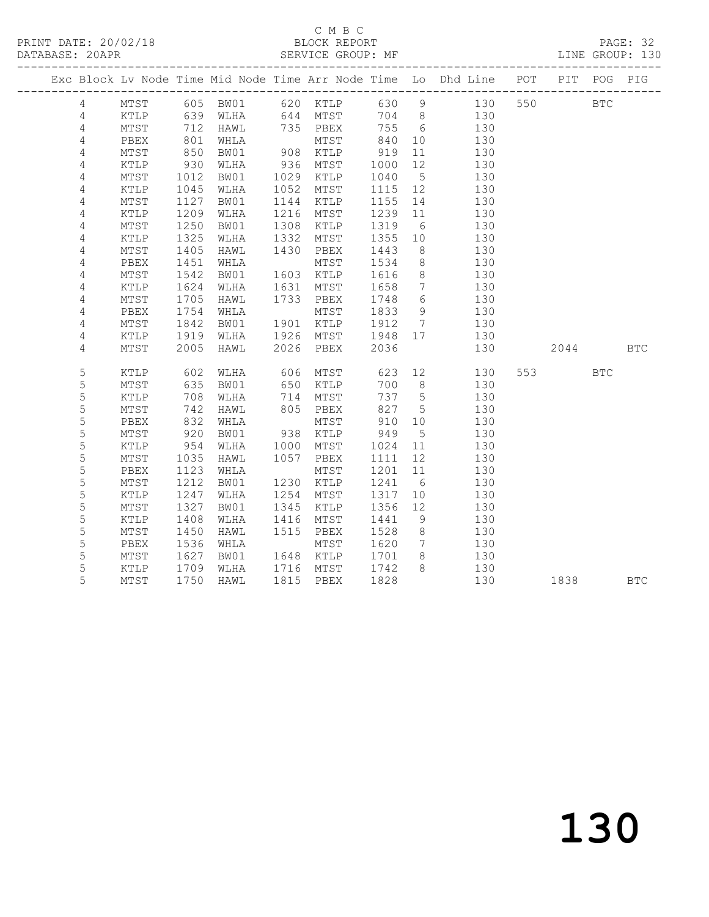### C M B C<br>BLOCK REPORT

|  |                |               |            |          |                  |                          |            |                 | Exc Block Lv Node Time Mid Node Time Arr Node Time Lo Dhd Line POT PIT POG PIG |     |            |            |            |
|--|----------------|---------------|------------|----------|------------------|--------------------------|------------|-----------------|--------------------------------------------------------------------------------|-----|------------|------------|------------|
|  | $\overline{4}$ |               |            |          |                  |                          |            |                 | MTST 605 BW01 620 KTLP 630 9 130                                               | 550 | <b>BTC</b> |            |            |
|  | $\overline{4}$ | KTLP 639 WLHA |            |          |                  |                          |            |                 | 644 MTST 704 8 130                                                             |     |            |            |            |
|  | 4              | MTST          |            | 712 HAWL |                  | 735 PBEX 755             |            | $6\overline{6}$ | 130                                                                            |     |            |            |            |
|  | 4              | PBEX          | 801<br>850 | WHLA     |                  | MTST<br>MTST<br>908 KTLP |            | 10              | 130                                                                            |     |            |            |            |
|  | $\sqrt{4}$     | MTST          |            | BW01     |                  |                          | 84∪<br>919 | 11              | 130                                                                            |     |            |            |            |
|  | $\overline{4}$ | KTLP          | 930        | WLHA     | 936              | MTST                     | 1000       | 12              | 130                                                                            |     |            |            |            |
|  | 4              | MTST          | 1012       | BW01     | 1029             | KTLP                     | 1040       | $5\overline{)}$ | 130                                                                            |     |            |            |            |
|  | $\sqrt{4}$     | KTLP          | 1045       | WLHA     | 1052             | MTST                     | 1115       | 12              | 130                                                                            |     |            |            |            |
|  | $\overline{4}$ | MTST          | 1127       | BW01     | 1144             | KTLP                     | 1155       | 14              | 130                                                                            |     |            |            |            |
|  | 4              | KTLP          | 1209       | WLHA     | 1216             | MTST                     | 1239       | 11              | 130                                                                            |     |            |            |            |
|  | 4              | MTST          | 1250       | BW01     | 1308             | KTLP                     | 1319       | 6               | 130                                                                            |     |            |            |            |
|  | $\sqrt{4}$     | KTLP          | 1325       | WLHA     | 1332             | MTST                     | 1355       | 10              | 130                                                                            |     |            |            |            |
|  | $\overline{4}$ | MTST          | 1405       | HAWL     | 1430             | PBEX                     | 1443       | 8 <sup>8</sup>  | 130                                                                            |     |            |            |            |
|  | 4              | PBEX          | 1451       | WHLA     |                  | MTST                     | 1534       | 8 <sup>8</sup>  | 130                                                                            |     |            |            |            |
|  | 4              | MTST          | 1542       | BW01     | 1603             | KTLP                     | 1616       | 8 <sup>8</sup>  | 130                                                                            |     |            |            |            |
|  | $\overline{4}$ | KTLP          | 1624       | WLHA     |                  | 1631 MTST<br>1733 PBEX   | 1658       | $\overline{7}$  | 130                                                                            |     |            |            |            |
|  | $\overline{4}$ | MTST          | 1705       | HAWL     |                  |                          | 1748       | $6\overline{6}$ | 130                                                                            |     |            |            |            |
|  | 4              | PBEX          | 1754       | WHLA     |                  | MTST                     | 1833 9     |                 | 130                                                                            |     |            |            |            |
|  | $\overline{4}$ | MTST          | 1842       | BW01     | 1901             | KTLP                     | 1912       | $7\overline{)}$ | 130                                                                            |     |            |            |            |
|  | $\overline{4}$ | KTLP          | 1919       | WLHA     | 1926             | MTST                     | 1948       | 17              | 130                                                                            |     |            |            |            |
|  | 4              | MTST          | 2005       | HAWL     |                  | 2026 PBEX                | 2036       |                 | 130                                                                            |     | 2044 BTC   |            |            |
|  | $\mathsf S$    | KTLP          | 602        | WLHA     |                  | MTST                     | 623        | 12              | 130                                                                            |     | 553 756    | <b>BTC</b> |            |
|  | 5              | MTST          | 635        | BW01     | 606<br>650       | KTLP                     | 700        | 8 <sup>8</sup>  | 130                                                                            |     |            |            |            |
|  | 5              | KTLP          | 708        | WLHA     | 714              | MTST                     | 737        | $5\overline{)}$ | 130                                                                            |     |            |            |            |
|  | 5              | MTST          | 742        | HAWL     | 805              | PBEX                     | 827        | $5\overline{)}$ | 130                                                                            |     |            |            |            |
|  | 5              | PBEX          | 832        | WHLA     |                  | MTST                     | 910        | 10              | 130                                                                            |     |            |            |            |
|  | 5              | MTST          | 920        | BW01     | 938              | KTLP                     | 949        | $5^{\circ}$     | 130                                                                            |     |            |            |            |
|  | 5              | KTLP          | 954        | WLHA     | 1000             | MTST                     | 1024       | 11              | 130                                                                            |     |            |            |            |
|  | 5              | MTST          | 1035       | HAWL     | 1057             | PBEX                     | 1111       | 12              | 130                                                                            |     |            |            |            |
|  | 5              | PBEX          | 1123       | WHLA     | 1230             | MTST                     | 1201       | 11              | 130                                                                            |     |            |            |            |
|  | 5              | MTST          | 1212       | BW01     |                  | 1230 KTLP                | 1241       | 6 <sup>6</sup>  | 130                                                                            |     |            |            |            |
|  | 5              | KTLP          | 1247       | WLHA     | 1254             | MTST                     | 1317       | 10              | 130                                                                            |     |            |            |            |
|  | 5              | MTST          | 1327       | BW01     | 1345             | KTLP                     | 1356       | 12              | 130                                                                            |     |            |            |            |
|  | 5              | KTLP          | 1408       | WLHA     | 1416             | MTST                     | 1441       | 9               | 130                                                                            |     |            |            |            |
|  | 5              | MTST          | 1450       | HAWL     | 1515             | PBEX                     | 1528       | 8 <sup>8</sup>  | 130                                                                            |     |            |            |            |
|  | 5              | PBEX          | 1536       | WHLA     |                  | MTST                     | 1620       | $\overline{7}$  | 130                                                                            |     |            |            |            |
|  | $\mathsf S$    | MTST          | 1627       | BW01     | 1648             | KTLP                     | 1701       | 8 <sup>8</sup>  | 130                                                                            |     |            |            |            |
|  | 5              | KTLP          | 1709       | WLHA     | $^{+048}_{1716}$ | MTST                     | 1742       | 8 <sup>8</sup>  | 130                                                                            |     |            |            |            |
|  | 5              | MTST          | 1750       | HAWL     |                  | 1815 PBEX                | 1828       |                 | 130                                                                            |     | 1838       |            | <b>BTC</b> |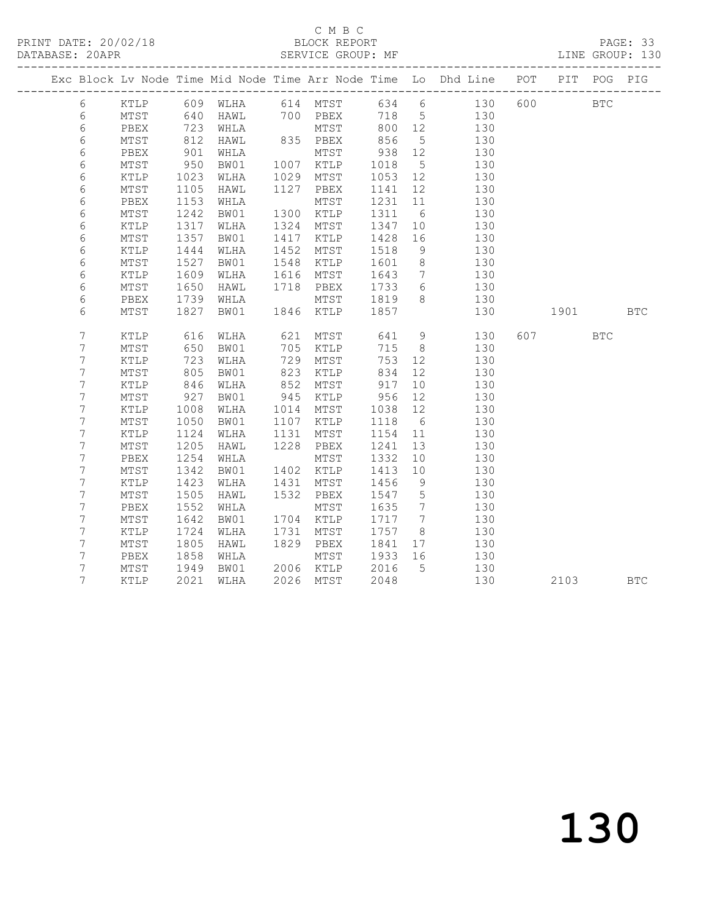### C M B C<br>BLOCK REPORT

|  |                  |                 |            |          |                   |                  |        |                 | Exc Block Lv Node Time Mid Node Time Arr Node Time Lo Dhd Line POT PIT POG PIG |     |            |            |
|--|------------------|-----------------|------------|----------|-------------------|------------------|--------|-----------------|--------------------------------------------------------------------------------|-----|------------|------------|
|  | $6\overline{}$   | KTLP            |            | 609 WLHA |                   |                  |        |                 | 614 MTST 634 6 130                                                             |     | 600 BTC    |            |
|  | 6                | MTST            | 640        | HAWL     |                   |                  |        |                 | 700 PBEX 718 5 130<br>MTST 800 12 130                                          |     |            |            |
|  | $\epsilon$       | PBEX            | 723<br>812 | WHLA     |                   | MTST<br>835 PBEX | 800    | 12              | 130                                                                            |     |            |            |
|  | $\epsilon$       | MTST            | 812        | HAWL     |                   |                  | 856    | $5\overline{)}$ | 130                                                                            |     |            |            |
|  | $\epsilon$       | PBEX            | 901        | WHLA     |                   | MTST             | 938    | 12              | 130                                                                            |     |            |            |
|  | $\epsilon$       | MTST            | 950        | BW01     | 1007<br>1029      | KTLP             | 1018   | $5\overline{)}$ | 130                                                                            |     |            |            |
|  | $\sqrt{6}$       | KTLP            | 1023       | WLHA     | 1029              | MTST             | 1053   | 12              | 130                                                                            |     |            |            |
|  | $\sqrt{6}$       | MTST            | 1105       | HAWL     | 1127              | PBEX             | 1141   | 12              | 130                                                                            |     |            |            |
|  | $\epsilon$       | PBEX            | 1153       | WHLA     |                   | MTST             | 1231   | 11              | 130                                                                            |     |            |            |
|  | $\epsilon$       | MTST            | 1242       | BW01     | 1300              | KTLP             | 1311   | 6               | 130                                                                            |     |            |            |
|  | $\epsilon$       | KTLP            | 1317       | WLHA     | 1324              | MTST             | 1347   | 10              | 130                                                                            |     |            |            |
|  | $\sqrt{6}$       | MTST            | 1357       | BW01     |                   | 1417 KTLP        | 1428   | 16              | 130                                                                            |     |            |            |
|  | $\epsilon$       | KTLP            | 1444       | WLHA     | 1452              | MTST             | 1518   | 9               | 130                                                                            |     |            |            |
|  | $\sqrt{6}$       | $\mathtt{MTST}$ | 1527       | BW01     | 1548              | KTLP             | 1601   | 8 <sup>8</sup>  | 130                                                                            |     |            |            |
|  | $\epsilon$       | KTLP            | 1609       | WLHA     | 1616              | MTST             | 1643   | $\overline{7}$  | 130                                                                            |     |            |            |
|  | $\epsilon$       | MTST            | 1650       | HAWL     | 1718              | PBEX             | 1733   | $6\overline{6}$ | 130                                                                            |     |            |            |
|  | $\epsilon$       | PBEX            | 1739       | WHLA     | 1846              | MTST             | 1819 8 |                 | 130                                                                            |     |            |            |
|  | $\sqrt{6}$       | MTST            | 1827       | BW01     | 1846              | KTLP             | 1857   |                 | 130                                                                            |     | 1901 BTC   |            |
|  | $\boldsymbol{7}$ | KTLP            | 616        | WLHA     | 621               | MTST             | 641    |                 | 9<br>130                                                                       | 607 | <b>BTC</b> |            |
|  | $\overline{7}$   | MTST            | 650        | BW01     | 705               | KTLP             | 715    | 8 <sup>8</sup>  | 130                                                                            |     |            |            |
|  | $\boldsymbol{7}$ | KTLP            | 723        | WLHA     | 729               | MTST             | 753    | 12              | 130                                                                            |     |            |            |
|  | $\overline{7}$   | MTST            | 805        | BW01     | 823               | KTLP             | 834    | 12              | 130                                                                            |     |            |            |
|  | $\boldsymbol{7}$ | KTLP            | 846        | WLHA     | 852               | MTST             | 917    | 10              | 130                                                                            |     |            |            |
|  | $\overline{7}$   | MTST            | 927        | BW01     | $\frac{332}{945}$ | KTLP             | 956    | 12              | 130                                                                            |     |            |            |
|  | $\boldsymbol{7}$ | KTLP            | 1008       | WLHA     | 1014              | MTST             | 1038   | 12              | 130                                                                            |     |            |            |
|  | $\overline{7}$   | MTST            | 1050       | BW01     | 1107              | KTLP             | 1118   | 6               | 130                                                                            |     |            |            |
|  | $\boldsymbol{7}$ | KTLP            | 1124       | WLHA     | 1131              | ${\tt MTST}$     | 1154   | 11              | 130                                                                            |     |            |            |
|  | $\boldsymbol{7}$ | MTST            | 1205       | HAWL     | 1228              | PBEX             | 1241   | 13              | 130                                                                            |     |            |            |
|  | $\boldsymbol{7}$ | PBEX            | 1254       | WHLA     |                   | MTST             | 1332   | 10              | 130                                                                            |     |            |            |
|  | $\boldsymbol{7}$ | MTST            | 1342       | BW01     | 1402              | KTLP             | 1413   | 10              | 130                                                                            |     |            |            |
|  | $\boldsymbol{7}$ | KTLP            | 1423       | WLHA     | 1431              | MTST             | 1456   | 9               | 130                                                                            |     |            |            |
|  | $\boldsymbol{7}$ | MTST            | 1505       | HAWL     | 1532              | PBEX             | 1547   | $5\overline{)}$ | 130                                                                            |     |            |            |
|  | $7\phantom{.0}$  | PBEX            | 1552       | WHLA     |                   | MTST             | 1635   | $7\overline{ }$ | 130                                                                            |     |            |            |
|  | $7\phantom{.}$   | MTST            | 1642       | BW01     | 1704              | KTLP             | 1717   | $\overline{7}$  | 130                                                                            |     |            |            |
|  | $\overline{7}$   | KTLP            | 1724       | WLHA     | 1731              | MTST             | 1757   | 8 <sup>1</sup>  | 130                                                                            |     |            |            |
|  | 7                | MTST            | 1805       | HAWL     | 1829              | PBEX             | 1841   | 17              | 130                                                                            |     |            |            |
|  | $\overline{7}$   | PBEX            | 1858       | WHLA     |                   | MTST             | 1933   | 16              | 130                                                                            |     |            |            |
|  | 7                | MTST            | 1949       | BW01     | 2006              | KTLP             | 2016   | $5^{\circ}$     | 130                                                                            |     |            |            |
|  | 7                | KTLP            | 2021       | WLHA     | 2026              | MTST             | 2048   |                 | 130                                                                            |     | 2103       | <b>BTC</b> |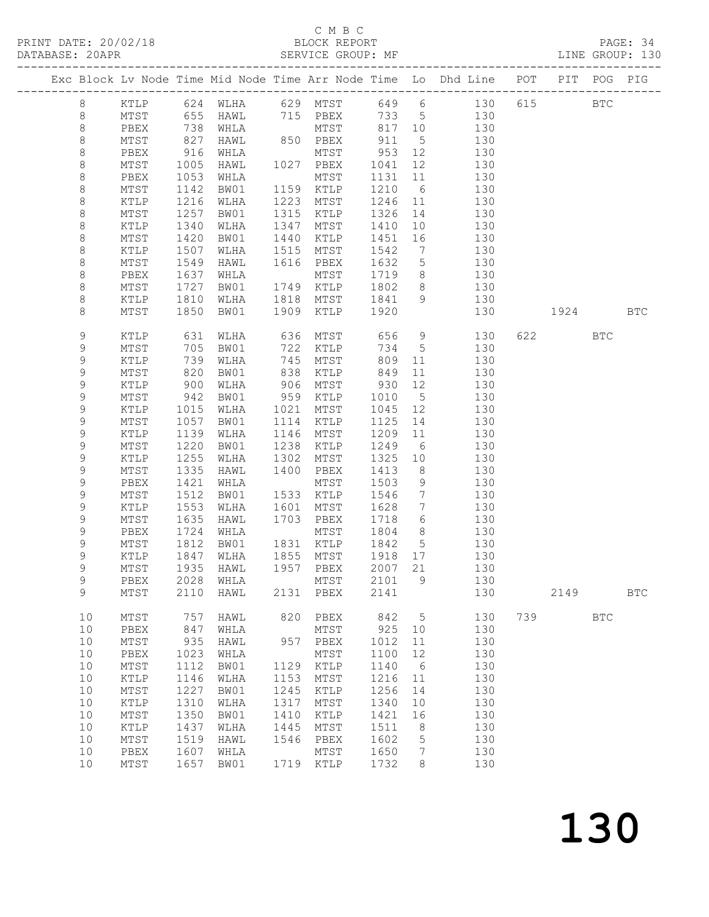### C M B C<br>BLOCK REPORT

| PRINT DATE: 20/02/18 BLOCK REPORT<br>DATABASE: 20APR SERVICE GROUP: |               |                 |            |                                  |      |                                                             |         |                 | BLOCK REPORT<br>SERVICE GROUP: MF                                              |     |          |            | PAGE: 34<br>LINE GROUP: 130 |
|---------------------------------------------------------------------|---------------|-----------------|------------|----------------------------------|------|-------------------------------------------------------------|---------|-----------------|--------------------------------------------------------------------------------|-----|----------|------------|-----------------------------|
|                                                                     |               |                 |            |                                  |      |                                                             |         |                 | Exc Block Lv Node Time Mid Node Time Arr Node Time Lo Dhd Line POT PIT POG PIG |     |          |            |                             |
|                                                                     | 8             |                 |            |                                  |      |                                                             |         |                 | KTLP 624 WLHA 629 MTST 649 6 130 615 BTC                                       |     |          |            |                             |
|                                                                     | 8             |                 |            |                                  |      |                                                             |         |                 | MTST 655 HAWL 715 PBEX 733 5 130                                               |     |          |            |                             |
|                                                                     | $\,8\,$       | PBEX 738 WHLA   |            |                                  |      |                                                             |         |                 | MTST 817 10 130                                                                |     |          |            |                             |
|                                                                     | $\,8\,$       | MTST            | 827<br>916 | HAWL                             |      | 850 PBEX 911 5<br>MTST 953 12                               |         |                 | 130                                                                            |     |          |            |                             |
|                                                                     | $\,8\,$       | PBEX            |            | WHLA                             |      |                                                             |         |                 | 130                                                                            |     |          |            |                             |
|                                                                     | 8             | MTST            | 1005       | HAWL                             |      | 1027 PBEX                                                   | 1041    | 12              | 130                                                                            |     |          |            |                             |
|                                                                     | $\,8\,$       | PBEX            | 1053       | WHLA                             |      | MTST                                                        |         |                 | 1131 11 130                                                                    |     |          |            |                             |
|                                                                     | $\,8\,$       | MTST            |            | 1142 BW01                        |      | 1159 KTLP                                                   | 1210 6  |                 | 130                                                                            |     |          |            |                             |
|                                                                     | $\,8\,$       | KTLP            |            | 1216 WLHA                        |      |                                                             |         |                 | 1223 MTST 1246 11 130<br>1315 KTLP 1326 14 130                                 |     |          |            |                             |
|                                                                     | $\,8\,$       | MTST            | 1257       | BW01                             |      |                                                             |         |                 |                                                                                |     |          |            |                             |
|                                                                     | $\,8\,$       | KTLP            | 1340       | WLHA                             |      | 1347 MTST                                                   |         |                 | 1410 10 130                                                                    |     |          |            |                             |
|                                                                     | $\,8\,$       | MTST            | 1420       | BW01                             | 1440 | KTLP                                                        | 1451    |                 | 16 130                                                                         |     |          |            |                             |
|                                                                     | $\,8\,$       | KTLP            | 1507       | WLHA                             |      | 1515 MTST<br>1616 PBEX                                      | 1542 7  |                 | 130                                                                            |     |          |            |                             |
|                                                                     | $\,8\,$       | MTST            | 1549       | HAWL                             |      |                                                             | 1632 5  |                 | 130                                                                            |     |          |            |                             |
|                                                                     | $\,8\,$       | PBEX            | 1637       | WHLA                             |      | MTST                                                        |         |                 | 1719 8 130                                                                     |     |          |            |                             |
|                                                                     | $\,8\,$       | MTST            | 1727       | BW01                             |      | 1749 KTLP                                                   |         |                 | 1802 8 130                                                                     |     |          |            |                             |
|                                                                     | $\,8\,$       | KTLP            |            | 1810 WLHA<br>1850 BW01           |      | 1818 MTST 1841<br>1909 KTLP 1920                            | 1841 9  |                 | 130                                                                            |     |          |            |                             |
|                                                                     | 8             | MTST            |            |                                  |      |                                                             |         |                 |                                                                                | 130 | 1924 BTC |            |                             |
|                                                                     | 9             | KTLP            | 631        | WLHA                             |      |                                                             |         |                 | 636 MTST 656 9 130                                                             |     | 622 BTC  |            |                             |
|                                                                     | $\mathsf 9$   | MTST            | 705<br>739 | BW01                             |      | 722 KTLP       734      5<br>745    MTST          809    11 |         |                 | 130                                                                            |     |          |            |                             |
|                                                                     | $\mathsf 9$   | KTLP            |            | WLHA                             |      |                                                             |         |                 | 130                                                                            |     |          |            |                             |
|                                                                     | $\mathsf 9$   | MTST            | 820        | BW01                             |      | 838 KTLP 849                                                |         |                 | 11<br>130                                                                      |     |          |            |                             |
|                                                                     | $\mathsf 9$   | KTLP            | 900        | WLHA                             |      | 906 MTST 930<br>דצומ<br>959 KTLP<br>1021 <sup>-</sup>       |         |                 | 12 and $\overline{a}$<br>130                                                   |     |          |            |                             |
|                                                                     | $\mathsf 9$   | MTST            | 942        | BW01                             |      |                                                             | 1010 5  |                 | 130                                                                            |     |          |            |                             |
|                                                                     | $\mathsf 9$   | KTLP            |            | 1015 WLHA                        |      |                                                             | 1045 12 |                 | 130                                                                            |     |          |            |                             |
|                                                                     | $\mathsf 9$   | MTST            | 1057       | BW01                             |      | 1114 KTLP                                                   |         |                 | 1125 14<br>130                                                                 |     |          |            |                             |
|                                                                     | $\mathsf 9$   | KTLP            | 1139       | WLHA                             |      | 1146 MTST                                                   |         |                 | 1209 11 130                                                                    |     |          |            |                             |
|                                                                     | $\mathsf 9$   | MTST            | 1220       | BW01                             | 1238 | KTLP                                                        | 1249 6  |                 | 130                                                                            |     |          |            |                             |
|                                                                     | $\mathsf 9$   | KTLP            | 1255       | WLHA                             |      | 1302 MTST                                                   | 1325 10 |                 | 130                                                                            |     |          |            |                             |
|                                                                     | $\mathsf 9$   | MTST            | 1335       | HAWL                             |      | 1400 PBEX                                                   | 1413    |                 | 8 130                                                                          |     |          |            |                             |
|                                                                     | $\mathsf 9$   | PBEX            | 1421       | WHLA                             |      | MTST                                                        | 1503    | 9               | 130                                                                            |     |          |            |                             |
|                                                                     | $\mathsf 9$   | MTST            | 1512       | BW01                             |      | 1533 KTLP                                                   |         |                 | 1546 7 130                                                                     |     |          |            |                             |
|                                                                     | $\mathsf 9$   | KTLP            |            | 1553 WLHA                        |      |                                                             | 1628 7  |                 | 1601 MTST 1628 7 130<br>1703 PBEX 1718 6 130                                   |     |          |            |                             |
|                                                                     | $\mathsf 9$   | MTST            |            | 1635 HAWL                        |      |                                                             |         |                 |                                                                                |     |          |            |                             |
|                                                                     | 9             | PBEX            |            | 1724 WHLA                        |      | MTST 1804 8                                                 |         |                 | 130                                                                            |     |          |            |                             |
|                                                                     | $\mathsf 9$   | MTST            |            | 1812 BW01                        |      | 1831 KTLP 1842 5                                            |         |                 | 130                                                                            |     |          |            |                             |
|                                                                     | $\mathcal{G}$ |                 |            | KTLP 1847 WLHA 1855 MTST 1918 17 |      |                                                             |         |                 | 130                                                                            |     |          |            |                             |
|                                                                     | 9             | MTST            | 1935       | HAWL                             | 1957 | PBEX                                                        | 2007    | 21              | 130                                                                            |     |          |            |                             |
|                                                                     | 9             | PBEX            | 2028       | WHLA<br>HAWL                     |      | MTST                                                        | 2101    | 9               | 130                                                                            |     | 2149     |            |                             |
|                                                                     | 9             | MTST            | 2110       |                                  | 2131 | PBEX                                                        | 2141    |                 | 130                                                                            |     |          |            | <b>BTC</b>                  |
|                                                                     | 10            | $\mathtt{MTST}$ | 757        | HAWL                             | 820  | PBEX                                                        | 842     | $5\phantom{.0}$ | 130                                                                            | 739 |          | <b>BTC</b> |                             |
|                                                                     | 10            | PBEX            | 847        | WHLA                             |      | MTST                                                        | 925     | 10              | 130                                                                            |     |          |            |                             |
|                                                                     | 10            | $\mathtt{MTST}$ | 935        | HAWL                             | 957  | PBEX                                                        | 1012    | 11              | 130                                                                            |     |          |            |                             |
|                                                                     | $10$          | PBEX            | 1023       | WHLA                             |      | MTST                                                        | 1100    | 12              | 130                                                                            |     |          |            |                             |
|                                                                     | 10            | MTST            | 1112       | BW01                             | 1129 | KTLP                                                        | 1140    | 6               | 130                                                                            |     |          |            |                             |
|                                                                     | 10            | KTLP            | 1146       | WLHA                             | 1153 | MTST                                                        | 1216    | 11              | 130                                                                            |     |          |            |                             |
|                                                                     | 10            | MTST            | 1227       | BW01                             | 1245 | KTLP                                                        | 1256    | 14              | 130                                                                            |     |          |            |                             |
|                                                                     | $10$          | KTLP            | 1310       | WLHA                             | 1317 | $\mathtt{MTST}$                                             | 1340    | 10              | 130                                                                            |     |          |            |                             |
|                                                                     | 10            | $\mathtt{MTST}$ | 1350       | BW01                             | 1410 | KTLP                                                        | 1421    | 16              | 130                                                                            |     |          |            |                             |
|                                                                     | $10$          | $\texttt{KTLP}$ | 1437       | WLHA                             | 1445 | MTST                                                        | 1511    | 8               | 130                                                                            |     |          |            |                             |
|                                                                     | 10            | $\mathtt{MTST}$ | 1519       | HAWL                             | 1546 | PBEX                                                        | 1602    | 5               | 130                                                                            |     |          |            |                             |
|                                                                     | $10$          | PBEX            | 1607       | WHLA                             |      | MTST                                                        | 1650    | 7               | 130                                                                            |     |          |            |                             |
|                                                                     | 10            | MTST            | 1657       | BW01                             |      | 1719 KTLP                                                   | 1732    | 8               | 130                                                                            |     |          |            |                             |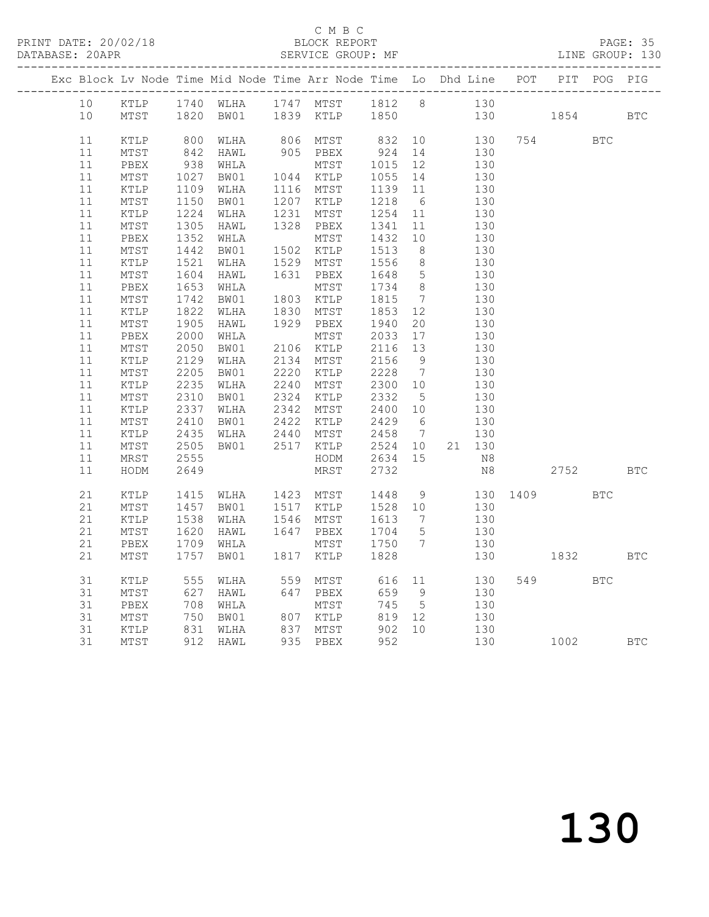### C M B C<br>BLOCK REPORT

PAGE: 35<br>LINE GROUP: 130

|  |                 |                        |                      |                                                                                                                                                                            | Exc Block Lv Node Time Mid Node Time Arr Node Time Lo Dhd Line POT PIT POG PIG                               |                   |                 |                        |     |      |            |            |
|--|-----------------|------------------------|----------------------|----------------------------------------------------------------------------------------------------------------------------------------------------------------------------|--------------------------------------------------------------------------------------------------------------|-------------------|-----------------|------------------------|-----|------|------------|------------|
|  | 10              |                        |                      |                                                                                                                                                                            |                                                                                                              |                   |                 | 130                    |     |      |            |            |
|  | 10 <sup>°</sup> |                        |                      |                                                                                                                                                                            | KTLP 1740 WLHA 1747 MTST 1812 8<br>MTST 1820 BW01 1839 KTLP 1850                                             |                   |                 |                        | 130 | 1854 |            | <b>BTC</b> |
|  |                 |                        |                      |                                                                                                                                                                            |                                                                                                              |                   |                 |                        |     |      |            |            |
|  | 11              | KTLP 800 WLHA          |                      |                                                                                                                                                                            | 806 MTST 832 10 130                                                                                          |                   |                 |                        | 754 |      | <b>BTC</b> |            |
|  | $11\,$          | MTST                   |                      | 842 HAWL                                                                                                                                                                   | 905 PBEX                                                                                                     | 924 14            |                 | 130                    |     |      |            |            |
|  | 11              | PBEX                   |                      | 938 $num.$<br>1027 BW01                                                                                                                                                    | MTST<br>MTST<br>1044 KTLP                                                                                    | 1015<br>1055      | 12              | 130                    |     |      |            |            |
|  | 11              | MTST                   |                      |                                                                                                                                                                            |                                                                                                              |                   | 14              | $\frac{1}{130}$        |     |      |            |            |
|  | 11              | KTLP                   | 1109<br>1150         | 1109 WLHA                                                                                                                                                                  | 1116 MTST<br>1207 KTLP                                                                                       | 1139 11<br>1218 6 |                 | 130                    |     |      |            |            |
|  | 11              | MTST                   |                      | BW01                                                                                                                                                                       |                                                                                                              |                   |                 | 130                    |     |      |            |            |
|  | $11\,$          | KTLP                   |                      | 1130 BW01 1207 KILF<br>1224 WLHA 1231 MTST<br>1305 HAWL 1328 PBEX<br>1352 WHLA MTST<br>1442 BW01 1502 KTLP<br>1521 WLHA 1529 MTST<br>1604 HAWL 1631 PBEX<br>1653 WHLA MTST |                                                                                                              | 1254              | $11$            | 130                    |     |      |            |            |
|  | 11              | MTST                   |                      |                                                                                                                                                                            |                                                                                                              | 1341              | 11              | 130                    |     |      |            |            |
|  | 11              | PBEX                   |                      |                                                                                                                                                                            |                                                                                                              | 1432              | 10              | 130                    |     |      |            |            |
|  | 11              | MTST<br>KTLP 1521 WLHA |                      |                                                                                                                                                                            |                                                                                                              | 1513              | 8 <sup>8</sup>  | 130                    |     |      |            |            |
|  | 11              |                        |                      |                                                                                                                                                                            |                                                                                                              | 1556              | 8 <sup>8</sup>  | 130                    |     |      |            |            |
|  | 11              | MTST                   |                      |                                                                                                                                                                            |                                                                                                              | 1648<br>1734      | $5\overline{)}$ | 130<br>$\frac{1}{130}$ |     |      |            |            |
|  | 11              | PBEX                   |                      | 1653 WHLA                                                                                                                                                                  | MTST<br>1803 KTLP<br>1830 MTST                                                                               |                   | 8 <sup>8</sup>  |                        |     |      |            |            |
|  | $11\,$          | MTST                   | 1742<br>1822         | BW01<br>1822 WLHA                                                                                                                                                          |                                                                                                              | 1815<br>1853      | $7\overline{)}$ | 130<br>130             |     |      |            |            |
|  | 11              | KTLP                   |                      |                                                                                                                                                                            |                                                                                                              |                   | 12              |                        |     |      |            |            |
|  | $11$<br>11      | MTST<br>PBEX           | 1905                 | HAWL<br>2000 WHLA                                                                                                                                                          | 1929 PBEX<br>MTST                                                                                            | 1940<br>2033      | 20<br>17        | 130<br>130             |     |      |            |            |
|  |                 | MTST                   |                      | BW01                                                                                                                                                                       |                                                                                                              | 2116 13           |                 | 130                    |     |      |            |            |
|  | $11\,$<br>11    | KTLP                   |                      |                                                                                                                                                                            |                                                                                                              |                   | 9               | 130                    |     |      |            |            |
|  | 11              | MTST                   | 2050<br>2129<br>2205 | WLHA<br>BW01                                                                                                                                                               | MTST<br>2106 KTLP<br>2134 MTST<br>2220 KTLP<br>2240 MTST<br>2324 KTLP<br>2342 KTLP<br>2422 KTLP<br>2422 KTLP | 2156<br>2228      | $7\overline{7}$ | 130                    |     |      |            |            |
|  | 11              | KTLP                   | 2235                 | WLHA                                                                                                                                                                       |                                                                                                              |                   |                 | 130                    |     |      |            |            |
|  | $11\,$          | MTST                   | 2310                 | BW01                                                                                                                                                                       |                                                                                                              | 2300 10<br>2332 5 |                 | $\frac{130}{2}$        |     |      |            |            |
|  | $11\,$          | KTLP                   |                      | WLHA                                                                                                                                                                       |                                                                                                              |                   |                 | 130                    |     |      |            |            |
|  | 11              | MTST                   | 2337<br>2410         | BW01                                                                                                                                                                       |                                                                                                              | 2400 10<br>2429 6 |                 | 130                    |     |      |            |            |
|  | 11              | KTLP                   |                      | WLHA                                                                                                                                                                       |                                                                                                              | 2458 7            |                 | 130                    |     |      |            |            |
|  | 11              | MTST                   | 2435<br>2505         |                                                                                                                                                                            |                                                                                                              | 2524 10           |                 | 21 130                 |     |      |            |            |
|  | 11              | MRST                   | 2555                 |                                                                                                                                                                            | HODM                                                                                                         | 2634 15           |                 | N8                     |     |      |            |            |
|  | 11              | HODM                   | 2649                 |                                                                                                                                                                            | MRST                                                                                                         | 2732              |                 | N8                     |     | 2752 |            | <b>BTC</b> |
|  |                 |                        |                      |                                                                                                                                                                            |                                                                                                              |                   |                 |                        |     |      |            |            |
|  | 21              | KTLP                   |                      | 1415 WLHA 1423 MTST<br>1457 BW01 1517 KTLP                                                                                                                                 |                                                                                                              | 1448              | 9               | 130 1409<br>130        |     |      | <b>BTC</b> |            |
|  | 21              | MTST                   |                      |                                                                                                                                                                            |                                                                                                              | 1528 10           |                 |                        |     |      |            |            |
|  | 21              | KTLP                   |                      | 1538 WLHA<br>1620 HAWL                                                                                                                                                     |                                                                                                              |                   |                 |                        |     |      |            |            |
|  | 21              | MTST                   |                      | 1620 HAWL                                                                                                                                                                  | 1546 MTST<br>1647 PBEX                                                                                       | 1613 7<br>1704 5  |                 | 130<br>130             |     |      |            |            |
|  | 21              | PBEX                   |                      | 1709 WHLA                                                                                                                                                                  |                                                                                                              | 1750 7            |                 | 130                    |     |      |            |            |
|  | 21              | MTST                   |                      | 1757 BW01                                                                                                                                                                  | MTST<br>1817 KTLP                                                                                            | 1828              |                 | 130                    |     | 1832 |            | <b>BTC</b> |
|  |                 |                        |                      |                                                                                                                                                                            |                                                                                                              |                   |                 |                        |     |      |            |            |
|  | 31              | KTLP                   |                      | 555 WLHA<br>627 HAWL                                                                                                                                                       |                                                                                                              |                   |                 |                        |     | 549  | BTC        |            |
|  | 31              | MTST                   |                      |                                                                                                                                                                            |                                                                                                              |                   |                 |                        |     |      |            |            |
|  | 31              | PBEX                   |                      | 708 WHLA<br>750 BW01                                                                                                                                                       | MTST                                                                                                         | 745 5             |                 | 130<br>130             |     |      |            |            |
|  | 31              | MTST                   |                      |                                                                                                                                                                            | $807 \quad \text{KTLP}$                                                                                      | 819 12            |                 |                        |     |      |            |            |
|  | 31              | KTLP                   |                      | 831 WLHA<br>912 HAWL                                                                                                                                                       | 837 MTST<br>935 PBEX                                                                                         | 902 10<br>952     |                 | 130                    |     |      |            |            |
|  | 31              | MTST                   |                      |                                                                                                                                                                            |                                                                                                              |                   |                 | 130                    |     | 1002 |            | <b>BTC</b> |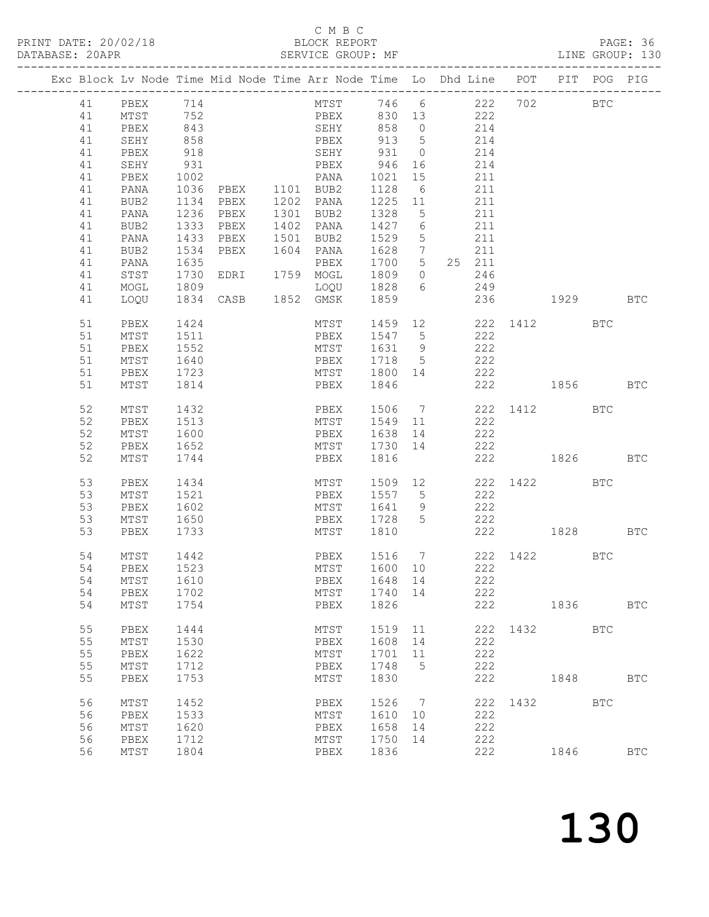| Exc Block Lv Node Time Mid Node Time Arr Node Time Lo Dhd Line POT |                            |            |           |                                                      |                   |    |                                           |              | PIT      | POG PIG |            |
|--------------------------------------------------------------------|----------------------------|------------|-----------|------------------------------------------------------|-------------------|----|-------------------------------------------|--------------|----------|---------|------------|
|                                                                    |                            |            |           |                                                      |                   |    | MTST 746 6 222 702 BTC<br>PBEX 830 13 222 |              |          |         |            |
|                                                                    | 41 PBEX 714<br>41 MTST 752 |            |           |                                                      |                   |    |                                           |              |          |         |            |
| 41                                                                 | PBEX 843                   |            |           | SEHY 858 0                                           |                   |    | 214                                       |              |          |         |            |
| 41                                                                 | SEHY                       | 858        |           | PBEX 913 5                                           |                   |    | 214                                       |              |          |         |            |
| 41                                                                 | PBEX                       |            |           |                                                      |                   |    | 214                                       |              |          |         |            |
| 41                                                                 | SEHY                       | 918<br>931 |           | SEHY 931 0<br>PBEX 946 16                            |                   |    | 214                                       |              |          |         |            |
| 41                                                                 | PBEX                       | 1002       |           | PANA                                                 | 1021              | 15 | 211                                       |              |          |         |            |
| 41                                                                 | PANA                       |            | 1036 PBEX | 1101 BUB2                                            | 1128 6            |    | 211                                       |              |          |         |            |
| 41                                                                 | BUB2                       |            | 1134 PBEX | ––<br>1301 PANA<br><sup>^</sup> <sup>מוזם</sup> 1301 | 1225 11           |    | 211                                       |              |          |         |            |
| 41                                                                 | PANA                       |            | 1236 PBEX | 1301 BUB2                                            | 1328 5            |    | 211                                       |              |          |         |            |
| 41                                                                 | BUB2                       |            | 1333 PBEX | 1402 PANA                                            | 1427 6            |    | 211                                       |              |          |         |            |
| 41                                                                 | PANA                       |            | 1433 PBEX | 1501 BUB2                                            | 1529 5            |    | 211                                       |              |          |         |            |
| 41                                                                 | BUB2                       |            | 1534 PBEX | 1604 PANA                                            | 1628 7            |    | 211                                       |              |          |         |            |
| 41                                                                 | PANA                       | 1635       |           | PBEX                                                 | 1700 5            |    | 25 211                                    |              |          |         |            |
| 41                                                                 | STST                       | 1730       | EDRI      | 1759 MOGL                                            | 1809 0            |    | 246                                       |              |          |         |            |
| 41                                                                 | MOGL                       | 1809       |           | LOQU 1828 6                                          |                   |    | 249                                       |              |          |         |            |
| 41                                                                 | LOQU                       |            | 1834 CASB | 1852 GMSK 1859                                       |                   |    |                                           | 236          | 1929 BTC |         |            |
| 51                                                                 | PBEX                       | 1424       |           |                                                      |                   |    | MTST 1459 12 222 1412 BTC                 |              |          |         |            |
| 51                                                                 | MTST 1511                  |            |           | PBEX 1547 5                                          |                   |    | 222                                       |              |          |         |            |
| 51                                                                 | PBEX                       | 1552       |           | MTST                                                 | 1631 9            |    | 222                                       |              |          |         |            |
| 51                                                                 | MTST                       | 1640       |           | PBEX                                                 | 1718 5            |    | 222                                       |              |          |         |            |
| 51                                                                 | PBEX                       | 1723       |           | MTST 1800 14                                         |                   |    | 222                                       |              |          |         |            |
| 51                                                                 | MTST                       | 1814       |           | PBEX                                                 | 1846              |    |                                           | 222          | 1856 BTC |         |            |
|                                                                    |                            |            |           |                                                      |                   |    |                                           |              |          |         |            |
| 52                                                                 | MTST                       | 1432       |           |                                                      |                   |    | PBEX 1506 7 222 1412 BTC                  |              |          |         |            |
| 52                                                                 | PBEX                       | 1513       |           | MTST 1549 11                                         |                   |    | 222                                       |              |          |         |            |
| 52                                                                 | MTST 1600                  |            |           | PBEX 1638 14                                         |                   |    | 222                                       |              |          |         |            |
| 52                                                                 | PBEX                       | 1652       |           | MTST 1730 14                                         |                   |    | 222                                       |              |          |         |            |
| 52                                                                 | MTST                       | 1744       |           | PBEX                                                 | 1816              |    |                                           | 222          | 1826 BTC |         |            |
| 53                                                                 | PBEX                       | 1434       |           | MTST                                                 |                   |    | 1509 12                                   | 222 1422 BTC |          |         |            |
| 53                                                                 | MTST                       | 1521       |           | PBEX                                                 | 1557 5            |    | 222                                       |              |          |         |            |
| 53                                                                 | PBEX                       | 1602       |           | MTST                                                 | 1641 9            |    | 222                                       |              |          |         |            |
| 53                                                                 | MTST                       | 1650       |           | PBEX                                                 | 1728 5            |    | 222                                       |              |          |         |            |
| 53                                                                 | PBEX                       | 1733       |           | MTST 1810                                            |                   |    |                                           | 222          | 1828 BTC |         |            |
|                                                                    |                            |            |           |                                                      |                   |    |                                           |              |          |         |            |
| 54                                                                 | MTST                       | 1442       |           | PBEX                                                 | 1516 7<br>1600 10 |    |                                           | 222 1422 BTC |          |         |            |
| 54                                                                 | PBEX                       | 1523       |           | MTST                                                 |                   |    | 222                                       |              |          |         |            |
|                                                                    | 54 MTST 1610               |            |           | PBEX 1648 14                                         |                   |    | 222                                       |              |          |         |            |
| 54                                                                 | PBEX                       | 1702       |           | MTST                                                 | 1740 14           |    | 222                                       |              |          |         |            |
| 54                                                                 | MTST                       | 1754       |           | PBEX                                                 | 1826              |    |                                           | 222          | 1836 18  |         | <b>BTC</b> |
| 55                                                                 | PBEX                       | 1444       |           | MTST                                                 | 1519              | 11 |                                           | 222 1432 BTC |          |         |            |
| 55                                                                 | MTST                       | 1530       |           | PBEX                                                 | 1608 14           |    | 222                                       |              |          |         |            |
| 55                                                                 | PBEX                       | 1622       |           | MTST                                                 | 1701              | 11 | 222                                       |              |          |         |            |
| 55                                                                 | MTST                       | 1712       |           | PBEX                                                 | 1748 5            |    | 222                                       |              |          |         |            |
| 55                                                                 | PBEX                       | 1753       |           | MTST                                                 | 1830              |    | 222                                       |              | 1848     |         | <b>BTC</b> |
|                                                                    |                            |            |           |                                                      |                   |    |                                           |              |          |         |            |
| 56                                                                 | MTST                       | 1452       |           | PBEX                                                 | 1526 7            |    |                                           | 222 1432 BTC |          |         |            |
| 56                                                                 | PBEX                       | 1533       |           | MTST                                                 | 1610 10           |    | 222                                       |              |          |         |            |
| 56                                                                 | MTST                       | 1620       |           | PBEX                                                 | 1658 14           |    | 222                                       |              |          |         |            |
| 56                                                                 | PBEX                       | 1712       |           | MTST                                                 | 1750 14           |    | 222                                       |              |          |         |            |
| 56                                                                 | MTST                       | 1804       |           | PBEX                                                 | 1836              |    | 222                                       |              | 1846     |         | <b>BTC</b> |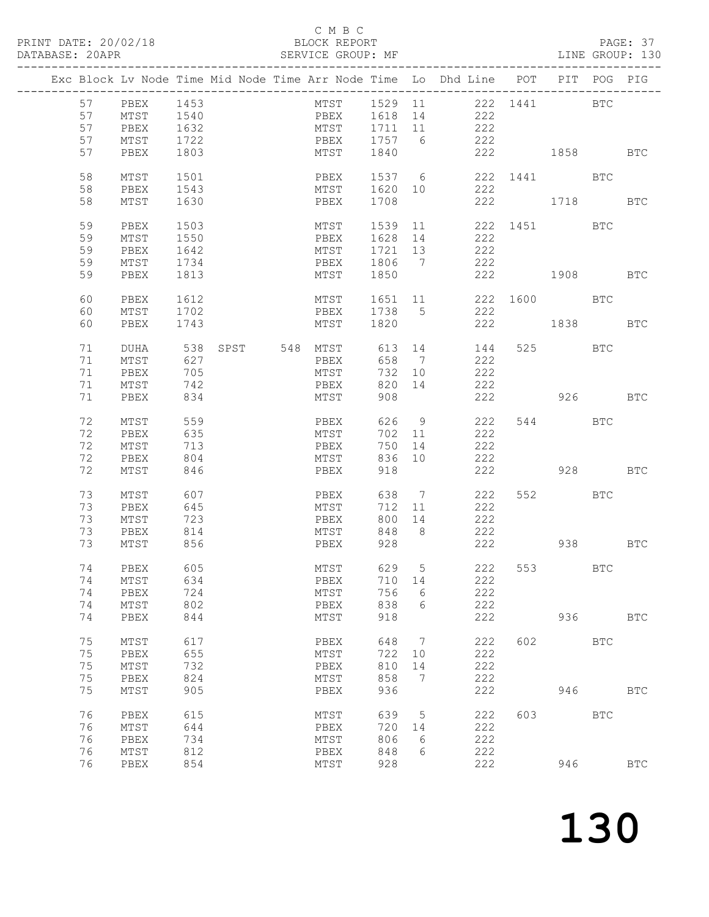|  |    |             |      |  |                   |         |                              | Exc Block Lv Node Time Mid Node Time Arr Node Time Lo Dhd Line POT |              |                                                                                                                                                                                                                               | PIT POG PIG |            |
|--|----|-------------|------|--|-------------------|---------|------------------------------|--------------------------------------------------------------------|--------------|-------------------------------------------------------------------------------------------------------------------------------------------------------------------------------------------------------------------------------|-------------|------------|
|  | 57 | PBEX 1453   |      |  | MTST 1529 11      |         |                              | 222 1441                                                           |              | <b>BTC</b>                                                                                                                                                                                                                    |             |            |
|  | 57 | MTST        | 1540 |  | PBEX              | 1618 14 |                              | 222                                                                |              |                                                                                                                                                                                                                               |             |            |
|  |    |             |      |  |                   |         |                              | 222                                                                |              |                                                                                                                                                                                                                               |             |            |
|  | 57 | PBEX        | 1632 |  | MTST              | 1711 11 |                              |                                                                    |              |                                                                                                                                                                                                                               |             |            |
|  | 57 | MTST        | 1722 |  | PBEX              | 1757 6  |                              | 222                                                                |              |                                                                                                                                                                                                                               |             |            |
|  | 57 | PBEX        | 1803 |  | MTST              | 1840    |                              |                                                                    | 222          | 1858 BTC                                                                                                                                                                                                                      |             |            |
|  | 58 | MTST        | 1501 |  | PBEX              |         |                              | 1537 6                                                             | 222 1441 BTC |                                                                                                                                                                                                                               |             |            |
|  | 58 |             | 1543 |  | MTST              | 1620 10 |                              | 222                                                                |              |                                                                                                                                                                                                                               |             |            |
|  |    | PBEX        |      |  |                   |         |                              |                                                                    |              |                                                                                                                                                                                                                               |             |            |
|  | 58 | MTST        | 1630 |  | PBEX              | 1708    |                              |                                                                    | 222          | 1718 BTC                                                                                                                                                                                                                      |             |            |
|  | 59 | PBEX        | 1503 |  | MTST              | 1539 11 |                              |                                                                    | 222 1451 BTC |                                                                                                                                                                                                                               |             |            |
|  | 59 | MTST        | 1550 |  | PBEX              | 1628    | 14                           | 222                                                                |              |                                                                                                                                                                                                                               |             |            |
|  | 59 | PBEX        | 1642 |  | MTST              | 1721 13 |                              | 222                                                                |              |                                                                                                                                                                                                                               |             |            |
|  | 59 | MTST        | 1734 |  | PBEX              | 1806 7  |                              | 222                                                                |              |                                                                                                                                                                                                                               |             |            |
|  |    |             |      |  |                   |         |                              |                                                                    |              |                                                                                                                                                                                                                               |             |            |
|  | 59 | PBEX        | 1813 |  | MTST              | 1850    |                              | 222                                                                |              | 1908 BTC                                                                                                                                                                                                                      |             |            |
|  | 60 | PBEX        | 1612 |  | MTST              | 1651 11 |                              |                                                                    | 222 1600 BTC |                                                                                                                                                                                                                               |             |            |
|  | 60 | MTST        | 1702 |  | PBEX              | 1738 5  |                              | 222                                                                |              |                                                                                                                                                                                                                               |             |            |
|  | 60 | PBEX        | 1743 |  | MTST              | 1820    |                              | 222                                                                |              | 1838   1839   1840   1840   1850   1850   1850   1850   1850   1850   1850   1850   1850   1850   1850   1850   1850   1850   1850   1850   1850   1850   1850   1850   1850   1850   1850   1850   1850   1850   1850   1850 |             | <b>BTC</b> |
|  |    |             |      |  |                   |         |                              |                                                                    |              |                                                                                                                                                                                                                               |             |            |
|  | 71 | DUHA        |      |  | 538 SPST 548 MTST | 613     | 14                           | 144                                                                |              | 525 BTC                                                                                                                                                                                                                       |             |            |
|  | 71 | MTST        | 627  |  | PBEX              | 658     | $\overline{7}$               | 222                                                                |              |                                                                                                                                                                                                                               |             |            |
|  | 71 | PBEX        | 705  |  | MTST              | 732     | 10                           | 222                                                                |              |                                                                                                                                                                                                                               |             |            |
|  | 71 | MTST        | 742  |  | PBEX              | 820     | 14                           | 222                                                                |              |                                                                                                                                                                                                                               |             |            |
|  | 71 | PBEX        | 834  |  | MTST              | 908     |                              | 222                                                                |              | 926 BTC                                                                                                                                                                                                                       |             |            |
|  |    |             |      |  |                   |         |                              |                                                                    |              |                                                                                                                                                                                                                               |             |            |
|  | 72 | MTST        | 559  |  | PBEX              | 626 9   |                              | 222                                                                |              | 544 BTC                                                                                                                                                                                                                       |             |            |
|  | 72 | PBEX        | 635  |  | MTST              | 702 11  |                              | 222                                                                |              |                                                                                                                                                                                                                               |             |            |
|  | 72 | MTST        | 713  |  | PBEX              | 750     | 14                           | 222                                                                |              |                                                                                                                                                                                                                               |             |            |
|  | 72 | PBEX        | 804  |  | MTST              | 836     | 10                           | 222                                                                |              |                                                                                                                                                                                                                               |             |            |
|  | 72 | MTST        | 846  |  | PBEX              | 918     |                              | 222                                                                |              | 928                                                                                                                                                                                                                           |             | <b>BTC</b> |
|  |    |             |      |  |                   |         |                              |                                                                    |              |                                                                                                                                                                                                                               |             |            |
|  | 73 | MTST        | 607  |  | PBEX              | 638     | $\overline{7}$               | 222                                                                |              | 552 BTC                                                                                                                                                                                                                       |             |            |
|  | 73 | PBEX        | 645  |  | MTST              | 712     | 11                           | 222                                                                |              |                                                                                                                                                                                                                               |             |            |
|  | 73 | MTST        | 723  |  | PBEX              | 800     | 14                           | 222                                                                |              |                                                                                                                                                                                                                               |             |            |
|  | 73 | PBEX        | 814  |  | MTST              | 848     | 8 <sup>8</sup>               | 222                                                                |              |                                                                                                                                                                                                                               |             |            |
|  | 73 | MTST        | 856  |  | PBEX              | 928     |                              | 222                                                                |              | 938 BTC                                                                                                                                                                                                                       |             |            |
|  |    |             |      |  |                   |         |                              |                                                                    |              |                                                                                                                                                                                                                               |             |            |
|  | 74 | PBEX        | 605  |  | MTST              | 629 5   |                              | 222                                                                |              | 553 BTC                                                                                                                                                                                                                       |             |            |
|  |    | 74 MTST 634 |      |  | PBEX 710 14       |         |                              | 222                                                                |              |                                                                                                                                                                                                                               |             |            |
|  | 74 | PBEX        | 724  |  | MTST              | 756     | 6                            | 222                                                                |              |                                                                                                                                                                                                                               |             |            |
|  | 74 | MTST        | 802  |  | PBEX              | 838     | 6                            | 222                                                                |              |                                                                                                                                                                                                                               |             |            |
|  | 74 | PBEX        | 844  |  | MTST              | 918     |                              | 222                                                                |              |                                                                                                                                                                                                                               | 936 1990    | <b>BTC</b> |
|  |    |             |      |  |                   |         |                              |                                                                    |              |                                                                                                                                                                                                                               |             |            |
|  | 75 | MTST        | 617  |  | PBEX              | 648     | $\overline{7}$               | 222                                                                |              | 602 BTC                                                                                                                                                                                                                       |             |            |
|  | 75 | PBEX        | 655  |  | MTST              | 722 10  |                              | 222                                                                |              |                                                                                                                                                                                                                               |             |            |
|  | 75 | MTST        | 732  |  | PBEX              | 810     | 14                           | 222                                                                |              |                                                                                                                                                                                                                               |             |            |
|  | 75 | PBEX        | 824  |  | MTST              | 858     | $7\phantom{.0}\phantom{.0}7$ | 222                                                                |              |                                                                                                                                                                                                                               |             |            |
|  | 75 | MTST        | 905  |  | PBEX              | 936     |                              | 222                                                                |              |                                                                                                                                                                                                                               | 946         | <b>BTC</b> |
|  |    |             |      |  |                   |         |                              |                                                                    |              |                                                                                                                                                                                                                               |             |            |
|  | 76 | PBEX        | 615  |  | MTST              | 639 5   |                              | 222                                                                |              | 603 BTC                                                                                                                                                                                                                       |             |            |
|  | 76 | MTST        | 644  |  | PBEX              | 720     | 14                           | 222                                                                |              |                                                                                                                                                                                                                               |             |            |
|  | 76 | PBEX        | 734  |  | MTST              | 806     | $6\overline{6}$              | 222                                                                |              |                                                                                                                                                                                                                               |             |            |
|  | 76 | MTST        | 812  |  | PBEX              | 848     | 6                            | 222                                                                |              |                                                                                                                                                                                                                               |             |            |
|  | 76 | PBEX        | 854  |  | MTST              | 928     |                              | 222                                                                |              | 946                                                                                                                                                                                                                           |             | <b>BTC</b> |
|  |    |             |      |  |                   |         |                              |                                                                    |              |                                                                                                                                                                                                                               |             |            |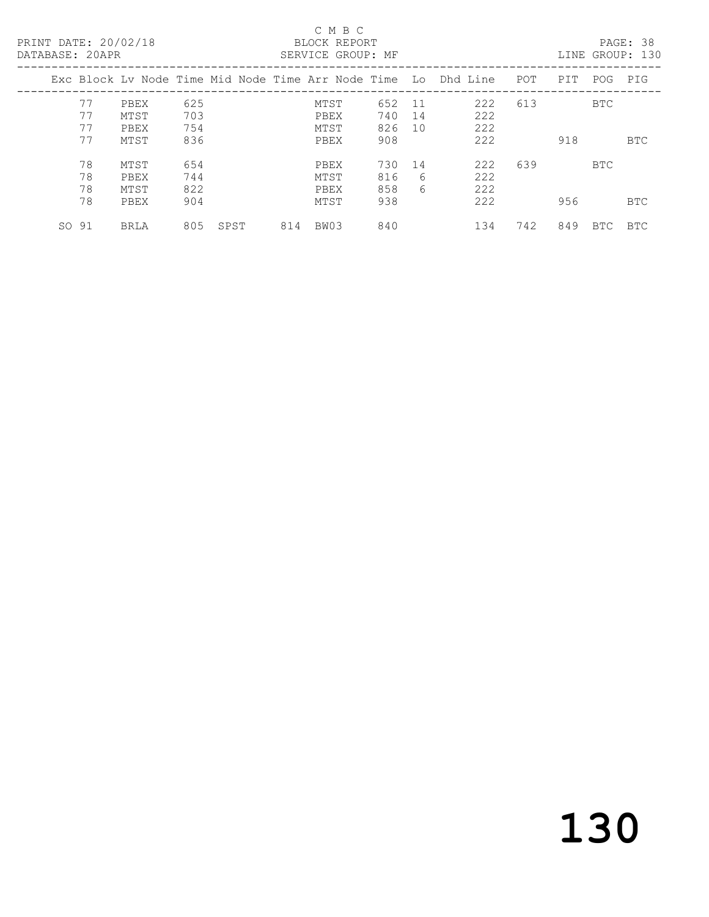| PRINT DATE: 20/02/18<br>DATABASE: 20APR |             |     |      |     | C M B C<br>BLOCK REPORT<br>SERVICE GROUP: MF |     |             |                                                                |     |     |            | PAGE: 38<br>LINE GROUP: 130 |
|-----------------------------------------|-------------|-----|------|-----|----------------------------------------------|-----|-------------|----------------------------------------------------------------|-----|-----|------------|-----------------------------|
|                                         |             |     |      |     |                                              |     |             | Exc Block Ly Node Time Mid Node Time Arr Node Time Lo Dhd Line | POT | PIT | POG        | PIG                         |
| 77                                      | PBEX        | 625 |      |     | MTST                                         | 652 | 11          | 222                                                            | 613 |     | BTC        |                             |
| 77                                      | MTST        | 703 |      |     | PBEX                                         | 740 | 14          | 222                                                            |     |     |            |                             |
| 77                                      | PBEX        | 754 |      |     | MTST                                         | 826 | 10          | 222                                                            |     |     |            |                             |
| 77                                      | MTST        | 836 |      |     | PBEX                                         | 908 |             | 222                                                            |     | 918 |            | BTC                         |
| 78                                      | MTST        | 654 |      |     | PBEX                                         | 730 | 14          | 222                                                            | 639 |     | <b>BTC</b> |                             |
| 78                                      | PBEX        | 744 |      |     | MTST                                         | 816 | 6           | 222                                                            |     |     |            |                             |
| 78                                      | MTST        | 822 |      |     | PBEX                                         | 858 | $6^{\circ}$ | 222                                                            |     |     |            |                             |
| 78                                      | PBEX        | 904 |      |     | MTST                                         | 938 |             | 222                                                            |     | 956 |            | <b>BTC</b>                  |
| SO 91                                   | <b>BRLA</b> | 805 | SPST | 814 | BW03                                         | 840 |             | 134                                                            | 742 | 849 | BTC.       | <b>BTC</b>                  |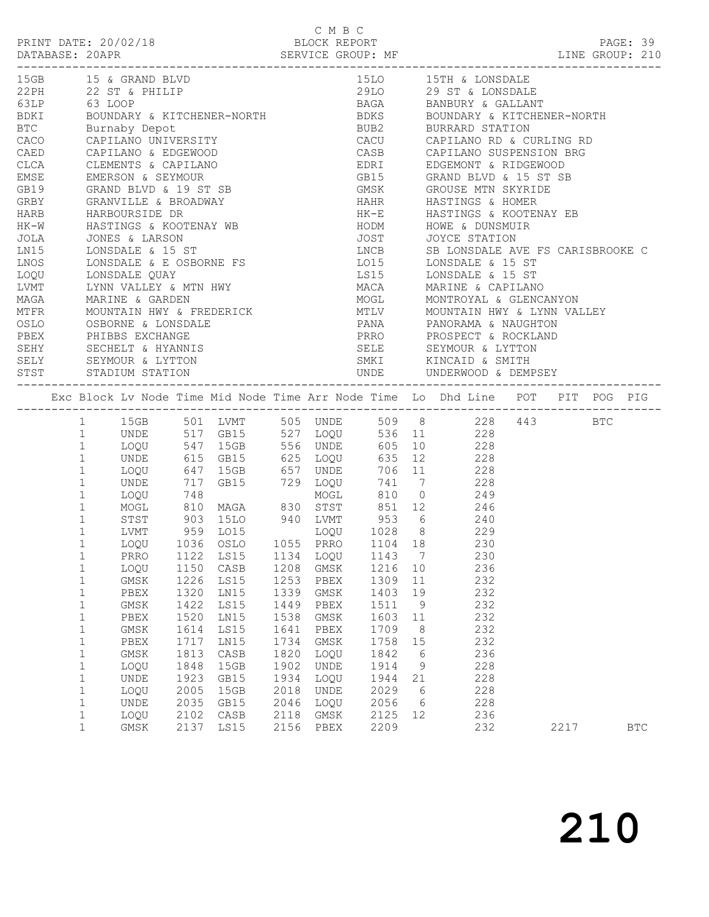PAGE: 39<br>LINE GROUP: 210

|                  | 15GB 15 & GRAND BLVD                                                                                    |              |              |              |              |              |     | 15LO 15TH & LONSDALE                                                                                                                                                                                                                         |      |              |
|------------------|---------------------------------------------------------------------------------------------------------|--------------|--------------|--------------|--------------|--------------|-----|----------------------------------------------------------------------------------------------------------------------------------------------------------------------------------------------------------------------------------------------|------|--------------|
|                  | 22 PH<br>22 ST & PHILIP                                                                                 |              |              |              |              |              |     | ------<br>29LO 29 ST & LONSDALE<br>BAGA     BANBURY & GALLANT<br>BDKS     BOUNDARY & KITCHENER-NORTH<br>BUB2     BURRARD STATION                                                                                                             |      |              |
|                  |                                                                                                         |              |              |              |              |              |     |                                                                                                                                                                                                                                              |      |              |
|                  | 63LP 63 LOOP<br>BDKI         BOUNDARY & KITCHENER-NORTH                                                 |              |              |              |              |              |     |                                                                                                                                                                                                                                              |      |              |
|                  | BTC Burnaby Depot                                                                                       |              |              |              |              |              |     |                                                                                                                                                                                                                                              |      |              |
|                  |                                                                                                         |              |              |              |              |              |     |                                                                                                                                                                                                                                              |      |              |
|                  |                                                                                                         |              |              |              |              |              |     | CACO CAPILANO UNIVERSITY<br>CACO CAPILANO UNIVERSITY CACU CAPILANO RD & CURLING RD<br>CAED CAPILANO & EDGEWOOD CASB CAPILANO SUSPENSION BRG<br>CLCA CLEMENTS & CAPILANO CLCA EDRI EDGEMONT & RIDGEWOOD                                       |      |              |
|                  |                                                                                                         |              |              |              |              |              |     |                                                                                                                                                                                                                                              |      |              |
|                  |                                                                                                         |              |              |              |              |              |     |                                                                                                                                                                                                                                              |      |              |
|                  | EMSE EMERSON & SEYMOUR                                                                                  |              |              |              |              |              |     | GB15 GRAND BLVD & 15 ST SB                                                                                                                                                                                                                   |      |              |
|                  |                                                                                                         |              |              |              |              |              |     |                                                                                                                                                                                                                                              |      |              |
|                  |                                                                                                         |              |              |              |              |              |     |                                                                                                                                                                                                                                              |      |              |
|                  |                                                                                                         |              |              |              |              |              |     | GRAN GRAND BLVD & 19 ST SB GMSK GROUSE MTN SKYRIDE<br>GRBY GRANVILLE & BROADWAY HAHR HASTINGS & HOMER<br>HARB HARBOURSIDE DR HK-E HASTINGS & KOOTENAY EB<br>HK-W HASTINGS & KOOTENAY WB HODM HOWE & DUNSMUIR                                 |      |              |
|                  |                                                                                                         |              |              |              |              |              |     |                                                                                                                                                                                                                                              |      |              |
|                  |                                                                                                         |              |              |              |              |              |     |                                                                                                                                                                                                                                              |      |              |
|                  |                                                                                                         |              |              |              |              |              |     |                                                                                                                                                                                                                                              |      |              |
|                  |                                                                                                         |              |              |              |              |              |     | NOTE STATION<br>1990 LONS CONSUMER A LONS CONSUMER SERVICE STATION<br>1990 LONS LONSDALE & 15 ST<br>1990 LONSDALE & E OSBORNE FS<br>1990 LONSDALE & E OSBORNE FS<br>1990 LONSDALE & LONSDALE & 15 ST<br>1990 LONSDALE & E OSBORNE FS<br>1991 |      |              |
|                  |                                                                                                         |              |              |              |              |              |     |                                                                                                                                                                                                                                              |      |              |
|                  |                                                                                                         |              |              |              |              |              |     |                                                                                                                                                                                                                                              |      |              |
|                  |                                                                                                         |              |              |              |              |              |     |                                                                                                                                                                                                                                              |      |              |
|                  |                                                                                                         |              |              |              |              |              |     |                                                                                                                                                                                                                                              |      |              |
|                  |                                                                                                         |              |              |              |              |              |     |                                                                                                                                                                                                                                              |      |              |
|                  |                                                                                                         |              |              |              |              |              |     | ENT LYNN VALLEY & MTN HWY MACA MARINE & CAPILANO<br>MAGA MARINE & GARDEN<br>MTFR MOUNTAIN HWY & FREDERICK MOUNT MOUNTAIN HWY & FREDERICK<br>OSLO OSBORNE & LONSDALE<br>PBEX PHIBBS EXCHANGE PANA PANORAMA & NAUGHTON<br>PBEX PHIBBS EXCH     |      |              |
|                  |                                                                                                         |              |              |              |              |              |     |                                                                                                                                                                                                                                              |      |              |
|                  |                                                                                                         |              |              |              |              |              |     |                                                                                                                                                                                                                                              |      |              |
|                  | SEHY SECHELT & HYANNIS<br>SELY SEYMOUR & LYTTON<br>STST STADIUM STATION                                 |              |              |              |              |              |     |                                                                                                                                                                                                                                              |      |              |
|                  |                                                                                                         |              |              |              |              |              |     |                                                                                                                                                                                                                                              |      |              |
|                  |                                                                                                         |              |              |              |              |              |     |                                                                                                                                                                                                                                              |      |              |
|                  |                                                                                                         |              |              |              |              |              |     |                                                                                                                                                                                                                                              |      |              |
|                  |                                                                                                         |              |              |              |              |              |     | Exc Block Lv Node Time Mid Node Time Arr Node Time Lo Dhd Line POT PIT POG PIG                                                                                                                                                               |      |              |
|                  |                                                                                                         |              |              |              |              |              |     |                                                                                                                                                                                                                                              |      |              |
|                  |                                                                                                         |              |              |              |              |              |     | 1 15GB 501 LVMT 505 UNDE 509 8 228 443 BTC                                                                                                                                                                                                   |      |              |
|                  | 1 UNDE 517 GB15 527 LOQU 536 11 228                                                                     |              |              |              |              |              |     |                                                                                                                                                                                                                                              |      |              |
| $\mathbf{1}$     |                                                                                                         |              |              |              |              |              |     |                                                                                                                                                                                                                                              |      |              |
| $\mathbf{1}$     |                                                                                                         |              |              |              |              |              |     |                                                                                                                                                                                                                                              |      |              |
| $\mathbf{1}$     | 1000 547 15GB 556 UNDE 605 10<br>1000 615 GB15 625 1000 635 12 228<br>1000 647 15GB 657 UNDE 706 11 228 |              |              |              |              |              |     |                                                                                                                                                                                                                                              |      |              |
| $\mathbf{1}$     | UNDE                                                                                                    |              |              |              |              |              |     | 717 GB15 729 LOQU 741 7 228                                                                                                                                                                                                                  |      |              |
| $\mathbf{1}$     |                                                                                                         |              |              |              |              |              |     |                                                                                                                                                                                                                                              |      |              |
| $1\,$            |                                                                                                         |              |              |              |              |              |     |                                                                                                                                                                                                                                              |      |              |
| $\mathbf{1}$     | 1000 748<br>MOGL 810 MAGA 830 STST 851 12 246<br>STST 903 15LO 940 LVMT 953 6 240                       |              |              |              |              |              |     |                                                                                                                                                                                                                                              |      |              |
| $\mathbf{1}$     | LVMT 959 LO15 LOQU 1028 8 229                                                                           |              |              |              |              |              |     |                                                                                                                                                                                                                                              |      |              |
| $\mathbf{1}$     |                                                                                                         |              |              |              |              |              |     |                                                                                                                                                                                                                                              |      |              |
| $\mathbf{1}$     | LOQU 1036 OSLO 1055 PRRO 1104 18 230                                                                    |              |              |              |              |              |     |                                                                                                                                                                                                                                              |      |              |
| $\mathbf 1$      |                                                                                                         |              |              |              |              |              |     | PRRO 1122 LS15 1134 LOQU 1143 7 230<br>LOQU 1150 CASB 1208 GMSK 1216 10 236                                                                                                                                                                  |      |              |
| $\mathbf{1}$     | LOQU                                                                                                    |              |              |              |              |              |     |                                                                                                                                                                                                                                              |      |              |
|                  | GMSK 1226 LS15 1253 PBEX 1309 11 232                                                                    |              |              |              |              |              |     |                                                                                                                                                                                                                                              |      |              |
| 1                | PBEX                                                                                                    | 1320         | LN15         | 1339         | GMSK         | 1403         | 19  | 232                                                                                                                                                                                                                                          |      |              |
| $\mathbf 1$      | GMSK                                                                                                    | 1422         | LS15         | 1449         | PBEX         | 1511         | 9   | 232                                                                                                                                                                                                                                          |      |              |
| $1\,$            | PBEX                                                                                                    | 1520         | LN15         | 1538         | GMSK         | 1603         | 11  | 232                                                                                                                                                                                                                                          |      |              |
| 1                | GMSK                                                                                                    | 1614         | LS15         | 1641         | PBEX         | 1709         | - 8 | 232                                                                                                                                                                                                                                          |      |              |
| $\mathbf 1$      | PBEX                                                                                                    | 1717         | LN15         | 1734         | GMSK         | 1758         | 15  | 232                                                                                                                                                                                                                                          |      |              |
| $1\,$            | GMSK                                                                                                    | 1813         | CASB         | 1820         | LOQU         | 1842         | - 6 | 236                                                                                                                                                                                                                                          |      |              |
| $\mathbf 1$      | LOQU                                                                                                    | 1848         | 15GB         | 1902         | UNDE         | 1914         | 9   | 228                                                                                                                                                                                                                                          |      |              |
| $\mathbf 1$      | UNDE                                                                                                    | 1923         | GB15         | 1934         | LOQU         | 1944         | 21  | 228                                                                                                                                                                                                                                          |      |              |
| 1                | LOQU                                                                                                    | 2005         | 15GB         | 2018         | <b>UNDE</b>  | 2029         | 6   | 228                                                                                                                                                                                                                                          |      |              |
| $\mathbf 1$      | UNDE                                                                                                    | 2035         | GB15         | 2046         | LOQU         | 2056         | 6   | 228                                                                                                                                                                                                                                          |      |              |
| $\mathbf 1$<br>1 | LOQU<br>GMSK                                                                                            | 2102<br>2137 | CASB<br>LS15 | 2118<br>2156 | GMSK<br>PBEX | 2125<br>2209 | 12  | 236<br>232                                                                                                                                                                                                                                   | 2217 | $_{\rm BTC}$ |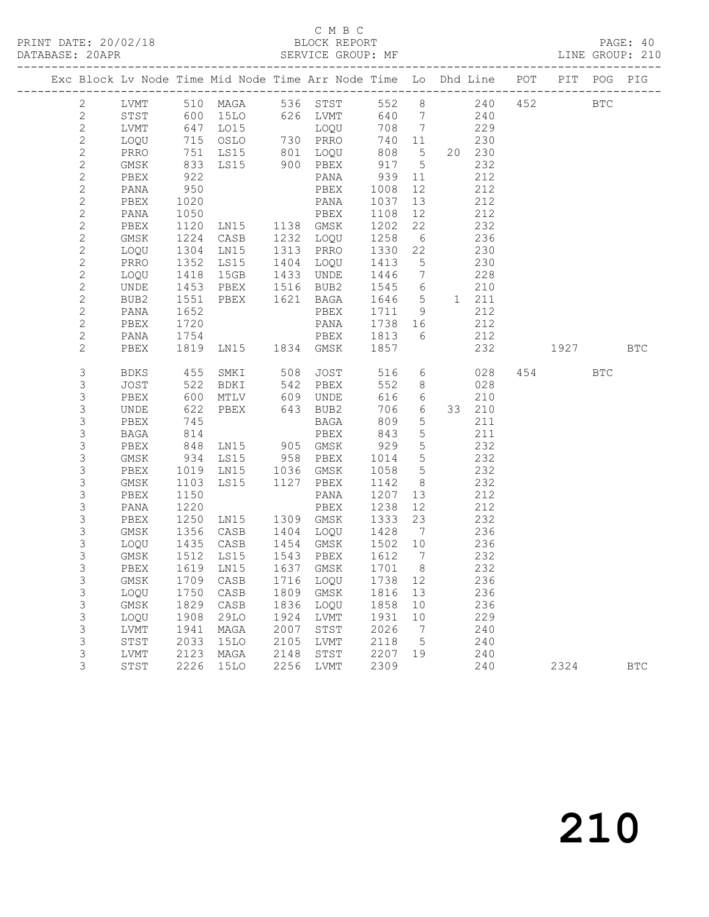### C M B C<br>BLOCK REPORT

PAGE: 40<br>LINE GROUP: 210

|  |                           |               |              |                     |                      | Exc Block Lv Node Time Mid Node Time Arr Node Time Lo Dhd Line POT |                            |                 |                 |            |     |            | PIT POG PIG |            |
|--|---------------------------|---------------|--------------|---------------------|----------------------|--------------------------------------------------------------------|----------------------------|-----------------|-----------------|------------|-----|------------|-------------|------------|
|  | $\mathbf{2}$              |               |              |                     |                      | LVMT 510 MAGA 536 STST 552 8<br>STST 600 15LO 626 LVMT 640 7       |                            |                 | 552 8           | 240        | 452 | <b>BTC</b> |             |            |
|  | $\mathbf{2}$              |               |              |                     |                      |                                                                    |                            |                 | 240             |            |     |            |             |            |
|  | $\overline{c}$            | LVMT          |              | 647 LO15            |                      |                                                                    |                            |                 | 229             |            |     |            |             |            |
|  | $\mathbf{2}$              | LOQU          |              | 715 OSLO            |                      |                                                                    |                            |                 |                 | 230        |     |            |             |            |
|  | $\mathbf{2}$              | PRRO          |              | 751 LS15            |                      |                                                                    |                            |                 |                 | 20 230     |     |            |             |            |
|  | $\sqrt{2}$                | GMSK 833 LS15 |              |                     |                      |                                                                    |                            |                 |                 | 232        |     |            |             |            |
|  | $\mathbf{2}$              | PBEX          | 922          |                     |                      | PANA 939                                                           |                            | 11              |                 | 212        |     |            |             |            |
|  | $\mathbf{2}$              | PANA          | 950          |                     |                      | PBEX                                                               | 1008                       | 12              |                 | 212        |     |            |             |            |
|  | $\overline{c}$            | PBEX          | 1020         |                     |                      | PANA                                                               | 1037                       | 13              |                 | 212        |     |            |             |            |
|  | $\mathbf{2}$              | PANA          | 1050         |                     |                      | PBEX                                                               | 1108                       | 12              |                 | 212        |     |            |             |            |
|  | $\overline{c}$            | PBEX          |              | 1120 LN15 1138 GMSK |                      |                                                                    | 1202                       | 22              |                 | 232        |     |            |             |            |
|  | $\mathbf{2}$              | GMSK          |              | 1224 CASB           | 1232                 | LOQU                                                               | 1258                       | 6               |                 | 236        |     |            |             |            |
|  | $\mathbf{2}$              | LOQU          |              | 1304 LN15           | 1313                 | PRRO                                                               | 1330                       | 22              |                 | 230        |     |            |             |            |
|  | $\mathbf{2}$              | PRRO          | 1352         | LS15                | 1404                 | LOQU                                                               | 1413                       | $5\overline{)}$ |                 | 230        |     |            |             |            |
|  | $\mathbf{2}$              | LOQU          | 1418         | 15GB                | 1433                 | UNDE                                                               | 1446                       | $\overline{7}$  | 228             |            |     |            |             |            |
|  | $\mathbf{2}$              | UNDE          |              | 1453 PBEX           | 1516                 | BUB2                                                               | 1545 6                     |                 |                 | 210        |     |            |             |            |
|  | $\mathbf{2}$              | BUB2          | 1551         | PBEX                | 1621                 | BAGA                                                               | 1646 5                     |                 |                 | 1 211      |     |            |             |            |
|  | $\mathbf{2}$              | PANA          | 1652         |                     |                      | PBEX                                                               | 1711 9                     |                 |                 | 212        |     |            |             |            |
|  | $\overline{c}$            | PBEX          | 1720         |                     |                      | PANA                                                               | 1738 16                    |                 |                 | 212        |     |            |             |            |
|  | $\mathbf{2}$              | PANA          | 1754         |                     |                      | PBEX                                                               | 1813 6                     |                 |                 | 212        |     |            |             |            |
|  | $\overline{2}$            | PBEX          |              |                     |                      | 1819 LN15 1834 GMSK 1857                                           |                            |                 |                 |            | 232 | 1927 BTC   |             |            |
|  | 3                         | BDKS          | 455          | SMKI                | 508                  | <b>JOST</b>                                                        | 516                        |                 | $6\overline{6}$ | 028        |     | 454 BTC    |             |            |
|  | 3                         | JOST          |              | 522 BDKI            | 542                  | PBEX                                                               | 552                        | 8 <sup>8</sup>  |                 | 028        |     |            |             |            |
|  | $\mathfrak{S}$            | PBEX          | 600          | MTLV                |                      |                                                                    | 616 6                      |                 |                 | 210        |     |            |             |            |
|  | $\mathsf 3$               | UNDE          | 622          | PBEX                |                      | 609 UNDE<br>643 BUB2                                               | 706 6                      |                 |                 | 33 210     |     |            |             |            |
|  | $\mathsf 3$               | PBEX          | 745          |                     |                      | BAGA                                                               | 809                        | $5\phantom{.0}$ |                 | 211        |     |            |             |            |
|  | 3                         | BAGA          | 814          |                     |                      | PBEX                                                               | 843                        | $5\phantom{.0}$ |                 | 211        |     |            |             |            |
|  | $\mathsf 3$               | PBEX          |              | 848 LN15 905 GMSK   |                      |                                                                    | 929                        | $5\overline{)}$ |                 | 232        |     |            |             |            |
|  | $\mathsf 3$               | GMSK          |              | 934 LS15            | 958                  | PBEX                                                               | 1014 5                     |                 |                 | 232        |     |            |             |            |
|  | $\mathsf 3$               | PBEX          |              | 1019 LN15           | 1036                 | GMSK                                                               | 1058                       | $5\overline{)}$ |                 | 232        |     |            |             |            |
|  | $\mathsf 3$               | GMSK          | 1103         | LS15                |                      | 1127 PBEX                                                          | 1142                       | 8 <sup>8</sup>  |                 | 232        |     |            |             |            |
|  | $\mathsf 3$               | PBEX          | 1150         |                     |                      | PANA                                                               | 1207                       | 13              |                 | 212        |     |            |             |            |
|  | $\mathsf 3$               | PANA          | 1220         |                     |                      | PBEX                                                               | 1238                       | 12              |                 | 212        |     |            |             |            |
|  | $\mathsf 3$               | PBEX          | 1250         | LNI5                |                      | 1309 GMSK                                                          | 1333                       | 23              |                 | 232        |     |            |             |            |
|  | 3                         | GMSK          |              | 1356 CASB           | 1404                 | LOQU                                                               | 1428 7                     |                 |                 | 236        |     |            |             |            |
|  | 3                         | LOQU          | 1435         | CASB                | 1454<br>1543<br>1637 | GMSK                                                               | 1502 10                    |                 |                 | 236        |     |            |             |            |
|  | $\mathsf 3$               | GMSK          | 1512         | LS15                |                      | PBEX                                                               | 1612<br>$\frac{1}{1701}$ 8 | $\overline{7}$  |                 | 232        |     |            |             |            |
|  | $\mathsf 3$               | PBEX          |              | 1619 LN15           |                      | 1637 GMSK                                                          |                            |                 |                 | 232        |     |            |             |            |
|  | 3                         |               |              |                     |                      | GMSK 1709 CASB 1716 LOQU 1738 12                                   |                            |                 |                 | 236        |     |            |             |            |
|  | 3                         | LOQU<br>GMSK  | 1750         | CASB<br>CASB        |                      | 1809 GMSK                                                          | 1816                       | 13              |                 | 236<br>236 |     |            |             |            |
|  | 3<br>$\mathsf 3$          |               | 1829<br>1908 |                     | 1836<br>1924         | LOQU                                                               | 1858                       | 10              |                 | 229        |     |            |             |            |
|  | $\mathfrak{Z}$            | LOQU<br>LVMT  | 1941         | 29LO<br>MAGA        | 2007                 | LVMT<br>STST                                                       | 1931<br>2026               | 10<br>7         |                 | 240        |     |            |             |            |
|  | $\ensuremath{\mathsf{3}}$ | STST          | 2033         | 15LO                | 2105                 | LVMT                                                               | 2118                       | $5\overline{)}$ |                 | 240        |     |            |             |            |
|  | $\mathsf 3$               | LVMT          | 2123         | MAGA                | 2148                 | STST                                                               | 2207 19                    |                 |                 | 240        |     |            |             |            |
|  | 3                         | STST          | 2226         | 15LO                | 2256                 | LVMT                                                               | 2309                       |                 |                 | 240        |     | 2324       |             | <b>BTC</b> |
|  |                           |               |              |                     |                      |                                                                    |                            |                 |                 |            |     |            |             |            |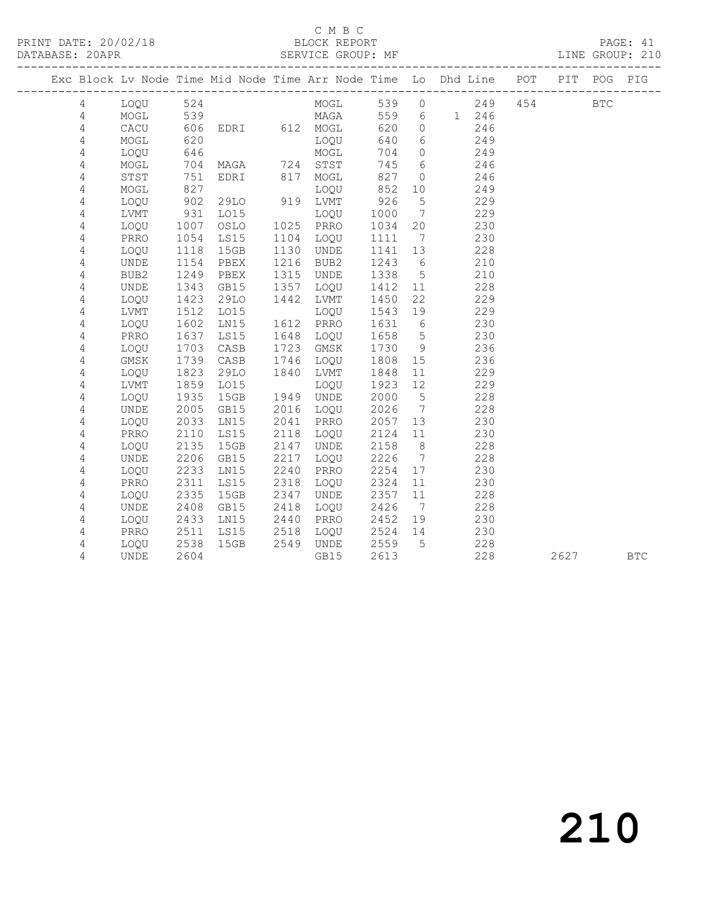#### C M B C<br>BLOCK REPORT

PAGE: 41<br>LINE GROUP: 210

|  |                |             |      |                   |              |                                         |            |                 | Exc Block Lv Node Time Mid Node Time Arr Node Time Lo Dhd Line POT PIT POG PIG |         |      |            |
|--|----------------|-------------|------|-------------------|--------------|-----------------------------------------|------------|-----------------|--------------------------------------------------------------------------------|---------|------|------------|
|  | $\overline{4}$ | LOQU 524    |      |                   |              |                                         |            |                 | MOGL 539 0 249                                                                 | 454 BTC |      |            |
|  | $\overline{4}$ |             |      |                   |              | MOGL 539 MAGA<br>CACU 606 EDRI 612 MOGL |            |                 | 559 6 1 246                                                                    |         |      |            |
|  | $\overline{4}$ |             |      |                   |              |                                         | 620        | $\overline{0}$  | 246                                                                            |         |      |            |
|  | 4              | MOGL        | 620  |                   |              | LOQU                                    | 640        | 6               | 249                                                                            |         |      |            |
|  | 4              | LOQU        | 646  |                   |              | MOGL                                    | 704 0      |                 | 249                                                                            |         |      |            |
|  | $\overline{4}$ | MOGL        |      | 704 MAGA 724 STST |              |                                         | 745        | $6\overline{6}$ | 246                                                                            |         |      |            |
|  | $\overline{4}$ | STST        | 751  | EDRI 817          |              | MOGL                                    | 827        | $\overline{0}$  | 246                                                                            |         |      |            |
|  | $\overline{4}$ | MOGL        | 827  |                   |              | LOQU<br>919 LVMT                        | 852<br>926 | 10              | 249                                                                            |         |      |            |
|  | $\overline{4}$ | LOQU        | 902  | 29LO              |              |                                         |            | $5\overline{)}$ | 229                                                                            |         |      |            |
|  | $\overline{4}$ | LVMT        | 931  | LO15              |              | LOQU                                    | 1000       | $7\overline{ }$ | 229                                                                            |         |      |            |
|  | $\overline{4}$ | LOQU        | 1007 | OSLO              | 1025         | PRRO                                    | 1034       | 20              | 230                                                                            |         |      |            |
|  | 4              | PRRO        | 1054 | LS15              | 1104         | LOQU                                    | 1111       | $\overline{7}$  | 230                                                                            |         |      |            |
|  | $\overline{4}$ | LOQU        | 1118 | 15GB              | 1130         | UNDE                                    | 1141       | 13              | 228                                                                            |         |      |            |
|  | $\sqrt{4}$     | UNDE        | 1154 | PBEX              | 1216         | BUB2                                    | 1243       | $6\overline{6}$ | 210                                                                            |         |      |            |
|  | $\overline{4}$ | BUB2        | 1249 | PBEX              | 1315         | UNDE                                    | 1338       | $5\overline{)}$ | 210                                                                            |         |      |            |
|  | 4              | <b>UNDE</b> | 1343 | GB15              | 1357         | LOQU                                    | 1412       | 11              | 228                                                                            |         |      |            |
|  | 4              | LOOU        | 1423 | 29LO              | 1442         | LVMT                                    | 1450       | 22              | 229                                                                            |         |      |            |
|  | 4              | LVMT        | 1512 | LO15              | 1612<br>1648 | LOQU                                    | 1543       | 19              | 229                                                                            |         |      |            |
|  | 4              | LOQU        | 1602 | LN15              | 1612         | PRRO                                    | 1631       | $6\overline{6}$ | 230                                                                            |         |      |            |
|  | $\overline{4}$ | PRRO        | 1637 | LS15              | 1648         | LOQU                                    | 1658       | $5\overline{)}$ | 230                                                                            |         |      |            |
|  | 4              | LOQU        | 1703 | CASB              | 1723         | GMSK                                    | 1730       | 9               | 236                                                                            |         |      |            |
|  | $\overline{4}$ | $\rm{GMSK}$ | 1739 | CASB              | 1746         | LOQU                                    | 1808       | 15              | 236                                                                            |         |      |            |
|  | $\overline{4}$ | LOQU        | 1823 | 29LO              | 1840         | LVMT                                    | 1848       | 11              | 229                                                                            |         |      |            |
|  | 4              | LVMT        | 1859 | L015              | 1949<br>2016 | LOQU                                    | 1923       | 12              | 229                                                                            |         |      |            |
|  | $\sqrt{4}$     | LOQU        | 1935 | 15GB              | 1949         | UNDE                                    | 2000       | $5^{\circ}$     | 228                                                                            |         |      |            |
|  | 4              | <b>UNDE</b> | 2005 | GB15              | 2016         | LOQU                                    | 2026       | $7\overline{)}$ | 228                                                                            |         |      |            |
|  | 4              | LOQU        | 2033 | LN15              | 2041         | PRRO                                    | 2057       | 13              | 230                                                                            |         |      |            |
|  | 4              | PRRO        | 2110 | LS15              | 2118         | LOQU                                    | 2124       | 11              | 230                                                                            |         |      |            |
|  | 4              | LOQU        | 2135 | 15GB              | 2147         | UNDE                                    | 2158       | 8 <sup>8</sup>  | 228                                                                            |         |      |            |
|  | $\overline{4}$ | UNDE        | 2206 | GB15              | 2217         | LOQU                                    | 2226       | $\overline{7}$  | 228                                                                            |         |      |            |
|  | $\sqrt{4}$     | LOQU        | 2233 | LN15              | 2240         | PRRO                                    | 2254       | 17              | 230                                                                            |         |      |            |
|  | $\sqrt{4}$     | PRRO        | 2311 | LS15              | 2318         | LOQU                                    | 2324       | 11              | 230                                                                            |         |      |            |
|  | 4              | LOQU        | 2335 | 15GB              | 2347         | UNDE                                    | 2357       | 11              | 228                                                                            |         |      |            |
|  | 4              | UNDE        | 2408 | GB15              | 2418         | LOQU                                    | 2426       | $\overline{7}$  | 228                                                                            |         |      |            |
|  | 4              | LOQU        | 2433 | LN15              | 2440         | PRRO                                    | 2452       | 19              | 230                                                                            |         |      |            |
|  | 4              | PRRO        | 2511 | LS15              | 2518         | LOQU                                    | 2524 14    |                 | 230                                                                            |         |      |            |
|  | 4              | LOQU        | 2538 | 15GB              |              | 2549 UNDE                               | 2559       | $5^{\circ}$     | 228                                                                            |         |      |            |
|  | 4              | UNDE        | 2604 |                   |              | GB15                                    | 2613       |                 | 228                                                                            |         | 2627 | <b>BTC</b> |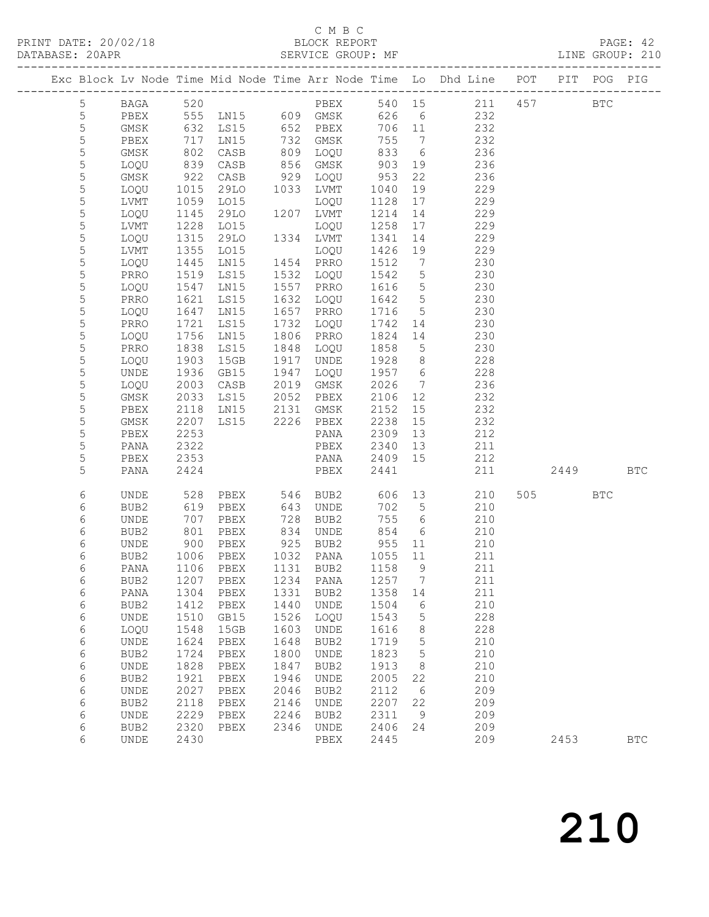### C M B C<br>BLOCK REPORT

PAGE: 42<br>LINE GROUP: 210

|  |                          |                  |              |              |                      |                                 |              |                                   | Exc Block Lv Node Time Mid Node Time Arr Node Time Lo Dhd Line POT   |      | PIT POG PIG |              |
|--|--------------------------|------------------|--------------|--------------|----------------------|---------------------------------|--------------|-----------------------------------|----------------------------------------------------------------------|------|-------------|--------------|
|  | 5                        |                  |              |              |                      |                                 |              |                                   |                                                                      |      |             |              |
|  | $\mathsf S$              |                  |              |              |                      |                                 |              |                                   | BAGA 520 PBEX 540 15 211 457 BTC<br>PBEX 555 LN15 609 GMSK 626 6 232 |      |             |              |
|  | $\mathsf S$              | GMSK 632         |              | LS15         |                      | $652$ PBEX                      | 706 11       |                                   | 232                                                                  |      |             |              |
|  | 5                        | PBEX             | 717          | LN15         | 732                  | GMSK                            | 755          | $\overline{7}$                    | 232                                                                  |      |             |              |
|  | 5                        | GMSK             | 802          | CASB         | 809<br>856           | LOQU                            | 833          | $6\overline{6}$                   | 236                                                                  |      |             |              |
|  | 5                        | LOQU             | 839          | CASB         |                      | GMSK                            | 903          | 19                                | 236                                                                  |      |             |              |
|  | 5                        | GMSK             | 922          | CASB         | 929                  | LOQU                            | 953          | 22                                | 236                                                                  |      |             |              |
|  | 5                        | LOQU             | 1015         | 29LO         | 1033                 | LVMT                            | 1040         | 19                                | 229                                                                  |      |             |              |
|  | 5                        | LVMT             | 1059         | LO15         |                      | LOQU                            | 1128         | 17                                | 229                                                                  |      |             |              |
|  | 5                        | LOQU             | 1145         | 29LO         | 1207                 | 1207 LVMT                       | 1214         | 14                                | 229                                                                  |      |             |              |
|  | 5                        | LVMT             | 1228         | LO15         |                      | LOQU                            | 1258         | 17                                | 229                                                                  |      |             |              |
|  | 5                        | LOQU             | 1315         | 29LO         |                      | 1334 LVMT                       | 1341         | 14                                | 229                                                                  |      |             |              |
|  | 5                        | LVMT             | 1355         | LO15         | 1454<br>1532         | LOQU                            | 1426         | 19                                | 229                                                                  |      |             |              |
|  | 5                        | LOQU             | 1445         | LN15         |                      | PRRO                            | 1512         | $\overline{7}$                    | 230                                                                  |      |             |              |
|  | 5                        | PRRO             | 1519         | LS15         |                      | LOQU                            | 1542         | $5\overline{)}$                   | 230                                                                  |      |             |              |
|  | 5                        | LOQU             | 1547         | LN15         | 1557                 | PRRO                            | 1616         | $5\overline{)}$                   | 230                                                                  |      |             |              |
|  | 5                        | PRRO             | 1621         | LS15         | 1632                 | LOQU                            | 1642         | $5\overline{)}$                   | 230                                                                  |      |             |              |
|  | 5                        | LOQU             | 1647         | LN15         | 1657                 | PRRO                            | 1716         | 5 <sub>5</sub>                    | 230                                                                  |      |             |              |
|  | $\mathsf S$              | PRRO             | 1721         | LS15         | 1732                 | LOQU                            | 1742         | 14                                | 230                                                                  |      |             |              |
|  | $\mathsf S$              | LOQU             | 1756         | LN15         | 1806                 | PRRO                            | 1824         | 14                                | 230                                                                  |      |             |              |
|  | 5<br>5                   | PRRO             | 1838<br>1903 | LS15<br>15GB | 1848                 | LOQU                            | 1858         | $5\overline{)}$<br>8 <sup>8</sup> | 230<br>228                                                           |      |             |              |
|  | 5                        | LOQU<br>UNDE     | 1936         | GB15         |                      | UNDE<br>LOQU                    | 1928<br>1957 | $6\overline{6}$                   | 228                                                                  |      |             |              |
|  | 5                        | LOQU             | 2003         | CASB         | $15 - 1947$<br>2019  | GMSK                            | 2026         | $7\overline{ }$                   | 236                                                                  |      |             |              |
|  | 5                        | GMSK             | 2033         | LS15         | 2052                 | PBEX                            | 2106         | 12                                | 232                                                                  |      |             |              |
|  | 5                        | PBEX             | 2118         | LN15         |                      |                                 | 2152         | 15                                | 232                                                                  |      |             |              |
|  | 5                        | GMSK             | 2207         | LS15         |                      | 2131 GMSK<br>2226 PBEX          | 2238         | 15                                | 232                                                                  |      |             |              |
|  | $\mathsf S$              | PBEX             | 2253         |              |                      | PANA                            | 2309         | 13                                | 212                                                                  |      |             |              |
|  | 5                        | PANA             | 2322         |              |                      | PBEX                            | 2340         | 13                                | 211                                                                  |      |             |              |
|  | 5                        | PBEX             | 2353         |              |                      | PANA                            | 2409 15      |                                   | 212                                                                  |      |             |              |
|  | 5                        | PANA             | 2424         |              |                      | PBEX                            | 2441         |                                   | 211                                                                  | 2449 |             | <b>BTC</b>   |
|  |                          | <b>UNDE</b>      |              |              |                      |                                 |              | 13                                |                                                                      | 505  | <b>BTC</b>  |              |
|  | $\sqrt{6}$<br>$\epsilon$ |                  | 528<br>619   | PBEX         | 546<br>643           | BUB2                            | 606<br>702   | $5^{\circ}$                       | 210<br>210                                                           |      |             |              |
|  | $\epsilon$               | BUB2<br>UNDE     | 707          | PBEX<br>PBEX |                      | UNDE<br>BUB2                    | 755          | $6\overline{6}$                   | 210                                                                  |      |             |              |
|  | $\epsilon$               | BUB2             | 801          | PBEX         | 728<br>834           | UNDE                            | 854          | $6\overline{6}$                   | 210                                                                  |      |             |              |
|  | 6                        | UNDE             | 900          | PBEX         | 925                  | BUB2                            | 955          | 11                                | 210                                                                  |      |             |              |
|  | $\epsilon$               | BUB2             | 1006         | PBEX         |                      | PANA                            | 1055         | 11                                | 211                                                                  |      |             |              |
|  | 6                        | PANA             | 1106         | PBEX         | 1032<br>1131<br>1131 | BUB2                            | 1158         | 9                                 | 211                                                                  |      |             |              |
|  | 6                        |                  |              |              |                      | BUB2 1207 PBEX 1234 PANA 1257 7 |              |                                   | 211                                                                  |      |             |              |
|  | 6                        | PANA             | 1304         | PBEX         | 1331                 | BUB2                            | 1358         | 14                                | 211                                                                  |      |             |              |
|  | 6                        | BUB <sub>2</sub> | 1412         | PBEX         | 1440                 | <b>UNDE</b>                     | 1504         | 6                                 | 210                                                                  |      |             |              |
|  | $\sqrt{6}$               | <b>UNDE</b>      | 1510         | GB15         | 1526                 | LOQU                            | 1543         | 5                                 | 228                                                                  |      |             |              |
|  | 6                        | LOQU             | 1548         | 15GB         | 1603                 | <b>UNDE</b>                     | 1616         | 8                                 | 228                                                                  |      |             |              |
|  | 6                        | UNDE             | 1624         | PBEX         | 1648                 | BUB2                            | 1719         | 5                                 | 210                                                                  |      |             |              |
|  | 6                        | BUB2             | 1724         | PBEX         | 1800                 | UNDE                            | 1823         | 5                                 | 210                                                                  |      |             |              |
|  | 6                        | <b>UNDE</b>      | 1828         | PBEX         | 1847                 | BUB2                            | 1913         | 8                                 | 210                                                                  |      |             |              |
|  | 6                        | BUB2             | 1921         | PBEX         | 1946                 | UNDE                            | 2005         | 22                                | 210                                                                  |      |             |              |
|  | 6                        | UNDE             | 2027         | PBEX         | 2046                 | BUB2                            | 2112         | 6                                 | 209                                                                  |      |             |              |
|  | 6                        | BUB2             | 2118         | PBEX         | 2146                 | UNDE                            | 2207         | 22                                | 209                                                                  |      |             |              |
|  | 6                        | <b>UNDE</b>      | 2229         | PBEX         | 2246                 | BUB2                            | 2311         | 9                                 | 209                                                                  |      |             |              |
|  | 6                        | BUB2             | 2320         | PBEX         | 2346                 | UNDE                            | 2406         | 24                                | 209                                                                  |      |             |              |
|  | 6                        | <b>UNDE</b>      | 2430         |              |                      | ${\tt PBEX}$                    | 2445         |                                   | 209                                                                  | 2453 |             | $_{\rm BTC}$ |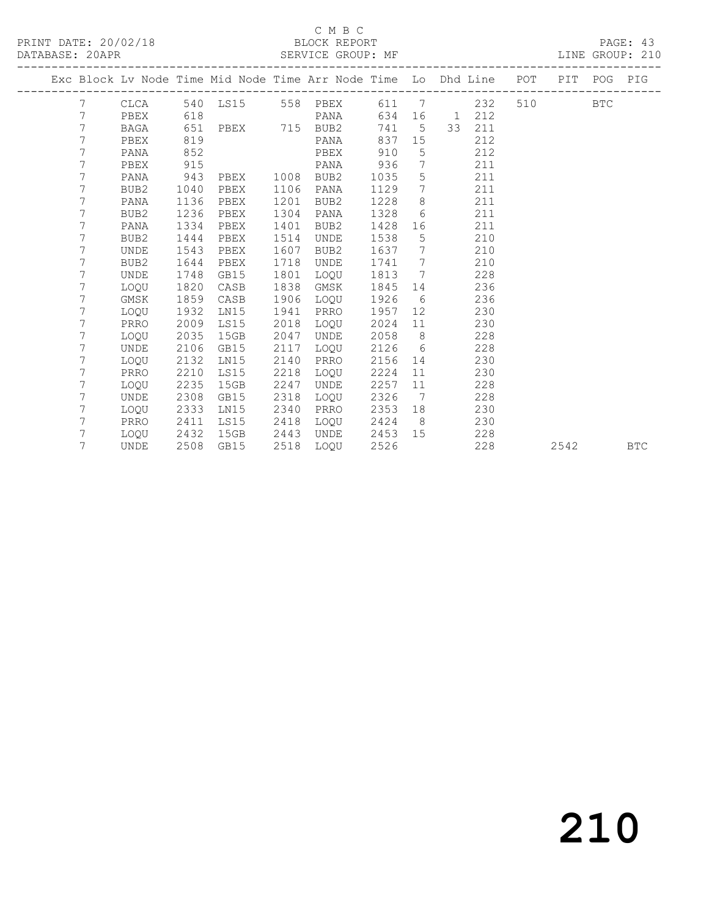#### C M B C<br>BLOCK REPORT

PAGE: 43<br>LINE GROUP: 210

|  |                |             |      |          |      |                        |        |                | Exc Block Lv Node Time Mid Node Time Arr Node Time Lo Dhd Line POT |         | PIT POG PIG |            |
|--|----------------|-------------|------|----------|------|------------------------|--------|----------------|--------------------------------------------------------------------|---------|-------------|------------|
|  | 7              |             |      |          |      | CLCA 540 LS15 558 PBEX |        |                | 611 7<br>232                                                       | 510 BTC |             |            |
|  | 7              | PBEX        | 618  |          |      | PANA                   | 634    |                | 16 1 212                                                           |         |             |            |
|  | 7              | BAGA        | 651  | PBEX 715 |      | BUB2                   | 741    | $5^{\circ}$    | 33<br>211                                                          |         |             |            |
|  | 7              | PBEX        | 819  |          |      | PANA                   | 837    | 15             | 212                                                                |         |             |            |
|  | 7              | PANA        | 852  |          |      | PBEX                   | 910    | 5              | 212                                                                |         |             |            |
|  | 7              | PBEX        | 915  |          |      | PANA                   | 936    | $\overline{7}$ | 211                                                                |         |             |            |
|  | 7              | PANA        | 943  | PBEX     |      | 1008 BUB2              | 1035   | $5^{\circ}$    | 211                                                                |         |             |            |
|  | 7              | BUB2        | 1040 | PBEX     | 1106 | PANA                   | 1129   | $\overline{7}$ | 211                                                                |         |             |            |
|  | 7              | PANA        | 1136 | PBEX     | 1201 | BUB2                   | 1228   | 8              | 211                                                                |         |             |            |
|  | 7              | BUB2        | 1236 | PBEX     | 1304 | PANA                   | 1328   | 6              | 211                                                                |         |             |            |
|  | 7              | PANA        | 1334 | PBEX     | 1401 | BUB2                   | 1428   |                | 211                                                                |         |             |            |
|  | 7              | BUB2        | 1444 | PBEX     | 1514 | UNDE                   | 1538   | 5 <sub>5</sub> | 210                                                                |         |             |            |
|  | 7              | UNDE        | 1543 | PBEX     | 1607 | BUB2                   | 1637 7 |                | 210                                                                |         |             |            |
|  | 7              | BUB2        | 1644 | PBEX     | 1718 | UNDE                   | 1741   | $\overline{7}$ | 210                                                                |         |             |            |
|  | 7              | UNDE        | 1748 | GB15     | 1801 | LOQU                   | 1813 7 |                | 228                                                                |         |             |            |
|  | 7              | LOQU        | 1820 | CASB     | 1838 | GMSK                   | 1845   | 14             | 236                                                                |         |             |            |
|  | 7              | GMSK        | 1859 | CASB     | 1906 | LOQU                   | 1926   | 6              | 236                                                                |         |             |            |
|  | 7              | LOQU        | 1932 | LN15     | 1941 | PRRO                   | 1957   | 12             | 230                                                                |         |             |            |
|  | 7              | PRRO        | 2009 | LS15     | 2018 | LOQU                   | 2024   | 11             | 230                                                                |         |             |            |
|  | 7              | LOQU        | 2035 | 15GB     | 2047 | UNDE                   | 2058   | 8 <sup>8</sup> | 228                                                                |         |             |            |
|  | $\overline{7}$ | UNDE        | 2106 | GB15     | 2117 | LOQU                   | 2126   | 6              | 228                                                                |         |             |            |
|  | 7              | LOQU        | 2132 | LN15     | 2140 | PRRO                   | 2156   | 14             | 230                                                                |         |             |            |
|  | 7              | PRRO        | 2210 | LS15     | 2218 | LOQU                   | 2224   | 11             | 230                                                                |         |             |            |
|  | 7              | LOQU        | 2235 | 15GB     | 2247 | UNDE                   | 2257   | 11             | 228                                                                |         |             |            |
|  | 7              | <b>UNDE</b> | 2308 | GB15     | 2318 | LOQU                   | 2326   | 7              | 228                                                                |         |             |            |
|  | 7              | LOQU        | 2333 | LN15     | 2340 | PRRO                   | 2353   | 18             | 230                                                                |         |             |            |
|  | 7              | PRRO        | 2411 | LS15     | 2418 | LOQU                   | 2424   | 8 <sup>8</sup> | 230                                                                |         |             |            |
|  | 7              | LOQU        | 2432 | 15GB     | 2443 | UNDE                   | 2453   | 15             | 228                                                                |         |             |            |
|  | 7              | UNDE        | 2508 | GB15     | 2518 | LOOU                   | 2526   |                | 228                                                                |         | 2542        | <b>BTC</b> |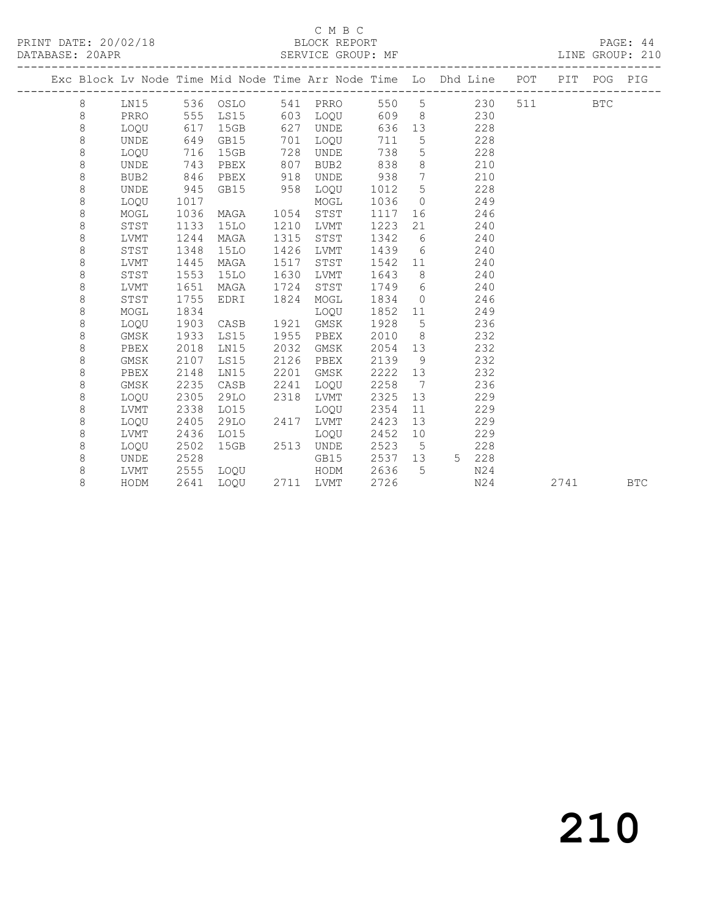PRINT DATE: 20/02/18 BLOCK REPORT DATABASE: 20APR

#### C M B C<br>BLOCK REPORT

PAGE: 44<br>LINE GROUP: 210

|  |   |                  |      |             |      |             |      |                 | Exc Block Lv Node Time Mid Node Time Arr Node Time Lo Dhd Line | POT | PIT POG |            | PIG        |
|--|---|------------------|------|-------------|------|-------------|------|-----------------|----------------------------------------------------------------|-----|---------|------------|------------|
|  | 8 | LN15             |      | 536 OSLO    | 541  | PRRO        | 550  | 5               | 230                                                            | 511 |         | <b>BTC</b> |            |
|  | 8 | PRRO             | 555  | LS15        | 603  | LOQU        | 609  | 8               | 230                                                            |     |         |            |            |
|  | 8 | LOQU             | 617  | 15GB        | 627  | <b>UNDE</b> | 636  | 13              | 228                                                            |     |         |            |            |
|  | 8 | <b>UNDE</b>      | 649  | GB15        | 701  | LOQU        | 711  | $\mathsf S$     | 228                                                            |     |         |            |            |
|  | 8 | LOQU             | 716  | 15GB        | 728  | UNDE        | 738  | 5               | 228                                                            |     |         |            |            |
|  | 8 | UNDE             | 743  | PBEX        | 807  | BUB2        | 838  | $\,8\,$         | 210                                                            |     |         |            |            |
|  | 8 | BUB <sub>2</sub> | 846  | PBEX        | 918  | <b>UNDE</b> | 938  | $7\phantom{.0}$ | 210                                                            |     |         |            |            |
|  | 8 | UNDE             | 945  | GB15        | 958  | LOQU        | 1012 | 5               | 228                                                            |     |         |            |            |
|  | 8 | LOOU             | 1017 |             |      | MOGL        | 1036 | $\Omega$        | 249                                                            |     |         |            |            |
|  | 8 | MOGL             | 1036 | MAGA        | 1054 | STST        | 1117 | 16              | 246                                                            |     |         |            |            |
|  | 8 | STST             | 1133 | 15LO        | 1210 | <b>LVMT</b> | 1223 | 21              | 240                                                            |     |         |            |            |
|  | 8 | LVMT             | 1244 | MAGA        | 1315 | STST        | 1342 | 6               | 240                                                            |     |         |            |            |
|  | 8 | ${\tt STST}$     | 1348 | 15LO        | 1426 | LVMT        | 1439 | 6               | 240                                                            |     |         |            |            |
|  | 8 | LVMT             | 1445 | MAGA        | 1517 | STST        | 1542 | 11              | 240                                                            |     |         |            |            |
|  | 8 | STST             | 1553 | <b>15LO</b> | 1630 | <b>LVMT</b> | 1643 | 8               | 240                                                            |     |         |            |            |
|  | 8 | LVMT             | 1651 | MAGA        | 1724 | STST        | 1749 | 6               | 240                                                            |     |         |            |            |
|  | 8 | STST             | 1755 | EDRI        | 1824 | MOGL        | 1834 | $\circ$         | 246                                                            |     |         |            |            |
|  | 8 | MOGL             | 1834 |             |      | LOQU        | 1852 | 11              | 249                                                            |     |         |            |            |
|  | 8 | LOQU             | 1903 | CASB        | 1921 | GMSK        | 1928 | $5\phantom{.0}$ | 236                                                            |     |         |            |            |
|  | 8 | GMSK             | 1933 | LS15        | 1955 | PBEX        | 2010 | 8               | 232                                                            |     |         |            |            |
|  | 8 | PBEX             | 2018 | LN15        | 2032 | GMSK        | 2054 | 13              | 232                                                            |     |         |            |            |
|  | 8 | GMSK             | 2107 | LS15        | 2126 | PBEX        | 2139 | 9               | 232                                                            |     |         |            |            |
|  | 8 | PBEX             | 2148 | LN15        | 2201 | GMSK        | 2222 | 13              | 232                                                            |     |         |            |            |
|  | 8 | GMSK             | 2235 | CASB        | 2241 | LOQU        | 2258 | 7               | 236                                                            |     |         |            |            |
|  | 8 | LOQU             | 2305 | 29LO        | 2318 | <b>LVMT</b> | 2325 | 13              | 229                                                            |     |         |            |            |
|  | 8 | LVMT             | 2338 | LO15        |      | LOQU        | 2354 | 11              | 229                                                            |     |         |            |            |
|  | 8 | LOQU             | 2405 | 29LO        | 2417 | <b>LVMT</b> | 2423 | 13              | 229                                                            |     |         |            |            |
|  | 8 | LVMT             | 2436 | L015        |      | LOQU        | 2452 | 10              | 229                                                            |     |         |            |            |
|  | 8 | LOQU             | 2502 | 15GB        | 2513 | <b>UNDE</b> | 2523 | 5               | 228                                                            |     |         |            |            |
|  | 8 | <b>UNDE</b>      | 2528 |             |      | GB15        | 2537 | 13              | 228<br>5 <sup>1</sup>                                          |     |         |            |            |
|  | 8 | LVMT             | 2555 | LOQU        |      | HODM        | 2636 | $\overline{5}$  | N24                                                            |     |         |            |            |
|  | 8 | HODM             | 2641 | LOOU        | 2711 | <b>LVMT</b> | 2726 |                 | N24                                                            |     | 2741    |            | <b>BTC</b> |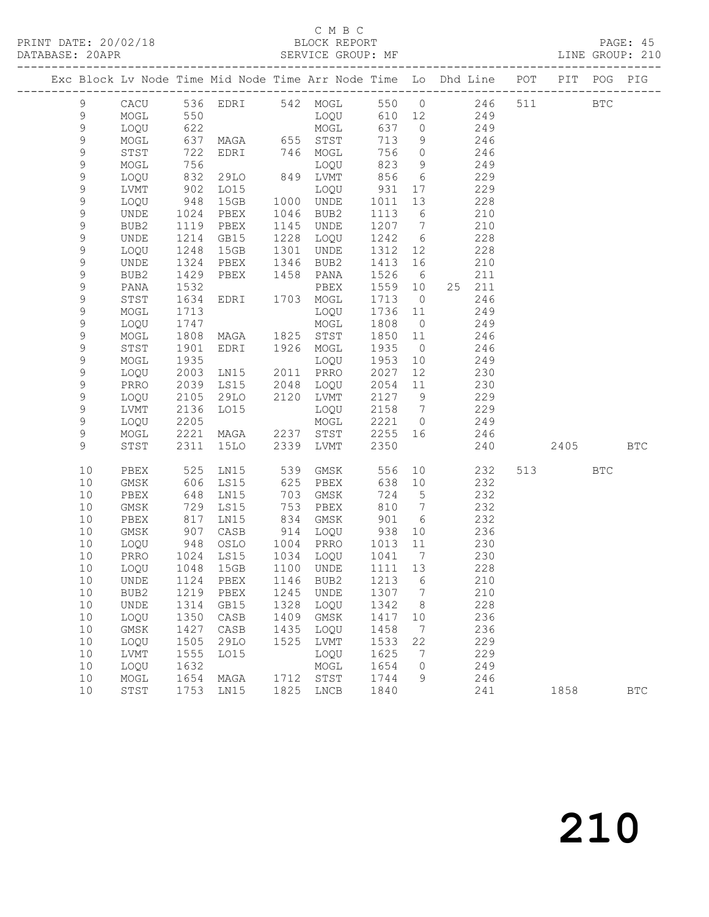### C M B C<br>BLOCK REPORT

PAGE: 45<br>LINE GROUP: 210

|  |                  |                  |              |                   |                                         |                                 |                 |                 | Exc Block Lv Node Time Mid Node Time Arr Node Time Lo Dhd Line POT |     |         | PIT POG PIG |              |
|--|------------------|------------------|--------------|-------------------|-----------------------------------------|---------------------------------|-----------------|-----------------|--------------------------------------------------------------------|-----|---------|-------------|--------------|
|  | $\mathcal{G}$    |                  |              |                   |                                         |                                 |                 |                 | CACU 536 EDRI 542 MOGL 550 0 246                                   | 511 |         | <b>BTC</b>  |              |
|  | $\mathsf 9$      | MOGL             | 550          |                   |                                         | LOQU                            |                 |                 | 610 12 249                                                         |     |         |             |              |
|  | $\mathsf 9$      | LOQU             | 622          |                   |                                         | MOGL                            | 637             | $\overline{O}$  | 249                                                                |     |         |             |              |
|  | $\mathsf 9$      | MOGL             |              | 637 MAGA 655 STST |                                         |                                 | 713             | 9               | 246                                                                |     |         |             |              |
|  | $\mathsf 9$      | STST             | 722          | EDRI 746          |                                         | MOGL                            | 756             | $\overline{0}$  | 246                                                                |     |         |             |              |
|  | $\mathsf 9$      | MOGL             | 756          |                   |                                         | LOQU                            | 823             | 9               | 249                                                                |     |         |             |              |
|  | $\mathsf 9$      | LOQU             | 832          | 29LO              |                                         | 849 LVMT                        | 856             | $6\overline{6}$ | 229                                                                |     |         |             |              |
|  | $\mathsf 9$      | LVMT             | 902          | L015              | $\begin{array}{c}\n1000 \\ \end{array}$ | LOQU                            | 931             | 17              | 229                                                                |     |         |             |              |
|  | 9                | LOQU             | 948          | 15GB              |                                         | 1000 UNDE                       | 1011            | 13              | 228                                                                |     |         |             |              |
|  | $\mathsf 9$      | UNDE             | 1024         | PBEX              | 1046                                    | BUB2                            | 1113            | 6               | 210                                                                |     |         |             |              |
|  | 9                | BUB2             | 1119         | PBEX              | 1145                                    | UNDE                            | 1207            | $\overline{7}$  | 210                                                                |     |         |             |              |
|  | 9                | UNDE             | 1214         | GB15              | 1228                                    | LOQU                            | 1242            | $6\overline{6}$ | 228                                                                |     |         |             |              |
|  | $\mathsf 9$      | LOQU             | 1248         | 15GB              | 1301                                    | UNDE                            | 1312            | 12              | 228                                                                |     |         |             |              |
|  | $\mathsf 9$      | UNDE             | 1324         | PBEX              | 1346                                    | BUB2                            | 1413            | 16              | 210                                                                |     |         |             |              |
|  | $\mathsf 9$      | BUB2             | 1429         | PBEX              | 1458                                    | PANA                            | 1526            | 6               | 211                                                                |     |         |             |              |
|  | $\mathsf 9$      | PANA             | 1532         |                   |                                         | PBEX                            | 1559            | 10              | 25 211                                                             |     |         |             |              |
|  | $\mathsf 9$      | STST             | 1634         | EDRI              |                                         | 1703 MOGL                       | 1713            | $\overline{0}$  | 246                                                                |     |         |             |              |
|  | $\mathsf 9$      | MOGL             | 1713         |                   |                                         | LOQU                            | 1736            | 11              | 249                                                                |     |         |             |              |
|  | $\mathsf 9$      | LOQU             | 1747         |                   |                                         | MOGL                            | 1808            | $\overline{0}$  | 249                                                                |     |         |             |              |
|  | $\mathsf 9$      | MOGL             | 1808         | MAGA              | 1825                                    | STST                            | 1850            | 11              | 246                                                                |     |         |             |              |
|  | $\mathsf 9$      | STST             | 1901         | EDRI              |                                         | 1926 MOGL                       | 1935            | $\overline{0}$  | 246                                                                |     |         |             |              |
|  | $\mathsf 9$      | MOGL             | 1935         |                   |                                         | LOQU                            | 1953            | 10              | 249                                                                |     |         |             |              |
|  | $\mathsf 9$      | LOQU             | 2003         | LN15              | 2011                                    | PRRO                            | 2027            | 12 <sup>°</sup> | 230                                                                |     |         |             |              |
|  | $\mathsf 9$      | PRRO             | 2039         | LS15              | 2048                                    | LOQU                            | 2054            | 11              | 230                                                                |     |         |             |              |
|  | $\mathsf 9$      | LOQU             | 2105         | 29LO              | 2120                                    | LVMT                            | 2127 9          |                 | 229                                                                |     |         |             |              |
|  | $\mathsf 9$      | LVMT             | 2136         | LO15              |                                         | LOQU                            | 2158<br>2221 0  | $\overline{7}$  | 229                                                                |     |         |             |              |
|  | $\mathsf 9$<br>9 | LOQU             | 2205         |                   |                                         | MOGL                            |                 |                 | 249                                                                |     |         |             |              |
|  | $\overline{9}$   | MOGL<br>STST     | 2221<br>2311 | MAGA              | 2339                                    | 2237 STST                       | 2255 16<br>2350 |                 | 246<br>240                                                         |     | 2405    |             | <b>BTC</b>   |
|  |                  |                  |              | 15LO              |                                         | LVMT                            |                 |                 |                                                                    |     |         |             |              |
|  | 10               | PBEX             | 525          | LN15              | 539                                     | GMSK                            | 556             |                 | 10<br>232                                                          |     | 513 BTC |             |              |
|  | 10               | GMSK             | 606          | LS15              | 625                                     | PBEX                            | 638             | 10              | 232                                                                |     |         |             |              |
|  | 10               | PBEX             | 648          | LN15              | 703                                     | GMSK                            | 724             | $5\overline{)}$ | 232                                                                |     |         |             |              |
|  | 10               | GMSK             | 729          | LS15              | 753                                     | PBEX                            | 810             | $\overline{7}$  | 232                                                                |     |         |             |              |
|  | 10               | PBEX             | 817          | LN15              | 834                                     | GMSK                            | 901             | $6\overline{6}$ | 232                                                                |     |         |             |              |
|  | 10               | GMSK             | 907          | CASB              | 914                                     | LOQU                            | 938             | 10              | 236                                                                |     |         |             |              |
|  | 10               | LOQU             | 948          | OSLO              | 1004                                    | PRRO                            | 1013            | 11              | 230                                                                |     |         |             |              |
|  | 10               | PRRO             | 1024         | LS15              | 1034                                    | LOQU                            | 1041            | $7\phantom{0}$  | 230                                                                |     |         |             |              |
|  | 10               | LOQU             | 1048         | 15GB              | 1100                                    | UNDE                            | 1111            | 13              | 228                                                                |     |         |             |              |
|  | 10               |                  |              |                   |                                         | UNDE 1124 PBEX 1146 BUB2 1213 6 |                 |                 | 210                                                                |     |         |             |              |
|  | 10               | BUB <sub>2</sub> | 1219         | PBEX              | 1245                                    | UNDE                            | 1307            | $\overline{7}$  | 210                                                                |     |         |             |              |
|  | 10               | UNDE             | 1314<br>1350 | GB15              | 1328<br>1409                            | LOQU                            | 1342<br>1417    | 8 <sup>8</sup>  | 228<br>236                                                         |     |         |             |              |
|  | 10               | LOQU             | 1427         | CASB              |                                         | GMSK                            |                 | 10<br>7         | 236                                                                |     |         |             |              |
|  | 10<br>10         | GMSK<br>LOQU     | 1505         | CASB<br>29LO      | 1435<br>1525                            | LOQU<br>LVMT                    | 1458<br>1533    | 22              | 229                                                                |     |         |             |              |
|  | 10               | LVMT             | 1555         | L015              |                                         | LOQU                            | 1625            | 7               | 229                                                                |     |         |             |              |
|  | 10               | LOQU             | 1632         |                   |                                         | MOGL                            | 1654            | $\circ$         | 249                                                                |     |         |             |              |
|  | 10               | MOGL             | 1654         | MAGA              |                                         | 1712 STST                       | 1744            | 9               | 246                                                                |     |         |             |              |
|  | 10               | STST             | 1753         | LN15              |                                         | 1825 LNCB                       | 1840            |                 | 241                                                                |     | 1858    |             | $_{\rm BTC}$ |
|  |                  |                  |              |                   |                                         |                                 |                 |                 |                                                                    |     |         |             |              |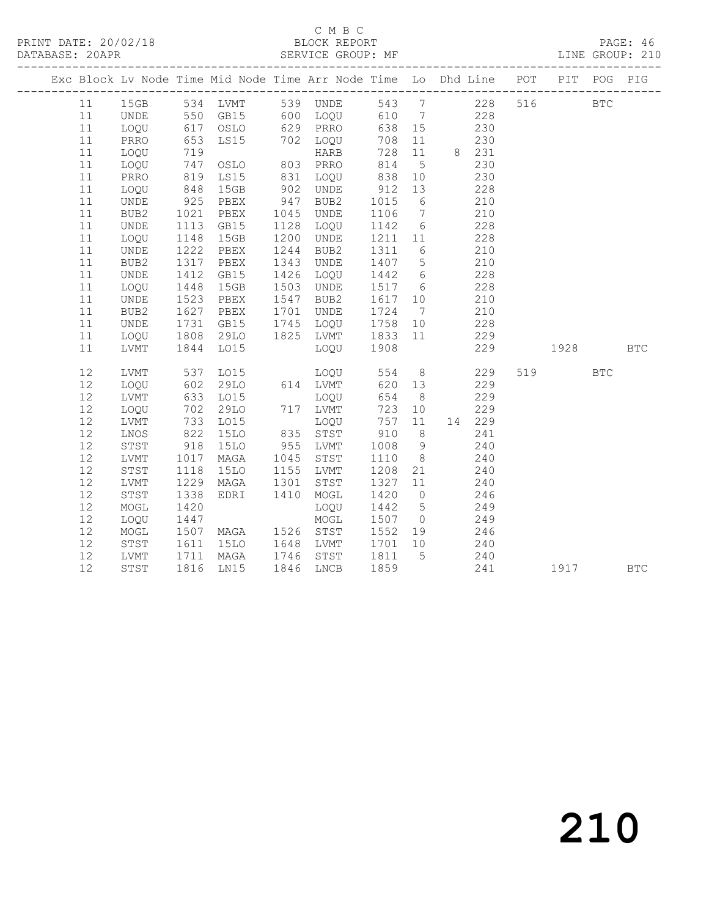#### C M B C<br>BLOCK REPORT

PAGE: 46<br>LINE GROUP: 210

| Exc Block Lv Node Time Mid Node Time Arr Node Time Lo Dhd Line POT PIT POG PIG |      |                   |                              |               |                                                                                                                        |                |                 |          |            |            |            |  |
|--------------------------------------------------------------------------------|------|-------------------|------------------------------|---------------|------------------------------------------------------------------------------------------------------------------------|----------------|-----------------|----------|------------|------------|------------|--|
|                                                                                |      |                   |                              |               | 11 15GB 534 LVMT 539 UNDE 543 7 228 516<br>11 UNDE 550 GB15 600 LOQU 610 7 228<br>11 LOQU 617 OSLO 629 PRRO 638 15 230 |                |                 |          |            | <b>BTC</b> |            |  |
|                                                                                |      |                   |                              |               |                                                                                                                        |                |                 |          |            |            |            |  |
|                                                                                |      |                   |                              |               |                                                                                                                        |                |                 |          |            |            |            |  |
| 11                                                                             | PRRO | 653               | LS15                         |               | 702 LOQU                                                                                                               | 708            | 11              |          | 230        |            |            |  |
| 11                                                                             | LOQU | 719<br>747<br>819 |                              |               | HARB<br>HARB<br>803 PRRO<br>831 LOQU                                                                                   | $728$<br>814   |                 | 11 8 231 |            |            |            |  |
| 11                                                                             | LOQU |                   | OSLO                         |               |                                                                                                                        |                | 5 <sup>5</sup>  |          | 230        |            |            |  |
| 11                                                                             | PRRO |                   | LS15                         |               |                                                                                                                        | 838            | 10              |          | 230        |            |            |  |
| 11                                                                             | LOQU | 848               | 15GB                         | 902           | UNDE                                                                                                                   | 912            | 13              |          | 228        |            |            |  |
| 11                                                                             | UNDE | 925               | PBEX                         | 947           | BUB2                                                                                                                   | 1015           | $6\overline{6}$ |          | 210        |            |            |  |
| 11                                                                             | BUB2 | 1021              | PBEX                         | 1045          | UNDE                                                                                                                   | 1106 7         |                 |          | 210        |            |            |  |
| 11                                                                             | UNDE | 1113              | GB15                         | 1128          | LOQU                                                                                                                   | 1142 6         |                 |          | 228        |            |            |  |
| 11                                                                             | LOQU | 1148              | 15GB                         | 1200          | UNDE                                                                                                                   | 1211 11        |                 |          | 228        |            |            |  |
| 11                                                                             | UNDE | 1222              | PBEX                         | 1244          | BUB2                                                                                                                   | 1311           | $6\overline{6}$ |          | 210        |            |            |  |
| 11                                                                             | BUB2 | 1317              | PBEX                         | 1343          | UNDE                                                                                                                   | 1407 5         |                 |          | 210        |            |            |  |
| 11                                                                             | UNDE | 1412              | GB15                         | 1426          | LOQU                                                                                                                   | 1442 6         |                 |          | 228        |            |            |  |
| 11                                                                             | LOQU | 1448              | 15GB                         | 1503          | UNDE                                                                                                                   | 1517 6         |                 |          | 228        |            |            |  |
| 11                                                                             | UNDE | 1523              | PBEX                         | 1547          | BUB2                                                                                                                   | 1617           | 10              |          | 210        |            |            |  |
| 11                                                                             | BUB2 | 1627              | PBEX                         | 1701          | UNDE                                                                                                                   | 1724 7         |                 |          | 210        |            |            |  |
| 11                                                                             | UNDE |                   | 1731 GB15<br>1808 29LO       |               |                                                                                                                        | 1758 10        |                 |          | 228        |            |            |  |
| 11                                                                             | LOQU |                   |                              |               | 1745 LOQU<br>1825 LVMT                                                                                                 | 1833 11        |                 |          | 229        |            |            |  |
| 11                                                                             | LVMT |                   | 1844 LO15                    |               | LOOU                                                                                                                   | 1908           |                 |          | 229        | 1928       | <b>BTC</b> |  |
| 12                                                                             | LVMT |                   | 537 LO15                     |               | LOQU<br>614 LVMT<br>LOQU<br>LOQU 554                                                                                   |                | 8 <sup>8</sup>  |          | 229        | 519 BTC    |            |  |
| 12                                                                             | LOQU |                   | 602 29LO<br>633 LO15<br>29LO |               |                                                                                                                        | 620            | 13              |          | 229        |            |            |  |
| 12                                                                             | LVMT |                   |                              |               | LOQU                                                                                                                   | 654            | 8 <sup>8</sup>  |          | 229        |            |            |  |
| $12\,$                                                                         | LOQU |                   | 702 29LO                     |               | 717 LVMT                                                                                                               | 723            | 10              |          | 229        |            |            |  |
| 12                                                                             | LVMT |                   | 733 LO15                     |               | LOQU                                                                                                                   | 757            | 11              |          | 14 229     |            |            |  |
| $12$                                                                           | LNOS | 822               | <b>15LO</b>                  | 835           | STST                                                                                                                   | 910            | 8 <sup>8</sup>  |          | 241        |            |            |  |
| 12                                                                             | STST | 918               | 15LO                         | $955$<br>1045 | LVMT                                                                                                                   | 1008 9         |                 |          | 240        |            |            |  |
| 12                                                                             | LVMT | 1017              | MAGA                         | 1045          | STST                                                                                                                   | 1110           | 8 <sup>8</sup>  |          | 240        |            |            |  |
| 12                                                                             | STST | 1118              | 15LO                         | 1155          | LVMT                                                                                                                   | 1208           | 21              |          | 240        |            |            |  |
| 12                                                                             | LVMT | 1229              | MAGA                         | 1301          | STST                                                                                                                   | 1327           | 11              |          | 240        |            |            |  |
| 12                                                                             | STST | 1338              | EDRI                         | 1410          | MOGL                                                                                                                   | 1420           | $\overline{0}$  |          | 246        |            |            |  |
| 12                                                                             | MOGL | 1420              |                              |               | LOQU                                                                                                                   | 1442           | $5\overline{)}$ |          | 249        |            |            |  |
| 12                                                                             | LOQU | 1447              |                              |               | MOGL                                                                                                                   | 1507 0         |                 |          | 249        |            |            |  |
| $12$                                                                           | MOGL |                   | 1507 MAGA                    |               | 1526 STST                                                                                                              | 1552 19        |                 |          | 246        |            |            |  |
| 12                                                                             | STST | 1611              | 15LO                         | 1648          | LVMT                                                                                                                   | 1701 10        |                 |          | 240        |            |            |  |
| 12                                                                             | LVMT |                   | 1711 MAGA                    | 1746          | STST                                                                                                                   | 1811 5<br>1859 |                 |          | 240<br>241 |            |            |  |
| 12                                                                             | STST |                   | 1816 LN15                    |               | 1846 LNCB                                                                                                              |                |                 |          |            | 1917 BTC   |            |  |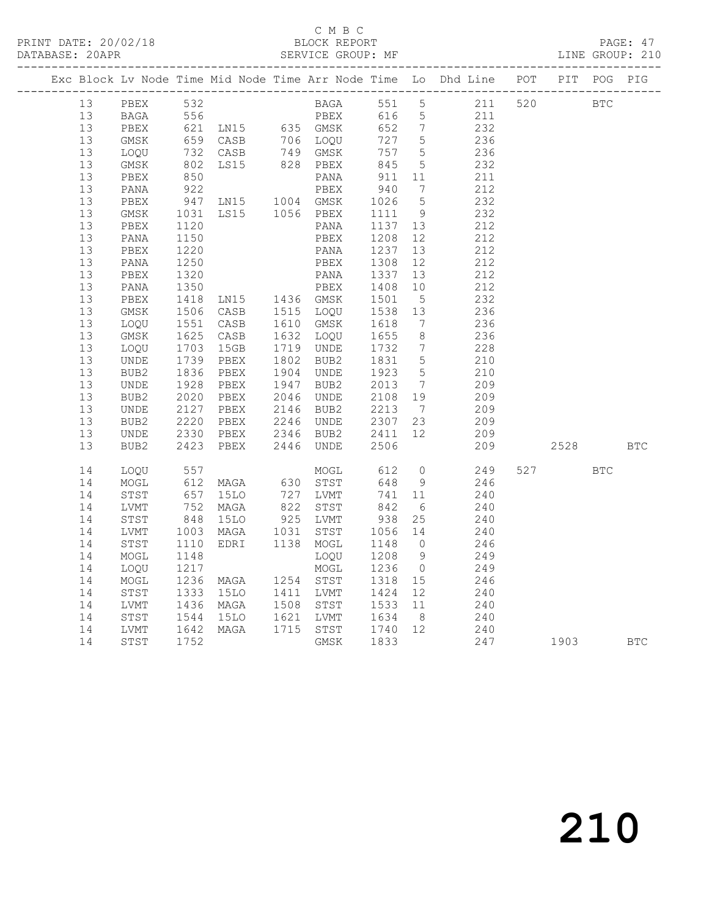### C M B C<br>BLOCK REPORT

PAGE: 47<br>LINE GROUP: 210

|  |    |                  |      |                                                                                                                                                                                         |                                           |                                     |                  |                 | Exc Block Lv Node Time Mid Node Time Arr Node Time Lo Dhd Line POT PIT POG PIG |                                                                                                                                                                                                                                 |            |            |
|--|----|------------------|------|-----------------------------------------------------------------------------------------------------------------------------------------------------------------------------------------|-------------------------------------------|-------------------------------------|------------------|-----------------|--------------------------------------------------------------------------------|---------------------------------------------------------------------------------------------------------------------------------------------------------------------------------------------------------------------------------|------------|------------|
|  | 13 | PBEX 532         |      |                                                                                                                                                                                         |                                           |                                     |                  |                 | BAGA 551 5 211 520                                                             | <b>BTC</b>                                                                                                                                                                                                                      |            |            |
|  | 13 |                  |      | PBEX 532<br>BAGA 556 PBEX 616 5<br>PBEX 621 LN15 635 GMSK 652 7<br>GMSK 659 CASB 706 LOQU 727 5<br>LOQU 732 CASB 749 GMSK 757 5<br>GMSK 802 LS15 828 PBEX 845 5<br>PBEX 850 PANA 911 11 |                                           |                                     |                  |                 |                                                                                |                                                                                                                                                                                                                                 |            |            |
|  | 13 |                  |      |                                                                                                                                                                                         |                                           |                                     |                  |                 | $\begin{array}{c} 211 \\ 232 \end{array}$                                      |                                                                                                                                                                                                                                 |            |            |
|  | 13 |                  |      |                                                                                                                                                                                         |                                           |                                     |                  |                 | 236                                                                            |                                                                                                                                                                                                                                 |            |            |
|  | 13 |                  |      |                                                                                                                                                                                         |                                           |                                     |                  |                 | 236                                                                            |                                                                                                                                                                                                                                 |            |            |
|  | 13 |                  |      |                                                                                                                                                                                         |                                           |                                     |                  |                 | 232                                                                            |                                                                                                                                                                                                                                 |            |            |
|  | 13 |                  |      |                                                                                                                                                                                         |                                           |                                     |                  |                 | 211                                                                            |                                                                                                                                                                                                                                 |            |            |
|  | 13 | PANA             |      | 930 PANA<br>922 PBEX<br>947 LN15 1004 GMSK<br>1031 LS15 1056 PBEX                                                                                                                       |                                           |                                     | 940              | $\overline{7}$  | 212                                                                            |                                                                                                                                                                                                                                 |            |            |
|  | 13 | PBEX             |      |                                                                                                                                                                                         |                                           |                                     | 1026             | $5\overline{)}$ | 232                                                                            |                                                                                                                                                                                                                                 |            |            |
|  | 13 | GMSK             |      |                                                                                                                                                                                         |                                           |                                     | 1111             | $\overline{9}$  | 232                                                                            |                                                                                                                                                                                                                                 |            |            |
|  | 13 | PBEX             | 1120 |                                                                                                                                                                                         |                                           | PANA                                | 1137             | 13              | 212                                                                            |                                                                                                                                                                                                                                 |            |            |
|  | 13 | PANA             | 1150 |                                                                                                                                                                                         |                                           | PBEX                                | 1208             | 12 <sup>7</sup> | 212                                                                            |                                                                                                                                                                                                                                 |            |            |
|  | 13 | PBEX             | 1220 |                                                                                                                                                                                         |                                           | PANA                                | 1237             | 13              | 212                                                                            |                                                                                                                                                                                                                                 |            |            |
|  | 13 | PANA             | 1250 |                                                                                                                                                                                         |                                           | PBEX                                | 1308             | 12              | 212                                                                            |                                                                                                                                                                                                                                 |            |            |
|  | 13 | PBEX             | 1320 |                                                                                                                                                                                         |                                           | PANA                                | 1337             | 13              | 212                                                                            |                                                                                                                                                                                                                                 |            |            |
|  | 13 | PANA             | 1350 |                                                                                                                                                                                         |                                           | PBEX                                | 1408             | 10              | 212                                                                            |                                                                                                                                                                                                                                 |            |            |
|  | 13 | PBEX             | 1418 |                                                                                                                                                                                         |                                           |                                     | 1501             | $5\overline{)}$ | 232                                                                            |                                                                                                                                                                                                                                 |            |            |
|  | 13 | GMSK             |      | 1506 CASB                                                                                                                                                                               |                                           |                                     | 1538             | 13              | 236                                                                            |                                                                                                                                                                                                                                 |            |            |
|  | 13 | LOOU             |      | 1551 CASB                                                                                                                                                                               |                                           |                                     | 1618             | $\overline{7}$  | 236                                                                            |                                                                                                                                                                                                                                 |            |            |
|  | 13 | GMSK             | 1625 | EBEX<br>CASB 1515 LOQU<br>CASB 1610 GMSK<br>CASB 1632 LOQU<br>15GB 1719 UNDE                                                                                                            |                                           |                                     | 1655             | 8 <sup>8</sup>  | 236                                                                            |                                                                                                                                                                                                                                 |            |            |
|  | 13 | LOQU             | 1703 |                                                                                                                                                                                         |                                           |                                     | 1732             | $7\overline{)}$ | 228                                                                            |                                                                                                                                                                                                                                 |            |            |
|  | 13 | UNDE             | 1739 | PBEX                                                                                                                                                                                    | 1802<br>1904                              | BUB2                                | 1831             | $5\overline{)}$ | 210                                                                            |                                                                                                                                                                                                                                 |            |            |
|  | 13 | BUB2             | 1836 | PBEX                                                                                                                                                                                    |                                           | UNDE                                | 1923 5           |                 | 210                                                                            |                                                                                                                                                                                                                                 |            |            |
|  | 13 | UNDE             | 1928 | PBEX                                                                                                                                                                                    | 1947<br>2046                              | BUB2                                | 2013             | $\overline{7}$  | 209                                                                            |                                                                                                                                                                                                                                 |            |            |
|  | 13 | BUB2             | 2020 | PBEX                                                                                                                                                                                    | 2046                                      | UNDE                                | 2108 19          |                 | 209                                                                            |                                                                                                                                                                                                                                 |            |            |
|  | 13 | UNDE             | 2127 | PBEX                                                                                                                                                                                    |                                           | 2146 BUB2<br>2246 UNDE<br>2346 BUB2 | 2213 7           |                 | 209                                                                            |                                                                                                                                                                                                                                 |            |            |
|  | 13 | BUB2             | 2220 | PBEX                                                                                                                                                                                    |                                           |                                     | 2307             | 23              | 209                                                                            |                                                                                                                                                                                                                                 |            |            |
|  | 13 | UNDE             | 2330 | PBEX                                                                                                                                                                                    |                                           |                                     | 2411 12          |                 | 209                                                                            |                                                                                                                                                                                                                                 |            |            |
|  | 13 | BUB <sub>2</sub> | 2423 | PBEX                                                                                                                                                                                    | 2446                                      | UNDE                                | 2506             |                 | 209                                                                            | 2528                                                                                                                                                                                                                            |            | <b>BTC</b> |
|  | 14 | LOQU             |      | 557<br>612 MAGA                                                                                                                                                                         |                                           | MOGL                                | 612<br>648       | $\overline{0}$  | 249                                                                            | 527 and $\sim$                                                                                                                                                                                                                  | <b>BTC</b> |            |
|  | 14 | MOGL             |      |                                                                                                                                                                                         |                                           | 630 STST                            |                  | 9               | 246                                                                            |                                                                                                                                                                                                                                 |            |            |
|  | 14 | STST             |      | 657 15LO<br>752 MAGA                                                                                                                                                                    | $\begin{array}{c} 727 \\ 822 \end{array}$ | LVMT                                | $\frac{14}{842}$ | 11              | 240                                                                            |                                                                                                                                                                                                                                 |            |            |
|  | 14 | LVMT             |      |                                                                                                                                                                                         |                                           | STST                                |                  | 6               | 240                                                                            |                                                                                                                                                                                                                                 |            |            |
|  | 14 | STST             | 848  | 15LO                                                                                                                                                                                    | 925<br>1031                               | LVMT                                | 938              | 25              | 240                                                                            |                                                                                                                                                                                                                                 |            |            |
|  | 14 | LVMT             |      | 1003 MAGA                                                                                                                                                                               | 1031                                      | STST                                | 1056 14          |                 | 240                                                                            |                                                                                                                                                                                                                                 |            |            |
|  | 14 | STST             | 1110 | EDRI 1138 MOGL                                                                                                                                                                          |                                           |                                     | 1148             | $\overline{0}$  | 246                                                                            |                                                                                                                                                                                                                                 |            |            |
|  | 14 | MOGL             | 1148 |                                                                                                                                                                                         |                                           | LOQU                                | 1208             | 9               | 249                                                                            |                                                                                                                                                                                                                                 |            |            |
|  | 14 | LOQU             | 1217 |                                                                                                                                                                                         |                                           | MOGL                                | 1236             | $\overline{0}$  | 249                                                                            |                                                                                                                                                                                                                                 |            |            |
|  | 14 | MOGL             | 1236 | MAGA                                                                                                                                                                                    |                                           | 1254 STST<br>1411 LVMT              | 1318             | 15              | 246                                                                            |                                                                                                                                                                                                                                 |            |            |
|  | 14 | STST             | 1333 | 15LO                                                                                                                                                                                    |                                           |                                     | 1424 12          |                 | 240                                                                            |                                                                                                                                                                                                                                 |            |            |
|  | 14 | LVMT             | 1436 | MAGA                                                                                                                                                                                    | 1508<br>1621                              | STST                                | 1533             | 11              | 240                                                                            |                                                                                                                                                                                                                                 |            |            |
|  | 14 | STST             | 1544 | 15LO                                                                                                                                                                                    |                                           | LVMT                                | 1634 8           |                 | 240                                                                            |                                                                                                                                                                                                                                 |            |            |
|  | 14 | LVMT             | 1642 | MAGA                                                                                                                                                                                    |                                           | 1715 STST                           | 1740 12          |                 | 240                                                                            |                                                                                                                                                                                                                                 |            |            |
|  | 14 | STST             | 1752 |                                                                                                                                                                                         |                                           | GMSK                                | 1833             |                 | 247                                                                            | 1903 — 1903 — 1904 — 1905 — 1906 — 1907 — 1908 — 1908 — 1908 — 1908 — 1908 — 1908 — 1908 — 1908 — 1908 — 1908 — 1908 — 1908 — 1908 — 1908 — 1908 — 1908 — 1908 — 1908 — 1908 — 1908 — 1908 — 1908 — 1908 — 1908 — 1908 — 1908 — |            | <b>BTC</b> |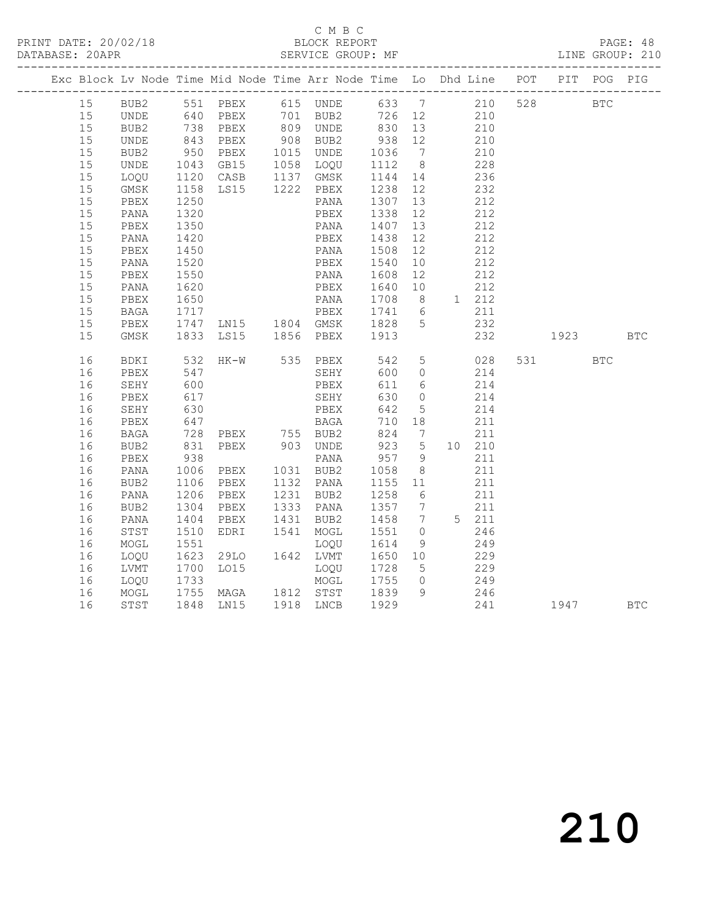### C M B C<br>BLOCK REPORT

|  |      |                                |                      |                                                                                                                           | Exc Block Lv Node Time Mid Node Time Arr Node Time Lo Dhd Line POT PIT POG PIG                              |                                          |    |                                                                        |            |     |          |  |
|--|------|--------------------------------|----------------------|---------------------------------------------------------------------------------------------------------------------------|-------------------------------------------------------------------------------------------------------------|------------------------------------------|----|------------------------------------------------------------------------|------------|-----|----------|--|
|  |      |                                |                      |                                                                                                                           | 15 BUB2 551 PBEX 615 UNDE 633 7 210 528 BTC                                                                 |                                          |    |                                                                        |            |     |          |  |
|  | 15   |                                |                      |                                                                                                                           | UNDE 640 PBEX 701 BUB2 726 12 210<br>BUB2 738 PBEX 809 UNDE 830 13 210<br>UNDE 843 PBEX 908 BUB2 938 12 210 |                                          |    |                                                                        |            |     |          |  |
|  | 15   | EUB2 738 PBEX<br>UNDE 843 PBEX |                      |                                                                                                                           |                                                                                                             |                                          |    |                                                                        |            |     |          |  |
|  | 15   |                                |                      |                                                                                                                           |                                                                                                             |                                          |    |                                                                        |            |     |          |  |
|  | 15   |                                |                      |                                                                                                                           |                                                                                                             |                                          |    | $\frac{210}{200}$                                                      |            |     |          |  |
|  | 15   |                                |                      |                                                                                                                           | BUB2 950 PBEX 1015 UNDE 1036 7<br>UNDE 1043 GB15 1058 LOQU 1112 8<br>LOQU 1120 CASB 1137 GMSK 1144 14       |                                          |    |                                                                        | 228        |     |          |  |
|  | 15   |                                |                      |                                                                                                                           |                                                                                                             | 1144 14 236                              |    |                                                                        |            |     |          |  |
|  | 15   |                                |                      | GMSK 1158 LS15 1222 PBEX<br>PBEX 1250 PANA                                                                                |                                                                                                             | 1238 12                                  |    | 232                                                                    |            |     |          |  |
|  | $15$ | PBEX                           |                      |                                                                                                                           |                                                                                                             | 1307 13                                  |    |                                                                        | 212        |     |          |  |
|  | 15   | PANA                           | 1320                 |                                                                                                                           | PBEX                                                                                                        | 1338 12                                  |    | 212                                                                    |            |     |          |  |
|  | 15   | PBEX                           | 1350<br>1420         |                                                                                                                           | PANA                                                                                                        | 1407 13<br>1438 12                       |    | $\frac{212}{212}$                                                      |            |     |          |  |
|  | 15   | PANA                           |                      |                                                                                                                           | PBEX                                                                                                        |                                          | 12 |                                                                        | 212        |     |          |  |
|  | 15   | PBEX                           | 1450                 |                                                                                                                           | PANA                                                                                                        | 1508 12                                  |    | 212                                                                    |            |     |          |  |
|  | 15   | PANA                           | 1520<br>1520<br>1550 |                                                                                                                           | PBEX                                                                                                        | 1540 10<br>1608 12                       |    | $\begin{array}{cc} 10 & \qquad & 212 \\ 12 & \qquad & 212 \end{array}$ |            |     |          |  |
|  | 15   | PBEX                           |                      |                                                                                                                           | PANA                                                                                                        |                                          |    |                                                                        |            |     |          |  |
|  | $15$ | PANA                           | 1620                 | <b>PBEX</b>                                                                                                               |                                                                                                             | 1640 10 212                              |    |                                                                        |            |     |          |  |
|  | 15   | PBEX<br>PBEX 1650<br>BAGA 1717 | 1650                 |                                                                                                                           | PANA 1708 8 1 212<br>PBEX 1741 6 211                                                                        |                                          |    |                                                                        |            |     |          |  |
|  | 15   |                                |                      |                                                                                                                           |                                                                                                             |                                          |    |                                                                        | 211        |     |          |  |
|  | $15$ |                                |                      |                                                                                                                           | PBEX 1747 LN15 1804 GMSK 1828 5 232<br>GMSK 1833 LS15 1856 PBEX 1913 232                                    |                                          |    |                                                                        |            |     |          |  |
|  | 15   |                                |                      |                                                                                                                           |                                                                                                             |                                          |    |                                                                        |            | 232 | 1923 BTC |  |
|  | 16   | BDKI                           |                      |                                                                                                                           | 532 HK-W 535 PBEX 542 5 028                                                                                 |                                          |    |                                                                        |            |     | 531 BTC  |  |
|  | 16   | PBEX                           | 547<br>600           |                                                                                                                           |                                                                                                             |                                          |    |                                                                        | 214        |     |          |  |
|  | 16   | SEHY                           |                      |                                                                                                                           |                                                                                                             |                                          |    | 214                                                                    |            |     |          |  |
|  | 16   | PBEX                           | 617                  |                                                                                                                           |                                                                                                             |                                          |    | $0 \t 214$                                                             |            |     |          |  |
|  | 16   | SEHY                           | 630<br>647           |                                                                                                                           |                                                                                                             |                                          |    |                                                                        | 214        |     |          |  |
|  | 16   | PBEX                           |                      |                                                                                                                           | SEHY 630 0<br>PBEX 642 5<br>BAGA 710 18                                                                     |                                          |    | 211                                                                    |            |     |          |  |
|  | 16   |                                |                      |                                                                                                                           |                                                                                                             |                                          |    |                                                                        |            |     |          |  |
|  | 16   |                                |                      | BAGA 728 PBEX 755 BUB2<br>BUB2 831 PBEX 903 UNDE<br>PBEX 938 PANA<br>PANA 1006 PBEX 1031 BUB2<br>BUB2 1106 PBEX 1132 PANA |                                                                                                             | $824$ 7 211<br>923 5 10 210<br>957 9 211 |    |                                                                        |            |     |          |  |
|  | 16   |                                |                      |                                                                                                                           |                                                                                                             |                                          |    |                                                                        |            |     |          |  |
|  | 16   |                                |                      |                                                                                                                           |                                                                                                             | 1058 8<br>1155 11                        |    | 211                                                                    |            |     |          |  |
|  | 16   |                                |                      |                                                                                                                           |                                                                                                             |                                          |    |                                                                        | 211        |     |          |  |
|  | 16   | PANA 1206 PBEX                 |                      |                                                                                                                           | 1231 BUB2                                                                                                   | 1258 6                                   |    | 211                                                                    |            |     |          |  |
|  | 16   | BUB2                           |                      | 1304 PBEX<br>1404 PBEX                                                                                                    | 1333 PANA<br>1431 BUB2                                                                                      | 1357 7 211<br>1458 7 5 211               |    |                                                                        |            |     |          |  |
|  | 16   | PANA                           |                      | PBEX                                                                                                                      |                                                                                                             |                                          |    |                                                                        |            |     |          |  |
|  | 16   | STST                           | 1510                 | EDRI 1541 MOGL                                                                                                            |                                                                                                             | 1551 0                                   |    | 246                                                                    |            |     |          |  |
|  | 16   | MOGL                           | 1551                 |                                                                                                                           | LOQU                                                                                                        | 1614 9<br>1650 10                        |    | $249$<br>$229$                                                         |            |     |          |  |
|  | 16   | LOQU                           |                      |                                                                                                                           |                                                                                                             |                                          |    |                                                                        |            |     |          |  |
|  | 16   | LVMT                           |                      |                                                                                                                           |                                                                                                             | 1728 5                                   |    | 229                                                                    |            |     |          |  |
|  | 16   | LOQU                           |                      | 1942 1944<br>1700 1015 1090<br>1733 MOGL<br>1755 MAGA 1812 STST                                                           |                                                                                                             | 1755 0<br>1839 9                         |    |                                                                        | 249<br>246 |     |          |  |
|  | 16   | MOGL                           |                      |                                                                                                                           |                                                                                                             |                                          |    |                                                                        |            |     |          |  |
|  | 16   | STST                           |                      | 1848 LN15 1918 LNCB                                                                                                       |                                                                                                             | 1929                                     |    |                                                                        | 241        |     | 1947 BTC |  |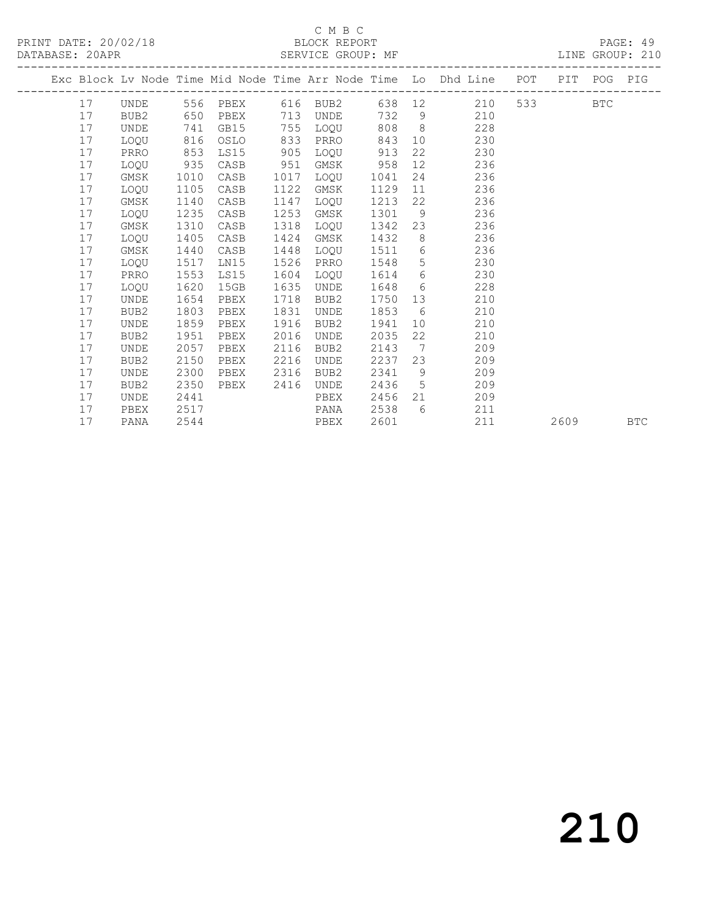## C M B C<br>BLOCK REPORT

LINE GROUP: 210

|  |    |                  |      |                      |      |                  |        |                | Exc Block Lv Node Time Mid Node Time Arr Node Time Lo Dhd Line POT PIT POG PIG<br>------------ |         |      |            |
|--|----|------------------|------|----------------------|------|------------------|--------|----------------|------------------------------------------------------------------------------------------------|---------|------|------------|
|  | 17 | UNDE 556 PBEX    |      |                      |      | 616 BUB2         |        |                | 638 12<br>210                                                                                  | 533 BTC |      |            |
|  | 17 | BUB2             | 650  | PBEX                 | 713  | UNDE             | 732 9  |                | 210                                                                                            |         |      |            |
|  | 17 | UNDE             | 741  | GB15                 | 755  | LOQU             | 808    |                | $8\overline{)}$<br>228                                                                         |         |      |            |
|  | 17 | LOOU             | 816  | OSLO                 | 833  | PRRO             | 843    |                | 10<br>230                                                                                      |         |      |            |
|  | 17 | PRRO             | 853  | LS15                 | 905  | LOQU             | 913    | 22             | 230                                                                                            |         |      |            |
|  | 17 | LOQU             | 935  | CASB                 | 951  | GMSK             | 958    |                | 12 and $\overline{a}$<br>236                                                                   |         |      |            |
|  | 17 | GMSK             | 1010 | CASB                 | 1017 | LOQU             | 1041   |                | 24<br>236                                                                                      |         |      |            |
|  | 17 | LOQU             | 1105 | CASB                 | 1122 | GMSK             | 1129   | 11             | 236                                                                                            |         |      |            |
|  | 17 | GMSK             | 1140 | CASB                 | 1147 | LOQU             | 1213   | 22             | 236                                                                                            |         |      |            |
|  | 17 | LOQU             | 1235 | CASB                 | 1253 | GMSK             | 1301   | 9              | 236                                                                                            |         |      |            |
|  | 17 | GMSK             | 1310 | CASB                 | 1318 | LOQU             | 1342   |                | 23<br>236                                                                                      |         |      |            |
|  | 17 | LOQU             | 1405 | CASB                 | 1424 | GMSK             | 1432   | 8 <sup>8</sup> | 236                                                                                            |         |      |            |
|  | 17 | GMSK             | 1440 | CASB                 | 1448 | LOQU             | 1511   | 6              | 236                                                                                            |         |      |            |
|  | 17 | LOQU             | 1517 | LN15                 | 1526 | PRRO             | 1548   |                | $5 -$<br>230                                                                                   |         |      |            |
|  | 17 | PRRO             | 1553 | LS15                 | 1604 | LOQU             | 1614 6 |                | 230                                                                                            |         |      |            |
|  | 17 | LOOU             | 1620 | 15GB                 | 1635 | UNDE             | 1648 6 |                | 228                                                                                            |         |      |            |
|  | 17 | UNDE             | 1654 | PBEX                 | 1718 | BUB2             | 1750   | 13             | 210                                                                                            |         |      |            |
|  | 17 | BUB2             | 1803 | PBEX                 | 1831 | UNDE             | 1853   | 6              | 210                                                                                            |         |      |            |
|  | 17 | UNDE             | 1859 | PBEX                 | 1916 | BUB2             | 1941   | 10             | 210                                                                                            |         |      |            |
|  | 17 | BUB2             | 1951 | PBEX                 | 2016 | UNDE             | 2035   | 22             | 210                                                                                            |         |      |            |
|  | 17 | <b>UNDE</b>      | 2057 | PBEX                 | 2116 | BUB <sub>2</sub> | 2143   | $\overline{7}$ | 209                                                                                            |         |      |            |
|  | 17 | BUB <sub>2</sub> | 2150 | PBEX                 | 2216 | <b>UNDE</b>      | 2237   | 23             | 209                                                                                            |         |      |            |
|  | 17 | UNDE             | 2300 | PBEX                 | 2316 | BUB2             | 2341   | 9              | 209                                                                                            |         |      |            |
|  | 17 | BUB2             | 2350 | PBEX                 | 2416 | UNDE             | 2436   | $5^{\circ}$    | 209                                                                                            |         |      |            |
|  | 17 | UNDE             | 2441 |                      |      | PBEX             | 2456   | 21             | 209                                                                                            |         |      |            |
|  | 17 | PBEX             | 2517 |                      |      | PANA             | 2538   | 6              | 211                                                                                            |         |      |            |
|  | 17 | PANA             | 2544 | <b>EXECUTE:</b> PBEX |      |                  | 2601   |                | 211                                                                                            |         | 2609 | <b>BTC</b> |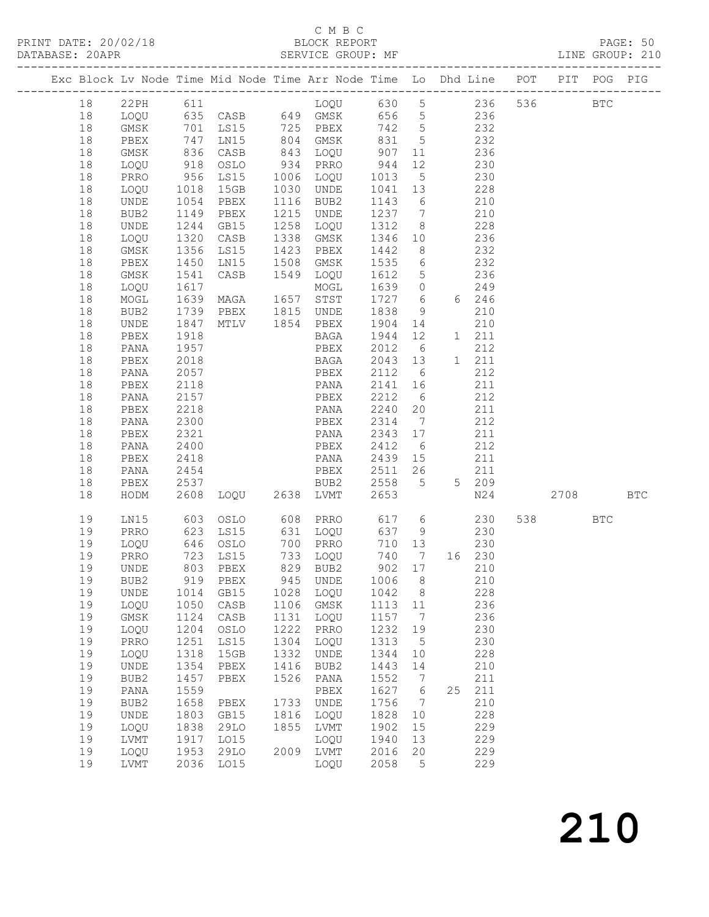#### C M B C<br>BLOCK REPORT

 19 LVMT 1917 LO15 LOQU 1940 13 229 19 LOQU 1953 29LO 2009 LVMT 2016 20 229 19 LVMT 2036 LO15 LOQU 2058 5 229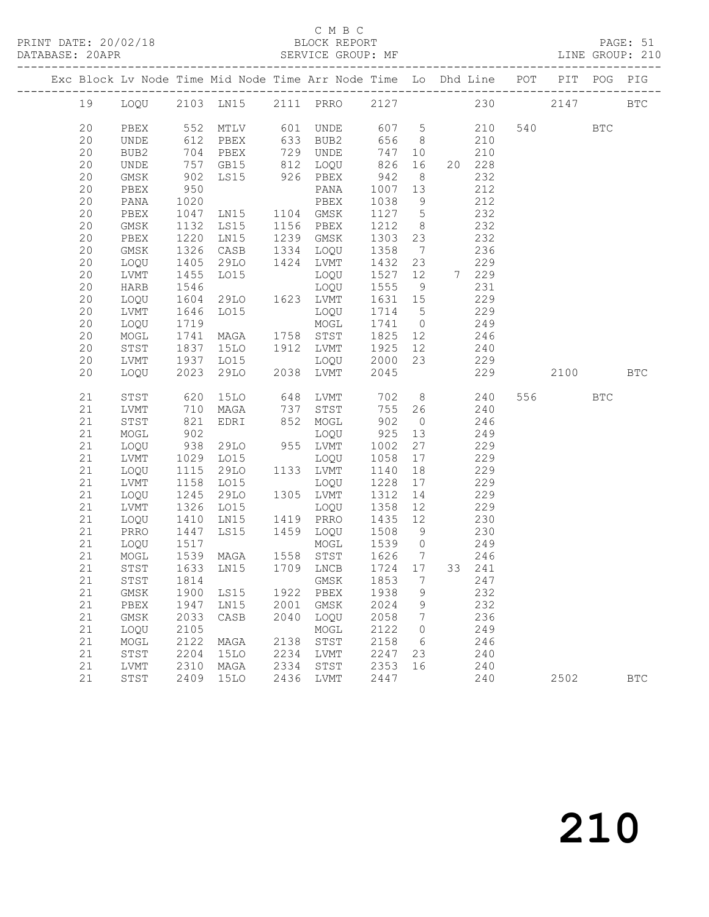#### C M B C<br>BLOCK REPORT

PAGE: 51<br>LINE GROUP: 210

|  |    |              |      |                |                                                          | Exc Block Lv Node Time Mid Node Time Arr Node Time Lo Dhd Line POT |         |                 |        |     |         | PIT POG PIG |            |
|--|----|--------------|------|----------------|----------------------------------------------------------|--------------------------------------------------------------------|---------|-----------------|--------|-----|---------|-------------|------------|
|  | 19 |              |      | LOQU 2103 LN15 |                                                          | 2111 PRRO 2127                                                     |         |                 |        | 230 | 2147    |             | <b>BTC</b> |
|  | 20 | PBEX         |      | 552 MTLV       |                                                          | 601 UNDE                                                           | 607 5   |                 | 210    |     | 540 BTC |             |            |
|  | 20 | UNDE         | 612  | PBEX           | 633<br>729<br>812                                        | BUB2                                                               | 656     | 8 <sup>8</sup>  | 210    |     |         |             |            |
|  | 20 | BUB2         | 704  | PBEX           |                                                          | UNDE                                                               | 747     | 10              | 210    |     |         |             |            |
|  | 20 | UNDE         | 757  | GB15           |                                                          | LOQU                                                               | 826     | 16              | 20 228 |     |         |             |            |
|  | 20 | GMSK         | 902  | LS15           |                                                          | 926 PBEX                                                           | 942     | 8 <sup>8</sup>  | 232    |     |         |             |            |
|  | 20 | PBEX         | 950  |                |                                                          | PANA                                                               | 1007    | 13              | 212    |     |         |             |            |
|  | 20 | PANA         | 1020 |                |                                                          | PBEX                                                               | 1038    | 9               | 212    |     |         |             |            |
|  | 20 | PBEX         | 1047 | LN15           |                                                          | 1104 GMSK                                                          | 1127    | $5\overline{)}$ | 232    |     |         |             |            |
|  | 20 | GMSK         | 1132 | LS15           | 1156                                                     | PBEX                                                               | 1212    | 8 <sup>8</sup>  | 232    |     |         |             |            |
|  | 20 | PBEX         | 1220 | LN15           | 1239                                                     | GMSK                                                               | 1303    | 23              | 232    |     |         |             |            |
|  | 20 | GMSK         | 1326 | CASB           | 1334                                                     | LOQU                                                               | 1358    | $\overline{7}$  | 236    |     |         |             |            |
|  | 20 | LOQU         | 1405 | 29LO           |                                                          | 1424 LVMT                                                          | 1432    | 23              | 229    |     |         |             |            |
|  | 20 | LVMT         | 1455 | LO15           |                                                          | LOQU                                                               | 1527    | 12              | 7 229  |     |         |             |            |
|  | 20 | HARB         | 1546 |                |                                                          | LOQU                                                               | 1555    | 9               | 231    |     |         |             |            |
|  | 20 | LOQU         | 1604 | 29LO           |                                                          | 1623 LVMT                                                          | 1631    | 15              | 229    |     |         |             |            |
|  | 20 | LVMT         | 1646 | L015           |                                                          | LOQU                                                               | 1714    | $5^{\circ}$     | 229    |     |         |             |            |
|  | 20 | LOQU         | 1719 |                |                                                          | MOGL                                                               | 1741    | $\overline{0}$  | 249    |     |         |             |            |
|  | 20 | MOGL         | 1741 | MAGA           | 1758                                                     | STST                                                               | 1825    | 12              | 246    |     |         |             |            |
|  | 20 | STST         | 1837 | <b>15LO</b>    |                                                          | 1912 LVMT                                                          | 1925    | 12              | 240    |     |         |             |            |
|  | 20 | LVMT         | 1937 | LO15           |                                                          | LOQU                                                               | 2000    | 23              | 229    |     |         |             |            |
|  | 20 | LOQU         | 2023 | 29LO           |                                                          | 2038 LVMT                                                          | 2045    |                 | 229    |     | 2100    |             | <b>BTC</b> |
|  | 21 | STST         | 620  | 15LO           | 648                                                      | LVMT                                                               | 702     | 8 <sup>1</sup>  | 240    |     | 556 BTC |             |            |
|  | 21 | LVMT         | 710  | MAGA           | 737<br>852                                               | STST                                                               | 755     | 26              | 240    |     |         |             |            |
|  | 21 | STST         | 821  | EDRI           |                                                          | MOGL                                                               | 902     | $\overline{0}$  | 246    |     |         |             |            |
|  | 21 | MOGL         | 902  |                |                                                          | LOQU                                                               | 925     | 13              | 249    |     |         |             |            |
|  | 21 | LOQU         | 938  | 29LO           |                                                          | 955 LVMT                                                           | 1002    | 27              | 229    |     |         |             |            |
|  | 21 | LVMT         | 1029 | LO15           |                                                          | LOQU                                                               | 1058    | 17              | 229    |     |         |             |            |
|  | 21 | LOQU         | 1115 | 29LO           |                                                          | 1133 LVMT                                                          | 1140    | 18              | 229    |     |         |             |            |
|  | 21 | LVMT         | 1158 | LO15           |                                                          | LOQU                                                               | 1228    | 17              | 229    |     |         |             |            |
|  | 21 | LOQU         | 1245 | 29LO           | 1305                                                     | LVMT                                                               | 1312    | 14              | 229    |     |         |             |            |
|  | 21 | LVMT         | 1326 | LO15           | $\begin{array}{c}\n\circ \\ \circ \\ \circ\n\end{array}$ | LOQU                                                               | 1358    | 12              | 229    |     |         |             |            |
|  | 21 | LOQU         | 1410 | LN15           |                                                          | 1419 PRRO                                                          | 1435    | 12              | 230    |     |         |             |            |
|  | 21 | PRRO         | 1447 | LS15           |                                                          | 1459 LOQU                                                          | 1508    | $\overline{9}$  | 230    |     |         |             |            |
|  | 21 | LOQU         | 1517 |                |                                                          | MOGL                                                               | 1539 0  |                 | 249    |     |         |             |            |
|  | 21 | $\sf{MOGL}$  | 1539 | MAGA           |                                                          | 1558 STST<br>1709 LNCB                                             | 1626    | $\overline{7}$  | 246    |     |         |             |            |
|  | 21 | STST         | 1633 | LN15           |                                                          |                                                                    | 1724 17 |                 | 33 241 |     |         |             |            |
|  | 21 | ${\tt STST}$ |      |                |                                                          |                                                                    |         |                 |        |     |         |             |            |
|  | 21 | GMSK         | 1900 | LS15           | 1922                                                     | PBEX                                                               | 1938    | 9               | 232    |     |         |             |            |
|  | 21 | PBEX         | 1947 | LN15           | 2001                                                     | GMSK                                                               | 2024    | 9               | 232    |     |         |             |            |
|  | 21 | GMSK         | 2033 | CASB           | 2040                                                     | LOQU                                                               | 2058    | $7\phantom{.0}$ | 236    |     |         |             |            |
|  | 21 | LOQU         | 2105 |                |                                                          | MOGL                                                               | 2122    | $\circ$         | 249    |     |         |             |            |
|  | 21 | MOGL         | 2122 | MAGA           | 2138                                                     | STST                                                               | 2158    | 6               | 246    |     |         |             |            |
|  | 21 | STST         | 2204 | 15LO           | 2234                                                     | LVMT                                                               | 2247    | 23              | 240    |     |         |             |            |
|  | 21 | LVMT         | 2310 | MAGA           | 2334                                                     | STST                                                               | 2353    | 16              | 240    |     |         |             |            |
|  | 21 | STST         | 2409 | 15LO           |                                                          | 2436 LVMT                                                          | 2447    |                 | 240    |     | 2502    |             | <b>BTC</b> |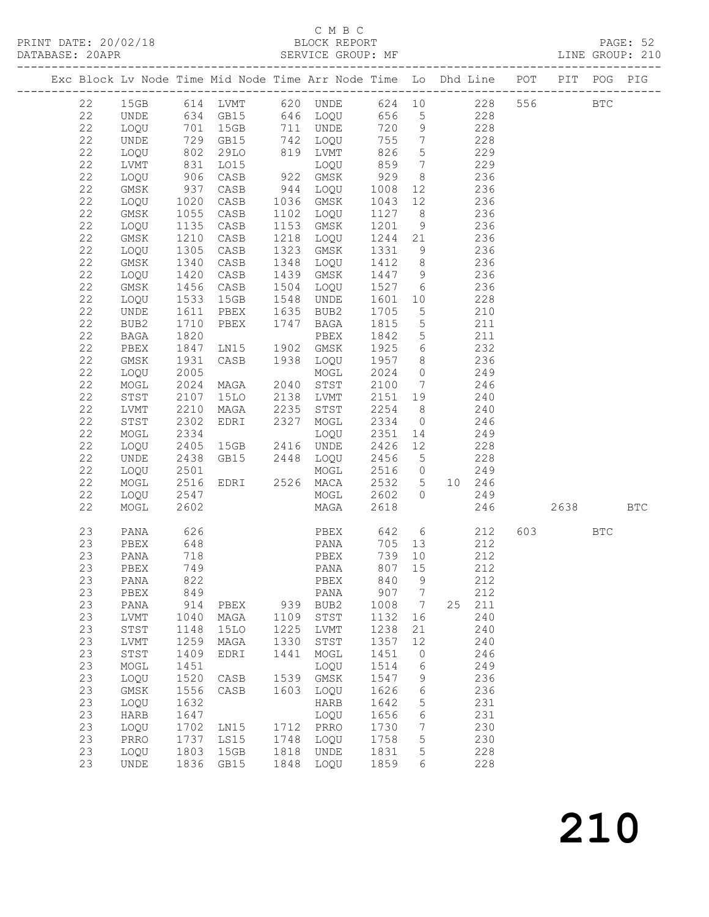### C M B C<br>BLOCK REPORT

PAGE: 52<br>LINE GROUP: 210

| Exc Block Lv Node Time Mid Node Time Arr Node Time Lo Dhd Line POT PIT POG PIG |                        |                 |                |              |                                          |                  |                 |                              |          |  |
|--------------------------------------------------------------------------------|------------------------|-----------------|----------------|--------------|------------------------------------------|------------------|-----------------|------------------------------|----------|--|
| 22                                                                             |                        |                 |                |              |                                          |                  |                 |                              | 556 BTC  |  |
| 22                                                                             |                        |                 |                |              |                                          |                  |                 | 228                          |          |  |
| 22                                                                             | LOQU 701 15GB          |                 |                |              | 711 UNDE 720 9                           |                  |                 | 228                          |          |  |
| 22                                                                             | UNDE                   |                 | 729 GB15       |              |                                          | 755              | $\overline{7}$  | 228                          |          |  |
| 22                                                                             | LOQU 802<br>LVMT 831   |                 | 29LO           |              |                                          | 826<br>859       | $5\overline{)}$ | 229                          |          |  |
| 22                                                                             |                        |                 | LO15           |              |                                          |                  | $\overline{7}$  | 229                          |          |  |
| 22                                                                             | LOQU                   | 906             | CASB           |              | 742 LOQU<br>819 LVMT<br>LOQU<br>922 GMSK | 929              | 8 <sup>8</sup>  | 236                          |          |  |
| 22                                                                             | GMSK                   | 937             | CASB           |              | 944 LOQU                                 | 1008             |                 | 236<br>12 and $\overline{a}$ |          |  |
| 22                                                                             | LOQU 1020<br>GMSK 1055 |                 | CASB           | 1036         | GMSK                                     | 1043             | 12              | 236                          |          |  |
| 22                                                                             |                        |                 | CASB           |              | 1102 LOQU                                | 1127 8           |                 | 236                          |          |  |
| 22                                                                             | LOQU 1135              |                 | CASB           | 1153         | GMSK                                     | 1201             | 9               | 236                          |          |  |
| 22                                                                             | GMSK                   | 1210            | CASB           | 1218         | LOQU                                     | 1244             | 21              | 236                          |          |  |
| 22                                                                             | LOQU                   | 1305            | CASB           | 1323<br>1348 | GMSK                                     | 1331             | 9               | 236                          |          |  |
| 22                                                                             | GMSK                   | 1340            | CASB           |              | LOQU                                     | 1412             | 8 <sup>8</sup>  | 236                          |          |  |
| 22                                                                             | LOQU                   | 1420            | CASB           | 1439         | GMSK                                     | 1447             | 9               | 236                          |          |  |
| 22                                                                             | GMSK                   | 1456            | CASB           | 1504         | LOQU                                     | 1527 6           |                 | 236                          |          |  |
| $2\sqrt{2}$                                                                    | LOQU                   | 1533            | 15GB           |              |                                          | 1601             | 10              | 228                          |          |  |
| 22                                                                             | UNDE                   | 1611            | PBEX           |              | 1548 UNDE<br>1635 BUB2<br>1747 BAGA      | 1705             | $5\overline{)}$ | 210                          |          |  |
| 22                                                                             | BUB2                   | 1710<br>1820    | PBEX           |              |                                          | 1815             | $5\overline{)}$ | 211<br>211                   |          |  |
| 22                                                                             | BAGA                   | 1847            |                |              | PBEX<br>GMSK                             | 1842 5<br>1925   | $6\overline{6}$ |                              |          |  |
| $2\sqrt{2}$<br>22                                                              | PBEX<br>GMSK           | 1931            | LN15           |              | 1938 LOQU                                | 1957 8           |                 | 232<br>236                   |          |  |
| 22                                                                             | LOQU                   | 2005            | CASB           |              | MOGL                                     | 2024             | $\overline{0}$  | $\frac{1}{249}$              |          |  |
| 22                                                                             | MOGL                   | 2024            | MAGA           | 2040         | STST                                     | 2100 7           |                 | 246                          |          |  |
| $2\sqrt{2}$                                                                    | ${\tt STST}$           |                 | <b>15LO</b>    | 2138         | LVMT                                     | 2151 19          |                 | 240                          |          |  |
| 22                                                                             | LVMT                   | 2107<br>2210    | MAGA           |              |                                          | 2254 8           |                 | 240                          |          |  |
| 22                                                                             | STST                   | 2302            | EDRI           |              | 2235 STST<br>2327 MOGL                   | $2334$ 0         |                 | 246                          |          |  |
| 22                                                                             | MOGL                   | 2334            |                |              | LOQU                                     | 2351             | 14              | 249                          |          |  |
| 22                                                                             | LOQU                   | 2405            | $15GB$ $2416$  |              | UNDE                                     | 2426             | 12              | 228                          |          |  |
| 22                                                                             | UNDE                   | 2438            | GB15 2448 LOQU |              |                                          |                  |                 | 228                          |          |  |
| 22                                                                             | LOQU                   | 2501            |                |              | MOGL                                     | 2456 5<br>2516 0 |                 | 249                          |          |  |
| 22                                                                             | MOGL                   | 2516            | EDRI           |              | 2526 MACA                                | 2532 5           |                 | 10 246                       |          |  |
| 22                                                                             | LOQU                   | 2547            |                |              | MOGL                                     |                  |                 | 2602 0 249                   |          |  |
| 22                                                                             | MOGL                   | 2602            |                |              | MAGA                                     | 2618             |                 | 246                          | 2638 BTC |  |
|                                                                                |                        |                 |                |              |                                          |                  |                 |                              |          |  |
| 23                                                                             | PANA                   | 626             |                |              | PBEX 642 6                               |                  |                 | 212                          | 603 BTC  |  |
| 23                                                                             | PBEX                   | 648             |                |              | PANA 705                                 |                  | 13              | 212                          |          |  |
| 23                                                                             | PANA                   | $\frac{13}{74}$ |                |              | PBEX                                     | 739              | 10              | 212                          |          |  |
| 23                                                                             | PBEX                   | 749             |                |              | PANA                                     | 807              | 15              | 212                          |          |  |
| 23                                                                             | PANA 822               |                 |                |              | PBEX 840 9                               |                  |                 | 212                          |          |  |
| 23                                                                             | PBEX                   | 849             |                |              | PANA                                     | 907              | $\overline{7}$  | 212                          |          |  |
| 23                                                                             | PANA                   | 914             | PBEX           |              | 939 BUB2                                 | 1008             | $7\overline{)}$ | 25 211                       |          |  |
| 23                                                                             | LVMT                   | 1040            | MAGA           | 1109         | STST                                     | 1132             | 16              | 240                          |          |  |
| 23                                                                             | STST                   | 1148            | 15LO           | 1225         | LVMT                                     | 1238             | 21              | 240                          |          |  |
| 23                                                                             | LVMT                   | 1259            | MAGA           | 1330         | STST                                     | 1357             | 12              | 240                          |          |  |
| 23                                                                             | STST                   | 1409            | EDRI           | 1441         | MOGL                                     | 1451             | $\circ$         | 246                          |          |  |
| 23                                                                             | MOGL                   | 1451            |                |              | LOQU                                     | 1514             | 6               | 249                          |          |  |
| 23<br>23                                                                       | LOQU<br>GMSK           | 1520<br>1556    | CASB           | 1603         | 1539 GMSK                                | 1547<br>1626     | 9               | 236<br>236                   |          |  |
| 23                                                                             | LOQU                   | 1632            | CASB           |              | LOQU<br>HARB                             | 1642             | 6<br>5          | 231                          |          |  |
| 23                                                                             | <b>HARB</b>            | 1647            |                |              | LOQU                                     | 1656             | 6               | 231                          |          |  |
| 23                                                                             | LOQU                   | 1702            | LN15           | 1712         | PRRO                                     | 1730             | $7\phantom{.0}$ | 230                          |          |  |
| 23                                                                             | PRRO                   | 1737            | LS15           | 1748         | LOQU                                     | 1758             | 5               | 230                          |          |  |
| 23                                                                             | LOQU                   | 1803            | 15GB           | 1818         | UNDE                                     | 1831             | 5               | 228                          |          |  |
| 23                                                                             | <b>UNDE</b>            | 1836            | GB15           | 1848         | LOQU                                     | 1859             | 6               | 228                          |          |  |
|                                                                                |                        |                 |                |              |                                          |                  |                 |                              |          |  |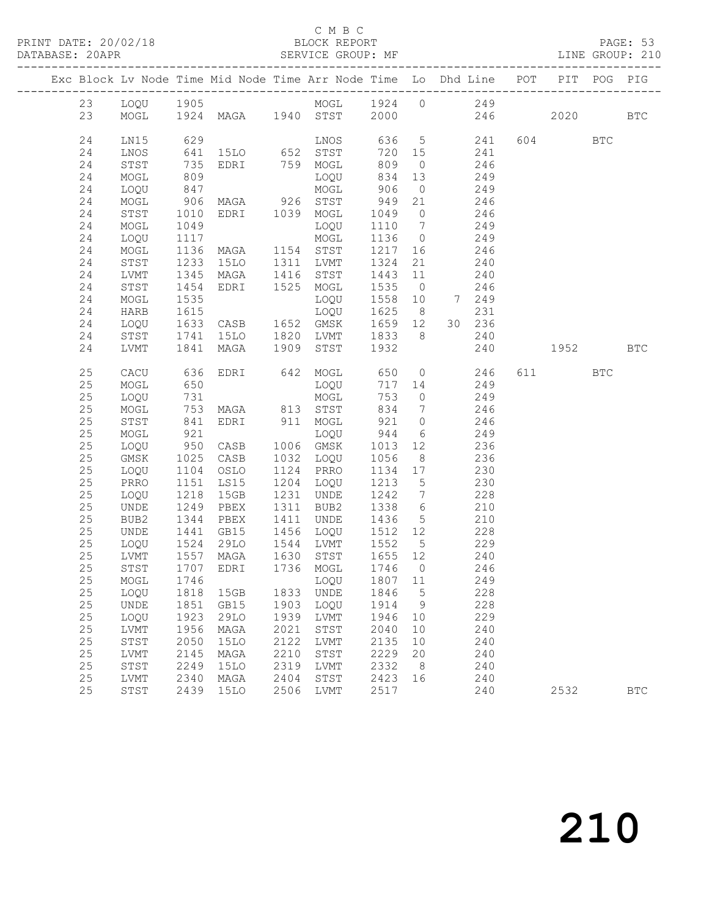#### C M B C<br>BLOCK REPORT

|  |    |                |                |                                                                   |      |                                     |                      |                | Exc Block Lv Node Time Mid Node Time Arr Node Time Lo Dhd Line POT                                                                                                                                                                                     |     |          | PIT POG PIG |              |
|--|----|----------------|----------------|-------------------------------------------------------------------|------|-------------------------------------|----------------------|----------------|--------------------------------------------------------------------------------------------------------------------------------------------------------------------------------------------------------------------------------------------------------|-----|----------|-------------|--------------|
|  |    |                |                |                                                                   |      |                                     |                      |                |                                                                                                                                                                                                                                                        |     |          |             |              |
|  |    |                |                |                                                                   |      |                                     |                      |                | 23 LOQU 1905<br>23 MOGL 1924 MAGA 1940 STST 2000 246                                                                                                                                                                                                   |     | 2020 BTC |             |              |
|  |    |                |                |                                                                   |      |                                     |                      |                |                                                                                                                                                                                                                                                        |     |          |             |              |
|  | 24 |                |                |                                                                   |      |                                     |                      |                | LNOS 636 5 241<br>1993 11005<br>1993 11005<br>1995 11006 11006 11006 11006 11006 11006 11006 11006 11006 11006 11006 11006 11006 11006 11006 11006 11006 11<br>1996 1006 1006 1006 1006 11006 11006 11006 11006 11006 11006 11006 11006 11006 11006 11 |     | 604 BTC  |             |              |
|  | 24 |                |                |                                                                   |      |                                     |                      |                |                                                                                                                                                                                                                                                        |     |          |             |              |
|  | 24 |                |                |                                                                   |      |                                     |                      |                |                                                                                                                                                                                                                                                        |     |          |             |              |
|  | 24 |                |                |                                                                   |      |                                     |                      |                |                                                                                                                                                                                                                                                        |     |          |             |              |
|  | 24 | LOQU           | 847            |                                                                   |      | MOGL                                | 906                  |                | $0 \t 249$                                                                                                                                                                                                                                             |     |          |             |              |
|  | 24 | MOGL           |                |                                                                   |      |                                     | 949                  |                | 21 246                                                                                                                                                                                                                                                 |     |          |             |              |
|  | 24 | STST           |                | MOGL<br>906 MAGA 926 STST<br>1010 EDRI 1039 MOGL<br>1049          |      |                                     | 1049 0               |                | 246                                                                                                                                                                                                                                                    |     |          |             |              |
|  | 24 | MOGL           | 1049           |                                                                   |      | LOQU                                |                      |                | $1110 7$ 249                                                                                                                                                                                                                                           |     |          |             |              |
|  | 24 | LOQU 1117      |                |                                                                   |      | MOGL                                |                      |                | 1136 0 249                                                                                                                                                                                                                                             |     |          |             |              |
|  | 24 | MOGL           |                | 1136 MAGA 1154 STST<br>1233 15LO 1311 LVMT<br>1345 MAGA 1416 STST |      |                                     | 1217 16              |                | 246                                                                                                                                                                                                                                                    |     |          |             |              |
|  | 24 | STST           |                |                                                                   |      |                                     | 1324                 | 21             | 240                                                                                                                                                                                                                                                    |     |          |             |              |
|  | 24 | LVMT           |                | $1345$ MAGA                                                       |      |                                     | $1443$ 11            |                | 240                                                                                                                                                                                                                                                    |     |          |             |              |
|  | 24 | STST           | 1454           | EDRI                                                              |      | 1525 MOGL                           | 1535 0               |                | 246                                                                                                                                                                                                                                                    |     |          |             |              |
|  | 24 |                | 1535           |                                                                   |      | LOQU                                | 1558 10              |                | 7 249                                                                                                                                                                                                                                                  |     |          |             |              |
|  | 24 |                |                | MOGL 1535<br>HARB 1615<br>LOQU 1633 CASB 1652                     |      | LOQU                                | 1625 8<br>1659 12 30 |                | 231                                                                                                                                                                                                                                                    |     |          |             |              |
|  | 24 |                |                |                                                                   |      | 1652 GMSK                           |                      |                | 30 236                                                                                                                                                                                                                                                 |     |          |             |              |
|  | 24 | STST 1741 15LO |                |                                                                   |      | 1820 LVMT 1833 8                    |                      |                | 240                                                                                                                                                                                                                                                    |     |          |             |              |
|  | 24 | LVMT           |                | 1841 MAGA                                                         |      | 1909 STST 1932                      |                      |                |                                                                                                                                                                                                                                                        | 240 | 1952 BTC |             |              |
|  | 25 | CACU           |                |                                                                   |      |                                     |                      |                | 636 EDRI 642 MOGL 650 0 246                                                                                                                                                                                                                            |     | 611 BTC  |             |              |
|  | 25 | MOGL           | 650            |                                                                   |      |                                     |                      |                | LOQU 717 14 249                                                                                                                                                                                                                                        |     |          |             |              |
|  | 25 | LOQU           |                |                                                                   |      |                                     |                      |                | 753 0 249                                                                                                                                                                                                                                              |     |          |             |              |
|  | 25 | MOGL           |                | 731 – 762<br>753 MAGA – 813 STST<br>841 EDRI – 911 MOGL           |      |                                     |                      |                |                                                                                                                                                                                                                                                        |     |          |             |              |
|  | 25 | STST           | $753$<br>$841$ |                                                                   |      |                                     |                      |                | 834 7 246<br>921 0 246                                                                                                                                                                                                                                 |     |          |             |              |
|  | 25 | MOGL           | 921            |                                                                   |      |                                     |                      |                | LOQU 944 6 249                                                                                                                                                                                                                                         |     |          |             |              |
|  | 25 | LOQU           |                | 921<br>950 CASB                                                   |      | 1006 GMSK                           |                      |                | 1013 12 236                                                                                                                                                                                                                                            |     |          |             |              |
|  | 25 | GMSK           |                |                                                                   |      | 1032 LOQU                           | 1056                 | 8 <sup>1</sup> | 236                                                                                                                                                                                                                                                    |     |          |             |              |
|  | 25 | LOQU           |                | 1025 CASB<br>1104 OSLO                                            |      | 1124 PRRO                           | 1134 17              |                | 230                                                                                                                                                                                                                                                    |     |          |             |              |
|  | 25 | PRRO           | 1151           | LS15                                                              |      | $1204$ LOQU                         | 1213 5               |                | 230                                                                                                                                                                                                                                                    |     |          |             |              |
|  | 25 | LOQU           | 1218           | 15GB                                                              |      | 1231 UNDE                           |                      |                | 1242 7 228                                                                                                                                                                                                                                             |     |          |             |              |
|  | 25 | UNDE           | 1249           | PBEX                                                              |      |                                     |                      |                | 1338 6 210                                                                                                                                                                                                                                             |     |          |             |              |
|  | 25 | BUB2           |                | 1344 PBEX                                                         |      | 1311 BUB2<br>1411 UNDE<br>1456 LOQU | 1436 5               |                | 210                                                                                                                                                                                                                                                    |     |          |             |              |
|  | 25 | UNDE           |                | 1441 GB15                                                         |      |                                     |                      |                | $1512$ $12$ $228$                                                                                                                                                                                                                                      |     |          |             |              |
|  | 25 | LOQU 1524 29LO |                |                                                                   |      | 1544 LVMT                           |                      |                | 1552 5 229                                                                                                                                                                                                                                             |     |          |             |              |
|  | 25 | LVMT           |                | 1557 MAGA 1630 STST<br>1707 EDRI 1736 MOGL                        |      |                                     | 1655 12              |                | 240                                                                                                                                                                                                                                                    |     |          |             |              |
|  | 25 | STST           |                |                                                                   |      |                                     | 1746 0               |                | 246                                                                                                                                                                                                                                                    |     |          |             |              |
|  |    |                |                |                                                                   |      | 25 MOGL 1746 LOQU 1807 11           |                      |                | 249                                                                                                                                                                                                                                                    |     |          |             |              |
|  | 25 | LOQU           | 1818           | 15GB                                                              |      | 1833 UNDE                           | 1846                 | $5\phantom{0}$ | 228                                                                                                                                                                                                                                                    |     |          |             |              |
|  | 25 | UNDE           | 1851           | GB15                                                              | 1903 | LOQU                                | 1914                 | 9              | 228                                                                                                                                                                                                                                                    |     |          |             |              |
|  | 25 | LOQU           | 1923           | 29LO                                                              | 1939 | LVMT                                | 1946                 | 10             | 229                                                                                                                                                                                                                                                    |     |          |             |              |
|  | 25 | LVMT           | 1956           | MAGA                                                              | 2021 | STST                                | 2040                 | 10             | 240                                                                                                                                                                                                                                                    |     |          |             |              |
|  | 25 | STST           | 2050           | 15LO                                                              | 2122 | LVMT                                | 2135                 | 10             | 240                                                                                                                                                                                                                                                    |     |          |             |              |
|  | 25 | LVMT           | 2145           | MAGA                                                              | 2210 | STST                                | 2229                 | 20             | 240                                                                                                                                                                                                                                                    |     |          |             |              |
|  | 25 | STST           | 2249           | 15LO                                                              | 2319 | LVMT                                | 2332                 | - 8            | 240                                                                                                                                                                                                                                                    |     |          |             |              |
|  | 25 | LVMT           | 2340           | MAGA                                                              | 2404 | STST                                | 2423                 | 16             | 240                                                                                                                                                                                                                                                    |     |          |             |              |
|  | 25 | STST           | 2439           | 15LO                                                              | 2506 | LVMT                                | 2517                 |                | 240                                                                                                                                                                                                                                                    |     | 2532     |             | $_{\rm BTC}$ |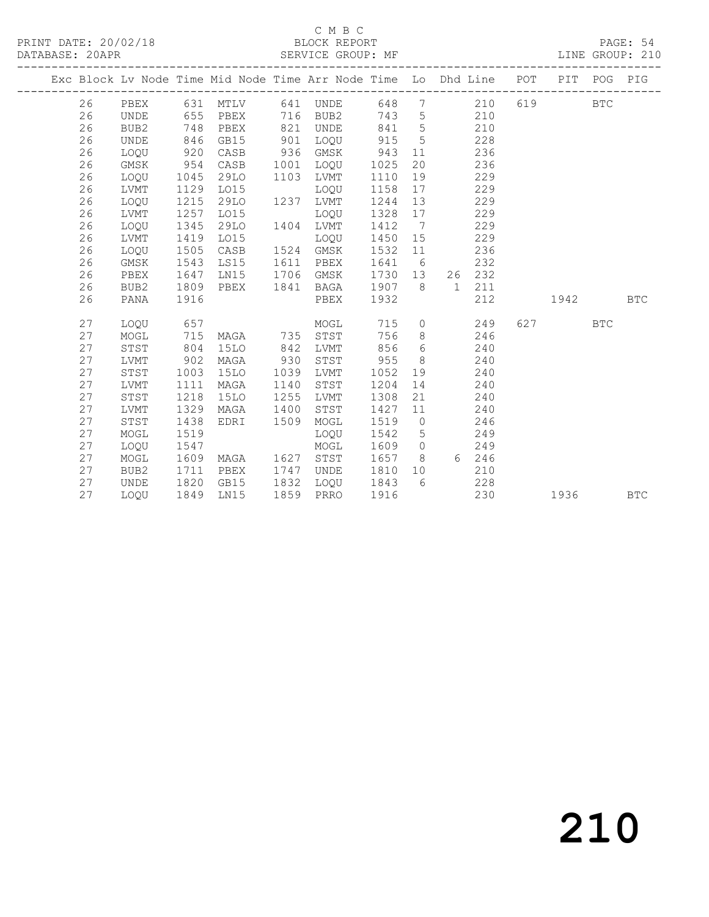#### C M B C<br>BLOCK REPORT

PAGE: 54<br>LINE GROUP: 210

|  |    |                  |      |             |      | Exc Block Lv Node Time Mid Node Time Arr Node Time Lo Dhd Line POT |      |                 |                 |     |     | PIT POG    |            | PIG        |
|--|----|------------------|------|-------------|------|--------------------------------------------------------------------|------|-----------------|-----------------|-----|-----|------------|------------|------------|
|  | 26 | PBEX             |      | 631 MTLV    |      | 641 UNDE                                                           | 648  |                 | $7\overline{ }$ | 210 | 619 | <b>BTC</b> |            |            |
|  | 26 | UNDE             | 655  | PBEX        | 716  | BUB2                                                               | 743  | $5\overline{)}$ |                 | 210 |     |            |            |            |
|  | 26 | BUB2             | 748  | PBEX        | 821  | UNDE                                                               | 841  | $5\overline{)}$ |                 | 210 |     |            |            |            |
|  | 26 | UNDE             | 846  | GB15        | 901  | LOQU                                                               | 915  | $5^{\circ}$     |                 | 228 |     |            |            |            |
|  | 26 | LOQU             | 920  | CASB        | 936  | GMSK                                                               | 943  | 11              |                 | 236 |     |            |            |            |
|  | 26 | GMSK             | 954  | CASB        | 1001 | LOQU                                                               | 1025 | 20              |                 | 236 |     |            |            |            |
|  | 26 | LOQU             | 1045 | 29LO        | 1103 | LVMT                                                               | 1110 | 19              |                 | 229 |     |            |            |            |
|  | 26 | LVMT             | 1129 | LO15        |      | LOQU                                                               | 1158 | 17              |                 | 229 |     |            |            |            |
|  | 26 | LOQU             | 1215 | 29LO        |      | 1237 LVMT                                                          | 1244 | 13              |                 | 229 |     |            |            |            |
|  | 26 | LVMT             | 1257 | L015        |      | LOQU                                                               | 1328 | 17              |                 | 229 |     |            |            |            |
|  | 26 | LOQU             | 1345 | 29LO        | 1404 | LVMT                                                               | 1412 | $\overline{7}$  |                 | 229 |     |            |            |            |
|  | 26 | LVMT             | 1419 | LO15        |      | LOQU                                                               | 1450 | 15              |                 | 229 |     |            |            |            |
|  | 26 | LOQU             | 1505 | CASB        | 1524 | GMSK                                                               | 1532 | 11              |                 | 236 |     |            |            |            |
|  | 26 | GMSK             | 1543 | LS15        | 1611 | PBEX                                                               | 1641 | 6               |                 | 232 |     |            |            |            |
|  | 26 | PBEX             | 1647 | LN15        | 1706 | GMSK                                                               | 1730 | 13              | 26              | 232 |     |            |            |            |
|  | 26 | BUB <sub>2</sub> | 1809 | PBEX        | 1841 | BAGA                                                               | 1907 | - 8             | $\overline{1}$  | 211 |     |            |            |            |
|  | 26 | PANA             | 1916 |             |      | PBEX                                                               | 1932 |                 |                 | 212 |     | 1942       |            | <b>BTC</b> |
|  |    |                  |      |             |      |                                                                    |      |                 |                 |     |     |            |            |            |
|  | 27 | LOOU             | 657  |             |      | MOGL                                                               | 715  | $\overline{0}$  |                 | 249 |     | 627 — 100  | <b>BTC</b> |            |
|  | 27 | MOGL             | 715  | MAGA        | 735  | STST                                                               | 756  | 8               |                 | 246 |     |            |            |            |
|  | 27 | STST             | 804  | 15LO        | 842  | LVMT                                                               | 856  | 6               |                 | 240 |     |            |            |            |
|  | 27 | LVMT             | 902  | MAGA        | 930  | STST                                                               | 955  | 8 <sup>8</sup>  |                 | 240 |     |            |            |            |
|  | 27 | STST             | 1003 | <b>15LO</b> | 1039 | LVMT                                                               | 1052 | 19              |                 | 240 |     |            |            |            |
|  | 27 | LVMT             | 1111 | MAGA        | 1140 | STST                                                               | 1204 | 14              |                 | 240 |     |            |            |            |
|  | 27 | STST             | 1218 | 15LO        | 1255 | LVMT                                                               | 1308 | 21              |                 | 240 |     |            |            |            |
|  | 27 | LVMT             | 1329 | MAGA        | 1400 | STST                                                               | 1427 | 11              |                 | 240 |     |            |            |            |
|  | 27 | STST             | 1438 | EDRI        | 1509 | MOGL                                                               | 1519 | $\overline{0}$  |                 | 246 |     |            |            |            |
|  | 27 | MOGL             | 1519 |             |      | LOQU                                                               | 1542 | $5^{\circ}$     |                 | 249 |     |            |            |            |
|  | 27 | LOOU             | 1547 |             |      | MOGL                                                               | 1609 | $\overline{0}$  |                 | 249 |     |            |            |            |
|  | 27 | MOGL             | 1609 | MAGA        | 1627 | STST                                                               | 1657 | 8 <sup>8</sup>  | 6 246           |     |     |            |            |            |
|  | 27 | BUB2             | 1711 | PBEX        | 1747 | UNDE                                                               | 1810 | 10              |                 | 210 |     |            |            |            |
|  | 27 | UNDE             | 1820 | GB15        | 1832 | LOQU                                                               | 1843 | 6               |                 | 228 |     |            |            |            |
|  | 27 | LOQU             | 1849 | LN15        | 1859 | PRRO                                                               | 1916 |                 |                 | 230 |     | 1936       |            | <b>BTC</b> |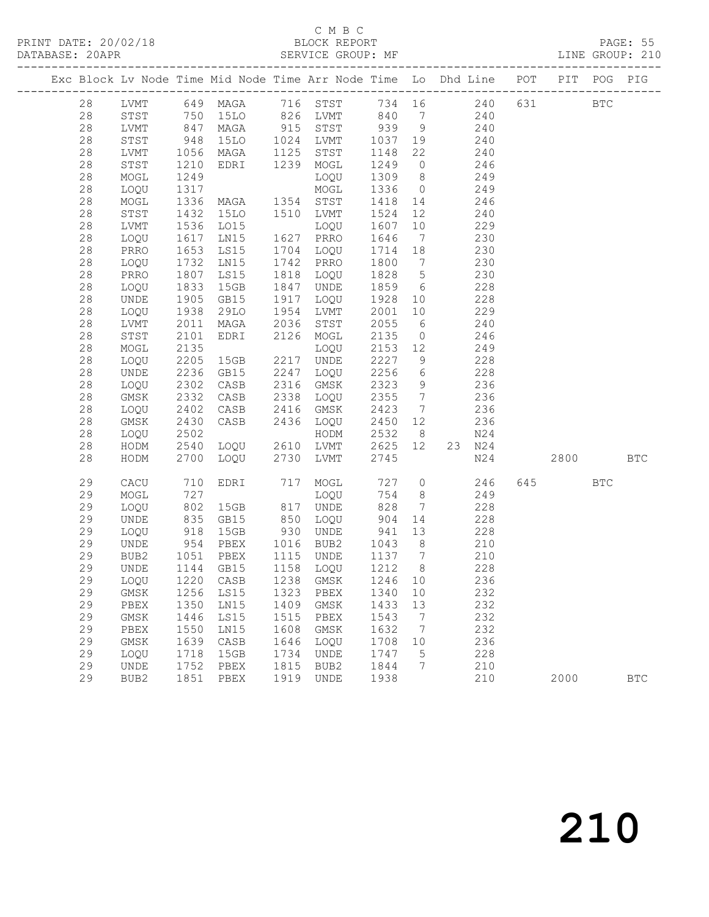### C M B C<br>BLOCK REPORT

PAGE: 55<br>LINE GROUP: 210

|  |      |               |                      |                                     |                      | Exc Block Lv Node Time Mid Node Time Arr Node Time Lo Dhd Line POT    |                                                      |                 |                |     |           | PIT POG PIG |            |
|--|------|---------------|----------------------|-------------------------------------|----------------------|-----------------------------------------------------------------------|------------------------------------------------------|-----------------|----------------|-----|-----------|-------------|------------|
|  | 28   |               |                      |                                     |                      | LVMT 649 MAGA 716 STST 734 16 240<br>STST 750 15LO 826 LVMT 840 7 240 |                                                      |                 |                |     | 631 BTC   |             |            |
|  | 28   |               |                      |                                     |                      |                                                                       |                                                      |                 |                |     |           |             |            |
|  | 28   | LVMT 847 MAGA |                      |                                     |                      | 915 STST 939 9 240                                                    |                                                      |                 |                |     |           |             |            |
|  | 28   | STST          | 948                  | 15LO                                | 1024                 | LVMT                                                                  |                                                      |                 | 1037 19 240    |     |           |             |            |
|  | 28   | LVMT          |                      | 1056 MAGA<br>1210 Edri              |                      | 1125 STST<br>1239 MOGL                                                | 1148                                                 | 22              | 240            |     |           |             |            |
|  | 28   | STST          | 1210                 | EDRI                                |                      |                                                                       | 1249 0                                               |                 |                | 246 |           |             |            |
|  | 28   | MOGL          | 1249                 |                                     |                      | LOQU                                                                  | 1309 8                                               |                 |                | 249 |           |             |            |
|  | 28   | LOQU          | 1317                 |                                     |                      | MOGL                                                                  | 1336                                                 |                 | $0 \t 249$     |     |           |             |            |
|  | $28$ | MOGL          |                      | 1336 MAGA                           |                      | 1354 STST<br>1510 LVMT<br>LOQU                                        | 1418 14                                              |                 | 246            |     |           |             |            |
|  | 28   | STST          | 1432                 | 15LO                                |                      |                                                                       | 1524 12                                              |                 |                | 240 |           |             |            |
|  | 28   | LVMT          | 1536                 | LO15                                |                      |                                                                       | 1607                                                 | 10              |                | 229 |           |             |            |
|  | 28   | LOQU          | 1617                 | LN15                                |                      | 1627 PRRO                                                             | 1646                                                 | $7\overline{ }$ |                | 230 |           |             |            |
|  | 28   | PRRO          | 1653                 | LS15                                |                      | LOQU                                                                  | 1714 18                                              |                 |                | 230 |           |             |            |
|  | 28   | LOQU          | 1732                 | LNI5                                | 1704<br>1742<br>1818 | PRRO                                                                  | 1800 7                                               |                 |                | 230 |           |             |            |
|  | 28   | PRRO          | 1807                 | LS15                                |                      | LOQU                                                                  | 1828 5                                               |                 |                | 230 |           |             |            |
|  | 28   | LOQU          | 1833                 | 15GB                                | 1847                 | UNDE                                                                  | 1859 6                                               |                 | 228            |     |           |             |            |
|  | 28   | UNDE          | 1905<br>1938<br>2011 | GB15                                | 1917<br>1954<br>2036 | LOQU                                                                  | 1928 10                                              |                 |                | 228 |           |             |            |
|  | 28   | LOQU          |                      | 29LO                                |                      | LVMT                                                                  | 2001 10                                              |                 |                | 229 |           |             |            |
|  | $28$ | LVMT          |                      | MAGA                                | 2036                 | STST                                                                  | 2055                                                 | $6\overline{6}$ |                | 240 |           |             |            |
|  | 28   | STST          | 2101                 | EDRI<br>$\frac{2}{2}$               | 2126                 | MOGL                                                                  | 2135                                                 |                 | $\overline{0}$ | 246 |           |             |            |
|  | 28   | MOGL          | 2135                 |                                     |                      | LOQU                                                                  | 2153 12                                              |                 |                | 249 |           |             |            |
|  | 28   | LOQU          | 2205                 | 15GB                                | 2217                 | UNDE                                                                  | 2227                                                 | 9               |                | 228 |           |             |            |
|  | 28   | UNDE          | 2236                 | GB15                                | 2247                 | LOQU                                                                  | 2256                                                 | 6 <sup>6</sup>  |                | 228 |           |             |            |
|  | 28   | LOQU          | 2302                 | CASB                                | 2316                 | GMSK                                                                  | 2323                                                 | 9               |                | 236 |           |             |            |
|  | 28   | GMSK          | 2332                 | CASB                                | 2338                 | LOQU                                                                  | 2355 7                                               |                 |                | 236 |           |             |            |
|  | 28   | LOQU          | 2402<br>2430         | CASB 2416<br>CASB 2436<br>LOQU 2610 |                      | GMSK                                                                  | 2423 7                                               |                 |                | 236 |           |             |            |
|  | 28   | GMSK          |                      |                                     |                      | 2436 LOQU                                                             | 2450                                                 | 12              |                | 236 |           |             |            |
|  | 28   | LOQU 2502     |                      |                                     |                      | HODM                                                                  | 2532                                                 | 8 <sup>1</sup>  |                | N24 |           |             |            |
|  | 28   | HODM          | 2540                 |                                     |                      | LVMT                                                                  | 2625 12                                              |                 | 23 N24         |     |           |             |            |
|  | 28   | HODM          | 2700                 | LOQU                                | 2730                 | LVMT                                                                  | 2745                                                 |                 |                | N24 | 2800 BTC  |             |            |
|  | 29   | CACU          | 710                  | EDRI                                | 717                  | MOGL                                                                  | 727 0                                                |                 |                | 246 | 645   100 | <b>BTC</b>  |            |
|  | 29   | MOGL          | 727                  |                                     |                      | LOQU                                                                  | 754                                                  | 8 <sup>8</sup>  |                | 249 |           |             |            |
|  | 29   | LOQU          | 802<br>835<br>918    | 15GB                                | 817<br>850<br>930    | UNDE                                                                  | 828                                                  | $\overline{7}$  |                | 228 |           |             |            |
|  | 29   | UNDE          |                      | GB15                                |                      | LOQU                                                                  | 904                                                  | 14              |                | 228 |           |             |            |
|  | 29   | LOQU          |                      | 15GB                                |                      | UNDE                                                                  | 941 13                                               |                 |                | 228 |           |             |            |
|  | 29   | UNDE          |                      | 954 PBEX                            |                      | 1016 BUB2<br>1115 UNDE<br>1158 LOQU                                   | 1043 8                                               |                 | 210            |     |           |             |            |
|  | 29   | BUB2          |                      | 1051 PBEX<br>1144 GB15              |                      |                                                                       | $\begin{array}{cc} 1137 & 7 \\ 1212 & 8 \end{array}$ |                 |                | 210 |           |             |            |
|  | 29   | <b>UNDE</b>   |                      |                                     |                      |                                                                       |                                                      |                 |                | 228 |           |             |            |
|  | 29   |               |                      |                                     |                      | LOQU 1220 CASB 1238 GMSK 1246 10                                      |                                                      |                 |                | 236 |           |             |            |
|  | 29   | GMSK          | 1256                 | LS15                                | 1323                 | PBEX                                                                  | 1340                                                 | 10              |                | 232 |           |             |            |
|  | 29   | PBEX          | 1350                 | LN15                                | 1409                 | GMSK                                                                  | 1433                                                 | 13              |                | 232 |           |             |            |
|  | 29   | GMSK          | 1446                 | LS15                                | 1515                 | PBEX                                                                  | 1543                                                 | $\overline{7}$  |                | 232 |           |             |            |
|  | 29   | PBEX          | 1550                 | LN15                                | 1608                 | GMSK                                                                  | 1632                                                 | $7\phantom{.0}$ |                | 232 |           |             |            |
|  | 29   | GMSK          | 1639                 | CASB                                | 1646                 | LOQU                                                                  | 1708                                                 | 10              |                | 236 |           |             |            |
|  | 29   | LOQU          | 1718                 | 15GB                                | 1734                 | UNDE                                                                  | 1747                                                 | 5               |                | 228 |           |             |            |
|  | 29   | UNDE          | 1752                 | PBEX                                | 1815                 | BUB2                                                                  | 1844                                                 | 7               |                | 210 |           |             |            |
|  | 29   | BUB2          | 1851                 | PBEX                                | 1919                 | UNDE                                                                  | 1938                                                 |                 |                | 210 | 2000      |             | <b>BTC</b> |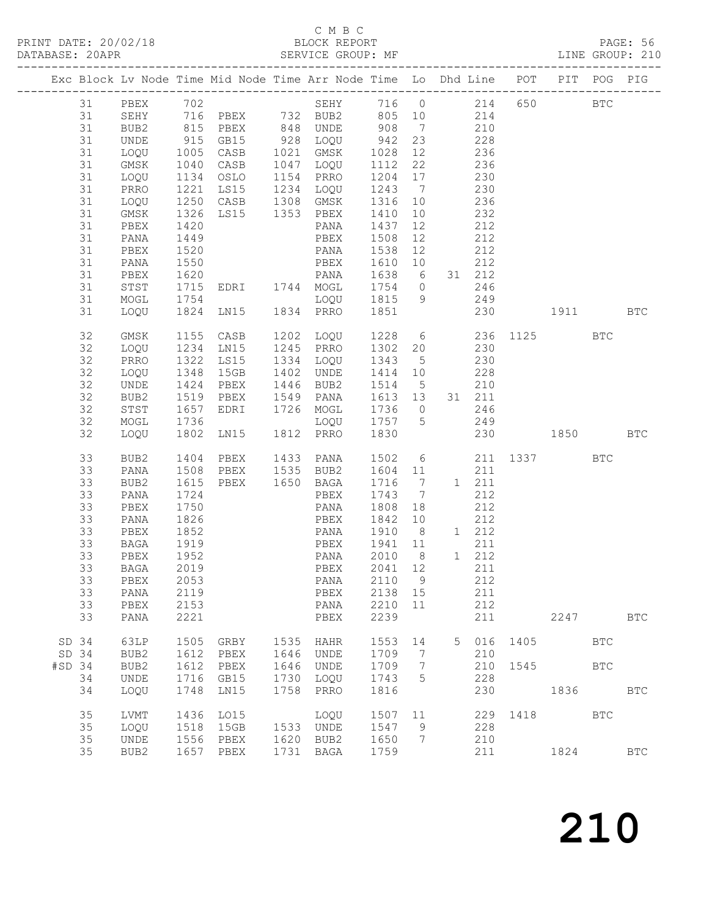### C M B C<br>BLOCK REPORT

PAGE: 56<br>LINE GROUP: 210

|        |          |                      |              |                                                              |      | Exc Block Lv Node Time Mid Node Time Arr Node Time Lo Dhd Line POT PIT POG PIG     |                         |                |                |              |                     |            |              |
|--------|----------|----------------------|--------------|--------------------------------------------------------------|------|------------------------------------------------------------------------------------|-------------------------|----------------|----------------|--------------|---------------------|------------|--------------|
|        | 31       | BUB2                 |              | 815 PBEX                                                     |      | 31 PBEX 702 SEHY 716 0 214 650<br>31 SEHY 716 PBEX 732 BUB2 805 10 214<br>848 UNDE | 908 7 210               |                |                |              |                     | <b>BTC</b> |              |
|        | 31       | UNDE                 |              | 915 GB15                                                     |      |                                                                                    | 942 23                  |                | 228            |              |                     |            |              |
|        | 31       | LOQU                 |              | $\begin{array}{cc}\n1005 & CASB \\ 1040 & CASP\n\end{array}$ |      | 928 LOQU<br>1021 GMSK<br>1047 LOQU                                                 | 1028                    | 12             |                |              |                     |            |              |
|        | 31       | GMSK                 | 1040         | CASB                                                         |      |                                                                                    | 1112                    | 22             | $236$<br>$236$ |              |                     |            |              |
|        | 31       | LOQU 1134 OSLO       |              |                                                              | 1154 | PRRO                                                                               | 1204 17                 |                | 230            |              |                     |            |              |
|        | 31       | PRRO                 | 1221         | LS15                                                         |      | 1234 LOQU                                                                          | 1243 7                  |                | 230            |              |                     |            |              |
|        | 31       |                      |              | 1250 CASB                                                    |      |                                                                                    | 1316 10                 |                |                | 236          |                     |            |              |
|        | 31       | LOQU<br>GMSK<br>GMSK | 1326         | CASB 1308 GMSK<br>LS15 1353 PBEX                             |      |                                                                                    | 1410                    | 10             |                | 232          |                     |            |              |
|        | 31       | PBEX                 | 1420         |                                                              |      | PANA                                                                               | 1437                    | 12             | 212            |              |                     |            |              |
|        | 31       | PANA                 | 1449         |                                                              |      | PBEX                                                                               | 1508                    | 12             |                | 212          |                     |            |              |
|        | 31       | PBEX                 | 1520         |                                                              |      | PANA                                                                               | 1538                    | 12             |                | 212          |                     |            |              |
|        | 31       | PANA                 | 1550         |                                                              |      | PBEX                                                                               | 1610 10                 |                |                | 212          |                     |            |              |
|        | 31       | PBEX                 | 1620         | PANA                                                         |      |                                                                                    | 1638 6                  |                |                | 31 212       |                     |            |              |
|        | 31       |                      |              | STST 1715 EDRI                                               |      | 1744 MOGL                                                                          | 1754 0 246              |                |                |              |                     |            |              |
|        | 31       | MOGL                 |              | 1754<br>1824 LN15 1834                                       |      | LOQU                                                                               | 1815 9 249              |                |                |              |                     |            |              |
|        | 31       | LOQU                 |              |                                                              |      | 1834 PRRO                                                                          | 1851                    |                |                |              | 230                 | 1911 BTC   |              |
|        | 32       | GMSK                 |              | 1155 CASB                                                    |      | 1202 LOQU                                                                          |                         |                |                |              | 1228 6 236 1125 BTC |            |              |
|        | 32       | LOQU                 | 1234         | LNI5                                                         |      | 1245 PRRO<br>1334 LOQU<br>1402 UNDE                                                | 1302 20 230             |                |                |              |                     |            |              |
|        | 32       | PRRO                 | 1322         | LS15                                                         |      |                                                                                    | 1343 5                  |                |                | 230          |                     |            |              |
|        | 32       | LOQU                 | 1348         | 15GB                                                         |      |                                                                                    | 1414 10                 |                | 228            |              |                     |            |              |
|        | 32       | UNDE                 | 1424         | PBEX                                                         | 1446 | BUB2                                                                               | 1514 5 210              |                |                |              |                     |            |              |
|        | 32       | BUB2                 |              | 1519 PBEX                                                    |      | 1549 PANA<br>1726 MOGL                                                             | 1613 13                 |                |                | 31 211       |                     |            |              |
|        | 32       | STST                 | 1657         | EDRI                                                         |      |                                                                                    | 1736 0                  |                |                | 246          |                     |            |              |
|        | 32       | MOGL                 | 1736         |                                                              |      | LOQU 1757 5 249                                                                    |                         |                |                |              |                     |            |              |
|        | 32       | LOQU                 | 1802         | LN15                                                         |      | 1812 PRRO 1830                                                                     |                         |                |                |              | 230                 | 1850 BTC   |              |
|        | 33       | BUB2                 |              | 1404 PBEX                                                    |      | 1433 PANA                                                                          |                         |                |                |              | 1502 6 211 1337 BTC |            |              |
|        | 33       | PANA                 | 1508         | PBEX                                                         |      | $1535$ BUB2                                                                        | 1604 11                 |                |                | 211          |                     |            |              |
|        | 33       | BUB2                 | 1615         | PBEX                                                         |      | 1650 BAGA                                                                          | 1716 7                  |                |                | 1 211        |                     |            |              |
|        | 33       | PANA                 | 1724         |                                                              |      | PBEX                                                                               | 1743 7                  |                |                | 212          |                     |            |              |
|        | 33       | PBEX                 | 1750         |                                                              |      | PANA                                                                               | 1808                    | 18             |                | 212          |                     |            |              |
|        | 33       | PANA                 | 1826         |                                                              |      | PBEX                                                                               | 1842 10<br>1910 8 1 212 |                |                | 212          |                     |            |              |
|        | 33<br>33 | PBEX                 | 1852         |                                                              |      | PANA                                                                               |                         |                |                |              |                     |            |              |
|        | 33       | BAGA<br>PBEX         | 1919<br>1952 |                                                              |      | PBEX<br>PANA                                                                       | 1941 11<br>2010 8       |                |                | 211<br>1 212 |                     |            |              |
|        | 33       | BAGA                 | 2019         |                                                              |      | PBEX                                                                               | 2041                    | 12             |                | 211          |                     |            |              |
|        |          | 33 PBEX 2053         |              |                                                              |      | PANA 2110 9                                                                        |                         |                |                | 212          |                     |            |              |
|        | 33       | PANA                 | 2119         |                                                              |      | PBEX                                                                               | 2138 15                 |                |                | 211          |                     |            |              |
|        | 33       | PBEX                 | 2153         |                                                              |      | PANA                                                                               | 2210 11                 |                |                | 212          |                     |            |              |
|        | 33       | PANA                 | 2221         |                                                              |      | PBEX                                                                               | 2239                    |                |                | 211          |                     | 2247       | <b>BTC</b>   |
| SD 34  |          | 63LP                 | 1505         | GRBY                                                         |      | 1535 HAHR                                                                          | 1553                    | 14             | 5              | 016          | 1405                | <b>BTC</b> |              |
| SD 34  |          | BUB2                 | 1612         | PBEX                                                         |      | 1646 UNDE                                                                          | 1709 7                  |                |                | 210          |                     |            |              |
| #SD 34 |          | BUB2                 | 1612         | PBEX                                                         |      | 1646 UNDE                                                                          | 1709 7                  |                |                |              | 210 1545            | <b>BTC</b> |              |
|        | 34       | UNDE                 | 1716         | GB15                                                         |      | 1730 LOQU                                                                          | 1743                    | $5^{\circ}$    |                | 228          |                     |            |              |
|        | 34       | LOQU                 | 1748         | LN15                                                         |      | 1758 PRRO                                                                          | 1816                    |                |                | 230          |                     | 1836       | <b>BTC</b>   |
|        | 35       | LVMT                 | 1436         | LO15                                                         |      | LOQU                                                                               | 1507 11                 |                |                |              | 229 1418 BTC        |            |              |
|        | 35       | LOQU                 | 1518         | 15GB                                                         |      | 1533 UNDE                                                                          | 1547                    | $\overline{9}$ |                | 228          |                     |            |              |
|        | 35       | UNDE                 |              | 1556 PBEX                                                    |      | 1620 BUB2                                                                          | 1650                    | $\overline{7}$ |                | 210          |                     |            |              |
|        | 35       | BUB2                 |              | 1657 PBEX                                                    |      | 1731 BAGA                                                                          | 1759                    |                |                | 211          |                     | 1824       | $_{\rm BTC}$ |
|        |          |                      |              |                                                              |      |                                                                                    |                         |                |                |              |                     |            |              |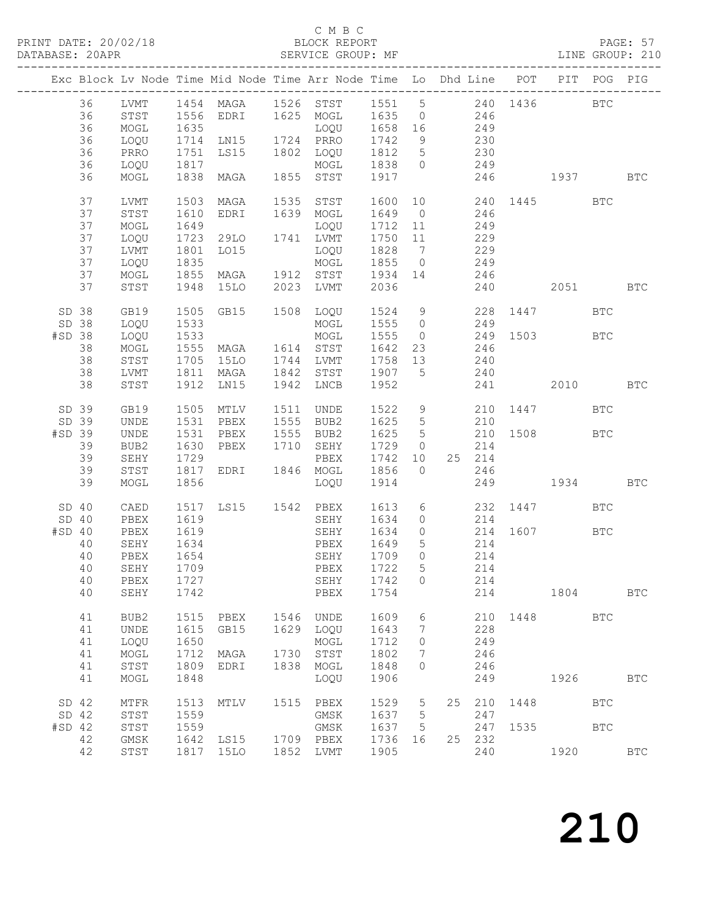PAGE: 57<br>LINE GROUP: 210

|                  |    |              |      |           |      | Exc Block Lv Node Time Mid Node Time Arr Node Time Lo Dhd Line POT |         |                     |    |        |      |              | PIT POG PIG |              |
|------------------|----|--------------|------|-----------|------|--------------------------------------------------------------------|---------|---------------------|----|--------|------|--------------|-------------|--------------|
|                  | 36 |              |      |           |      | LVMT 1454 MAGA 1526 STST 1551 5                                    |         |                     |    |        |      | 240 1436 BTC |             |              |
|                  | 36 | STST         |      | 1556 EDRI |      | 1625 MOGL                                                          | 1635    | $\overline{0}$      |    | 246    |      |              |             |              |
|                  | 36 | MOGL         | 1635 |           |      | LOQU                                                               | 1658 16 |                     |    | 249    |      |              |             |              |
|                  | 36 | LOQU         | 1714 | LN15      |      | 1724 PRRO                                                          | 1742    | 9                   |    | 230    |      |              |             |              |
|                  | 36 | PRRO         | 1751 | LS15      |      | 1802 LOQU                                                          | 1812 5  |                     |    | 230    |      |              |             |              |
|                  | 36 | LOQU         | 1817 |           |      | MOGL                                                               | 1838    | $\overline{0}$      |    | 249    |      |              |             |              |
|                  | 36 | MOGL         | 1838 | MAGA      | 1855 | STST                                                               | 1917    |                     |    | 246    |      | 1937 BTC     |             |              |
|                  | 37 | LVMT         | 1503 | MAGA      | 1535 | STST                                                               | 1600    | 10 <sub>1</sub>     |    |        |      | 240 1445 BTC |             |              |
|                  | 37 | STST         | 1610 | EDRI      |      | 1639 MOGL                                                          | 1649    | $\overline{0}$      |    | 246    |      |              |             |              |
|                  | 37 | MOGL         | 1649 |           |      | LOQU                                                               | 1712    | 11                  |    | 249    |      |              |             |              |
|                  | 37 | LOQU         | 1723 | 29LO      |      | 1741 LVMT                                                          | 1750    | 11                  |    | 229    |      |              |             |              |
|                  | 37 | LVMT         | 1801 | LO15      |      | LOQU                                                               | 1828    | $7\overline{)}$     |    | 229    |      |              |             |              |
|                  | 37 | LOQU         | 1835 |           |      | MOGL                                                               | 1855    | $\overline{0}$      |    | 249    |      |              |             |              |
|                  | 37 | MOGL         | 1855 | MAGA      |      | 1912 STST                                                          | 1934    | 14                  |    | 246    |      |              |             |              |
|                  | 37 | STST         | 1948 | 15LO      | 2023 | LVMT                                                               | 2036    |                     |    | 240    |      | 2051 BTC     |             |              |
| SD 38            |    | GB19         | 1505 | GB15      |      | 1508 LOQU                                                          | 1524 9  |                     |    |        |      | 228 1447 BTC |             |              |
| SD 38            |    | LOQU         | 1533 |           |      | MOGL                                                               | 1555    | $\overline{0}$      |    | 249    |      |              |             |              |
| #SD 38           |    | LOQU         | 1533 |           |      | MOGL                                                               | 1555    | $\overline{0}$      |    | 249    |      | 1503 BTC     |             |              |
|                  | 38 | $\sf{MOGL}$  | 1555 | MAGA      |      | 1614 STST                                                          | 1642    | 23                  |    | 246    |      |              |             |              |
|                  | 38 | STST         | 1705 | 15LO      | 1744 | LVMT                                                               | 1758    | 13                  |    | 240    |      |              |             |              |
|                  | 38 | LVMT         | 1811 | MAGA      | 1842 | STST                                                               | 1907    | $5^{\circ}$         |    | 240    |      |              |             |              |
|                  | 38 | STST         | 1912 | LN15      |      | 1942 LNCB                                                          | 1952    |                     |    | 241    |      | 2010         |             | <b>BTC</b>   |
| SD 39            |    |              |      | 1505 MTLV |      |                                                                    | 1522    |                     |    |        |      |              |             |              |
| SD 39            |    | GB19         | 1531 |           | 1511 | UNDE                                                               |         | $\overline{9}$<br>5 |    |        |      | 210 1447 BTC |             |              |
|                  |    | UNDE         | 1531 | PBEX      | 1555 | BUB2                                                               | 1625    |                     |    | 210    | 1508 |              |             |              |
| #SD 39           |    | UNDE         |      | PBEX      | 1555 | BUB2                                                               | 1625    | $5\phantom{0}$      |    | 210    |      | <b>BTC</b>   |             |              |
|                  | 39 | BUB2         | 1630 | PBEX      | 1710 | SEHY                                                               | 1729    | $\overline{0}$      |    | 214    |      |              |             |              |
|                  | 39 | SEHY         | 1729 |           |      | PBEX                                                               | 1742    | 10                  |    | 25 214 |      |              |             |              |
|                  | 39 | STST         | 1817 | EDRI      |      | 1846 MOGL                                                          | 1856    | $\overline{0}$      |    | 246    |      |              |             |              |
|                  | 39 | MOGL         | 1856 |           |      | LOQU                                                               | 1914    |                     |    | 249    |      | 1934         |             | <b>BTC</b>   |
| SD 40            |    | CAED         | 1517 | LS15      |      | 1542 PBEX                                                          | 1613    | 6                   |    |        |      | 232 1447     | <b>BTC</b>  |              |
| SD <sub>40</sub> |    | PBEX         | 1619 |           |      | SEHY                                                               | 1634    | $\circ$             |    | 214    |      |              |             |              |
| #SD 40           |    | PBEX         | 1619 |           |      | SEHY                                                               | 1634    | $\circ$             |    | 214    |      | 1607 BTC     |             |              |
|                  | 40 | SEHY         | 1634 |           |      | PBEX                                                               | 1649    | $5\phantom{.0}$     |    | 214    |      |              |             |              |
|                  | 40 | PBEX         | 1654 |           |      | SEHY                                                               | 1709    | $\overline{0}$      |    | 214    |      |              |             |              |
|                  | 40 | SEHY         | 1709 |           |      | PBEX                                                               | 1722    | 5                   |    | 214    |      |              |             |              |
|                  |    | 40 PBEX 1727 |      |           |      | SEHY 1742 0                                                        |         |                     |    | 214    |      |              |             |              |
|                  | 40 | SEHY         | 1742 |           |      | PBEX                                                               | 1754    |                     |    | 214    |      | 1804         |             | <b>BTC</b>   |
|                  | 41 | BUB2         | 1515 | PBEX      |      | 1546 UNDE                                                          | 1609    | 6                   |    |        |      | 210 1448 BTC |             |              |
|                  | 41 | UNDE         | 1615 | GB15      |      | 1629 LOQU                                                          | 1643    | 7                   |    | 228    |      |              |             |              |
|                  | 41 | LOQU         | 1650 |           |      | MOGL                                                               | 1712    | $\circ$             |    | 249    |      |              |             |              |
|                  | 41 | MOGL         | 1712 | MAGA      | 1730 | STST                                                               | 1802    | 7                   |    | 246    |      |              |             |              |
|                  | 41 | STST         | 1809 | EDRI      |      | 1838 MOGL                                                          | 1848    | $\circ$             |    | 246    |      |              |             |              |
|                  | 41 | MOGL         | 1848 |           |      | LOQU                                                               | 1906    |                     |    | 249    |      | 1926         |             | <b>BTC</b>   |
| SD 42            |    | MTFR         | 1513 | MTLV      | 1515 | PBEX                                                               | 1529    | 5                   | 25 | 210    | 1448 |              | <b>BTC</b>  |              |
| SD 42            |    | STST         | 1559 |           |      | GMSK                                                               | 1637    | $5\phantom{.0}$     |    | 247    |      |              |             |              |
| $#SD$ 42         |    | STST         | 1559 |           |      | GMSK                                                               | 1637    | 5                   |    | 247    | 1535 |              | <b>BTC</b>  |              |
|                  | 42 | GMSK         | 1642 | LS15      |      | 1709 PBEX                                                          | 1736    | 16                  |    | 25 232 |      |              |             |              |
|                  | 42 |              | 1817 |           |      | 1852 LVMT                                                          | 1905    |                     |    | 240    |      | 1920         |             | $_{\rm BTC}$ |
|                  |    | STST         |      | 15LO      |      |                                                                    |         |                     |    |        |      |              |             |              |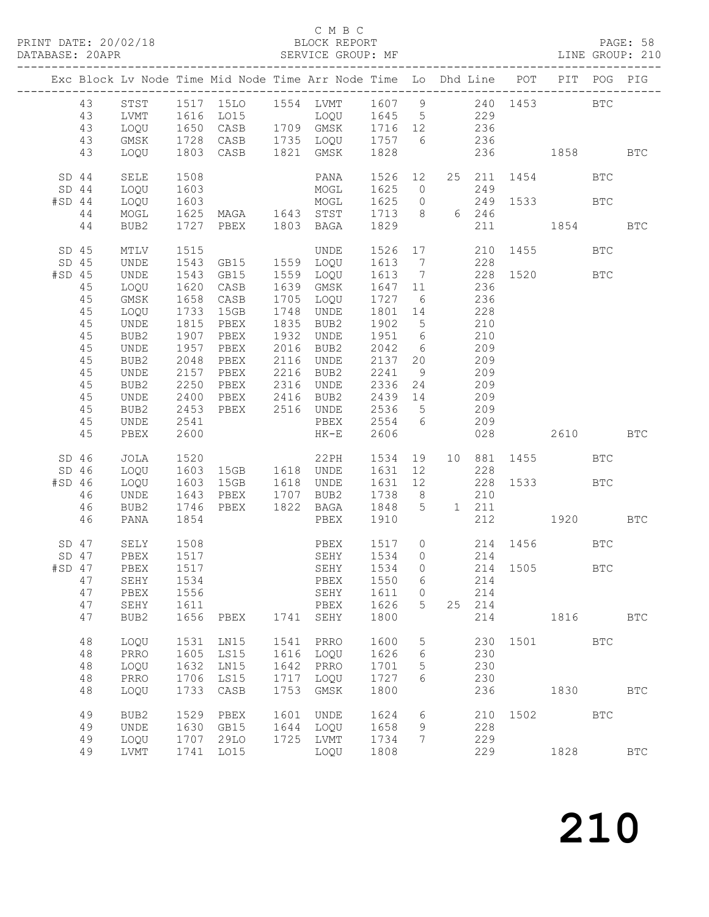#### C M B C<br>BLOCK REPORT

|          |         |              |      |                                                         |      | Exc Block Lv Node Time Mid Node Time Arr Node Time Lo Dhd Line POT |                            |                 |                |        |                 | PIT                                                                                                                                                                                                                             | POG        | PIG                  |
|----------|---------|--------------|------|---------------------------------------------------------|------|--------------------------------------------------------------------|----------------------------|-----------------|----------------|--------|-----------------|---------------------------------------------------------------------------------------------------------------------------------------------------------------------------------------------------------------------------------|------------|----------------------|
|          | 43      |              |      |                                                         |      |                                                                    |                            |                 |                |        |                 |                                                                                                                                                                                                                                 | <b>BTC</b> |                      |
|          | 43      | LVMT         |      | STST 1517 15LO<br>1616 LO15                             |      | 1554 LVMT 1607 9 240 1453<br>LOQU 1645 5 229                       |                            |                 |                |        |                 |                                                                                                                                                                                                                                 |            |                      |
|          | 43      | LOQU         |      | 1650 CASB                                               |      | 1709 GMSK 1716 12                                                  |                            |                 | 236            |        |                 |                                                                                                                                                                                                                                 |            |                      |
|          |         |              |      |                                                         |      | 1735 LOQU 1757 6                                                   |                            |                 |                |        |                 |                                                                                                                                                                                                                                 |            |                      |
|          | 43      | GMSK         |      | 1728 CASB                                               |      |                                                                    |                            |                 |                | 236    |                 |                                                                                                                                                                                                                                 |            |                      |
|          | 43      | LOQU         |      | 1803 CASB                                               |      | 1821 GMSK                                                          | 1828                       |                 |                |        | 236             | 1858 BTC                                                                                                                                                                                                                        |            |                      |
|          | SD 44   | SELE         | 1508 |                                                         |      | PANA                                                               | 1526                       | 12              |                | 25 211 |                 | 1454                                                                                                                                                                                                                            | <b>BTC</b> |                      |
|          | $SD$ 44 | LOQU         | 1603 |                                                         |      | MOGL                                                               | 1625                       |                 | $\overline{0}$ | 249    |                 |                                                                                                                                                                                                                                 |            |                      |
| #SD 44   |         | LOQU         | 1603 |                                                         |      | MOGL                                                               | 1625                       |                 |                | 249    |                 | 1533 BTC                                                                                                                                                                                                                        |            |                      |
|          | 44      | MOGL         |      |                                                         |      |                                                                    | 1625 0 249<br>1713 8 6 246 |                 |                |        |                 |                                                                                                                                                                                                                                 |            |                      |
|          | 44      | BUB2         |      | 1603 MOGL<br>1625 MAGA 1643 STST<br>1727 PBEX 1803 BAGA |      |                                                                    | 1829                       |                 |                | 211    |                 | 1854                                                                                                                                                                                                                            |            | <b>BTC</b>           |
|          |         |              |      |                                                         |      |                                                                    |                            |                 |                |        |                 |                                                                                                                                                                                                                                 |            |                      |
|          | SD 45   | MTLV         | 1515 |                                                         |      | <b>UNDE</b>                                                        | 1526                       |                 | 17 / 17        |        | 210 1455        |                                                                                                                                                                                                                                 | <b>BTC</b> |                      |
|          | SD 45   | UNDE         | 1543 | GB15                                                    | 1559 | LOQU                                                               | 1613 7                     |                 |                | 228    |                 |                                                                                                                                                                                                                                 |            |                      |
| $#SD$ 45 |         | UNDE         | 1543 | GB15                                                    |      | 1559 LOQU                                                          | 1613                       | $\overline{7}$  |                | 228    |                 | 1520 BTC                                                                                                                                                                                                                        |            |                      |
|          | 45      | LOQU         | 1620 | CASB                                                    |      | 1639 GMSK                                                          | 1647                       | 11              |                | 236    |                 |                                                                                                                                                                                                                                 |            |                      |
|          | 45      | GMSK         | 1658 | CASB                                                    | 1705 | LOQU                                                               | 1727                       | 6               |                | 236    |                 |                                                                                                                                                                                                                                 |            |                      |
|          | 45      | LOQU         | 1733 | 15GB                                                    | 1748 | UNDE                                                               | 1801 14                    |                 |                | 228    |                 |                                                                                                                                                                                                                                 |            |                      |
|          | 45      | UNDE         | 1815 | PBEX                                                    | 1835 | BUB2                                                               | 1902 5                     |                 |                | 210    |                 |                                                                                                                                                                                                                                 |            |                      |
|          | 45      | BUB2         | 1907 | PBEX                                                    | 1932 | UNDE                                                               | 1951 6                     |                 |                | 210    |                 |                                                                                                                                                                                                                                 |            |                      |
|          | 45      | UNDE         | 1957 | PBEX                                                    | 2016 | BUB2                                                               | 2042                       | $6\overline{6}$ |                | 209    |                 |                                                                                                                                                                                                                                 |            |                      |
|          | 45      | BUB2         | 2048 | PBEX                                                    | 2116 | UNDE                                                               | 2137                       | 20              |                | 209    |                 |                                                                                                                                                                                                                                 |            |                      |
|          | 45      | UNDE         |      | 2157 PBEX                                               | 2216 | BUB2                                                               | 2241                       | 9               |                | 209    |                 |                                                                                                                                                                                                                                 |            |                      |
|          | 45      | BUB2         | 2250 | PBEX                                                    | 2316 | UNDE                                                               | 2336                       | 24              |                | 209    |                 |                                                                                                                                                                                                                                 |            |                      |
|          | 45      | UNDE         | 2400 | PBEX                                                    | 2416 | BUB2                                                               | 2439                       | 14              |                | 209    |                 |                                                                                                                                                                                                                                 |            |                      |
|          | 45      | BUB2         | 2453 | PBEX                                                    |      | 2516 UNDE                                                          | 2536                       | $5\overline{)}$ |                | 209    |                 |                                                                                                                                                                                                                                 |            |                      |
|          | 45      | UNDE         | 2541 |                                                         |      | PBEX                                                               | 2554 6                     |                 |                | 209    |                 |                                                                                                                                                                                                                                 |            |                      |
|          | 45      | PBEX         | 2600 |                                                         |      | $HK-E$                                                             | 2606                       |                 |                | 028    |                 | 2610 BTC                                                                                                                                                                                                                        |            |                      |
|          |         |              |      |                                                         |      |                                                                    |                            |                 |                |        |                 |                                                                                                                                                                                                                                 |            |                      |
|          | SD 46   | JOLA         | 1520 |                                                         |      | 22PH                                                               | 1534                       | 19              |                | 10 881 |                 | 1455 BTC                                                                                                                                                                                                                        |            |                      |
|          | SD 46   | LOQU         |      | 1603 15GB                                               |      | 1618 UNDE                                                          | 1631                       | 12              |                | 228    |                 |                                                                                                                                                                                                                                 |            |                      |
| #SD 46   |         | LOQU         | 1603 | 15GB                                                    | 1618 | UNDE                                                               | 1631                       | 12              |                | 228    | 1533            |                                                                                                                                                                                                                                 | BTC        |                      |
|          | 46      | UNDE         | 1643 | PBEX                                                    |      | 1707 BUB2                                                          | 1738                       | 8 <sup>8</sup>  |                | 210    |                 |                                                                                                                                                                                                                                 |            |                      |
|          | 46      | BUB2         |      | 1746 PBEX                                               | 1822 | BAGA                                                               | 1848                       | 5               |                | 1 211  |                 |                                                                                                                                                                                                                                 |            |                      |
|          | 46      | PANA         | 1854 |                                                         |      | PBEX                                                               | 1910                       |                 |                |        | 212             | 1920 — 1920 — 1930 — 1930 — 1930 — 1930 — 1930 — 1930 — 1930 — 1930 — 1930 — 1930 — 1930 — 1930 — 1930 — 1930 — 1930 — 1930 — 1930 — 1930 — 1930 — 1930 — 1930 — 1930 — 1930 — 1930 — 1930 — 1930 — 1930 — 1930 — 1930 — 1930 — |            | <b>BTC</b>           |
|          | SD 47   | SELY         | 1508 |                                                         |      | PBEX                                                               |                            |                 |                |        | 1517 0 214 1456 |                                                                                                                                                                                                                                 | <b>BTC</b> |                      |
|          | SD 47   | PBEX         | 1517 |                                                         |      | SEHY                                                               | 1534                       | $\overline{0}$  |                | 214    |                 |                                                                                                                                                                                                                                 |            |                      |
| #SD 47   |         | PBEX         | 1517 |                                                         |      | SEHY                                                               | 1534                       | $\overline{0}$  |                |        | 214 1505        |                                                                                                                                                                                                                                 | <b>BTC</b> |                      |
|          |         | 47 SEHY 1534 |      |                                                         |      | PBEX 1550 6                                                        |                            |                 |                | 214    |                 |                                                                                                                                                                                                                                 |            |                      |
|          | 47      | PBEX         | 1556 |                                                         |      | SEHY                                                               | 1611                       | $\circ$         |                | 214    |                 |                                                                                                                                                                                                                                 |            |                      |
|          | 47      | SEHY         | 1611 |                                                         |      | PBEX                                                               | 1626                       | 5               | 25             | 214    |                 |                                                                                                                                                                                                                                 |            |                      |
|          | 47      | BUB2         | 1656 | PBEX                                                    |      | 1741 SEHY                                                          | 1800                       |                 |                | 214    |                 | 1816                                                                                                                                                                                                                            |            | <b>BTC</b>           |
|          | 48      | LOQU         | 1531 | LN15                                                    | 1541 | PRRO                                                               | 1600                       | 5               |                | 230    | 1501            |                                                                                                                                                                                                                                 | <b>BTC</b> |                      |
|          | 48      | PRRO         | 1605 | LS15                                                    | 1616 | LOQU                                                               | 1626                       | 6               |                | 230    |                 |                                                                                                                                                                                                                                 |            |                      |
|          | 48      | LOQU         | 1632 | LN15                                                    | 1642 | PRRO                                                               | 1701                       | 5               |                | 230    |                 |                                                                                                                                                                                                                                 |            |                      |
|          | 48      | PRRO         | 1706 | LS15                                                    | 1717 | LOQU                                                               | 1727                       | 6               |                | 230    |                 |                                                                                                                                                                                                                                 |            |                      |
|          | 48      | LOQU         | 1733 | CASB                                                    | 1753 | GMSK                                                               | 1800                       |                 |                | 236    |                 | 1830                                                                                                                                                                                                                            |            | $_{\rm BTC}$         |
|          |         |              |      |                                                         |      |                                                                    |                            |                 |                |        |                 |                                                                                                                                                                                                                                 |            |                      |
|          | 49      | BUB2         | 1529 | PBEX                                                    | 1601 | UNDE                                                               | 1624                       | 6               |                | 210    |                 | 1502                                                                                                                                                                                                                            | <b>BTC</b> |                      |
|          | 49      | <b>UNDE</b>  | 1630 | GB15                                                    | 1644 | LOQU                                                               | 1658                       | 9               |                | 228    |                 |                                                                                                                                                                                                                                 |            |                      |
|          | 49      | LOQU         | 1707 | 29LO                                                    | 1725 | LVMT                                                               | 1734                       | 7               |                | 229    |                 |                                                                                                                                                                                                                                 |            |                      |
|          | 49      | LVMT         | 1741 | L015                                                    |      | LOQU                                                               | 1808                       |                 |                | 229    |                 | 1828                                                                                                                                                                                                                            |            | $\operatorname{BTC}$ |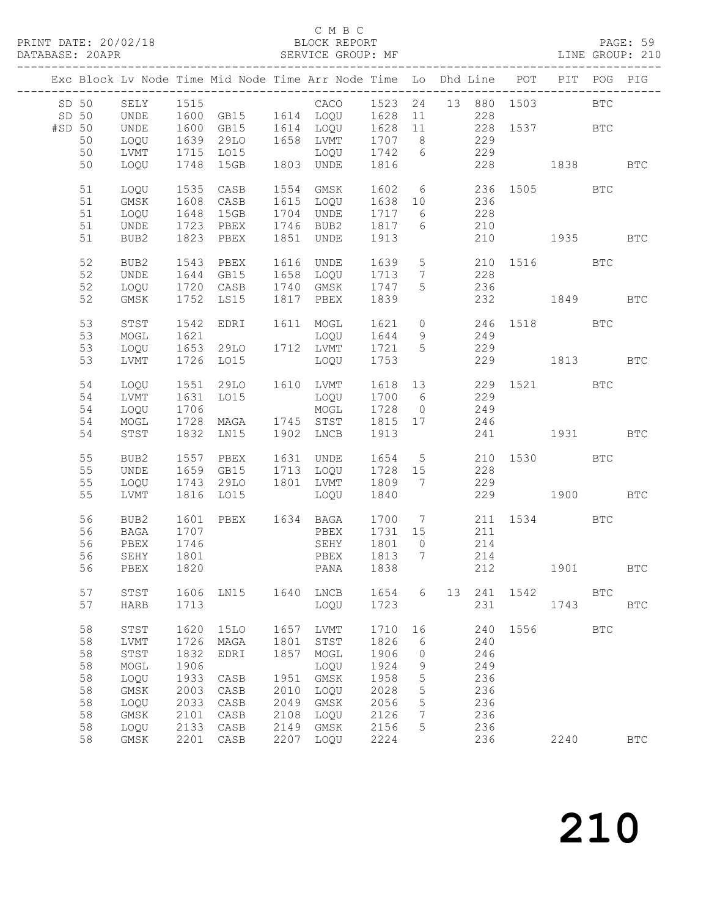### C M B C<br>BLOCK REPORT

|        |        |              |      |                 |      | Exc Block Lv Node Time Mid Node Time Arr Node Time Lo Dhd Line |      |                   |                |     | POT          | PIT        | POG          | PIG          |
|--------|--------|--------------|------|-----------------|------|----------------------------------------------------------------|------|-------------------|----------------|-----|--------------|------------|--------------|--------------|
| SD 50  |        | SELY         | 1515 |                 |      | CACO                                                           | 1523 |                   | 24 13 880 1503 |     |              |            | <b>BTC</b>   |              |
| SD 50  |        | UNDE         | 1600 | GB15            |      | 1614 LOQU                                                      | 1628 | 11                |                | 228 |              |            |              |              |
|        |        |              |      |                 |      |                                                                |      |                   |                |     |              |            |              |              |
| #SD 50 |        | UNDE         | 1600 | GB15            | 1614 | LOQU                                                           | 1628 | 11                |                | 228 |              | 1537       | <b>BTC</b>   |              |
|        | 50     | LOQU         | 1639 | 29LO            | 1658 | LVMT                                                           | 1707 | 8 <sup>8</sup>    |                | 229 |              |            |              |              |
|        | 50     | LVMT         | 1715 | LO15            |      | LOQU                                                           | 1742 | $6\overline{6}$   |                | 229 |              |            |              |              |
|        | 50     | LOQU         | 1748 | 15GB            |      | 1803 UNDE                                                      | 1816 |                   |                | 228 |              | 1838       |              | <b>BTC</b>   |
|        |        |              |      |                 |      |                                                                |      |                   |                |     |              |            |              |              |
|        | $51\,$ | LOQU         | 1535 | CASB            | 1554 | GMSK                                                           | 1602 | 6                 |                | 236 | 1505         | <b>BTC</b> |              |              |
|        | $51\,$ | GMSK         | 1608 |                 | 1615 | LOQU                                                           | 1638 |                   |                | 236 |              |            |              |              |
|        |        |              |      | CASB            |      |                                                                |      | 10                |                |     |              |            |              |              |
|        | $51\,$ | LOQU         | 1648 | 15GB            | 1704 | UNDE                                                           | 1717 | 6                 |                | 228 |              |            |              |              |
|        | 51     | UNDE         | 1723 | PBEX            | 1746 | BUB2                                                           | 1817 | 6                 |                | 210 |              |            |              |              |
|        | 51     | BUB2         | 1823 | PBEX            | 1851 | UNDE                                                           | 1913 |                   |                | 210 |              | 1935       |              | <b>BTC</b>   |
|        |        |              |      |                 |      |                                                                |      |                   |                |     |              |            |              |              |
|        | 52     | BUB2         | 1543 | PBEX            | 1616 | UNDE                                                           | 1639 | $5\phantom{.0}$   |                |     | 210 1516 BTC |            |              |              |
|        | 52     | <b>UNDE</b>  | 1644 | GB15            | 1658 | LOQU                                                           | 1713 | $7\phantom{.0}$   |                | 228 |              |            |              |              |
|        |        |              |      |                 |      |                                                                |      | 5                 |                |     |              |            |              |              |
|        | 52     | LOQU         | 1720 | CASB            | 1740 | GMSK                                                           | 1747 |                   |                | 236 |              |            |              |              |
|        | 52     | $\rm{GMSK}$  | 1752 | LS15            | 1817 | PBEX                                                           | 1839 |                   |                | 232 |              | 1849       |              | <b>BTC</b>   |
|        |        |              |      |                 |      |                                                                |      |                   |                |     |              |            |              |              |
|        | 53     | STST         | 1542 | EDRI            | 1611 | MOGL                                                           | 1621 | $\circ$           |                | 246 | 1518         |            | <b>BTC</b>   |              |
|        | 53     | MOGL         | 1621 |                 |      | LOQU                                                           | 1644 | 9                 |                | 249 |              |            |              |              |
|        | 53     | LOQU         | 1653 | 29LO            |      | 1712 LVMT                                                      | 1721 | 5                 |                | 229 |              |            |              |              |
|        | 53     | LVMT         | 1726 | LO15            |      | LOQU                                                           | 1753 |                   |                | 229 |              | 1813       |              | <b>BTC</b>   |
|        |        |              |      |                 |      |                                                                |      |                   |                |     |              |            |              |              |
|        |        |              |      |                 |      |                                                                |      |                   |                |     |              |            |              |              |
|        | 54     | LOQU         | 1551 | 29LO            | 1610 | LVMT                                                           | 1618 | 13                |                | 229 |              | 1521 BTC   |              |              |
|        | 54     | LVMT         | 1631 | L015            |      | LOQU                                                           | 1700 | $6\overline{6}$   |                | 229 |              |            |              |              |
|        | 54     | LOQU         | 1706 |                 |      | MOGL                                                           | 1728 | $\overline{0}$    |                | 249 |              |            |              |              |
|        | 54     | MOGL         | 1728 | MAGA            |      | 1745 STST                                                      | 1815 | 17                |                | 246 |              |            |              |              |
|        | 54     | STST         | 1832 | LN15            | 1902 | LNCB                                                           | 1913 |                   |                | 241 |              | 1931 1990  |              | <b>BTC</b>   |
|        |        |              |      |                 |      |                                                                |      |                   |                |     |              |            |              |              |
|        | 55     | BUB2         | 1557 | PBEX            | 1631 | UNDE                                                           | 1654 | $5\overline{)}$   |                |     | 210 1530 BTC |            |              |              |
|        |        |              |      |                 |      |                                                                |      |                   |                |     |              |            |              |              |
|        | 55     | <b>UNDE</b>  | 1659 | GB15            | 1713 | LOQU                                                           | 1728 | 15                |                | 228 |              |            |              |              |
|        | 55     | LOQU         | 1743 | 29LO            | 1801 | LVMT                                                           | 1809 | 7                 |                | 229 |              |            |              |              |
|        | 55     | LVMT         | 1816 | LO15            |      | LOQU                                                           | 1840 |                   |                | 229 |              | 1900       |              | <b>BTC</b>   |
|        |        |              |      |                 |      |                                                                |      |                   |                |     |              |            |              |              |
|        | 56     | BUB2         | 1601 | PBEX            |      | 1634 BAGA                                                      | 1700 | $7\overline{ }$   |                |     | 211 1534 BTC |            |              |              |
|        | 56     | BAGA         | 1707 |                 |      | PBEX                                                           | 1731 | 15                |                | 211 |              |            |              |              |
|        | 56     | PBEX         | 1746 |                 |      | SEHY                                                           | 1801 | $\circ$           |                | 214 |              |            |              |              |
|        |        |              |      |                 |      |                                                                |      |                   |                |     |              |            |              |              |
|        | 56     | SEHY         | 1801 |                 |      | PBEX                                                           | 1813 | $7\phantom{.0}\,$ |                | 214 |              |            |              |              |
|        | 56     | PBEX         | 1820 |                 |      | PANA                                                           | 1838 |                   |                | 212 |              | 1901       |              | BTC          |
|        |        |              |      |                 |      |                                                                |      |                   |                |     |              |            |              |              |
|        | 57     | STST         | 1606 | LN15            | 1640 | LNCB                                                           | 1654 | 6                 | 13             | 241 | 1542         |            | <b>BTC</b>   |              |
|        | 57     | HARB         | 1713 |                 |      | LOQU                                                           | 1723 |                   |                | 231 |              | 1743       |              | $_{\rm BTC}$ |
|        |        |              |      |                 |      |                                                                |      |                   |                |     |              |            |              |              |
|        | 58     | STST         | 1620 | 15LO            | 1657 | LVMT                                                           | 1710 | 16                |                | 240 | 1556         |            | $_{\rm BTC}$ |              |
|        | 58     | LVMT         | 1726 | MAGA            | 1801 | $_{\footnotesize\rm STST}$                                     | 1826 | 6                 |                | 240 |              |            |              |              |
|        | 58     | ${\tt STST}$ | 1832 | EDRI            | 1857 | $\sf{MOGL}$                                                    | 1906 | 0                 |                | 246 |              |            |              |              |
|        |        |              |      |                 |      |                                                                |      |                   |                |     |              |            |              |              |
|        | 58     | MOGL         | 1906 |                 |      | LOQU                                                           | 1924 | 9                 |                | 249 |              |            |              |              |
|        | 58     | LOQU         | 1933 | $\mathtt{CASB}$ | 1951 | $\rm{GMSK}$                                                    | 1958 | 5                 |                | 236 |              |            |              |              |
|        | 58     | GMSK         | 2003 | CASB            | 2010 | LOQU                                                           | 2028 | 5                 |                | 236 |              |            |              |              |
|        | 58     | LOQU         | 2033 | CASB            | 2049 | GMSK                                                           | 2056 | 5                 |                | 236 |              |            |              |              |
|        | 58     | GMSK         | 2101 | CASB            | 2108 | LOQU                                                           | 2126 | 7                 |                | 236 |              |            |              |              |
|        | 58     | LOQU         | 2133 | $\mathtt{CASE}$ | 2149 | GMSK                                                           | 2156 | 5                 |                | 236 |              |            |              |              |
|        | 58     |              | 2201 |                 |      |                                                                |      |                   |                | 236 |              | 2240       |              | $_{\rm BTC}$ |
|        |        | GMSK         |      | CASB            | 2207 | LOQU                                                           | 2224 |                   |                |     |              |            |              |              |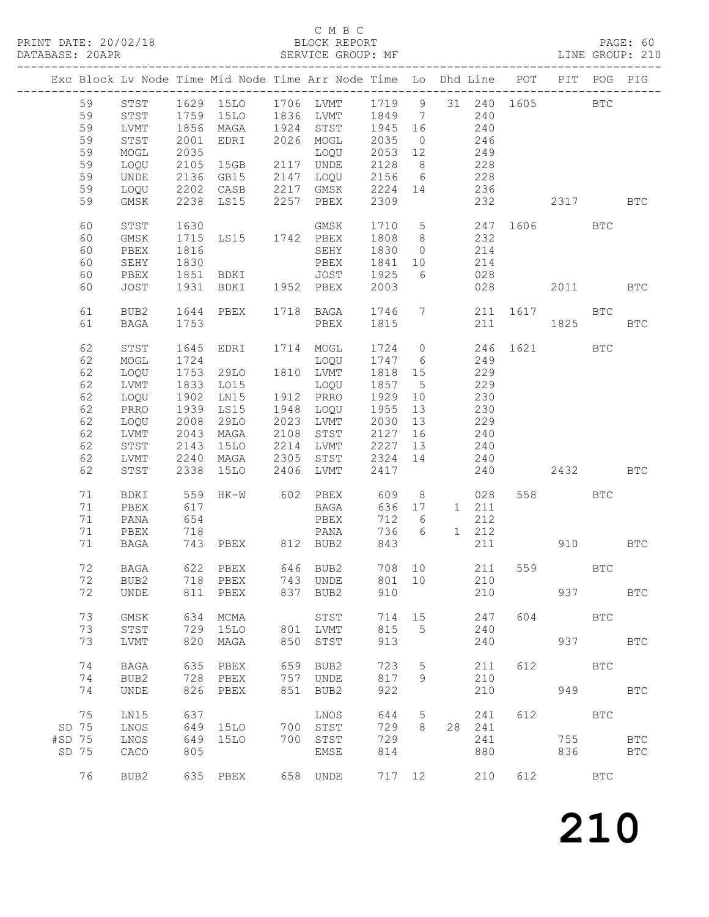#### C M B C

| PRINT DATE: 20/02/18 BLOCK REPORT<br>DATABASE: 20APR SERVICE GROUP: |          |              |      |                     |      | BLOCK REPORT PAGE: 60<br>SERVICE GROUP: MF LINE GROUP: 210<br>______________________         |                    |                 |                                                                          |            |     |              |            |              |
|---------------------------------------------------------------------|----------|--------------|------|---------------------|------|----------------------------------------------------------------------------------------------|--------------------|-----------------|--------------------------------------------------------------------------|------------|-----|--------------|------------|--------------|
|                                                                     |          |              |      |                     |      | Exc Block Lv Node Time Mid Node Time Arr Node Time Lo Dhd Line POT PIT POG PIG               |                    |                 |                                                                          |            |     |              |            |              |
|                                                                     |          |              |      |                     |      | 59 STST 1629 15LO 1706 LVMT 1719 9 31 240 1605 BTC<br>59 STST 1759 15LO 1836 LVMT 1849 7 240 |                    |                 |                                                                          |            |     |              |            |              |
|                                                                     |          |              |      |                     |      |                                                                                              |                    |                 |                                                                          |            |     |              |            |              |
|                                                                     | 59       | LVMT         |      |                     |      | 1856 MAGA 1924 STST 1945 16                                                                  |                    |                 | 240                                                                      |            |     |              |            |              |
|                                                                     | 59       | STST         |      | 2001 EDRI           |      | 2026 MOGL                                                                                    | 2035               | $\overline{0}$  | 246                                                                      |            |     |              |            |              |
|                                                                     | 59       | MOGL         | 2035 |                     |      | LOQU                                                                                         | 2053 12            |                 |                                                                          |            |     |              |            |              |
|                                                                     | 59       | LOQU         |      | 2105 15GB           |      | 2117 UNDE                                                                                    | 2128               | 8 <sup>8</sup>  | 249                                                                      | 228        |     |              |            |              |
|                                                                     | 59       | UNDE         |      | 2136 GB15           |      | 2147 LOQU 2156                                                                               |                    |                 | $rac{1}{6}$ 228                                                          |            |     |              |            |              |
|                                                                     |          |              |      | 2202 CASB           |      |                                                                                              |                    |                 |                                                                          |            |     |              |            |              |
|                                                                     | 59<br>59 | LOQU<br>GMSK |      | 2238 LS15           | 2257 | 2217 GMSK<br>PBEX                                                                            | 2224<br>2309       |                 | 14 236                                                                   |            | 232 | 2317 BTC     |            |              |
|                                                                     |          |              |      |                     |      |                                                                                              |                    |                 |                                                                          |            |     |              |            |              |
|                                                                     | 60       | STST         | 1630 |                     |      | GMSK                                                                                         | 1710 5             |                 |                                                                          |            |     | 247 1606 BTC |            |              |
|                                                                     | 60       | GMSK         |      | 1715 LS15 1742 PBEX |      |                                                                                              | 1808 8             |                 |                                                                          | 232        |     |              |            |              |
|                                                                     | 60       | PBEX         | 1816 |                     |      | SEHY                                                                                         | 1830               | $\overline{0}$  |                                                                          | 214        |     |              |            |              |
|                                                                     | 60       | SEHY         | 1830 |                     |      | PBEX                                                                                         | 1841               | 10              |                                                                          | 214        |     |              |            |              |
|                                                                     | 60       | PBEX         |      | 1851 BDKI           |      | JOST 1925                                                                                    |                    | 6               |                                                                          | 028        |     |              |            |              |
|                                                                     | 60       | JOST         |      | 1931 BDKI           |      | 1952 PBEX                                                                                    | 2003               |                 |                                                                          |            | 028 |              | 2011 BTC   |              |
|                                                                     | 61       | BUB2         |      | 1644 PBEX           |      | 1718 BAGA 1746 7                                                                             |                    |                 |                                                                          |            |     | 211 1617 BTC |            |              |
|                                                                     | 61       | BAGA         | 1753 |                     |      | PBEX                                                                                         | 1815               |                 |                                                                          |            | 211 | 1825         |            | <b>BTC</b>   |
|                                                                     | 62       | STST         | 1645 | EDRI                |      | 1714 MOGL                                                                                    | 1724               |                 | $\overline{0}$                                                           |            |     | 246 1621 BTC |            |              |
|                                                                     | 62       | MOGL         | 1724 |                     |      | LOQU                                                                                         | $\frac{1747}{2}$ 6 |                 |                                                                          | 249        |     |              |            |              |
|                                                                     | 62       | LOQU         | 1753 | 29LO                |      | 1810 LVMT                                                                                    | 1818 15            |                 |                                                                          | 229        |     |              |            |              |
|                                                                     | 62       | LVMT         |      | 1833 LO15           |      | LOQU                                                                                         | 1857               | $5^{\circ}$     |                                                                          | 229        |     |              |            |              |
|                                                                     | 62       | LOQU         | 1902 | LN15                |      | 1912 PRRO                                                                                    | 1929               | 10              |                                                                          | 230        |     |              |            |              |
|                                                                     | 62       | PRRO         |      | 1939 LS15           |      | 1948 LOQU                                                                                    | 1955               | 13              |                                                                          |            |     |              |            |              |
|                                                                     | 62       | LOQU         | 2008 | 29LO                |      | 2023 LVMT                                                                                    | 2030               | 13              |                                                                          | 230<br>229 |     |              |            |              |
|                                                                     |          |              |      |                     |      |                                                                                              |                    |                 |                                                                          |            |     |              |            |              |
|                                                                     | 62       | LVMT         | 2043 | MAGA                | 2108 | STST                                                                                         | 2127               | 16              |                                                                          | 240        |     |              |            |              |
|                                                                     | 62       | STST         | 2143 | <b>15LO</b>         | 2214 | LVMT                                                                                         | 2227               | 13              |                                                                          | 240        |     |              |            |              |
|                                                                     | 62       | LVMT         |      | 2240 MAGA           | 2305 | STST                                                                                         | 2324               | 14              |                                                                          | 240        |     |              |            |              |
|                                                                     | 62       | STST         | 2338 | 15LO                | 2406 | LVMT                                                                                         | 2417               |                 |                                                                          | 240        |     |              | 2432 BTC   |              |
|                                                                     | 71       | BDKI         |      | 559 HK-W            |      | 602 PBEX                                                                                     | 609                |                 | $8 - 8$                                                                  | 028        |     | 558 BTC      |            |              |
|                                                                     | 71       | PBEX         | 617  |                     |      | BAGA                                                                                         | 636                |                 | $\begin{matrix} 17 & \hspace{1.5cm} 1 & \hspace{1.5cm} 211 \end{matrix}$ |            |     |              |            |              |
|                                                                     | 71       | PANA         | 654  |                     |      | PBEX                                                                                         | 712                | $6\overline{6}$ |                                                                          | 212        |     |              |            |              |
|                                                                     | 71       | PBEX         | 718  |                     |      | PANA                                                                                         | 736                | 6               | $1 \quad 212$                                                            |            |     |              |            |              |
|                                                                     | 71       | BAGA         |      |                     |      | 743 PBEX 812 BUB2                                                                            | 843                |                 |                                                                          | 211        |     | 910 BTC      |            |              |
|                                                                     | 72       | BAGA         | 622  | PBEX                | 646  | BUB2                                                                                         | 708                | 10              |                                                                          | 211        | 559 |              | BTC        |              |
|                                                                     | 72       | BUB2         | 718  | PBEX                | 743  | UNDE                                                                                         | 801                | 10              |                                                                          | 210        |     |              |            |              |
|                                                                     | 72       | <b>UNDE</b>  | 811  | PBEX                | 837  | BUB2                                                                                         | 910                |                 |                                                                          | 210        |     | 937          |            | <b>BTC</b>   |
|                                                                     | 73       | <b>GMSK</b>  | 634  | MCMA                |      | STST                                                                                         | 714                | 15              |                                                                          | 247        | 604 |              | <b>BTC</b> |              |
|                                                                     | 73       | STST         | 729  | 15LO                | 801  | LVMT                                                                                         | 815                | 5               |                                                                          | 240        |     |              |            |              |
|                                                                     | 73       | <b>LVMT</b>  | 820  | MAGA                | 850  | STST                                                                                         | 913                |                 |                                                                          | 240        |     | 937          |            | <b>BTC</b>   |
|                                                                     | 74       | <b>BAGA</b>  | 635  | PBEX                | 659  | BUB2                                                                                         | 723                | 5               |                                                                          | 211        | 612 | <b>BTC</b>   |            |              |
|                                                                     | 74       | BUB2         | 728  | PBEX                | 757  | UNDE                                                                                         | 817                | 9               |                                                                          | 210        |     |              |            |              |
|                                                                     | 74       | <b>UNDE</b>  | 826  | PBEX                | 851  | BUB2                                                                                         | 922                |                 |                                                                          | 210        |     | 949          |            | <b>BTC</b>   |
|                                                                     |          |              |      |                     |      |                                                                                              |                    |                 |                                                                          |            |     |              |            |              |
|                                                                     | 75       | LN15         | 637  |                     |      | LNOS                                                                                         | 644                | 5               |                                                                          | 241        | 612 |              | <b>BTC</b> |              |
| SD 75                                                               |          | LNOS         | 649  | 15LO                | 700  | STST                                                                                         | 729                | 8               | 28                                                                       | 241        |     |              |            |              |
| #SD 75                                                              |          | LNOS         | 649  | 15LO                | 700  | STST                                                                                         | 729                |                 |                                                                          | 241        |     | 755          |            | $_{\rm BTC}$ |
| SD 75                                                               |          | CACO         | 805  |                     |      | EMSE                                                                                         | 814                |                 |                                                                          | 880        |     | 836          |            | <b>BTC</b>   |
|                                                                     | 76       | BUB2         |      | 635 PBEX            |      | 658 UNDE                                                                                     | 717 12             |                 |                                                                          | 210        | 612 |              | <b>BTC</b> |              |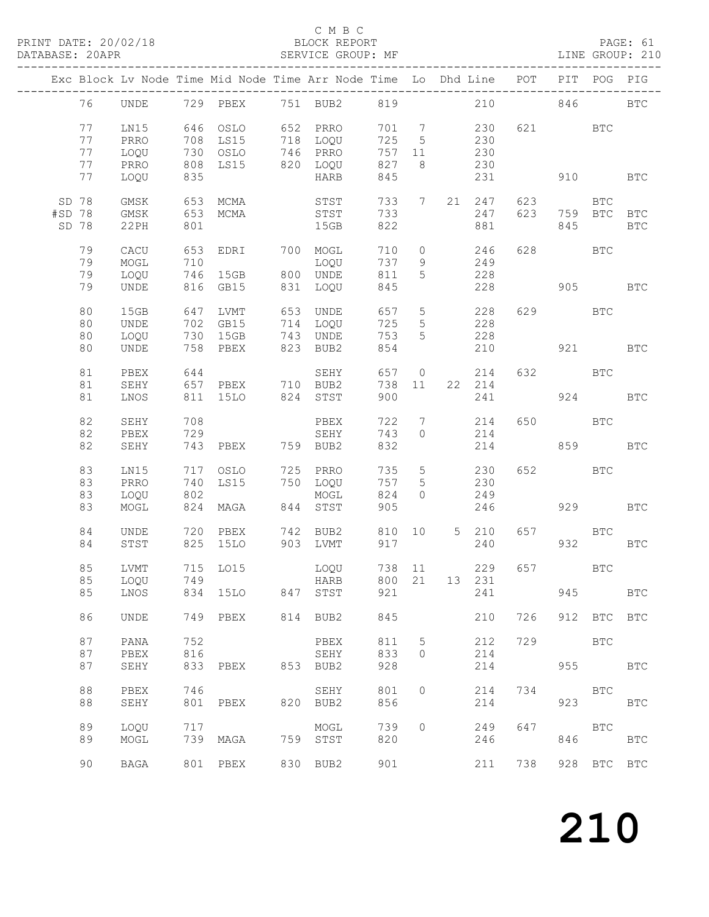### C M B C<br>BLOCK REPORT

|        |    |             |     |          |     | Exc Block Lv Node Time Mid Node Time Arr Node Time Lo Dhd Line |     |                              |                |               | POT | PIT        | POG         | PIG          |
|--------|----|-------------|-----|----------|-----|----------------------------------------------------------------|-----|------------------------------|----------------|---------------|-----|------------|-------------|--------------|
|        | 76 | UNDE        |     | 729 PBEX |     | 751 BUB2                                                       | 819 |                              |                | 210           |     | 846        |             | <b>BTC</b>   |
|        | 77 | LN15        | 646 | OSLO     |     | 652 PRRO                                                       | 701 | $7\phantom{.0}\phantom{.0}7$ |                | 230           | 621 |            | <b>BTC</b>  |              |
|        |    |             |     |          |     |                                                                |     |                              |                |               |     |            |             |              |
|        | 77 | PRRO        | 708 | LS15     | 718 | LOQU                                                           | 725 | $5\overline{)}$              |                | 230           |     |            |             |              |
|        | 77 | LOQU        | 730 | OSLO     |     | 746 PRRO                                                       | 757 | 11                           |                | 230           |     |            |             |              |
|        | 77 | PRRO        | 808 | LS15     |     | 820 LOQU                                                       | 827 | 8                            |                | 230           |     |            |             |              |
|        | 77 | LOQU        | 835 |          |     | HARB                                                           | 845 |                              |                | 231           |     | 910        |             | $_{\rm BTC}$ |
| SD 78  |    | GMSK        | 653 | MCMA     |     | STST                                                           | 733 | $7\phantom{.0}$              | 21             | 247           | 623 |            | <b>BTC</b>  |              |
| #SD 78 |    | GMSK        | 653 | MCMA     |     | STST                                                           | 733 |                              |                | 247           | 623 |            | 759 BTC     | <b>BTC</b>   |
| SD 78  |    | 22PH        | 801 |          |     | 15GB                                                           | 822 |                              |                | 881           |     | 845        |             |              |
|        |    |             |     |          |     |                                                                |     |                              |                |               |     |            |             | <b>BTC</b>   |
|        | 79 | CACU        | 653 | EDRI     |     | 700 MOGL                                                       | 710 | $\circ$                      |                | 246           | 628 | <b>BTC</b> |             |              |
|        | 79 | $\sf{MOGL}$ | 710 |          |     | LOQU                                                           | 737 | 9                            |                | 249           |     |            |             |              |
|        |    |             |     |          |     |                                                                |     |                              |                |               |     |            |             |              |
|        | 79 | LOQU        | 746 | 15GB     |     | 800 UNDE                                                       | 811 | 5                            |                | 228           |     |            |             |              |
|        | 79 | <b>UNDE</b> | 816 | GB15     | 831 | LOQU                                                           | 845 |                              |                | 228           |     | 905        |             | <b>BTC</b>   |
|        | 80 | 15GB        | 647 | LVMT     | 653 | UNDE                                                           | 657 | $5\phantom{.0}$              |                | 228           | 629 |            | BTC         |              |
|        | 80 | UNDE        | 702 | GB15     |     | 714 LOQU                                                       | 725 | $5\phantom{.0}$              |                | 228           |     |            |             |              |
|        |    |             |     |          |     |                                                                |     |                              |                |               |     |            |             |              |
|        | 80 | LOQU        | 730 | 15GB     | 743 | UNDE                                                           | 753 | 5                            |                | 228           |     |            |             |              |
|        | 80 | <b>UNDE</b> | 758 | PBEX     | 823 | BUB2                                                           | 854 |                              |                | 210           |     | 921        |             | <b>BTC</b>   |
|        | 81 | PBEX        | 644 |          |     | SEHY                                                           | 657 | $\overline{0}$               |                | 214           | 632 | <b>BTC</b> |             |              |
|        | 81 | SEHY        | 657 | PBEX     | 710 | BUB2                                                           | 738 | 11                           |                | 22 214        |     |            |             |              |
|        |    |             |     |          |     |                                                                |     |                              |                |               |     |            |             |              |
|        | 81 | LNOS        | 811 | 15LO     | 824 | STST                                                           | 900 |                              |                | 241           |     | 924        |             | <b>BTC</b>   |
|        | 82 | SEHY        | 708 |          |     | PBEX                                                           | 722 | $7\overline{ }$              |                | 214           | 650 |            | <b>BTC</b>  |              |
|        | 82 |             |     |          |     |                                                                |     | $\circ$                      |                |               |     |            |             |              |
|        |    | PBEX        | 729 |          |     | SEHY                                                           | 743 |                              |                | 214           |     |            |             |              |
|        | 82 | SEHY        | 743 | PBEX     |     | 759 BUB2                                                       | 832 |                              |                | 214           |     | 859        |             | <b>BTC</b>   |
|        | 83 | LN15        | 717 | OSLO     |     | 725 PRRO                                                       | 735 | $5\phantom{.0}$              |                | 230           | 652 |            | <b>BTC</b>  |              |
|        | 83 | PRRO        | 740 | LS15     |     | 750 LOQU                                                       | 757 | 5                            |                | 230           |     |            |             |              |
|        |    |             | 802 |          |     |                                                                | 824 | $\circ$                      |                | 249           |     |            |             |              |
|        | 83 | LOQU        |     |          |     | MOGL                                                           |     |                              |                |               |     |            |             |              |
|        | 83 | MOGL        | 824 | MAGA     | 844 | STST                                                           | 905 |                              |                | 246           |     | 929        |             | <b>BTC</b>   |
|        | 84 | UNDE        | 720 | PBEX     | 742 | BUB2                                                           | 810 | 10                           | 5 <sup>5</sup> | 210           | 657 |            | <b>BTC</b>  |              |
|        | 84 | STST        | 825 | 15LO     | 903 | LVMT                                                           | 917 |                              |                | 240           |     | 932        |             | <b>BTC</b>   |
|        |    |             |     |          |     |                                                                |     |                              |                |               |     |            |             |              |
|        | 85 | LVMT        |     | 715 LO15 |     | LOQU                                                           | 738 | 11                           |                | 229           | 657 |            | BTC         |              |
|        | 85 | LOQU        | 749 |          |     | <b>HARB</b>                                                    |     |                              |                | 800 21 13 231 |     |            |             |              |
|        |    |             |     |          |     |                                                                |     |                              |                |               |     |            |             |              |
|        | 85 | LNOS        |     | 834 15LO |     | 847 STST                                                       | 921 |                              |                | 241           |     | 945        |             | <b>BTC</b>   |
|        | 86 | <b>UNDE</b> | 749 | PBEX     |     | 814 BUB2                                                       | 845 |                              |                | 210           | 726 |            | 912 BTC BTC |              |
|        | 87 | PANA        | 752 |          |     | PBEX                                                           | 811 | 5                            |                | 212           | 729 | <b>BTC</b> |             |              |
|        |    |             | 816 |          |     |                                                                |     |                              |                |               |     |            |             |              |
|        | 87 | PBEX        |     |          |     | SEHY                                                           | 833 | $\circ$                      |                | 214           |     |            |             |              |
|        | 87 | SEHY        | 833 | PBEX     |     | 853 BUB2                                                       | 928 |                              |                | 214           |     | 955        |             | <b>BTC</b>   |
|        | 88 | PBEX        | 746 |          |     | SEHY                                                           | 801 | $\circ$                      |                | 214           | 734 | <b>BTC</b> |             |              |
|        |    |             |     |          |     | 820 BUB2                                                       |     |                              |                |               |     |            |             |              |
|        | 88 | SEHY        | 801 | PBEX     |     |                                                                | 856 |                              |                | 214           |     | 923        |             | <b>BTC</b>   |
|        | 89 | LOQU        | 717 |          |     | MOGL                                                           | 739 | $\circ$                      |                | 249           | 647 | <b>BTC</b> |             |              |
|        | 89 |             |     | 739 MAGA |     | 759 STST                                                       | 820 |                              |                | 246           |     | 846        |             |              |
|        |    | MOGL        |     |          |     |                                                                |     |                              |                |               |     |            |             | <b>BTC</b>   |
|        |    |             |     |          |     |                                                                |     |                              |                |               |     |            |             |              |
|        | 90 | BAGA        |     | 801 PBEX |     | 830 BUB2                                                       | 901 |                              |                | 211           | 738 |            | 928 BTC BTC |              |
|        |    |             |     |          |     |                                                                |     |                              |                |               |     |            |             |              |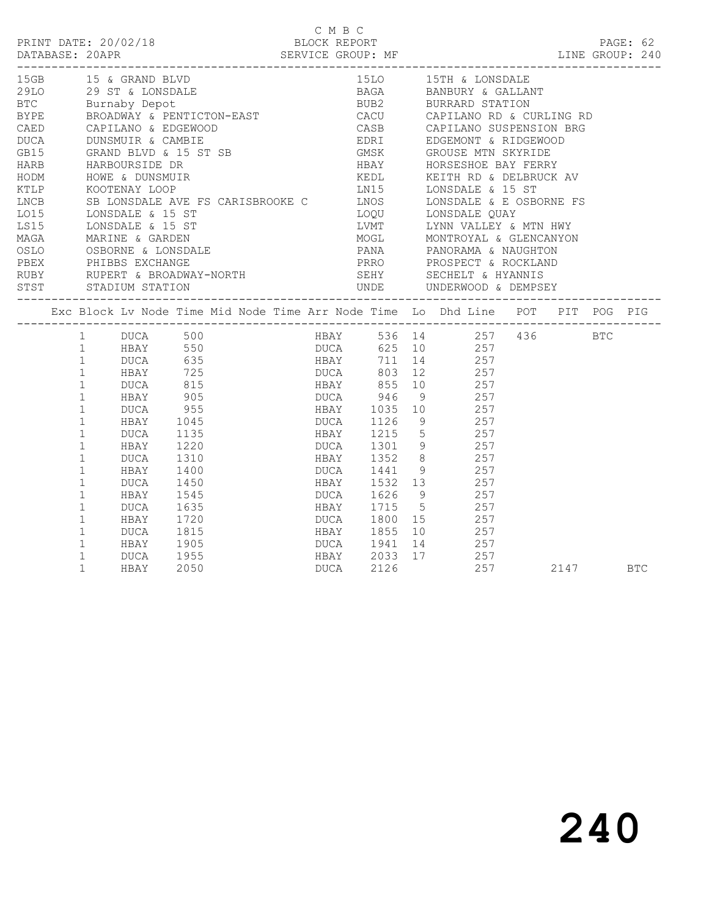|                      |                                                                                                                                                                                                                                                                                                                                                                                               |                                                                                                                                                             |                                                                                                                                                                                                                                                                                                                                                                                                                                                                                                                                                                                                                                                                                                                                                                                                                  | C M B C                                                                                                                                                                              |                                                                                                  |          |  |
|----------------------|-----------------------------------------------------------------------------------------------------------------------------------------------------------------------------------------------------------------------------------------------------------------------------------------------------------------------------------------------------------------------------------------------|-------------------------------------------------------------------------------------------------------------------------------------------------------------|------------------------------------------------------------------------------------------------------------------------------------------------------------------------------------------------------------------------------------------------------------------------------------------------------------------------------------------------------------------------------------------------------------------------------------------------------------------------------------------------------------------------------------------------------------------------------------------------------------------------------------------------------------------------------------------------------------------------------------------------------------------------------------------------------------------|--------------------------------------------------------------------------------------------------------------------------------------------------------------------------------------|--------------------------------------------------------------------------------------------------|----------|--|
| LNCB<br>LO15<br>MAGA | 15GB 15 & GRAND BLVD<br>HODM HOWE & DUNSMUIR<br>KTLP KOOTENAY LOOP<br>LS15 LONSDALE & 15 ST                                                                                                                                                                                                                                                                                                   | 29LO 29 ST & LONSDALE<br>BTC Burnaby Depot<br>OSLO OSBORNE & LONSDALE<br>PBEX PHIBBS EXCHANGE                                                               | EXPERIENCE DESCRIPTION DESCRIPTION OF THE CACURATE CALCURATE CAPTLANO RD & CURLING RD<br>CAED CAPILANO & EDGEWOOD CASB CAPILANO SUSPENSION BRG<br>DUCA DUNSMUIR & CAMBIE<br>HOWE & DUNSMUIR<br>KOOTENAY LOOP<br>SB LONSDALE AVE FS CARISBROOKE C<br>TONSDALE AVE TS CARISBROOKE C<br>TONSDALE QUAY<br>LOOD LONSDALE QUAY<br>LOOD LONSDALE QUAY<br>TONSDALE QUAY<br>TONSDALE & LONSDALE QUAY<br>EXAMPLE A 15 ST<br>LONSDALE & 15 ST<br>LONSDALE & 15 ST<br>MARINE & GARDEN<br>MARINE & GARDEN<br>OSBORNE & LONSDALE<br>OSBORNE & LONSDALE<br>PRANA<br>PRANA PANORAMA & NAUGHTON<br>PRANA PANORAMA & NAUGHTON<br>PRANA PANORAMA & NAUGHTON<br>PRANA P<br>PERX PHIBBS EXCHANGE PROSPECT & ROCKLAND RUBY RUPERT & BROADWAY-NORTH SEHY SECHELT & HYANNIS<br>STST STADIUM STATION STATION STST SEGREEN STADIUM STATION |                                                                                                                                                                                      | KEDL KEITH RD & DELBRUCK AV                                                                      |          |  |
|                      |                                                                                                                                                                                                                                                                                                                                                                                               |                                                                                                                                                             | Exc Block Lv Node Time Mid Node Time Arr Node Time Lo Dhd Line POT PIT POG PIG                                                                                                                                                                                                                                                                                                                                                                                                                                                                                                                                                                                                                                                                                                                                   |                                                                                                                                                                                      |                                                                                                  |          |  |
|                      | 1 DUCA 500<br>1<br>$\mathbf{1}$<br>$\mathbf{1}$<br>$\mathbf{1}$<br>$\mathbf{1}$<br>$\mathbf{1}$<br>$\mathbf{1}$<br>HBAY<br>$\mathbf{1}$<br>$\mathbf{1}$<br>HBAY<br>$\mathbf{1}$<br>DUCA<br>$\mathbf{1}$<br>HBAY<br>$\mathbf 1$<br>DUCA<br>$\mathbf{1}$<br>HBAY<br>$\mathbf{1}$<br>DUCA<br>$\mathbf{1}$<br>HBAY<br>$\mathbf 1$<br>DUCA<br>$\mathbf{1}$<br>$\mathbf{1}$<br>$\mathbf{1}$<br>HBAY | HBAY 550<br>DUCA 635<br>DUCA 955<br>1045<br>DUCA 1135<br>1220<br>1310<br>1400<br>1545<br>1635<br>$1720$<br>$1815$<br>1815<br>HBAY 1905<br>DUCA 1955<br>2050 | 1991 12<br>1991 12<br>1992 12<br>1992 12<br>1995 1992 12<br>1995 1996 916<br>1996 9257<br>1995 1996<br>DUCA<br>HBAY<br>DUCA<br><b>HBAY</b><br>HBAY 2033 17 257<br>DUCA 2126 257                                                                                                                                                                                                                                                                                                                                                                                                                                                                                                                                                                                                                                  | HBAY 1035 10 257<br>1126 9<br>HBAY 1215 5 257<br>DUCA 1301 9 257<br>1352 8<br><u>DUCA</u> 1441 9 257<br>1626 9<br>HBAY 1715 5 257<br>DUCA 1800 15 257<br>1855 10<br>DUCA 1941 14 257 | HBAY 536 14 257 436 BTC<br>DUCA 625 10 257<br>HBAY 711 14 257<br>257<br>257<br>257<br>257<br>257 | 2147 BTC |  |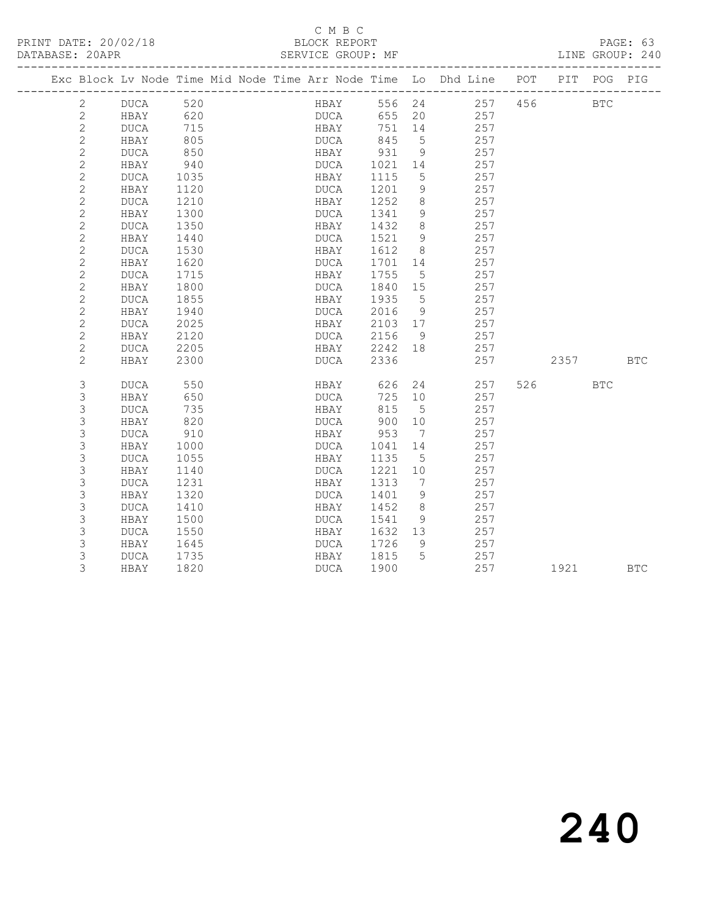#### C M B C<br>BLOCK REPORT

PAGE: 63<br>LINE GROUP: 240

|                |             |      |  |             |             |        |                 | Exc Block Lv Node Time Mid Node Time Arr Node Time Lo Dhd Line | POT | PIT        | POG        | PIG        |
|----------------|-------------|------|--|-------------|-------------|--------|-----------------|----------------------------------------------------------------|-----|------------|------------|------------|
| 2              | DUCA        | 520  |  |             | <b>HBAY</b> | 556 24 |                 | 257                                                            | 456 |            | <b>BTC</b> |            |
| $\mathbf{2}$   | HBAY        | 620  |  | DUCA        |             | 655    | 20              | 257                                                            |     |            |            |            |
| $\sqrt{2}$     | DUCA        | 715  |  | HBAY        |             | 751    | 14              | 257                                                            |     |            |            |            |
| $\mathbf{2}$   | HBAY        | 805  |  | DUCA        |             | 845    | 5               | 257                                                            |     |            |            |            |
| $\overline{c}$ | DUCA        | 850  |  | HBAY        |             | 931    | 9               | 257                                                            |     |            |            |            |
| $\sqrt{2}$     | HBAY        | 940  |  | DUCA        |             | 1021   | 14              | 257                                                            |     |            |            |            |
| $\sqrt{2}$     | DUCA        | 1035 |  | HBAY        |             | 1115   | 5               | 257                                                            |     |            |            |            |
| $\sqrt{2}$     | HBAY        | 1120 |  | DUCA        |             | 1201   | 9               | 257                                                            |     |            |            |            |
| $\sqrt{2}$     | <b>DUCA</b> | 1210 |  | HBAY        |             | 1252   | 8               | 257                                                            |     |            |            |            |
| $\overline{c}$ | HBAY        | 1300 |  | DUCA        |             | 1341   | $\overline{9}$  | 257                                                            |     |            |            |            |
| $\sqrt{2}$     | DUCA        | 1350 |  | HBAY        |             | 1432   | $8\,$           | 257                                                            |     |            |            |            |
| $\sqrt{2}$     | HBAY        | 1440 |  | DUCA        |             | 1521   | 9               | 257                                                            |     |            |            |            |
| $\sqrt{2}$     | DUCA        | 1530 |  | HBAY        |             | 1612   | 8               | 257                                                            |     |            |            |            |
| $\mathbf{2}$   | HBAY        | 1620 |  | DUCA        |             | 1701   | 14              | 257                                                            |     |            |            |            |
| $\sqrt{2}$     | DUCA        | 1715 |  | HBAY        |             | 1755   | $5\phantom{.0}$ | 257                                                            |     |            |            |            |
| $\sqrt{2}$     | HBAY        | 1800 |  | DUCA        |             | 1840   | 15              | 257                                                            |     |            |            |            |
| $\sqrt{2}$     | DUCA        | 1855 |  | HBAY        |             | 1935   | $5^{\circ}$     | 257                                                            |     |            |            |            |
| $\sqrt{2}$     | HBAY        | 1940 |  | <b>DUCA</b> |             | 2016   | 9               | 257                                                            |     |            |            |            |
| $\mathbf{2}$   | DUCA        | 2025 |  | HBAY        |             | 2103   | 17              | 257                                                            |     |            |            |            |
| $\mathbf{2}$   | HBAY        | 2120 |  | DUCA        |             | 2156   | 9               | 257                                                            |     |            |            |            |
| $\mathbf{2}$   | DUCA        | 2205 |  | HBAY        |             | 2242   | 18              | 257                                                            |     |            |            |            |
| $\mathbf{2}$   | HBAY        | 2300 |  | DUCA        |             | 2336   |                 | 257                                                            |     | 2357       |            | <b>BTC</b> |
| 3              | DUCA        | 550  |  | HBAY        |             | 626    | 24              | 257                                                            | 526 | <b>BTC</b> |            |            |
| $\mathsf 3$    | HBAY        | 650  |  | DUCA        |             | 725    | 10              | 257                                                            |     |            |            |            |
| 3              | DUCA        | 735  |  | HBAY        |             | 815    | $5\phantom{.0}$ | 257                                                            |     |            |            |            |
| $\mathsf 3$    | HBAY        | 820  |  | <b>DUCA</b> |             | 900    | 10              | 257                                                            |     |            |            |            |
| $\mathsf S$    | DUCA        | 910  |  | HBAY        |             | 953    | $\overline{7}$  | 257                                                            |     |            |            |            |
| 3              | HBAY        | 1000 |  | DUCA        |             | 1041   | 14              | 257                                                            |     |            |            |            |
| $\mathsf 3$    | DUCA        | 1055 |  | HBAY        |             | 1135   | 5               | 257                                                            |     |            |            |            |
| 3              | HBAY        | 1140 |  | DUCA        |             | 1221   | 10              | 257                                                            |     |            |            |            |
| $\mathsf 3$    | DUCA        | 1231 |  | HBAY        |             | 1313   | $\overline{7}$  | 257                                                            |     |            |            |            |
| 3              | HBAY        | 1320 |  | DUCA        |             | 1401   | 9               | 257                                                            |     |            |            |            |
| $\mathsf 3$    | DUCA        | 1410 |  | HBAY        |             | 1452   | $\,8\,$         | 257                                                            |     |            |            |            |
| $\mathsf 3$    | HBAY        | 1500 |  | DUCA        |             | 1541   | 9               | 257                                                            |     |            |            |            |
| $\mathsf 3$    | DUCA        | 1550 |  | HBAY        |             | 1632   | 13              | 257                                                            |     |            |            |            |
| $\mathsf 3$    | HBAY        | 1645 |  | DUCA        |             | 1726   | - 9             | 257                                                            |     |            |            |            |
| 3              | DUCA        | 1735 |  | HBAY        |             | 1815   | $5^{\circ}$     | 257                                                            |     |            |            |            |
| 3              | HBAY        | 1820 |  | DUCA        |             | 1900   |                 | 257                                                            |     | 1921       |            | <b>BTC</b> |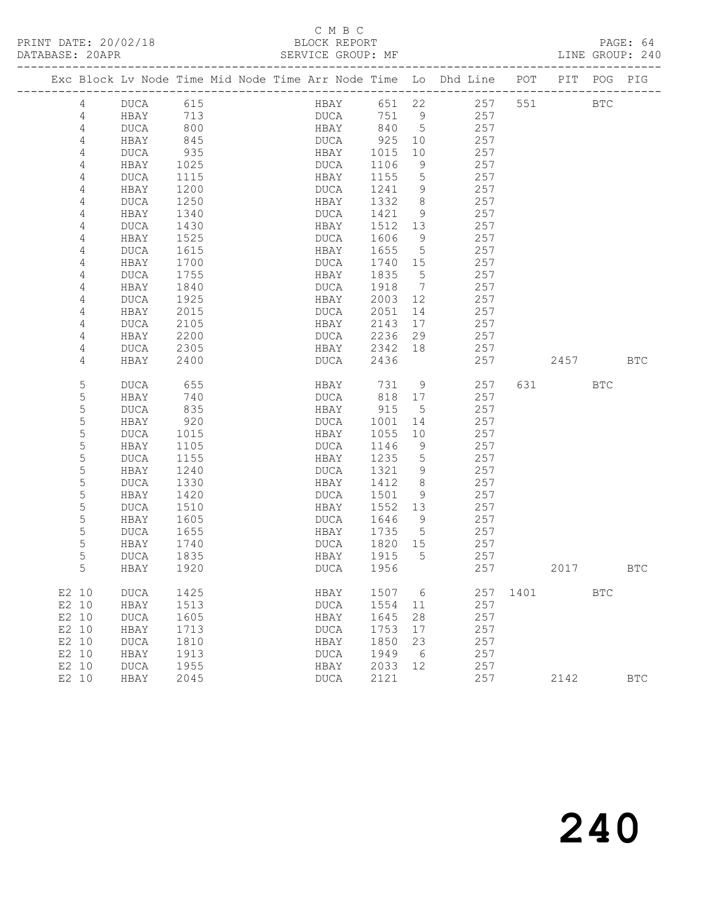### C M B C<br>BLOCK REPORT

PAGE: 64<br>LINE GROUP: 240

|       |                |                            |      |  |                            |      |                 | Exc Block Lv Node Time Mid Node Time Arr Node Time Lo Dhd Line | POT  |      | PIT POG    | PIG          |
|-------|----------------|----------------------------|------|--|----------------------------|------|-----------------|----------------------------------------------------------------|------|------|------------|--------------|
|       | 4              | DUCA                       | 615  |  | HBAY                       | 651  | 22              | 257                                                            | 551  |      | <b>BTC</b> |              |
|       | 4              | HBAY                       | 713  |  | DUCA                       | 751  | 9               | 257                                                            |      |      |            |              |
|       | 4              | DUCA                       | 800  |  | HBAY                       | 840  | $5^{\circ}$     | 257                                                            |      |      |            |              |
|       | 4              | HBAY                       | 845  |  | DUCA                       | 925  | 10              | 257                                                            |      |      |            |              |
|       | 4              | DUCA                       | 935  |  | HBAY                       | 1015 | 10              | 257                                                            |      |      |            |              |
|       | 4              | HBAY                       | 1025 |  | DUCA                       | 1106 | 9               | 257                                                            |      |      |            |              |
|       | 4              | DUCA                       | 1115 |  | HBAY                       | 1155 | 5               | 257                                                            |      |      |            |              |
|       | 4              | HBAY                       | 1200 |  | DUCA                       | 1241 | 9               | 257                                                            |      |      |            |              |
|       | $\overline{4}$ | DUCA                       | 1250 |  | HBAY                       | 1332 | 8               | 257                                                            |      |      |            |              |
|       | 4              | HBAY                       | 1340 |  | DUCA                       | 1421 | 9               | 257                                                            |      |      |            |              |
|       | 4              | DUCA                       | 1430 |  | HBAY                       | 1512 | 13              | 257                                                            |      |      |            |              |
|       | 4              | HBAY                       | 1525 |  | DUCA                       | 1606 | 9               | 257                                                            |      |      |            |              |
|       | $\overline{4}$ | DUCA                       | 1615 |  | HBAY                       | 1655 | $5^{\circ}$     | 257                                                            |      |      |            |              |
|       | 4              | HBAY                       | 1700 |  | DUCA                       | 1740 | 15              | 257                                                            |      |      |            |              |
|       | 4              | DUCA                       | 1755 |  | HBAY                       | 1835 | $5\phantom{0}$  | 257                                                            |      |      |            |              |
|       | 4              | HBAY                       | 1840 |  | DUCA                       | 1918 | $\overline{7}$  | 257                                                            |      |      |            |              |
|       | 4              | DUCA                       | 1925 |  | HBAY                       | 2003 | 12              | 257                                                            |      |      |            |              |
|       | 4              | HBAY                       | 2015 |  | DUCA                       | 2051 | 14              | 257                                                            |      |      |            |              |
|       | 4              | DUCA                       | 2105 |  | HBAY                       | 2143 | 17              | 257                                                            |      |      |            |              |
|       | 4              | HBAY                       | 2200 |  | DUCA                       | 2236 | 29              | 257                                                            |      |      |            |              |
|       | 4              | DUCA                       | 2305 |  | HBAY                       | 2342 | 18              | 257                                                            |      |      |            |              |
|       | 4              | HBAY                       | 2400 |  | DUCA                       | 2436 |                 | 257                                                            |      | 2457 |            | <b>BTC</b>   |
|       | 5              | <b>DUCA</b>                | 655  |  | HBAY                       | 731  | 9               | 257                                                            | 631  |      | <b>BTC</b> |              |
|       | $\mathsf S$    | HBAY                       | 740  |  | DUCA                       | 818  | 17              | 257                                                            |      |      |            |              |
|       | $\mathsf S$    | DUCA                       | 835  |  | HBAY                       | 915  | $5^{\circ}$     | 257                                                            |      |      |            |              |
|       | $\mathsf S$    | HBAY                       | 920  |  | DUCA                       | 1001 | 14              | 257                                                            |      |      |            |              |
|       | 5              | DUCA                       | 1015 |  | HBAY                       | 1055 | 10              | 257                                                            |      |      |            |              |
|       | 5              | HBAY                       | 1105 |  | DUCA                       | 1146 | 9               | 257                                                            |      |      |            |              |
|       | 5              | DUCA                       | 1155 |  | HBAY                       | 1235 | $5\phantom{.0}$ | 257                                                            |      |      |            |              |
|       | 5              | HBAY                       | 1240 |  | <b>DUCA</b>                | 1321 | 9               | 257                                                            |      |      |            |              |
|       | $\mathsf S$    | DUCA                       | 1330 |  | HBAY                       | 1412 | 8               | 257                                                            |      |      |            |              |
|       | $\mathsf S$    | HBAY                       | 1420 |  | DUCA                       | 1501 | 9               | 257                                                            |      |      |            |              |
|       | 5              | DUCA                       | 1510 |  | HBAY                       | 1552 | 13              | 257                                                            |      |      |            |              |
|       | 5              | HBAY                       | 1605 |  | DUCA                       | 1646 | 9               | 257                                                            |      |      |            |              |
|       | 5              | DUCA                       | 1655 |  | HBAY                       | 1735 | $5^{\circ}$     | 257                                                            |      |      |            |              |
|       | $\mathsf S$    | HBAY                       | 1740 |  | DUCA                       | 1820 | 15              | 257                                                            |      |      |            |              |
|       | 5              | DUCA                       | 1835 |  | HBAY                       | 1915 | $-5$            | 257                                                            |      |      |            |              |
|       | 5              | HBAY                       | 1920 |  | <b>DUCA</b>                | 1956 |                 | 257                                                            |      | 2017 |            | BTC          |
| E2 10 |                | <b>DUCA</b>                | 1425 |  | HBAY                       | 1507 | 6               | 257                                                            | 1401 |      | <b>BTC</b> |              |
| E2 10 |                | HBAY                       | 1513 |  | $\mathop{\text{\rm DUCA}}$ | 1554 | 11              | 257                                                            |      |      |            |              |
| E2 10 |                | <b>DUCA</b>                | 1605 |  | HBAY                       | 1645 | 28              | 257                                                            |      |      |            |              |
| E2 10 |                | HBAY                       | 1713 |  | <b>DUCA</b>                | 1753 | 17              | 257                                                            |      |      |            |              |
| E2 10 |                | <b>DUCA</b>                | 1810 |  | HBAY                       | 1850 | 23              | 257                                                            |      |      |            |              |
| E2 10 |                | HBAY                       | 1913 |  | $\mathop{\text{\rm DUCA}}$ | 1949 | 6               | 257                                                            |      |      |            |              |
| E2 10 |                | $\mathop{\text{\rm DUCA}}$ | 1955 |  | HBAY                       | 2033 | 12              | 257                                                            |      |      |            |              |
| E2 10 |                | HBAY                       | 2045 |  | <b>DUCA</b>                | 2121 |                 | 257                                                            |      | 2142 |            | $_{\rm BTC}$ |
|       |                |                            |      |  |                            |      |                 |                                                                |      |      |            |              |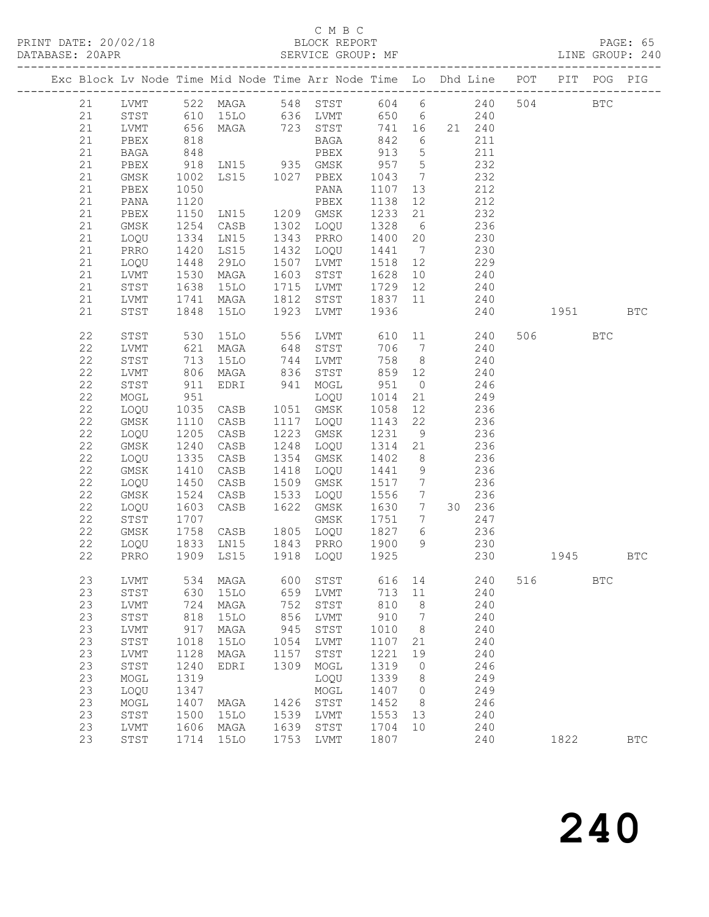#### C M B C<br>BLOCK REPORT

PAGE: 65<br>LINE GROUP: 240

|  |             |                   |      |                                                 |                      | Exc Block Lv Node Time Mid Node Time Arr Node Time Lo Dhd Line POT                                  |                  |                 |                 |            | PIT POG  |            | PIG        |
|--|-------------|-------------------|------|-------------------------------------------------|----------------------|-----------------------------------------------------------------------------------------------------|------------------|-----------------|-----------------|------------|----------|------------|------------|
|  | 21          |                   |      |                                                 |                      | LVMT 522 MAGA 548 STST 604 6 240                                                                    |                  |                 |                 |            | 504 BTC  |            |            |
|  | 21          |                   |      |                                                 |                      | STST 610 15LO 636 LVMT 650 6 240<br>LVMT 656 MAGA 723 STST 741 16 21 240<br>PBEX 818 BAGA 842 6 211 |                  |                 |                 |            |          |            |            |
|  | 21          |                   |      |                                                 |                      |                                                                                                     |                  |                 |                 |            |          |            |            |
|  | 21          |                   |      |                                                 |                      |                                                                                                     |                  |                 |                 |            |          |            |            |
|  | 21          | BAGA              | 848  |                                                 |                      | PBEX                                                                                                | 913              | $5\overline{)}$ |                 | 211        |          |            |            |
|  | 21          | PBEX              | 918  |                                                 |                      |                                                                                                     | 957 5            |                 |                 | 232        |          |            |            |
|  | 21          | GMSK              | 1002 | LN15 935 GMSK<br>LS15 1027 PBEX                 |                      |                                                                                                     | 1043             | $7\overline{)}$ |                 | 232        |          |            |            |
|  | 21          | PBEX              | 1050 |                                                 |                      |                                                                                                     | 1107             | 13              |                 | 212        |          |            |            |
|  | 21          | PANA              | 1120 |                                                 |                      |                                                                                                     | 1138             | 12 <sup>°</sup> |                 | 212        |          |            |            |
|  | 21          | PBEX              | 1150 | PANA<br>PBEX<br>LN15 1209 GMSK<br>CASB 1302 100 |                      |                                                                                                     | 1233             | 21              |                 | 232        |          |            |            |
|  | 21          | GMSK              | 1254 |                                                 |                      |                                                                                                     | 1328             | $6\overline{6}$ |                 | 236        |          |            |            |
|  | 21          | LOQU              | 1334 | LN15                                            | 1343                 | PRRO                                                                                                | 1400             | 20              |                 | 230        |          |            |            |
|  | 21          | PRRO              | 1420 | LS15                                            | 1432                 | LOQU                                                                                                | 1441             | $\overline{7}$  |                 | 230        |          |            |            |
|  | 21          | LOQU              | 1448 | 29LO                                            | 1507<br>1603<br>1715 | LVMT                                                                                                | 1518             | 12              |                 | 229        |          |            |            |
|  | 21          | LVMT              | 1530 | MAGA                                            |                      | STST                                                                                                | 1628             | 10              |                 | 240        |          |            |            |
|  | 21          | ${\tt STST}$      | 1638 | 15LO                                            |                      | LVMT                                                                                                | 1729 12          |                 |                 | 240        |          |            |            |
|  | 21          | LVMT              | 1741 | MAGA                                            | 1812                 | STST                                                                                                | 1837 11 240      |                 |                 |            |          |            |            |
|  | 21          | STST              | 1848 | 15LO                                            | 1923                 | LVMT                                                                                                | 1936             |                 |                 | 240        | 1951 BTC |            |            |
|  | 22          | ${\tt STST}$      | 530  | 15LO                                            |                      | 556 LVMT                                                                                            |                  |                 | 610 11          | 240        | 506 BTC  |            |            |
|  | 22          | LVMT              | 621  | MAGA                                            | 648                  | STST                                                                                                | 706              |                 | 7 240           |            |          |            |            |
|  | $2\sqrt{2}$ | STST              | 713  | 15LO                                            | 744                  | LVMT                                                                                                | 758              | 8 <sup>8</sup>  |                 | 240        |          |            |            |
|  | 22          | LVMT              | 806  | MAGA                                            |                      | 836 STST<br>941 MOGL                                                                                | 859              | 12              |                 | 240        |          |            |            |
|  | 22          | STST              | 911  | EDRI                                            |                      |                                                                                                     | 951              | $\overline{0}$  |                 | 246        |          |            |            |
|  | 22          | MOGL              | 951  |                                                 |                      | LOQU                                                                                                | 1014             | 21              |                 | 249        |          |            |            |
|  | $2\sqrt{2}$ | LOQU              | 1035 | CASB                                            | 1051                 | GMSK                                                                                                | 1058             | 12              |                 | 236        |          |            |            |
|  | 22          | GMSK              | 1110 | CASB                                            |                      | 1117 LOQU                                                                                           | 1143             | 22              |                 | 236        |          |            |            |
|  | 22          | LOQU              | 1205 | CASB                                            | 1223                 | GMSK                                                                                                | 1231             | 9               |                 | 236        |          |            |            |
|  | 22          | GMSK              | 1240 | CASB                                            | 1248                 | LOQU                                                                                                | 1314             | 21              |                 | 236        |          |            |            |
|  | 22          | LOQU              | 1335 | CASB                                            | 1354                 | GMSK                                                                                                | 1402             | 8 <sup>8</sup>  |                 | 236        |          |            |            |
|  | 22          | GMSK              | 1410 | CASB                                            | $14 + 1509$          | LOQU                                                                                                | 1441             | 9               |                 | 236        |          |            |            |
|  | 22          | LOQU              | 1450 | CASB                                            |                      | GMSK                                                                                                | 1517             | $7\overline{)}$ |                 | 236        |          |            |            |
|  | 22          | GMSK              | 1524 | CASB                                            | 1533                 | LOQU                                                                                                | 1556             |                 | $7\overline{ }$ | 236        |          |            |            |
|  | 22          | LOQU              | 1603 | CASB                                            | 1622                 | GMSK                                                                                                | 1630 7           |                 |                 | 30 236     |          |            |            |
|  | 22          | ${\tt STST}$      | 1707 | CASB                                            |                      | GMSK                                                                                                | 1751             | $7\overline{ }$ |                 | 247        |          |            |            |
|  | 22          | GMSK<br>LOQU 1833 | 1758 |                                                 |                      | 1805 LOQU<br>1843 PRRO                                                                              | 1827 6<br>1900 9 |                 |                 | 236<br>230 |          |            |            |
|  | 22<br>22    | PRRO              |      | LN15<br>1909 LS15                               |                      | 1918 LOQU 1925                                                                                      |                  |                 |                 | 230        | 1945     | <b>BTC</b> |            |
|  |             |                   |      |                                                 |                      |                                                                                                     |                  |                 |                 |            |          |            |            |
|  | 23          |                   |      |                                                 |                      | LVMT 534 MAGA 600 STST 616 14 240 516 BTC                                                           |                  |                 |                 |            |          |            |            |
|  | 23          | STST              | 630  | 15LO                                            | 659                  | LVMT                                                                                                | 713              | 11              |                 | 240        |          |            |            |
|  | 23          | LVMT              | 724  | MAGA                                            | 752                  | STST                                                                                                | 810              | 8               |                 | 240        |          |            |            |
|  | 23          | STST              | 818  | 15LO                                            | 856                  | LVMT                                                                                                | 910              | 7               |                 | 240        |          |            |            |
|  | 23          | LVMT              | 917  | MAGA                                            | 945                  | STST                                                                                                | 1010             | 8               |                 | 240        |          |            |            |
|  | 23          | STST              | 1018 | <b>15LO</b>                                     | 1054                 | LVMT                                                                                                | 1107             | 21              |                 | 240        |          |            |            |
|  | 23          | <b>LVMT</b>       | 1128 | MAGA                                            | 1157                 | STST                                                                                                | 1221             | 19              |                 | 240        |          |            |            |
|  | 23          | STST              | 1240 | EDRI                                            | 1309                 | MOGL                                                                                                | 1319             | $\circ$         |                 | 246        |          |            |            |
|  | 23          | MOGL              | 1319 |                                                 |                      | LOQU                                                                                                | 1339             | 8               |                 | 249        |          |            |            |
|  | 23          | LOQU              | 1347 |                                                 |                      | MOGL                                                                                                | 1407             | $\circ$         |                 | 249        |          |            |            |
|  | 23          | MOGL              | 1407 | MAGA                                            | 1426                 | STST                                                                                                | 1452             | 8               |                 | 246        |          |            |            |
|  | 23          | STST              | 1500 | 15LO                                            | 1539                 | LVMT                                                                                                | 1553             | 13              |                 | 240        |          |            |            |
|  | 23          | LVMT              | 1606 | MAGA                                            | 1639                 | STST                                                                                                | 1704             | 10              |                 | 240        |          |            |            |
|  | 23          | STST              | 1714 | <b>15LO</b>                                     | 1753                 | LVMT                                                                                                | 1807             |                 |                 | 240        | 1822     |            | <b>BTC</b> |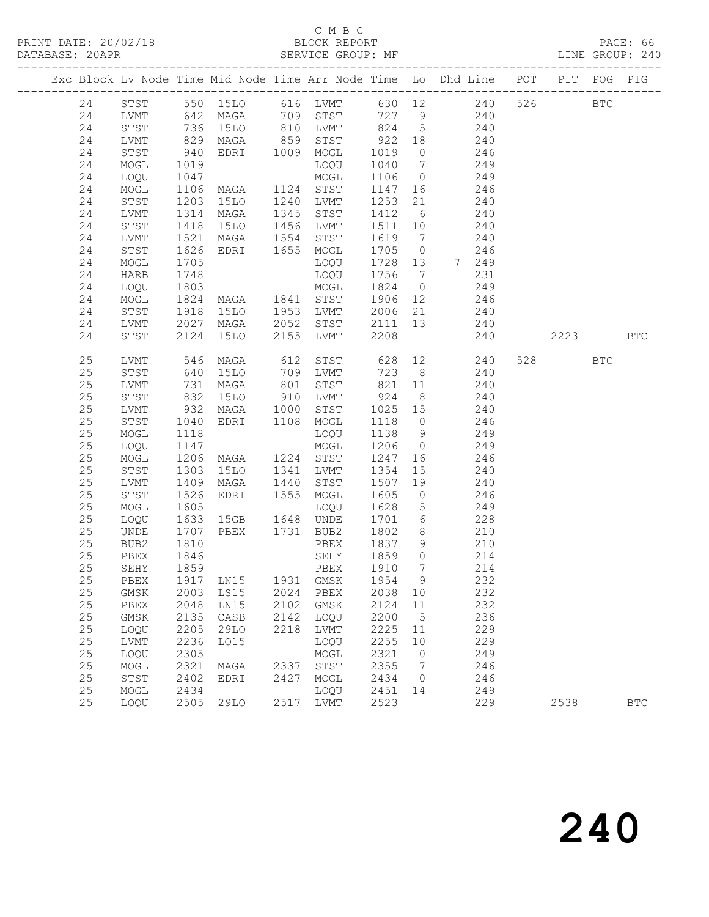#### C M B C<br>BLOCK REPORT

PAGE: 66<br>LINE GROUP: 240

|  |          |                |                      |                                                                        |              |                               |                  |                              | Exc Block Lv Node Time Mid Node Time Arr Node Time Lo Dhd Line POT PIT POG PIG |          |            |
|--|----------|----------------|----------------------|------------------------------------------------------------------------|--------------|-------------------------------|------------------|------------------------------|--------------------------------------------------------------------------------|----------|------------|
|  | 24       |                |                      |                                                                        |              |                               |                  |                              | STST 550 15LO 616 LVMT 630 12 240                                              | 526 BTC  |            |
|  | 24       |                |                      |                                                                        |              |                               |                  |                              | LVMT 642 MAGA 709 STST 727 9 240                                               |          |            |
|  | 24       | STST 736 15LO  |                      |                                                                        |              |                               |                  |                              | 810 LVMT 824 5 240                                                             |          |            |
|  | 24       | LVMT           |                      | 829 MAGA<br>MAGA 859 STST<br>EDRI 1009 MOGL                            |              |                               | 922 18           |                              | 240                                                                            |          |            |
|  | 24       | STST           | 940                  |                                                                        |              |                               | 1019 0           |                              | 246                                                                            |          |            |
|  | 24       | MOGL           | 1019                 |                                                                        |              | LOQU                          | 1040             | $7\overline{)}$              | 249                                                                            |          |            |
|  | 24       | LOQU           | 1047                 |                                                                        |              | MOGL                          | 1106 0           |                              | 249                                                                            |          |            |
|  | 24       | MOGL           |                      | 1106 MAGA                                                              |              | 1124 STST                     | 1147 16          |                              | 246                                                                            |          |            |
|  | 24       | STST           | 1203                 | 15LO                                                                   |              | LVMT                          | 1253             | 21                           | 240                                                                            |          |            |
|  | 24       | LVMT           |                      | 1314 MAGA                                                              | 1240<br>1345 | STST                          | 1412 6           |                              | 240                                                                            |          |            |
|  | 24       | STST           | 1418                 | 15LO                                                                   | 1456         | LVMT                          | 1511 10          |                              | 240                                                                            |          |            |
|  | 24       | LVMT           | 1521                 | MAGA                                                                   | 1554         | STST                          | 1619             | $\overline{7}$               | 240                                                                            |          |            |
|  | 24       | STST           | 1626                 | EDRI                                                                   |              | 1655 MOGL                     | 1705 0           |                              | 246                                                                            |          |            |
|  | 24       | MOGL           | 1705                 |                                                                        |              | LOQU                          | 1728 13          |                              | 7 249                                                                          |          |            |
|  | 24       | HARB           | 1748                 |                                                                        |              | LOQU                          | 1756             | $\overline{7}$               | 231                                                                            |          |            |
|  | 24       |                |                      |                                                                        |              |                               | 1824 0           |                              | 249                                                                            |          |            |
|  | 24       | MOGL           |                      |                                                                        |              |                               | 1906 12          |                              | 246                                                                            |          |            |
|  | 24       |                |                      | 1803 MOGL 1803<br>MOGL 1824 MAGA 1841 STST<br>STST 1918 15LO 1953 LVMT |              |                               | 2006 21          |                              | 240                                                                            |          |            |
|  | 24       | LVMT 2027 MAGA |                      |                                                                        | 2052         | STST                          | 2111 13          |                              | 240                                                                            |          |            |
|  | 24       | STST           |                      | 2124 15LO                                                              | 2155         | LVMT                          | 2208             |                              | 240                                                                            | 2223 BTC |            |
|  | 25       | LVMT           |                      | 546 MAGA                                                               | 612          | STST 628                      |                  |                              | 12<br>240                                                                      | 528 BTC  |            |
|  | $25$     | STST           | 640                  | 15LO                                                                   | 709          | LVMT                          | 723 8            |                              | 240                                                                            |          |            |
|  | $25$     | LVMT           | 731                  | MAGA                                                                   | 801          | STST                          | 821 11           |                              | 240                                                                            |          |            |
|  | 25       | STST           | $832$<br>932<br>1040 | 15LO 910 LVMT<br>MAGA 1000 STST<br>EDRI 1108 MOGL                      |              |                               | 924 8            |                              | 240                                                                            |          |            |
|  | $25$     | LVMT           |                      | MAGA                                                                   |              | STST                          | 1025 15          |                              | 240                                                                            |          |            |
|  | 25       | STST           | 1040                 |                                                                        |              |                               | 1118 0           |                              | 246                                                                            |          |            |
|  | 25       | MOGL           | 1118                 |                                                                        |              | LOQU                          | 1138 9           |                              | 249                                                                            |          |            |
|  | 25       | LOQU           | 1147                 | MOGL<br>MAGA 1224 STST<br>15LO 1341 LVMT                               |              |                               | 1206 0           |                              | 249                                                                            |          |            |
|  | 25       | MOGL           | 1206                 |                                                                        |              |                               | 1247 16          |                              | 246                                                                            |          |            |
|  | 25       | STST           | 1303                 |                                                                        |              |                               | 1354             | 15                           | 240                                                                            |          |            |
|  | $25$     | LVMT           | 1409                 | MAGA                                                                   | 1440         | STST                          | 1507 19          |                              | 240                                                                            |          |            |
|  | 25       | STST           | 1526                 | EDRI                                                                   | 1555         | MOGL                          | 1605             | $\overline{0}$               | 246                                                                            |          |            |
|  | 25       | MOGL           | 1605                 | LOQU<br>15GB 1648 UNDE                                                 |              | LOQU                          | 1628             | $5\overline{)}$              | 249                                                                            |          |            |
|  | 25       | LOQU           | 1633                 |                                                                        |              |                               | 1701 6           |                              | 228                                                                            |          |            |
|  | 25       | UNDE           | 1707                 | PBEX 1731 BUB2                                                         |              |                               | 1802             | 8 <sup>8</sup>               | 210                                                                            |          |            |
|  | 25       | BUB2           | 1810                 |                                                                        |              | PBEX                          | 1837 9           |                              | 210                                                                            |          |            |
|  | 25       | PBEX           | 1846                 |                                                                        |              | SEHY                          | 1859 0<br>1910 7 |                              | 214                                                                            |          |            |
|  | 25       | SEHY           | 1859                 |                                                                        |              | PBEX                          |                  |                              | 214                                                                            |          |            |
|  | 25       |                |                      |                                                                        |              | PBEX 1917 LN15 1931 GMSK 1954 |                  | 9                            | 232                                                                            |          |            |
|  | 25       | GMSK           | 2003                 | LS15                                                                   | 2024         | PBEX                          | 2038             | 10                           | 232<br>232                                                                     |          |            |
|  | 25<br>25 | PBEX           | 2048<br>2135         | LN15                                                                   | 2102         | GMSK                          | 2124<br>2200     | 11<br>$5^{\circ}$            | 236                                                                            |          |            |
|  | 25       | GMSK<br>LOQU   | 2205                 | CASB<br>29LO                                                           | 2142<br>2218 | LOQU<br>LVMT                  | 2225             | 11                           | 229                                                                            |          |            |
|  | 25       | LVMT           | 2236                 | L015                                                                   |              | LOQU                          | 2255             | 10                           | 229                                                                            |          |            |
|  | 25       | LOQU           | 2305                 |                                                                        |              | MOGL                          | 2321             | $\overline{0}$               | 249                                                                            |          |            |
|  | 25       | MOGL           | 2321                 | MAGA                                                                   |              | 2337 STST                     | 2355             | $7\phantom{.0}\phantom{.0}7$ | 246                                                                            |          |            |
|  | 25       | STST           | 2402                 | EDRI                                                                   | 2427         | MOGL                          | 2434             | $\circ$                      | 246                                                                            |          |            |
|  | 25       | MOGL           | 2434                 |                                                                        |              | LOQU                          | 2451             | 14                           | 249                                                                            |          |            |
|  | 25       | LOQU           | 2505                 | 29LO                                                                   |              | 2517 LVMT                     | 2523             |                              | 229                                                                            | 2538     | <b>BTC</b> |
|  |          |                |                      |                                                                        |              |                               |                  |                              |                                                                                |          |            |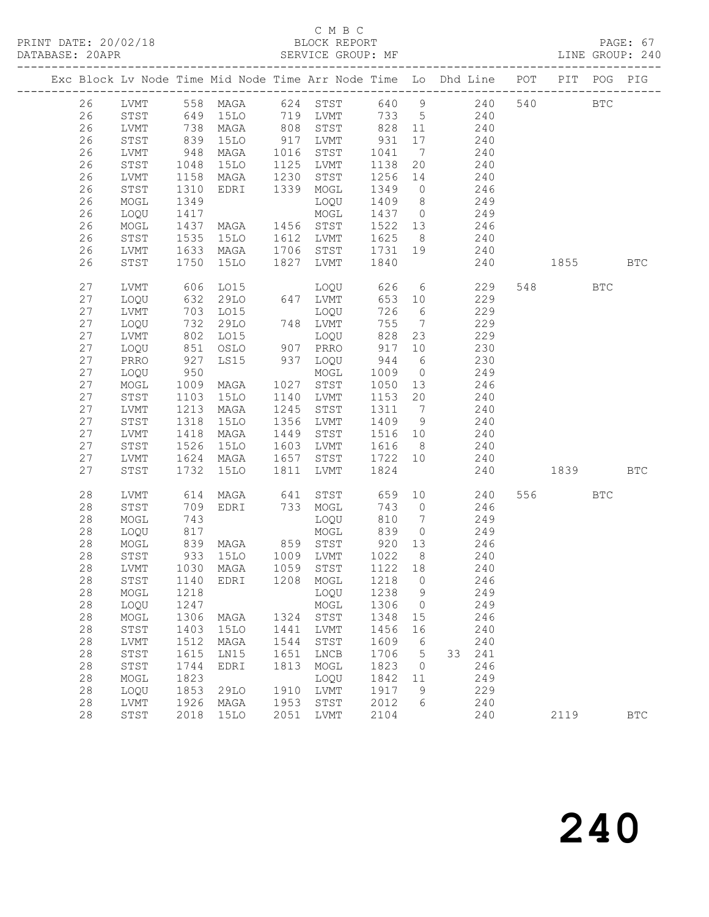#### C M B C<br>BLOCK REPORT

PAGE: 67<br>LINE GROUP: 240

|  |            |                      |                 |                       |                           | Exc Block Lv Node Time Mid Node Time Arr Node Time Lo Dhd Line POT |              |                 |                        |     |            | PIT POG PIG |            |
|--|------------|----------------------|-----------------|-----------------------|---------------------------|--------------------------------------------------------------------|--------------|-----------------|------------------------|-----|------------|-------------|------------|
|  | 26         |                      |                 |                       |                           | LVMT 558 MAGA 624 STST 640 9 240                                   |              |                 |                        | 540 | <b>BTC</b> |             |            |
|  | 26         | STST                 |                 | 649 15LO              |                           | 719 LVMT 733 5 240                                                 |              |                 |                        |     |            |             |            |
|  | 26         | LVMT                 | 738             | MAGA                  | 808                       | STST                                                               | 828          | 11              | 240                    |     |            |             |            |
|  | 26         | STST                 | 839             | 15LO                  | $917$<br>$1016$<br>$1125$ | LVMT                                                               | 931          | 17              | 240                    |     |            |             |            |
|  | 26         | LVMT                 | $948$<br>$1048$ | MAGA                  |                           | STST                                                               | 1041         | $\overline{7}$  | 240                    |     |            |             |            |
|  | 26         | ${\tt STST}$         | 1048            | 15LO                  |                           | LVMT                                                               | 1138         | 20              | 240                    |     |            |             |            |
|  | 26         | LVMT                 | 1158            | MAGA                  | 1230                      | STST                                                               | 1256         | 14              | 240                    |     |            |             |            |
|  | 26         | ${\tt STST}$         | 1310            | EDRI                  | 1339                      | MOGL                                                               | 1349 0       |                 | 246                    |     |            |             |            |
|  | 26         | MOGL                 | 1349            |                       |                           | LOQU                                                               | 1409 8       |                 | 249                    |     |            |             |            |
|  | 26         | LOQU                 | 1417            |                       |                           | MOGL                                                               | 1437 0       |                 | 249                    |     |            |             |            |
|  | 26         | MOGL                 | 1437            | MAGA 1456 STST        |                           |                                                                    | 1522 13      |                 | 246                    |     |            |             |            |
|  | 26         | STST                 | 1535            | 15LO                  | 1612                      | LVMT                                                               | 1625         | 8 <sup>8</sup>  | 240                    |     |            |             |            |
|  | 26         | LVMT                 | 1633            | MAGA                  | 1706<br>1827              | STST                                                               | 1731 19      |                 | 240                    |     |            |             |            |
|  | 26         | STST                 | 1750            | 15LO                  |                           | LVMT                                                               | 1840         |                 | 240                    |     | 1855       | <b>BTC</b>  |            |
|  | 27         | LVMT                 | 606             | LO15                  |                           | LOQU                                                               | 626          |                 | $6\overline{6}$<br>229 |     | 548 BTC    |             |            |
|  | 27         | LOQU                 | 632<br>703      | 29LO                  |                           |                                                                    | 653          | 10              | 229                    |     |            |             |            |
|  | 27         | LVMT                 | 732             | L015                  |                           | 647 LVMT<br>LOQU<br>748 LVMT                                       | 726          | $6\overline{6}$ | 229                    |     |            |             |            |
|  | 27         | LOQU                 |                 | 29LO                  |                           |                                                                    | 755          | $7\overline{)}$ | 229                    |     |            |             |            |
|  | 27         | LVMT                 | 802             | LO15                  |                           |                                                                    | 828          | 23              | 229                    |     |            |             |            |
|  | 27         | LOQU                 | 851<br>927      | OSLO                  |                           | LOQU<br>907 PRRO<br>937 LOQU                                       | 917          | 10              | 230                    |     |            |             |            |
|  | 27         | PRRO                 | 950             | LS15                  |                           |                                                                    | 944          | $6\overline{6}$ | 230                    |     |            |             |            |
|  | $27$<br>27 | LOQU                 | 1009            |                       | 1027                      | MOGL<br>STST                                                       | 1009<br>1050 | $\overline{0}$  | 249<br>246             |     |            |             |            |
|  | 27         | MOGL<br>${\tt STST}$ | 1103            | MAGA<br>15LO          | 1140                      | LVMT                                                               | 1153         | 13<br>20        | 240                    |     |            |             |            |
|  | 27         | LVMT                 | 1213            | MAGA                  | 1245                      | STST                                                               | 1311 7       |                 | 240                    |     |            |             |            |
|  | 27         | ${\tt STST}$         | 1318            | 15LO                  | 1356                      | LVMT                                                               | 1409 9       |                 | 240                    |     |            |             |            |
|  | 27         | LVMT                 | 1418            | MAGA                  | 1449                      | STST                                                               | 1516 10      |                 | 240                    |     |            |             |            |
|  | 27         | STST                 | 1526            | 15LO                  |                           | LVMT                                                               | 1616         | 8 <sup>8</sup>  | 240                    |     |            |             |            |
|  | 27         | LVMT                 | 1624            | MAGA                  |                           | STST                                                               | 1722 10      |                 | 240                    |     |            |             |            |
|  | 27         | STST                 | 1732            | 15LO                  | 1603<br>1657<br>1811      | LVMT                                                               | 1824         |                 | 240                    |     |            |             | <b>BTC</b> |
|  | 28         | LVMT                 | 614             | MAGA                  | 641                       | STST                                                               | 659          | 10              | 240                    |     | 556 BTC    |             |            |
|  | 28         | STST                 | 709             | EDRI                  |                           | 733 MOGL                                                           | 743          | $\overline{0}$  | 246                    |     |            |             |            |
|  | 28         | MOGL                 | 743             |                       |                           | LOQU                                                               | 810          | $7\overline{ }$ | 249                    |     |            |             |            |
|  | 28         | LOQU                 | 817             |                       |                           | MOGL                                                               | 839          | $\overline{0}$  | 249                    |     |            |             |            |
|  | 28         | MOGL                 |                 | 839 MAGA              |                           | 859 STST<br>1009 LVMT<br>1059 STST                                 | 920          | 13              | 246                    |     |            |             |            |
|  | 28         | STST                 |                 | 933 15LO<br>1030 MAGA |                           |                                                                    | 1022<br>1122 | 8 <sup>8</sup>  | 240                    |     |            |             |            |
|  | 28         | LVMT                 |                 |                       |                           |                                                                    |              | 18              | 240                    |     |            |             |            |
|  | $2\,8$     |                      |                 |                       |                           | STST 1140 EDRI 1208 MOGL 1218 0                                    |              |                 | 246                    |     |            |             |            |
|  | 28         | MOGL                 | 1218            |                       |                           | LOQU                                                               | 1238         | - 9             | 249                    |     |            |             |            |
|  | 28         | LOQU                 | 1247            |                       |                           | MOGL                                                               | 1306         | $\circ$         | 249                    |     |            |             |            |
|  | 28         | MOGL                 | 1306            | MAGA                  |                           | 1324 STST                                                          | 1348         | 15              | 246                    |     |            |             |            |
|  | 28         | STST                 | 1403            | 15LO                  | 1441                      | LVMT                                                               | 1456         | 16              | 240                    |     |            |             |            |
|  | 28         | LVMT                 | 1512            | MAGA                  | 1544                      | STST                                                               | 1609         | 6               | 240                    |     |            |             |            |
|  | 28         | STST                 | 1615            | LN15                  | 1651                      | LNCB                                                               | 1706         | 5               | 241<br>33              |     |            |             |            |
|  | 28         | STST                 | 1744            | EDRI                  | 1813                      | MOGL                                                               | 1823         | $\circ$         | 246                    |     |            |             |            |
|  | 28         | MOGL                 | 1823            |                       |                           | LOQU                                                               | 1842         | 11              | 249                    |     |            |             |            |
|  | 28         | LOQU                 | 1853            | 29LO                  | 1910                      | LVMT                                                               | 1917         | 9               | 229                    |     |            |             |            |
|  | 28         | LVMT                 | 1926            | MAGA                  | 1953                      | STST                                                               | 2012         | 6               | 240                    |     |            |             |            |
|  | 28         | STST                 | 2018            | <b>15LO</b>           |                           | 2051 LVMT                                                          | 2104         |                 | 240                    |     | 2119       |             | <b>BTC</b> |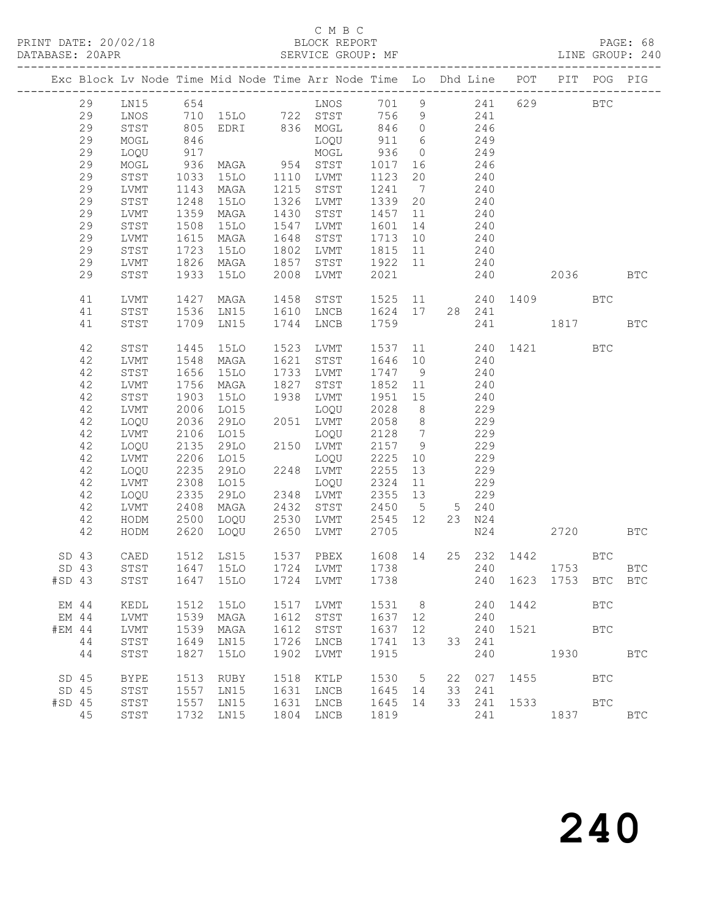PAGE: 68<br>LINE GROUP: 240

|        |             |              |             |      | Exc Block Lv Node Time Mid Node Time Arr Node Time Lo Dhd Line POT PIT POG PIG |                |                |           |        |                       |            |            |              |
|--------|-------------|--------------|-------------|------|--------------------------------------------------------------------------------|----------------|----------------|-----------|--------|-----------------------|------------|------------|--------------|
| 29     |             |              |             |      | LN15 654 LNOS 701 9 241 629 BTC<br>LNOS 710 15LO 722 STST 756 9 241            |                |                |           |        |                       |            |            |              |
| 29     |             |              |             |      |                                                                                |                |                |           |        |                       |            |            |              |
| 29     | STST        |              |             |      | 805 EDRI 836 MOGL                                                              |                |                | 846 0 246 |        |                       |            |            |              |
| 29     | MOGL        | 846          |             |      | LOQU                                                                           | 911 6          |                |           | 249    |                       |            |            |              |
| 29     | LOQU        | 917          |             |      | MOGL                                                                           | 936            | $\overline{0}$ |           | 249    |                       |            |            |              |
| 29     | MOGL        | 936          | MAGA        |      | 954 STST                                                                       | 1017           | 16             |           | 246    |                       |            |            |              |
| 29     | STST        | 1033         | 15LO        | 1110 | LVMT                                                                           | 1123           | 20             |           | 240    |                       |            |            |              |
| 29     | LVMT        | 1143         | MAGA        | 1215 | STST                                                                           | 1241           | $\overline{7}$ |           | 240    |                       |            |            |              |
| 29     | STST        | 1248         | 15LO        | 1326 | LVMT                                                                           | 1339           | 20             |           | 240    |                       |            |            |              |
| 29     | LVMT        | 1359         | MAGA        | 1430 | STST                                                                           | 1457           | 11             |           | 240    |                       |            |            |              |
| 29     | STST        | 1508         | 15LO        |      | 1547 LVMT                                                                      | 1601           | 14             |           | 240    |                       |            |            |              |
| 29     | LVMT        | 1615         | MAGA        | 1648 | STST                                                                           | 1713           | 10             |           | 240    |                       |            |            |              |
| 29     | STST        | 1723         | 15LO        | 1802 | LVMT                                                                           | 1815           | 11             |           | 240    |                       |            |            |              |
| 29     | LVMT        | 1826         | MAGA        | 1857 | STST                                                                           | 1922 11        |                |           | 240    |                       |            |            |              |
| 29     | STST        | 1933         | 15LO        | 2008 | LVMT                                                                           | 2021           |                |           | 240    |                       | 2036 BTC   |            |              |
| 41     | LVMT        | 1427         | MAGA        | 1458 | STST                                                                           | 1525 11        |                |           |        | 240 1409 BTC          |            |            |              |
| 41     | STST        |              | $1536$ LN15 |      | 1610 LNCB                                                                      | 1624 17 28 241 |                |           |        |                       |            |            |              |
| 41     | STST        |              | 1709 LN15   |      | 1744 LNCB                                                                      | 1759           |                |           | 241    |                       | 1817       |            | <b>BTC</b>   |
| 42     | STST        | 1445         | 15LO        | 1523 | LVMT                                                                           | 1537           |                |           |        | 11 240 1421 BTC       |            |            |              |
| 42     | LVMT        | 1548         | MAGA        | 1621 | STST                                                                           | 1646 10        |                |           | 240    |                       |            |            |              |
| 42     | STST        | 1656         | 15LO        | 1733 | LVMT                                                                           | 1747 9         |                |           | 240    |                       |            |            |              |
| 42     | LVMT        | 1756         | MAGA        | 1827 | STST                                                                           | 1852           | 11             |           | 240    |                       |            |            |              |
| 42     | STST        | 1903         | <b>15LO</b> | 1938 | LVMT                                                                           | 1951 15        |                |           | 240    |                       |            |            |              |
| 42     | LVMT        | 2006         | LO15        |      | LOQU                                                                           | 2028 8         |                |           | 229    |                       |            |            |              |
| 42     | LOQU        | 2036         | 29LO        |      | 2051 LVMT                                                                      | 2058 8         |                |           | 229    |                       |            |            |              |
| 42     | LVMT        | 2106         | LO15        |      | LOQU                                                                           | 2128           | $\overline{7}$ |           | 229    |                       |            |            |              |
| 42     | LOQU        | 2135         | 29LO        |      | 2150 LVMT                                                                      | 2157           | 9              |           | 229    |                       |            |            |              |
| 42     | LVMT        | 2206         | L015        |      | LOQU                                                                           | 2225           | 10             |           | 229    |                       |            |            |              |
| 42     | LOQU        | 2235         | 29LO        |      | 2248 LVMT                                                                      | 2255           | 13             |           | 229    |                       |            |            |              |
| 42     | LVMT        | 2308         | LO15        |      | LOQU                                                                           | 2324           | 11             |           | 229    |                       |            |            |              |
| 42     | LOQU        | 2335         | 29LO        | 2348 | LVMT                                                                           | 2355           | 13             |           | 229    |                       |            |            |              |
| 42     | LVMT        | 2408         | MAGA        | 2432 | STST                                                                           | 2450 5         |                |           | 5 240  |                       |            |            |              |
| 42     | HODM        | 2500<br>2620 | LOQU        | 2530 | LVMT                                                                           | 2545 12        |                |           | 23 N24 |                       |            |            |              |
| 42     | HODM        |              | LOQU        | 2650 | LVMT                                                                           | 2705           |                |           | N24    |                       | 2720 BTC   |            |              |
| SD 43  | CAED        |              | 1512 LS15   |      | 1537 PBEX<br>1724 LVMT<br>PBEX                                                 | 1608 14        |                |           |        | 25  232  1442  BTC    |            |            |              |
| SD 43  | STST        |              | 1647 15LO   |      |                                                                                | 1738           |                |           |        | 240                   | 1753       |            | <b>BTC</b>   |
|        |             |              |             |      | #SD 43 STST 1647 15LO 1724 LVMT 1738                                           |                |                |           |        | 240 1623 1753 BTC BTC |            |            |              |
| EM 44  | KEDL        | 1512         | 15LO        | 1517 | LVMT                                                                           | 1531           | 8 <sup>8</sup> |           | 240    | 1442                  |            | <b>BTC</b> |              |
| EM 44  | LVMT        | 1539         | MAGA        | 1612 | STST                                                                           | 1637           | 12             |           | 240    |                       |            |            |              |
| #EM 44 | LVMT        | 1539         | MAGA        | 1612 | STST                                                                           | 1637           | 12             |           | 240    | 1521                  | <b>BTC</b> |            |              |
| 44     | STST        | 1649         | LN15        | 1726 | LNCB                                                                           | 1741           | 13             | 33        | 241    |                       |            |            |              |
| 44     | STST        | 1827         | <b>15LO</b> | 1902 | LVMT                                                                           | 1915           |                |           | 240    |                       |            |            | <b>BTC</b>   |
| SD 45  | <b>BYPE</b> | 1513         | RUBY        | 1518 | KTLP                                                                           | 1530           | $-5$           | 22        | 027    | 1455                  | <b>BTC</b> |            |              |
| SD 45  | STST        | 1557         | LN15        | 1631 | LNCB                                                                           | 1645           | 14             | 33        | 241    |                       |            |            |              |
| #SD 45 | STST        | 1557         | LN15        | 1631 | LNCB                                                                           | 1645           | 14             | 33        | 241    |                       | 1533 BTC   |            |              |
| 45     | STST        | 1732         | LN15        | 1804 | LNCB                                                                           | 1819           |                |           | 241    |                       | 1837       |            | $_{\rm BTC}$ |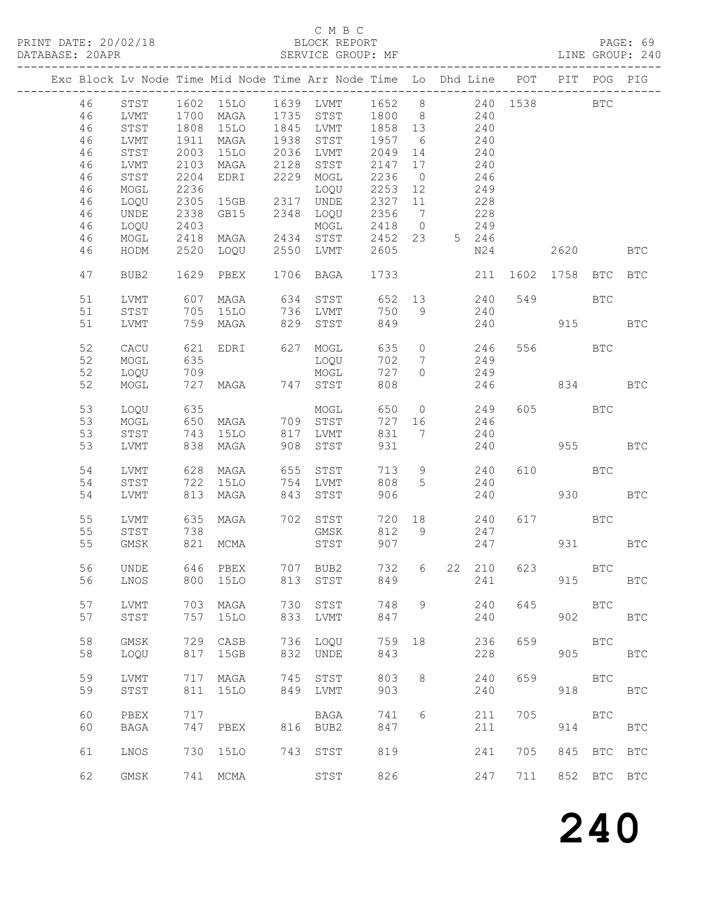#### C M B C<br>BLOCK REPORT

|  |    |                  |      |             |      | Exc Block Lv Node Time Mid Node Time Arr Node Time Lo Dhd Line |        |                 |                |       | POT      | PIT POG    |             | PIG                  |
|--|----|------------------|------|-------------|------|----------------------------------------------------------------|--------|-----------------|----------------|-------|----------|------------|-------------|----------------------|
|  |    |                  |      |             |      |                                                                |        |                 |                |       |          |            |             |                      |
|  | 46 | STST             |      |             |      |                                                                | 1652 8 |                 |                |       | 240 1538 |            | <b>BTC</b>  |                      |
|  |    |                  |      | 1602 15LO   |      | 1639 LVMT                                                      |        |                 |                |       |          |            |             |                      |
|  | 46 | LVMT             | 1700 | MAGA        | 1735 | STST                                                           | 1800 8 |                 |                | 240   |          |            |             |                      |
|  | 46 | STST             | 1808 | 15LO        | 1845 | LVMT                                                           | 1858   | 13              |                | 240   |          |            |             |                      |
|  | 46 | LVMT             | 1911 | MAGA        | 1938 | STST                                                           | 1957   | 6               |                | 240   |          |            |             |                      |
|  | 46 | STST             | 2003 | <b>15LO</b> | 2036 | LVMT                                                           | 2049   | 14              |                | 240   |          |            |             |                      |
|  | 46 | LVMT             | 2103 | MAGA        | 2128 | STST                                                           | 2147   | 17              |                | 240   |          |            |             |                      |
|  |    |                  |      |             |      |                                                                |        |                 |                |       |          |            |             |                      |
|  | 46 | STST             | 2204 | EDRI        | 2229 | MOGL                                                           | 2236   | $\overline{0}$  |                | 246   |          |            |             |                      |
|  | 46 | MOGL             | 2236 |             |      | LOQU                                                           | 2253   | 12              |                | 249   |          |            |             |                      |
|  | 46 | LOQU             | 2305 | 15GB        | 2317 | UNDE                                                           | 2327   | 11              |                | 228   |          |            |             |                      |
|  | 46 | UNDE             | 2338 | GB15        | 2348 | LOQU                                                           | 2356   | $7\overline{)}$ |                | 228   |          |            |             |                      |
|  | 46 | LOQU             | 2403 |             |      | MOGL                                                           | 2418   | $\overline{0}$  |                | 249   |          |            |             |                      |
|  | 46 | MOGL             | 2418 | MAGA        | 2434 | STST                                                           | 2452   | 23              |                | 5 246 |          |            |             |                      |
|  | 46 |                  | 2520 |             | 2550 |                                                                | 2605   |                 |                | N24   |          |            |             |                      |
|  |    | HODM             |      | LOQU        |      | LVMT                                                           |        |                 |                |       |          | 2620       |             | <b>BTC</b>           |
|  |    |                  |      |             |      |                                                                |        |                 |                |       |          |            |             |                      |
|  | 47 | BUB <sub>2</sub> | 1629 | PBEX        | 1706 | BAGA                                                           | 1733   |                 |                | 211   | 1602     | 1758       | <b>BTC</b>  | <b>BTC</b>           |
|  |    |                  |      |             |      |                                                                |        |                 |                |       |          |            |             |                      |
|  | 51 | LVMT             | 607  | MAGA        | 634  | STST                                                           | 652    | 13              |                | 240   | 549      |            | BTC         |                      |
|  | 51 | STST             | 705  | 15LO        | 736  | LVMT                                                           | 750    | 9               |                | 240   |          |            |             |                      |
|  | 51 | LVMT             | 759  | MAGA        | 829  | STST                                                           | 849    |                 |                | 240   |          | 915        |             | $_{\rm BTC}$         |
|  |    |                  |      |             |      |                                                                |        |                 |                |       |          |            |             |                      |
|  |    |                  |      |             |      |                                                                |        |                 |                |       |          |            |             |                      |
|  | 52 | CACU             | 621  | EDRI        |      | 627 MOGL                                                       | 635    | $\overline{0}$  |                | 246   |          | 556 BTC    |             |                      |
|  | 52 | MOGL             | 635  |             |      | LOQU                                                           | 702    | $7\phantom{.0}$ |                | 249   |          |            |             |                      |
|  | 52 | LOQU             | 709  |             |      | MOGL                                                           | 727    | $\circ$         |                | 249   |          |            |             |                      |
|  | 52 | MOGL             | 727  | MAGA        |      | 747 STST                                                       | 808    |                 |                | 246   |          | 834        |             | <b>BTC</b>           |
|  |    |                  |      |             |      |                                                                |        |                 |                |       |          |            |             |                      |
|  | 53 | LOQU             | 635  |             |      | MOGL                                                           | 650    |                 | $\overline{0}$ | 249   |          | 605 BTC    |             |                      |
|  |    |                  |      |             |      |                                                                |        |                 |                |       |          |            |             |                      |
|  | 53 | MOGL             | 650  | MAGA        |      | 709 STST                                                       | 727    | 16              |                | 246   |          |            |             |                      |
|  | 53 | STST             | 743  | 15LO        | 817  | LVMT                                                           | 831    | $\overline{7}$  |                | 240   |          |            |             |                      |
|  | 53 | LVMT             | 838  | MAGA        | 908  | STST                                                           | 931    |                 |                | 240   |          | 955        |             | $_{\rm BTC}$         |
|  |    |                  |      |             |      |                                                                |        |                 |                |       |          |            |             |                      |
|  | 54 | LVMT             | 628  | MAGA        | 655  | STST                                                           | 713    | 9               |                | 240   | 610      | <b>BTC</b> |             |                      |
|  | 54 | STST             | 722  | 15LO        | 754  | LVMT                                                           | 808    | 5               |                | 240   |          |            |             |                      |
|  | 54 | LVMT             | 813  |             | 843  |                                                                | 906    |                 |                | 240   |          | 930        |             | $_{\rm BTC}$         |
|  |    |                  |      | MAGA        |      | STST                                                           |        |                 |                |       |          |            |             |                      |
|  |    |                  |      |             |      |                                                                |        |                 |                |       |          |            |             |                      |
|  | 55 | LVMT             | 635  | MAGA        |      | 702 STST                                                       | 720    | 18              |                | 240   | 617      | <b>BTC</b> |             |                      |
|  | 55 | STST             | 738  |             |      | GMSK                                                           | 812    | 9               |                | 247   |          |            |             |                      |
|  | 55 | GMSK             | 821  | MCMA        |      | STST                                                           | 907    |                 |                | 247   |          | 931 7      |             | <b>BTC</b>           |
|  |    |                  |      |             |      |                                                                |        |                 |                |       |          |            |             |                      |
|  | 56 | UNDE             |      | 646 PBEX    |      | 707 BUB2                                                       | 732    | $6\overline{6}$ | 22             | 210   | 623      | <b>BTC</b> |             |                      |
|  |    |                  |      |             |      | 56 LNOS 800 15LO 813 STST 849                                  |        |                 |                |       | 241      | 915        |             | $\operatorname{BTC}$ |
|  |    |                  |      |             |      |                                                                |        |                 |                |       |          |            |             |                      |
|  |    |                  |      |             |      |                                                                |        |                 |                |       |          |            |             |                      |
|  | 57 | LVMT             | 703  | MAGA        | 730  | STST                                                           | 748    | 9               |                | 240   | 645      |            | <b>BTC</b>  |                      |
|  | 57 | STST             | 757  | <b>15LO</b> | 833  | LVMT                                                           | 847    |                 |                | 240   |          | 902        |             | <b>BTC</b>           |
|  |    |                  |      |             |      |                                                                |        |                 |                |       |          |            |             |                      |
|  | 58 | <b>GMSK</b>      | 729  | CASB        | 736  | LOQU                                                           | 759    | 18              |                | 236   | 659      |            | <b>BTC</b>  |                      |
|  | 58 | LOQU             | 817  | 15GB        | 832  | UNDE                                                           | 843    |                 |                | 228   |          | 905        |             | <b>BTC</b>           |
|  |    |                  |      |             |      |                                                                |        |                 |                |       |          |            |             |                      |
|  | 59 | LVMT             | 717  | MAGA        | 745  | STST                                                           | 803    | 8               |                | 240   | 659      |            | <b>BTC</b>  |                      |
|  |    |                  |      |             |      |                                                                |        |                 |                |       |          |            |             |                      |
|  | 59 | STST             | 811  | <b>15LO</b> | 849  | LVMT                                                           | 903    |                 |                | 240   |          | 918        |             | <b>BTC</b>           |
|  |    |                  |      |             |      |                                                                |        |                 |                |       |          |            |             |                      |
|  | 60 | PBEX             | 717  |             |      | BAGA                                                           | 741    | 6               |                | 211   | 705      |            | <b>BTC</b>  |                      |
|  | 60 | <b>BAGA</b>      | 747  | PBEX        | 816  | BUB2                                                           | 847    |                 |                | 211   |          | 914        |             | $_{\rm BTC}$         |
|  |    |                  |      |             |      |                                                                |        |                 |                |       |          |            |             |                      |
|  | 61 | LNOS             | 730  | 15LO        |      | 743 STST                                                       | 819    |                 |                | 241   | 705      | 845        | <b>BTC</b>  | <b>BTC</b>           |
|  |    |                  |      |             |      |                                                                |        |                 |                |       |          |            |             |                      |
|  |    |                  |      |             |      |                                                                |        |                 |                |       |          |            |             |                      |
|  | 62 | GMSK             |      | 741 MCMA    |      | STST                                                           | 826    |                 |                | 247   | 711      |            | 852 BTC BTC |                      |
|  |    |                  |      |             |      |                                                                |        |                 |                |       |          |            |             |                      |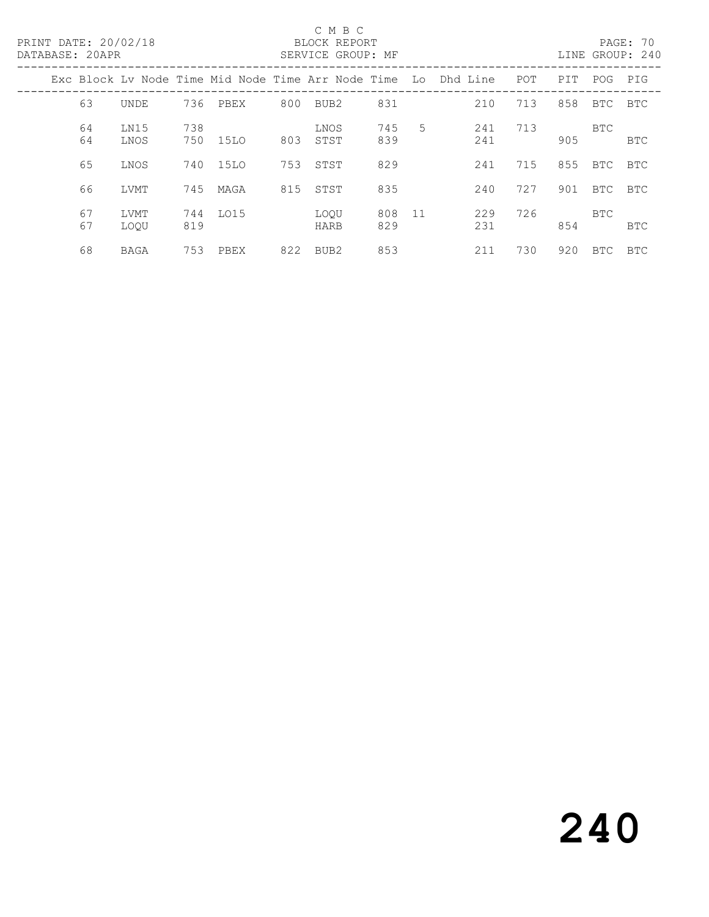|  | DATABASE: 20APR | PRINT DATE: 20/02/18 |            |      |     | C M B C<br>BLOCK REPORT<br>SERVICE GROUP: MF       |            |             |             |     |      |            | PAGE: 70<br>LINE GROUP: 240 |
|--|-----------------|----------------------|------------|------|-----|----------------------------------------------------|------------|-------------|-------------|-----|------|------------|-----------------------------|
|  |                 |                      |            |      |     | Exc Block Lv Node Time Mid Node Time Arr Node Time |            |             | Lo Dhd Line | POT | PIT. | <b>POG</b> | PIG                         |
|  | 63              | UNDE                 | 736        | PBEX | 800 | BUB2                                               | 831        |             | 210         | 713 | 858  | BTC        | BTC                         |
|  | 64<br>64        | LN15<br>LNOS         | 738<br>750 | 15LO | 803 | LNOS<br>STST                                       | 745<br>839 | $5^{\circ}$ | 241<br>241  | 713 | 905  | BTC        | BTC                         |
|  | 65              | LNOS                 | 740        | 15LO | 753 | STST                                               | 829        |             | 241         | 715 | 855  | BTC        | BTC                         |
|  | 66              | LVMT                 | 745        | MAGA | 815 | STST                                               | 835        |             | 240         | 727 | 901  | BTC        | BTC                         |
|  | 67<br>67        | LVMT<br>LOOU         | 744<br>819 | LO15 |     | LOOU<br>HARB                                       | 808<br>829 | $-11$       | 229<br>231  | 726 | 854  | BTC        | <b>BTC</b>                  |
|  | 68              | BAGA                 | 753        | PBEX | 822 | BUB2                                               | 853        |             | 211         | 730 | 920  | BTC.       | <b>BTC</b>                  |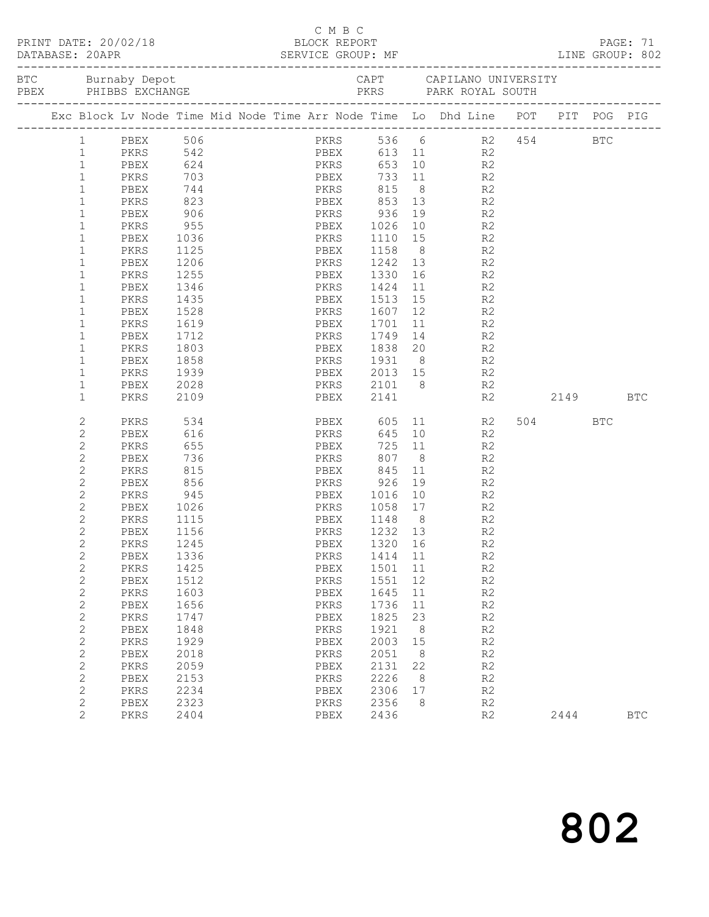|                              |      |                                               |  |              |               | C M B C |                                  |      |                |                                                                                | LINE GROUP: 802 |
|------------------------------|------|-----------------------------------------------|--|--------------|---------------|---------|----------------------------------|------|----------------|--------------------------------------------------------------------------------|-----------------|
|                              |      |                                               |  |              |               |         |                                  |      |                |                                                                                |                 |
|                              |      |                                               |  |              |               |         |                                  |      |                | Exc Block Lv Node Time Mid Node Time Arr Node Time Lo Dhd Line POT PIT POG PIG |                 |
|                              |      |                                               |  |              |               |         |                                  |      |                |                                                                                |                 |
| $\mathbf{1}$<br>$\mathbf{1}$ |      | PBEX 506<br>PKRS 542<br>PBEX 624              |  |              |               |         |                                  |      |                | PKRS 536 6 R2 454 BTC<br>PBEX 613 11 R2<br>PKRS 653 10 R2                      |                 |
| $\mathbf{1}$                 |      |                                               |  |              |               |         |                                  |      |                |                                                                                |                 |
| $\mathbf{1}$                 |      |                                               |  |              |               |         | PKRS 703 PBEX 733 11 R2          |      |                |                                                                                |                 |
| $1\,$                        |      |                                               |  |              |               |         |                                  |      |                |                                                                                |                 |
| $\mathbbm{1}$                |      |                                               |  |              |               |         | PBEX 744 PKRS 815 8 R2           |      |                |                                                                                |                 |
| $\mathbf{1}$                 |      | PKRS             823<br>PBEX              906 |  |              |               |         | PBEX 853 13 R2<br>PKRS 936 19 R2 |      |                |                                                                                |                 |
| $\mathbf{1}$                 |      | <b>PKRS</b> 955                               |  |              |               |         | PBEX 1026 10 R2                  |      |                |                                                                                |                 |
| $\mathbf 1$                  | PBEX | 1036                                          |  |              |               |         | PKRS 1110 15 R2                  |      |                |                                                                                |                 |
| $1\,$                        | PKRS | 1125                                          |  |              |               |         |                                  |      |                |                                                                                |                 |
| $\mathbf 1$                  | PBEX | 1206                                          |  | PBEX<br>PKRS |               |         | 1158 8 R2<br>1242 13 R2          |      |                |                                                                                |                 |
| $\mathbf 1$                  | PKRS | 1255                                          |  |              |               |         | PBEX 1330 16 R2                  |      |                |                                                                                |                 |
| $\mathbf 1$                  | PBEX | 1346                                          |  |              |               |         | PKRS 1424 11 R2                  |      |                |                                                                                |                 |
| $1\,$                        | PKRS | 1435                                          |  |              |               |         |                                  |      |                |                                                                                |                 |
| $\mathbf 1$                  | PBEX | 1528                                          |  | PBEX<br>PKRS |               |         | 1513  15  R2<br>1607  12  R2     |      |                |                                                                                |                 |
| $\mathbf 1$                  | PKRS | 1619                                          |  | PBEX         |               |         | 1701 11 R2                       |      |                |                                                                                |                 |
| $\mathbf 1$                  | PBEX | 1712                                          |  |              |               |         | PKRS 1749                        |      | 14 R2          |                                                                                |                 |
| $\mathbf{1}$                 | PKRS | 1803                                          |  |              |               |         |                                  |      |                |                                                                                |                 |
| $1\,$                        | PBEX | 1858                                          |  | PBEX<br>PKRS |               |         |                                  |      |                |                                                                                |                 |
| $\mathbf 1$                  |      | PKRS 1939                                     |  |              |               |         | PBEX 2013 15 R2                  |      |                |                                                                                |                 |
| $\mathbf 1$                  | PBEX | 2028                                          |  |              |               |         | PKRS 2101 8 R2                   |      |                |                                                                                |                 |
| $\mathbf{1}$                 | PKRS | 2109                                          |  |              |               |         |                                  |      |                | PBEX 2141 R2 2149                                                              | BTC             |
| 2                            |      | <b>PKRS</b> 534                               |  |              |               |         |                                  |      | PBEX 605 11 R2 | 504 BTC                                                                        |                 |
| $\mathbf{2}$                 |      | PBEX 616                                      |  |              |               |         | PKRS 645 10 R2                   |      |                |                                                                                |                 |
| $\overline{c}$               | PKRS | 655                                           |  |              |               |         | PBEX 725 11 R2<br>PKRS 807 8 R2  |      |                |                                                                                |                 |
| $\overline{c}$               | PBEX | 736                                           |  |              |               |         |                                  |      |                |                                                                                |                 |
| $\overline{c}$               |      | PKRS 815                                      |  |              |               |         | PBEX 845 11 R2                   |      |                |                                                                                |                 |
| $\mathbf{2}$                 |      | PBEX 856                                      |  |              |               |         | PKRS 926 19 R2                   |      |                |                                                                                |                 |
| $\overline{c}$               |      | PKRS 945                                      |  | PBEX         |               |         | 1016 10 R2                       |      |                |                                                                                |                 |
| $\overline{c}$               | PBEX | 1026                                          |  | PKRS<br>PBEX |               |         | 1058  17  R2<br>1148  8  R2      |      |                |                                                                                |                 |
| $\overline{c}$               | PKRS | -<br>1115                                     |  |              |               |         |                                  |      |                |                                                                                |                 |
| $\overline{2}$               | PBEX | 1156                                          |  |              |               |         | PKRS 1232 13 R2                  |      |                |                                                                                |                 |
| $\mathbf{2}$                 | PKRS | 1245                                          |  |              | PBEX          |         | 1320                             | 16   | R2             |                                                                                |                 |
| $\overline{c}$               | PBEX | 1336                                          |  |              | PKRS          |         | 1414                             | 11   | R2             |                                                                                |                 |
| $\mathbf{2}$                 | PKRS | 1425                                          |  |              | ${\tt PBEX}$  |         | 1501                             | $11$ | R2             |                                                                                |                 |
| $\mathbf{2}$                 | PBEX | 1512                                          |  |              | PKRS          |         | 1551                             | 12   | R2             |                                                                                |                 |
| $\mathbf{2}$                 | PKRS | 1603                                          |  |              | PBEX          |         | 1645                             | 11   | R2             |                                                                                |                 |
| $\sqrt{2}$                   | PBEX | 1656                                          |  |              | PKRS          |         | 1736                             | 11   | R2             |                                                                                |                 |
| $\sqrt{2}$                   | PKRS | 1747                                          |  |              | ${\tt PBEX}$  |         | 1825                             | 23   | R2             |                                                                                |                 |
| $\mathbf{2}$                 | PBEX | 1848                                          |  |              | PKRS          |         | 1921                             | 8    | R2             |                                                                                |                 |
| $\mathbf{2}$                 | PKRS | 1929                                          |  |              | PBEX          |         | 2003                             | 15   | $\mathbb{R}2$  |                                                                                |                 |
| $\overline{c}$               | PBEX | 2018                                          |  |              | $\mbox{PKRS}$ |         | 2051                             | 8    | R2             |                                                                                |                 |
| $\mathbf{2}$                 | PKRS | 2059                                          |  |              | PBEX          |         | 2131                             | 22   | R2             |                                                                                |                 |
| $\mathbf{2}$                 | PBEX | 2153                                          |  |              | PKRS          |         | 2226                             | 8    | R2             |                                                                                |                 |
| $\mathbf{2}$                 | PKRS | 2234                                          |  |              | PBEX          |         | 2306                             | 17   | R2             |                                                                                |                 |
| $\mathbf{2}$                 | PBEX | 2323                                          |  |              | $\mbox{PKRS}$ |         | 2356                             | 8    | R2             |                                                                                |                 |
| $\overline{2}$               | PKRS | 2404                                          |  |              | ${\tt PBEX}$  |         | 2436                             |      | R2             | 2444                                                                           | $_{\rm BTC}$    |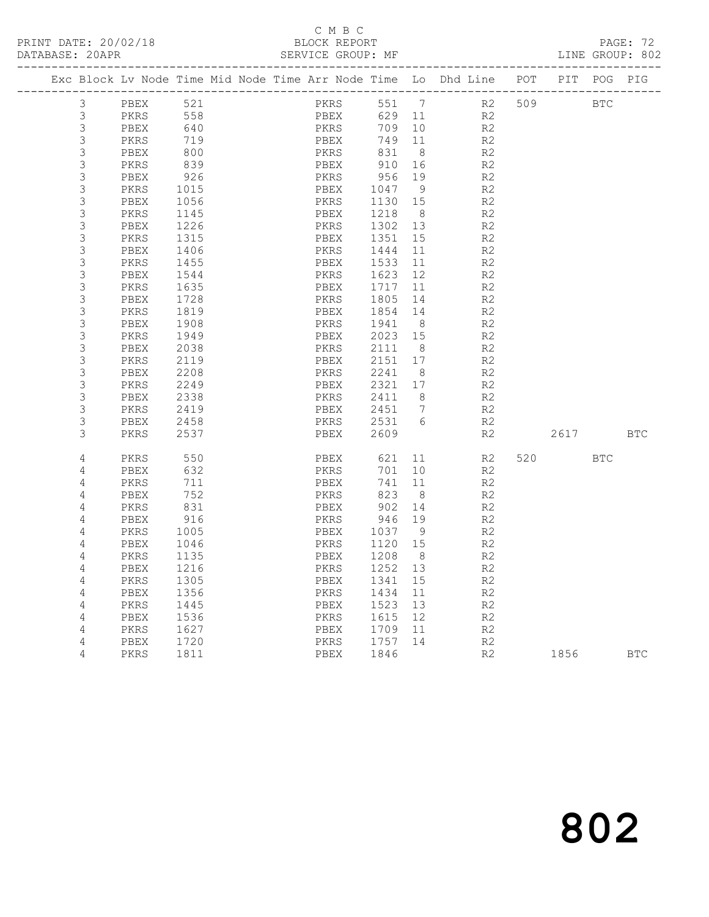### C M B C<br>BLOCK REPORT

|  |                           | Exc Block Lv Node Time Mid Node Time Arr Node Time Lo Dhd Line |      |  |      |      |       |                 |                | POT | PIT        | POG PIG    |            |
|--|---------------------------|----------------------------------------------------------------|------|--|------|------|-------|-----------------|----------------|-----|------------|------------|------------|
|  | 3                         | PBEX                                                           | 521  |  |      | PKRS | 551 7 |                 | R2             | 509 | <b>BTC</b> |            |            |
|  | $\mathfrak{Z}$            | PKRS                                                           | 558  |  | PBEX |      | 629   | 11              | R <sub>2</sub> |     |            |            |            |
|  | $\mathsf 3$               | PBEX                                                           | 640  |  | PKRS |      | 709   | 10              | R2             |     |            |            |            |
|  | $\mathsf 3$               | PKRS                                                           | 719  |  | PBEX |      | 749   | 11              | R <sub>2</sub> |     |            |            |            |
|  | 3                         | PBEX                                                           | 800  |  | PKRS |      | 831   | 8 <sup>8</sup>  | R <sub>2</sub> |     |            |            |            |
|  | $\mathsf 3$               | PKRS                                                           | 839  |  | PBEX |      | 910   | 16              | R2             |     |            |            |            |
|  | $\mathsf 3$               | PBEX                                                           | 926  |  | PKRS |      | 956   | 19              | R2             |     |            |            |            |
|  | $\mathsf 3$               | PKRS                                                           | 1015 |  | PBEX |      | 1047  | - 9             | R <sub>2</sub> |     |            |            |            |
|  | 3                         | PBEX                                                           | 1056 |  | PKRS |      | 1130  | 15              | R2             |     |            |            |            |
|  | $\mathsf 3$               | PKRS                                                           | 1145 |  | PBEX |      | 1218  | 8               | R2             |     |            |            |            |
|  | $\ensuremath{\mathsf{3}}$ | PBEX                                                           | 1226 |  | PKRS |      | 1302  | 13              | R <sub>2</sub> |     |            |            |            |
|  | 3                         | PKRS                                                           | 1315 |  | PBEX |      | 1351  | 15              | R <sub>2</sub> |     |            |            |            |
|  | 3                         | PBEX                                                           | 1406 |  | PKRS |      | 1444  | 11              | R2             |     |            |            |            |
|  | $\mathsf 3$               | PKRS                                                           | 1455 |  | PBEX |      | 1533  | 11              | R <sub>2</sub> |     |            |            |            |
|  | $\mathsf 3$               | PBEX                                                           | 1544 |  | PKRS |      | 1623  | 12 <sup>°</sup> | R <sub>2</sub> |     |            |            |            |
|  | $\mathsf 3$               | PKRS                                                           | 1635 |  | PBEX |      | 1717  | 11              | R <sub>2</sub> |     |            |            |            |
|  | $\mathsf 3$               | PBEX                                                           | 1728 |  | PKRS |      | 1805  | 14              | R2             |     |            |            |            |
|  | $\mathsf 3$               | PKRS                                                           | 1819 |  | PBEX |      | 1854  | 14              | R <sub>2</sub> |     |            |            |            |
|  | $\mathfrak{Z}$            | PBEX                                                           | 1908 |  | PKRS |      | 1941  | 8               | R2             |     |            |            |            |
|  | $\mathsf 3$               | PKRS                                                           | 1949 |  | PBEX |      | 2023  | 15              | R2             |     |            |            |            |
|  | $\mathfrak{Z}$            | PBEX                                                           | 2038 |  | PKRS |      | 2111  | 8               | R2             |     |            |            |            |
|  | $\mathsf 3$               | PKRS                                                           | 2119 |  | PBEX |      | 2151  | 17              | R <sub>2</sub> |     |            |            |            |
|  | $\mathsf 3$               | PBEX                                                           | 2208 |  | PKRS |      | 2241  | 8               | R <sub>2</sub> |     |            |            |            |
|  | $\mathsf 3$               | PKRS                                                           | 2249 |  | PBEX |      | 2321  | 17              | R2             |     |            |            |            |
|  | $\mathfrak{Z}$            | PBEX                                                           | 2338 |  | PKRS |      | 2411  | 8 <sup>8</sup>  | R2             |     |            |            |            |
|  | $\mathsf 3$               | PKRS                                                           | 2419 |  | PBEX |      | 2451  | $\overline{7}$  | R2             |     |            |            |            |
|  | $\mathsf 3$               | PBEX                                                           | 2458 |  | PKRS |      | 2531  | 6               | R2             |     |            |            |            |
|  | 3                         | PKRS                                                           | 2537 |  | PBEX |      | 2609  |                 | R <sub>2</sub> |     | 2617       |            | <b>BTC</b> |
|  | 4                         | PKRS                                                           | 550  |  | PBEX |      | 621   | 11              | R2             | 520 |            | <b>BTC</b> |            |
|  | 4                         | PBEX                                                           | 632  |  | PKRS |      | 701   | 10              | R2             |     |            |            |            |
|  | $\sqrt{4}$                | PKRS                                                           | 711  |  | PBEX |      | 741   | 11              | R <sub>2</sub> |     |            |            |            |
|  | 4                         | PBEX                                                           | 752  |  | PKRS |      | 823   | 8 <sup>8</sup>  | R <sub>2</sub> |     |            |            |            |
|  | 4                         | PKRS                                                           | 831  |  | PBEX |      | 902   | 14              | R <sub>2</sub> |     |            |            |            |
|  | 4                         | PBEX                                                           | 916  |  | PKRS |      | 946   | 19              | R2             |     |            |            |            |
|  | $\overline{4}$            | PKRS                                                           | 1005 |  | PBEX |      | 1037  | 9               | R2             |     |            |            |            |
|  | $\overline{4}$            | PBEX                                                           | 1046 |  | PKRS |      | 1120  | 15              | R <sub>2</sub> |     |            |            |            |
|  | 4                         | PKRS                                                           | 1135 |  | PBEX |      | 1208  | 8 <sup>8</sup>  | R <sub>2</sub> |     |            |            |            |
|  | 4                         | PBEX                                                           | 1216 |  | PKRS |      | 1252  | 13              | R2             |     |            |            |            |
|  | $\overline{4}$            | PKRS                                                           | 1305 |  | PBEX |      | 1341  | 15              | R2             |     |            |            |            |
|  | 4                         | PBEX                                                           | 1356 |  | PKRS |      | 1434  | 11              | R <sub>2</sub> |     |            |            |            |
|  | 4                         | PKRS                                                           | 1445 |  | PBEX |      | 1523  | 13              | R <sub>2</sub> |     |            |            |            |
|  | 4                         | PBEX                                                           | 1536 |  | PKRS |      | 1615  | 12              | R <sub>2</sub> |     |            |            |            |
|  | 4                         | PKRS                                                           | 1627 |  | PBEX |      | 1709  | 11              | R <sub>2</sub> |     |            |            |            |
|  | 4                         | PBEX                                                           | 1720 |  | PKRS |      | 1757  | 14              | R <sub>2</sub> |     |            |            |            |
|  | 4                         | PKRS                                                           | 1811 |  | PBEX |      | 1846  |                 | R <sub>2</sub> |     | 1856       |            | <b>BTC</b> |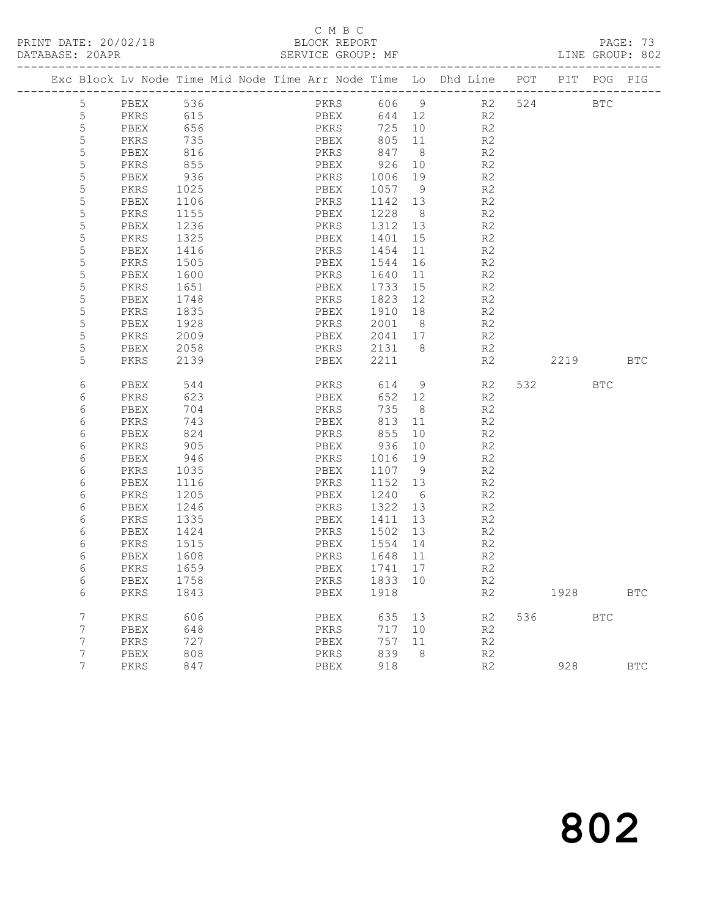## C M B C<br>BLOCK REPORT

|  |             |                      |            |  |      |              |                           |                | Exc Block Lv Node Time Mid Node Time Arr Node Time Lo Dhd Line POT |    |     |          | PIT POG PIG |              |
|--|-------------|----------------------|------------|--|------|--------------|---------------------------|----------------|--------------------------------------------------------------------|----|-----|----------|-------------|--------------|
|  | 5           |                      |            |  |      |              |                           |                | PKRS 606 9 R2<br>PREV 644 12 R2                                    |    |     | 524 BTC  |             |              |
|  | $\mathsf S$ | PBEX 536<br>PKRS 615 |            |  |      |              | PBEX 644 12               |                | R <sub>2</sub>                                                     |    |     |          |             |              |
|  | $\mathsf S$ | PBEX                 | 656        |  |      |              | <b>PKRS</b> 725           | 10             | R2                                                                 |    |     |          |             |              |
|  | 5           | PKRS                 | 735        |  |      |              | PBEX 805                  | 11             | R2                                                                 |    |     |          |             |              |
|  | $\mathsf S$ | PBEX                 | 816<br>855 |  |      |              |                           |                | R2                                                                 |    |     |          |             |              |
|  | 5           | PKRS                 |            |  |      |              | PKRS 847 8<br>PBEX 926 10 |                | R2                                                                 |    |     |          |             |              |
|  | 5           | PBEX                 | 936        |  |      | PKRS         | 1006 19                   |                | R2                                                                 |    |     |          |             |              |
|  | 5           | PKRS                 | 1025       |  | PBEX |              | 1057 9                    |                | R2                                                                 |    |     |          |             |              |
|  | 5           | PBEX                 | 1106       |  | PKRS |              | 1142 13                   |                | R2                                                                 |    |     |          |             |              |
|  | $\mathsf S$ | PKRS                 | 1155       |  | PBEX |              | 1228 8                    |                | R2                                                                 |    |     |          |             |              |
|  | 5           | PBEX                 | 1236       |  |      |              | PKRS 1312 13              |                | R2                                                                 |    |     |          |             |              |
|  | 5           | PKRS                 | 1325       |  | PBEX |              | 1401                      | 15             | R2                                                                 |    |     |          |             |              |
|  | $\mathsf S$ | PBEX                 | 1416       |  | PKRS |              | 1454                      | 11             | R2                                                                 |    |     |          |             |              |
|  | $\mathsf S$ | PKRS                 | 1505       |  | PBEX |              | 1544                      | 16             | R2                                                                 |    |     |          |             |              |
|  | $\mathsf S$ | PBEX                 | 1600       |  | PKRS |              | 1640                      | 11             | R2                                                                 |    |     |          |             |              |
|  | 5           | PKRS                 | 1651       |  | PBEX |              | 1733                      | 15             | R2                                                                 |    |     |          |             |              |
|  | 5           | PBEX                 | 1748       |  | PKRS |              | 1823 12                   |                | R2                                                                 |    |     |          |             |              |
|  | $\mathsf S$ | PKRS                 | 1835       |  | PBEX |              | 1910 18                   |                | R2                                                                 |    |     |          |             |              |
|  | $\mathsf S$ | PBEX                 | 1928       |  |      |              | PKRS 2001 8               |                | R2                                                                 |    |     |          |             |              |
|  | 5           | PKRS                 | 2009       |  | PBEX |              |                           |                | 2041 17 R2                                                         |    |     |          |             |              |
|  | 5           | PBEX                 | 2058       |  |      |              | PKRS 2131 8               |                | R2                                                                 |    |     |          |             |              |
|  | 5           | PKRS                 | 2139       |  | PBEX |              | 2211                      |                | R2                                                                 |    |     | 2219 BTC |             |              |
|  | 6           | PBEX                 | 544        |  |      |              |                           |                | PKRS 614 9                                                         | R2 |     | 532 BTC  |             |              |
|  | 6           | PKRS                 | 623        |  | PBEX |              | 652                       | 12             | R2                                                                 |    |     |          |             |              |
|  | 6           | PBEX                 | 704        |  |      |              | 735                       | 8 <sup>8</sup> | R2                                                                 |    |     |          |             |              |
|  | 6           | PKRS                 | 743        |  | PBEX | PKRS<br>PBEX | 813                       | 11             | R2                                                                 |    |     |          |             |              |
|  | 6           | PBEX                 | 824        |  |      |              | PKRS 855                  | 10             | R2                                                                 |    |     |          |             |              |
|  | 6           | PKRS                 | 905        |  | PBEX |              | 936                       | 10             | R2                                                                 |    |     |          |             |              |
|  | 6           | PBEX                 | 946        |  | PKRS |              | 1016 19                   |                | R2                                                                 |    |     |          |             |              |
|  | 6           | PKRS                 | 1035       |  | PBEX |              | 1107 9                    |                | R2                                                                 |    |     |          |             |              |
|  | 6           | PBEX                 | 1116       |  | PKRS |              | 1152 13                   |                | R2                                                                 |    |     |          |             |              |
|  | 6           | PKRS                 | 1205       |  | PBEX |              | 1240 6                    |                | R <sub>2</sub>                                                     |    |     |          |             |              |
|  | 6           | PBEX                 | 1246       |  | PKRS |              | 1322 13                   |                | R <sub>2</sub>                                                     |    |     |          |             |              |
|  | 6           | PKRS                 | 1335       |  | PBEX |              | 1411                      | 13             | R2                                                                 |    |     |          |             |              |
|  | 6           | PBEX                 | 1424       |  | PKRS |              | 1502                      | 13             | R2                                                                 |    |     |          |             |              |
|  | 6           | PKRS                 | 1515       |  | PBEX |              | 1554                      | 14             | R2                                                                 |    |     |          |             |              |
|  | 6           | PBEX                 | 1608       |  | PKRS |              | 1648                      | 11             | R2                                                                 |    |     |          |             |              |
|  | 6           | PKRS                 | 1659       |  | PBEX |              | 1741                      | 17             | R2                                                                 |    |     |          |             |              |
|  | 6           | PBEX 1758            |            |  |      |              | PKRS 1833 10              |                | R2                                                                 |    |     |          |             |              |
|  | 6           | PKRS                 | 1843       |  | PBEX |              | 1918                      |                | R2                                                                 |    |     | 1928     |             | $_{\rm BTC}$ |
|  | 7           | PKRS                 | 606        |  | PBEX |              | 635 13                    |                | R2                                                                 |    | 536 | BTC      |             |              |
|  | 7           | PBEX                 | 648        |  | PKRS |              | 717                       | 10             | R2                                                                 |    |     |          |             |              |
|  | 7           | PKRS                 | 727        |  | PBEX |              | 757                       | 11             | R2                                                                 |    |     |          |             |              |
|  | 7           | PBEX                 | 808        |  | PKRS |              | 839                       | 8              | R2                                                                 |    |     |          |             |              |
|  | 7           | PKRS                 | 847        |  | PBEX |              | 918                       |                | R2                                                                 |    |     | 928      |             | <b>BTC</b>   |
|  |             |                      |            |  |      |              |                           |                |                                                                    |    |     |          |             |              |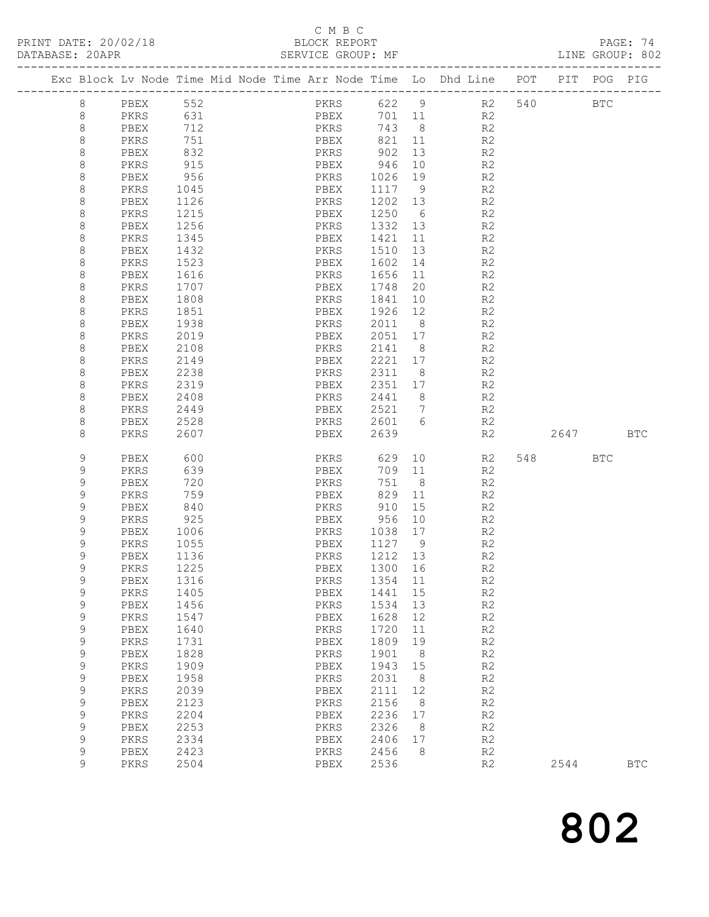## C M B C<br>BLOCK REPORT

PAGE: 74<br>LINE GROUP: 802

|  |             |           |      |  |              |         |                | Exc Block Lv Node Time Mid Node Time Arr Node Time Lo Dhd Line POT | PIT     | POG        | PIG          |
|--|-------------|-----------|------|--|--------------|---------|----------------|--------------------------------------------------------------------|---------|------------|--------------|
|  | 8           | PBEX 552  |      |  | PKRS 622 9   |         |                |                                                                    | R2 540  | <b>BTC</b> |              |
|  | 8           | PKRS      | 631  |  | PBEX         | 701 11  |                | R2                                                                 |         |            |              |
|  | 8           | PBEX 712  |      |  | PKRS 743 8   |         |                | R2                                                                 |         |            |              |
|  | 8           | PKRS      | 751  |  | PBEX         |         |                | 821 11<br>R2                                                       |         |            |              |
|  | 8           | PBEX      | 832  |  | PKRS         | 902     | 13             | R2                                                                 |         |            |              |
|  | $\,8\,$     | PKRS      | 915  |  | PBEX         | 946     | 10             | R2                                                                 |         |            |              |
|  | 8           | PBEX      | 956  |  | PKRS         | 1026    | 19             | R2                                                                 |         |            |              |
|  | 8           | PKRS      | 1045 |  | PBEX         | 1117 9  |                | R2                                                                 |         |            |              |
|  | 8           | PBEX      | 1126 |  | PKRS         | 1202 13 |                | R2                                                                 |         |            |              |
|  | $\,8\,$     | PKRS      | 1215 |  | PBEX         | 1250 6  |                | R2                                                                 |         |            |              |
|  | 8           | PBEX      | 1256 |  | PKRS         | 1332 13 |                | R2                                                                 |         |            |              |
|  | 8           | PKRS      | 1345 |  | PBEX         | 1421 11 |                | R2                                                                 |         |            |              |
|  | 8           | PBEX      | 1432 |  | PKRS         | 1510    | 13             | R2                                                                 |         |            |              |
|  | $\,8\,$     | PKRS      | 1523 |  | PBEX         | 1602    | 14             | R2                                                                 |         |            |              |
|  | 8           | PBEX      | 1616 |  | PKRS         | 1656    | 11             | R2                                                                 |         |            |              |
|  | 8           | PKRS      | 1707 |  | PBEX         | 1748    | 20             | R2                                                                 |         |            |              |
|  | 8           | PBEX      | 1808 |  | PKRS         | 1841    | 10             | R <sub>2</sub>                                                     |         |            |              |
|  | $\,8\,$     | PKRS      | 1851 |  | PBEX         | 1926    | 12             | R2                                                                 |         |            |              |
|  | 8           | PBEX      | 1938 |  | PKRS         | 2011    | 8 <sup>8</sup> | R2                                                                 |         |            |              |
|  | 8           | PKRS      | 2019 |  | PBEX         | 2051 17 |                | R <sub>2</sub>                                                     |         |            |              |
|  | 8           | PBEX      | 2108 |  | PKRS         | 2141    | 8 <sup>8</sup> | R <sub>2</sub>                                                     |         |            |              |
|  | 8           | PKRS      | 2149 |  | PBEX         | 2221    | 17             | R2                                                                 |         |            |              |
|  | $\,8\,$     | PBEX      | 2238 |  | PKRS         | 2311    | 8 <sup>8</sup> | R2                                                                 |         |            |              |
|  | 8           | PKRS      | 2319 |  | PBEX         | 2351    | 17             | R2                                                                 |         |            |              |
|  | 8           | PBEX      | 2408 |  | PKRS         | 2441    | 8 <sup>8</sup> | R2                                                                 |         |            |              |
|  | 8           | PKRS      | 2449 |  | PBEX         | 2521 7  |                | R2                                                                 |         |            |              |
|  | $\,8\,$     | PBEX      | 2528 |  | PKRS         | 2601 6  |                | R2                                                                 |         |            |              |
|  | 8           | PKRS      | 2607 |  | PBEX         | 2639    |                | R2                                                                 | 2647    | <b>BTC</b> |              |
|  | 9           | PBEX      | 600  |  | PKRS         | 629     | 10             | R2                                                                 | 548 BTC |            |              |
|  | 9           | PKRS      | 639  |  | PBEX         | 709     | 11             | R2                                                                 |         |            |              |
|  | 9           | PBEX      | 720  |  | PKRS         | 751     | 8 <sup>8</sup> | R2                                                                 |         |            |              |
|  | 9           | PKRS      | 759  |  | PBEX         | 829     | 11             | R <sub>2</sub>                                                     |         |            |              |
|  | $\mathsf 9$ | PBEX      | 840  |  | PKRS         | 910     | 15             | R <sub>2</sub>                                                     |         |            |              |
|  | $\mathsf 9$ | PKRS      | 925  |  | PBEX         | 956     | 10             | R2                                                                 |         |            |              |
|  | $\mathsf 9$ | PBEX      | 1006 |  | PKRS         | 1038    | 17             | R2                                                                 |         |            |              |
|  | 9           | PKRS      | 1055 |  | PBEX         | 1127 9  |                | R <sub>2</sub>                                                     |         |            |              |
|  | 9           | PBEX      | 1136 |  | PKRS         | 1212 13 |                | R2                                                                 |         |            |              |
|  | 9           | PKRS      | 1225 |  | PBEX         | 1300    | 16             | R2                                                                 |         |            |              |
|  | 9           | PBEX 1316 |      |  | PKRS 1354 11 |         |                | R <sub>2</sub>                                                     |         |            |              |
|  | 9           | PKRS      | 1405 |  | PBEX         | 1441    | 15             | R <sub>2</sub>                                                     |         |            |              |
|  | 9           | PBEX      | 1456 |  | PKRS         | 1534    | 13             | R2                                                                 |         |            |              |
|  | $\mathsf 9$ | PKRS      | 1547 |  | PBEX         | 1628    | 12             | R2                                                                 |         |            |              |
|  | $\mathsf 9$ | PBEX      | 1640 |  | PKRS         | 1720    | 11             | R2                                                                 |         |            |              |
|  | 9           | PKRS      | 1731 |  | PBEX         | 1809    | 19             | R2                                                                 |         |            |              |
|  | 9           | PBEX      | 1828 |  | PKRS         | 1901    | - 8            | R2                                                                 |         |            |              |
|  | $\mathsf 9$ | PKRS      | 1909 |  | PBEX         | 1943    | 15             | R2                                                                 |         |            |              |
|  | $\mathsf 9$ | PBEX      | 1958 |  | PKRS         | 2031    | 8              | R2                                                                 |         |            |              |
|  | 9           | PKRS      | 2039 |  | PBEX         | 2111    | 12             | R2                                                                 |         |            |              |
|  | 9           | PBEX      | 2123 |  | PKRS         | 2156    | - 8            | R2                                                                 |         |            |              |
|  | $\mathsf 9$ | PKRS      | 2204 |  | ${\tt PBEX}$ | 2236    | 17             | R2                                                                 |         |            |              |
|  | $\mathsf 9$ | PBEX      | 2253 |  | PKRS         | 2326    | 8              | R2                                                                 |         |            |              |
|  | 9           | PKRS      | 2334 |  | PBEX         | 2406    | 17             | R2                                                                 |         |            |              |
|  | 9           | PBEX      | 2423 |  | PKRS         | 2456    | 8              | R2                                                                 |         |            |              |
|  | 9           | PKRS      | 2504 |  | PBEX         | 2536    |                | R2                                                                 | 2544    |            | $_{\rm BTC}$ |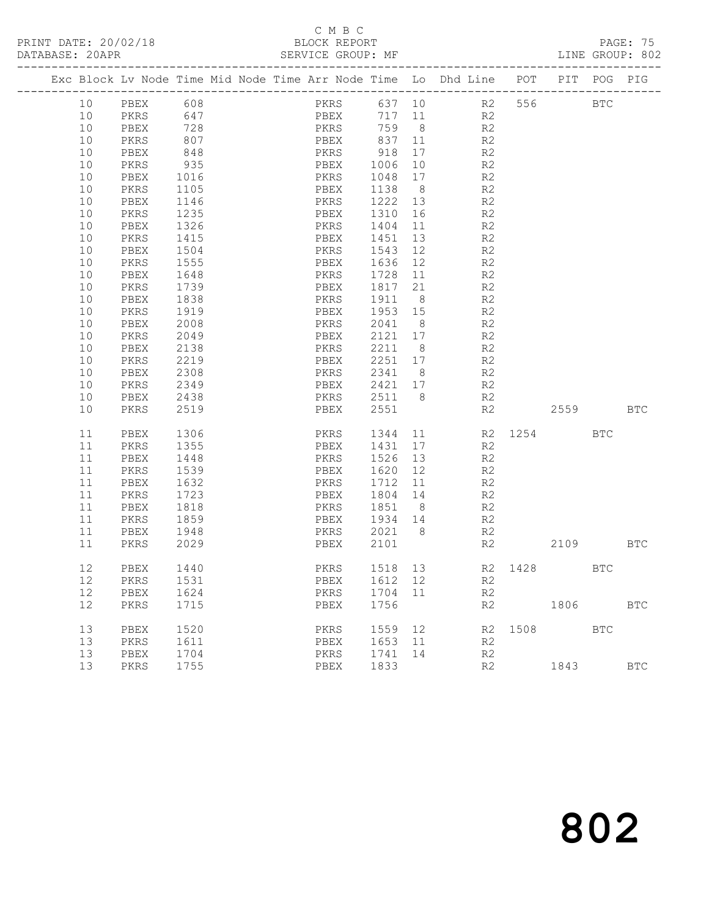## C M B C<br>BLOCK REPORT

|  |          |              |              |  |      |      |              |          | Exc Block Lv Node Time Mid Node Time Arr Node Time Lo Dhd Line POT PIT |         |            | POG | PIG          |
|--|----------|--------------|--------------|--|------|------|--------------|----------|------------------------------------------------------------------------|---------|------------|-----|--------------|
|  | 10       | PBEX 608     |              |  |      |      |              |          | PKRS 637 10 R2 556 BTC                                                 |         |            |     |              |
|  | 10       |              |              |  |      |      |              |          | $R^2$                                                                  |         |            |     |              |
|  | 10       |              |              |  |      |      |              |          | R <sub>2</sub>                                                         |         |            |     |              |
|  | 10       | PKRS         | 807          |  |      |      |              |          | PBEX 837 11 R2                                                         |         |            |     |              |
|  | 10       | PBEX         | 848          |  |      |      | PKRS 918     | 17       | R <sub>2</sub>                                                         |         |            |     |              |
|  | 10       | PKRS         | 935          |  | PBEX |      | 1006 10      |          | R2                                                                     |         |            |     |              |
|  | 10       | PBEX         | 1016         |  | PKRS |      | 1048         | 17       | R <sub>2</sub>                                                         |         |            |     |              |
|  | 10       | PKRS         | 1105         |  | PBEX |      | 1138 8       |          | R2                                                                     |         |            |     |              |
|  | 10       | PBEX         | 1146         |  | PKRS |      | 1222 13      |          | R2                                                                     |         |            |     |              |
|  | 10       | PKRS         | 1235         |  | PBEX |      | 1310 16      |          | R <sub>2</sub>                                                         |         |            |     |              |
|  | 10       | PBEX         | 1326         |  | PKRS |      | 1404         | 11       | R2                                                                     |         |            |     |              |
|  | 10       | PKRS         | 1415         |  | PBEX |      | 1451         |          | 13<br>R2                                                               |         |            |     |              |
|  | 10       | PBEX         | 1504         |  | PKRS |      | 1543         |          | 12 and $\overline{a}$<br>R2                                            |         |            |     |              |
|  | 10       | PKRS         | 1555         |  | PBEX |      | 1636 12      |          | R <sub>2</sub>                                                         |         |            |     |              |
|  | 10       | PBEX         | 1648         |  | PKRS |      | 1728 11      |          | R <sub>2</sub>                                                         |         |            |     |              |
|  | $10$     | PKRS         | 1739         |  | PBEX |      | 1817         | 21       | R2                                                                     |         |            |     |              |
|  | 10       | PBEX         | 1838         |  | PKRS |      | 1911 8       |          | R2                                                                     |         |            |     |              |
|  | 10       | PKRS         | 1919         |  | PBEX |      | 1953 15      |          | R <sub>2</sub>                                                         |         |            |     |              |
|  | 10       | PBEX         | 2008         |  | PKRS |      | 2041 8       |          | R <sub>2</sub>                                                         |         |            |     |              |
|  | 10       | PKRS         | 2049         |  | PBEX |      |              |          | $2121 \t 17$ R2                                                        |         |            |     |              |
|  | 10       | PBEX         | 2138         |  | PKRS |      | 2211 8       |          | R2                                                                     |         |            |     |              |
|  | 10       | PKRS         | 2219         |  | PBEX |      |              |          | 2251 17 R2                                                             |         |            |     |              |
|  | 10       | PBEX         | 2308         |  | PKRS |      | 2341 8       |          | R2<br>R2                                                               |         |            |     |              |
|  | 10       | PKRS         | 2349         |  | PBEX |      | 2421 17      |          |                                                                        |         |            |     |              |
|  | 10       | PBEX         | 2438         |  |      |      | PKRS 2511 8  |          | R2                                                                     |         |            |     |              |
|  | 10       | PKRS         | 2519         |  | PBEX |      | 2551         |          |                                                                        | R2      | 2559 BTC   |     |              |
|  | 11       | PBEX         | 1306         |  |      | PKRS | 1344         |          | 11 R2 1254 BTC                                                         |         |            |     |              |
|  | 11       | PKRS         | 1355         |  | PBEX |      |              |          | 1431 17<br>R2                                                          |         |            |     |              |
|  | 11       | PBEX         | 1448         |  | PKRS |      | 1526         | 13       | R2                                                                     |         |            |     |              |
|  | 11       | PKRS         | 1539         |  | PBEX |      | 1620 12      |          | R2                                                                     |         |            |     |              |
|  | 11       | PBEX         | 1632         |  | PKRS |      | 1712         | 11       | R2                                                                     |         |            |     |              |
|  | 11       | PKRS         | 1723         |  | PBEX |      | 1804 14      |          | R2                                                                     |         |            |     |              |
|  | 11       | PBEX         | 1818         |  | PKRS |      | 1851 8       |          | R2                                                                     |         |            |     |              |
|  | 11       | PKRS         | 1859         |  | PBEX |      | 1934 14      |          | R2                                                                     |         |            |     |              |
|  | 11       | PBEX         | 1948         |  | PKRS |      | 2021 8       |          |                                                                        |         |            |     |              |
|  | 11       | PKRS         | 2029         |  | PBEX |      | 2101         |          | R2<br>R2                                                               |         | 2109 BTC   |     |              |
|  | 12       | PBEX         | 1440         |  | PKRS |      |              |          | 1518 13 R2 1428 BTC                                                    |         |            |     |              |
|  |          | 12 PKRS 1531 |              |  |      |      | PBEX 1612 12 |          | R2                                                                     |         |            |     |              |
|  | 12       | PBEX         | 1624         |  | PKRS |      | 1704 11      |          | R2                                                                     |         |            |     |              |
|  | 12       | PKRS         | 1715         |  | PBEX |      | 1756         |          | R2                                                                     |         | 1806       |     | $_{\rm BTC}$ |
|  |          |              |              |  |      |      |              |          |                                                                        |         |            |     |              |
|  | 13<br>13 | PBEX         | 1520<br>1611 |  | PKRS |      | 1559<br>1653 | 12<br>11 | R2                                                                     | R2 1508 | <b>BTC</b> |     |              |
|  |          | PKRS         |              |  | PBEX |      |              |          |                                                                        |         |            |     |              |
|  | 13       | PBEX         | 1704         |  | PKRS |      | 1741         | 14       | R2                                                                     |         |            |     |              |
|  | 13       | PKRS         | 1755         |  | PBEX |      | 1833         |          | R2                                                                     |         | 1843       |     | <b>BTC</b>   |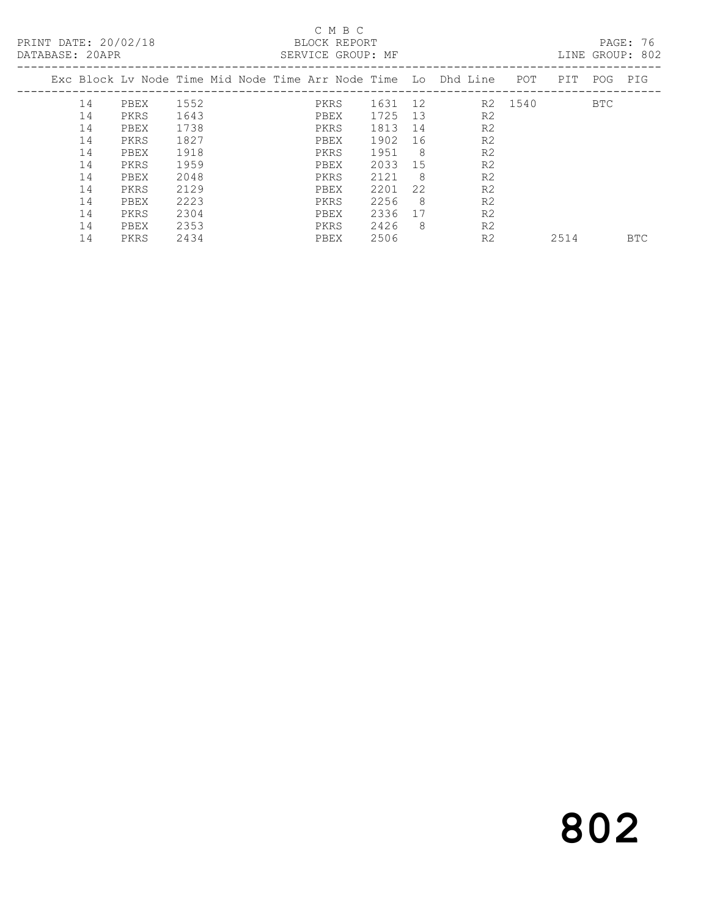## C M B C<br>BLOCK REPORT

LINE GROUP: 802

|    |      |      |  |      |      |     | Exc Block Ly Node Time Mid Node Time Arr Node Time Lo Dhd Line | POT  | PIT  | POG        | PIG        |
|----|------|------|--|------|------|-----|----------------------------------------------------------------|------|------|------------|------------|
| 14 | PBEX | 1552 |  | PKRS | 1631 | 12  | R2                                                             | 1540 |      | <b>BTC</b> |            |
| 14 | PKRS | 1643 |  | PBEX | 1725 | 13  | R <sub>2</sub>                                                 |      |      |            |            |
| 14 | PBEX | 1738 |  | PKRS | 1813 | 14  | R <sub>2</sub>                                                 |      |      |            |            |
| 14 | PKRS | 1827 |  | PBEX | 1902 | 16  | R <sub>2</sub>                                                 |      |      |            |            |
| 14 | PBEX | 1918 |  | PKRS | 1951 | - 8 | R <sub>2</sub>                                                 |      |      |            |            |
| 14 | PKRS | 1959 |  | PBEX | 2033 | 15  | R <sub>2</sub>                                                 |      |      |            |            |
| 14 | PBEX | 2048 |  | PKRS | 2121 | - 8 | R <sub>2</sub>                                                 |      |      |            |            |
| 14 | PKRS | 2129 |  | PBEX | 2201 | 22  | R <sub>2</sub>                                                 |      |      |            |            |
| 14 | PBEX | 2223 |  | PKRS | 2256 | - 8 | R <sub>2</sub>                                                 |      |      |            |            |
| 14 | PKRS | 2304 |  | PBEX | 2336 | 17  | R <sub>2</sub>                                                 |      |      |            |            |
| 14 | PBEX | 2353 |  | PKRS | 2426 | - 8 | R <sub>2</sub>                                                 |      |      |            |            |
| 14 | PKRS | 2434 |  | PBEX | 2506 |     | R <sub>2</sub>                                                 |      | 2514 |            | <b>BTC</b> |
|    |      |      |  |      |      |     |                                                                |      |      |            |            |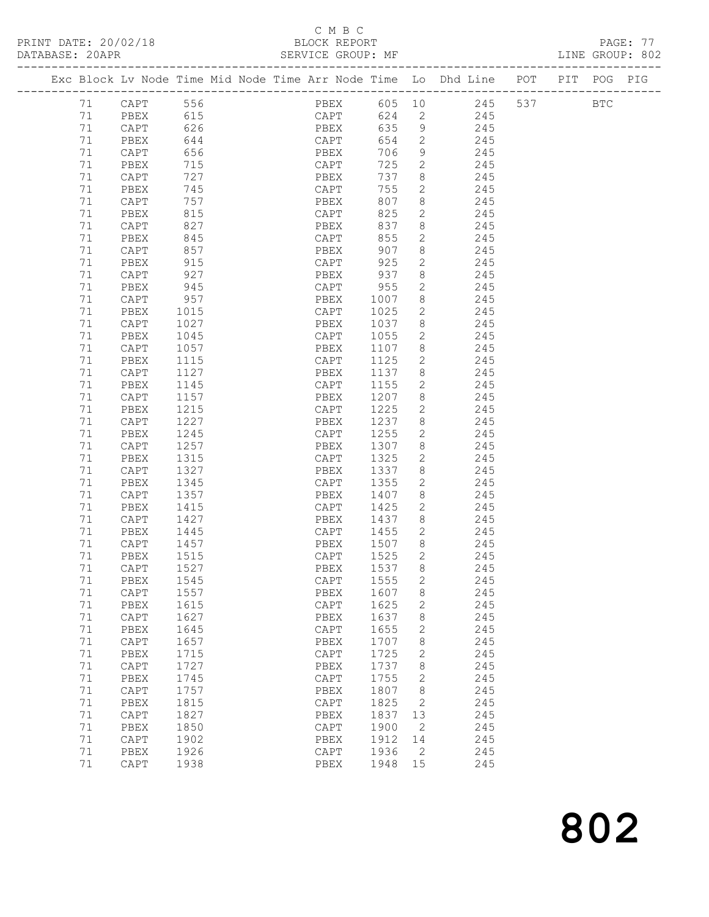## C M B C<br>BLOCK REPORT

PAGE: 77<br>LINE GROUP: 802

|    | Exc Block Lv Node Time Mid Node Time Arr Node Time Lo Dhd Line POT |      |  |      |      |             |                          |     |     | PIT POG PIG |  |
|----|--------------------------------------------------------------------|------|--|------|------|-------------|--------------------------|-----|-----|-------------|--|
| 71 | CAPT                                                               | 556  |  |      |      | PBEX 605 10 |                          | 245 | 537 | <b>BTC</b>  |  |
| 71 | PBEX                                                               | 615  |  |      | CAPT | 624         | $\overline{2}$           | 245 |     |             |  |
| 71 | CAPT                                                               | 626  |  | PBEX |      | 635         | 9                        | 245 |     |             |  |
| 71 | PBEX                                                               | 644  |  | CAPT |      | 654         | 2                        | 245 |     |             |  |
| 71 | CAPT                                                               | 656  |  | PBEX |      | 706         | 9                        | 245 |     |             |  |
| 71 | PBEX                                                               | 715  |  | CAPT |      | 725         | 2                        | 245 |     |             |  |
| 71 | CAPT                                                               | 727  |  | PBEX |      | 737         | 8                        | 245 |     |             |  |
| 71 | PBEX                                                               | 745  |  | CAPT |      | 755         | $\mathbf{2}$             | 245 |     |             |  |
| 71 | CAPT                                                               | 757  |  | PBEX |      | 807         | 8                        | 245 |     |             |  |
| 71 | PBEX                                                               | 815  |  | CAPT |      | 825         | $\overline{2}$           | 245 |     |             |  |
| 71 | CAPT                                                               | 827  |  | PBEX |      | 837         | 8                        | 245 |     |             |  |
| 71 | PBEX                                                               | 845  |  | CAPT |      | 855         | $\mathbf{2}$             | 245 |     |             |  |
| 71 | CAPT                                                               | 857  |  | PBEX |      | 907         | 8                        | 245 |     |             |  |
| 71 | PBEX                                                               | 915  |  | CAPT |      | 925         | $\mathbf{2}$             | 245 |     |             |  |
| 71 | CAPT                                                               | 927  |  | PBEX |      | 937         | 8                        | 245 |     |             |  |
| 71 | PBEX                                                               | 945  |  | CAPT |      | 955         | $\mathbf{2}$             | 245 |     |             |  |
| 71 | CAPT                                                               | 957  |  | PBEX |      | 1007        | 8                        | 245 |     |             |  |
| 71 | PBEX                                                               | 1015 |  | CAPT |      | 1025        | 2                        | 245 |     |             |  |
| 71 | CAPT                                                               | 1027 |  | PBEX |      | 1037        | 8 <sup>8</sup>           | 245 |     |             |  |
| 71 | PBEX                                                               | 1045 |  | CAPT |      | 1055        | 2                        | 245 |     |             |  |
| 71 | $\texttt{CAPT}$                                                    | 1057 |  | PBEX |      | 1107        | 8                        | 245 |     |             |  |
| 71 | PBEX                                                               | 1115 |  | CAPT |      | 1125        | $\mathbf{2}$             | 245 |     |             |  |
| 71 | CAPT                                                               | 1127 |  | PBEX |      | 1137        | 8 <sup>8</sup>           | 245 |     |             |  |
| 71 | PBEX                                                               | 1145 |  | CAPT |      | 1155        | $\overline{2}$           | 245 |     |             |  |
| 71 | $\texttt{CAPT}$                                                    | 1157 |  | PBEX |      | 1207 8      |                          | 245 |     |             |  |
| 71 | PBEX                                                               | 1215 |  | CAPT |      | 1225        | $\overline{2}$           | 245 |     |             |  |
| 71 | CAPT                                                               | 1227 |  | PBEX |      | 1237 8      |                          | 245 |     |             |  |
| 71 | PBEX                                                               | 1245 |  | CAPT |      | 1255        | $\overline{2}$           | 245 |     |             |  |
| 71 | CAPT                                                               | 1257 |  | PBEX |      | 1307        | 8                        | 245 |     |             |  |
| 71 | PBEX                                                               | 1315 |  | CAPT |      | 1325        | $\mathbf{2}$             | 245 |     |             |  |
| 71 | $\texttt{CAPT}$                                                    | 1327 |  | PBEX |      | 1337        | 8                        | 245 |     |             |  |
| 71 | PBEX                                                               | 1345 |  | CAPT |      | 1355        | 2                        | 245 |     |             |  |
| 71 | ${\tt CAPT}$                                                       | 1357 |  | PBEX |      | 1407        | 8                        | 245 |     |             |  |
| 71 | PBEX                                                               | 1415 |  | CAPT |      | 1425        | 2                        | 245 |     |             |  |
| 71 | CAPT                                                               | 1427 |  | PBEX |      | 1437        | 8 <sup>8</sup>           | 245 |     |             |  |
| 71 | PBEX                                                               | 1445 |  | CAPT |      | 1455        | $\overline{2}$           | 245 |     |             |  |
| 71 | CAPT                                                               | 1457 |  | PBEX |      | 1507        | 8 <sup>8</sup>           | 245 |     |             |  |
| 71 | PBEX                                                               | 1515 |  | CAPT |      | 1525        | $\overline{\phantom{0}}$ | 245 |     |             |  |
| 71 | CAPT                                                               | 1527 |  | PBEX |      | 1537        | 8                        | 245 |     |             |  |
| 71 | PBEX 1545                                                          |      |  |      |      | CAPT 1555   | $\overline{2}$           | 245 |     |             |  |
| 71 | CAPT                                                               | 1557 |  | PBEX |      | 1607        | 8                        | 245 |     |             |  |
| 71 | PBEX                                                               | 1615 |  | CAPT |      | 1625        | 2                        | 245 |     |             |  |
| 71 | CAPT                                                               | 1627 |  | PBEX |      | 1637        | 8                        | 245 |     |             |  |
| 71 | PBEX                                                               | 1645 |  | CAPT |      | 1655        | 2                        | 245 |     |             |  |
| 71 | CAPT                                                               | 1657 |  | PBEX |      | 1707        | 8                        | 245 |     |             |  |
| 71 | PBEX                                                               | 1715 |  | CAPT |      | 1725        | $\mathbf{2}$             | 245 |     |             |  |
| 71 | CAPT                                                               | 1727 |  | PBEX |      | 1737        | 8                        | 245 |     |             |  |
| 71 | PBEX                                                               | 1745 |  | CAPT |      | 1755        | $\overline{2}$           | 245 |     |             |  |
| 71 | CAPT                                                               | 1757 |  | PBEX |      | 1807        | 8                        | 245 |     |             |  |
| 71 | PBEX                                                               | 1815 |  | CAPT |      | 1825        | $\overline{\phantom{a}}$ | 245 |     |             |  |
| 71 | CAPT                                                               | 1827 |  | PBEX |      | 1837        | 13                       | 245 |     |             |  |
| 71 | PBEX                                                               | 1850 |  | CAPT |      | 1900        | $\overline{2}$           | 245 |     |             |  |
| 71 | CAPT                                                               | 1902 |  | PBEX |      | 1912        | 14                       | 245 |     |             |  |
| 71 | PBEX                                                               | 1926 |  | CAPT |      | 1936        | $\overline{2}$           | 245 |     |             |  |
| 71 | CAPT                                                               | 1938 |  | PBEX |      | 1948        | 15                       | 245 |     |             |  |
|    |                                                                    |      |  |      |      |             |                          |     |     |             |  |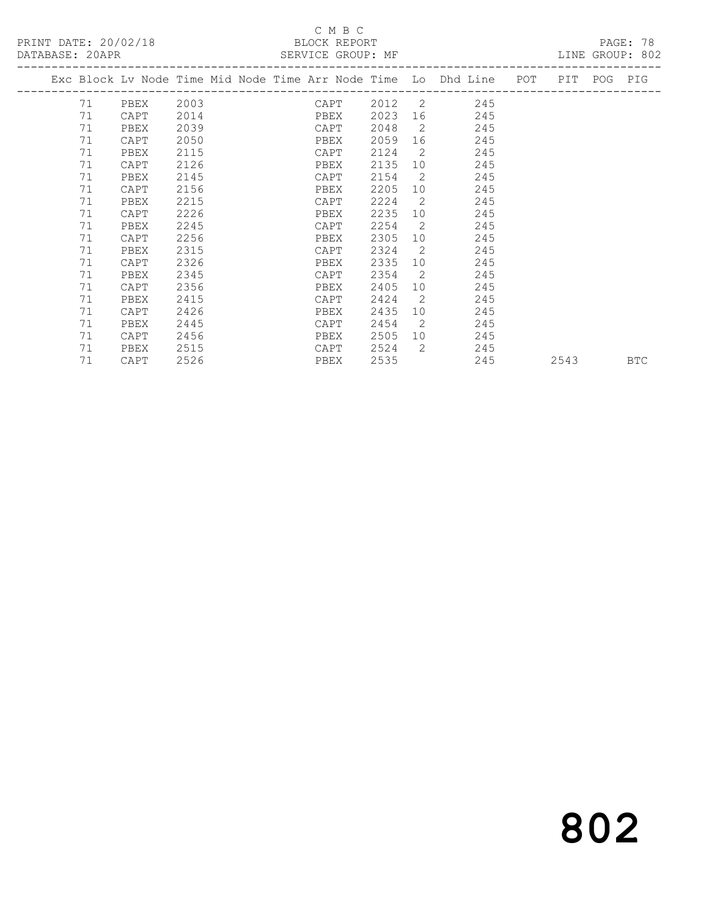## C M B C<br>BLOCK REPORT

LINE GROUP: 802

|  |    |      |      |  |      |      |                 | Exc Block Lv Node Time Mid Node Time Arr Node Time Lo Dhd Line | POT | PIT  | POG | PIG        |
|--|----|------|------|--|------|------|-----------------|----------------------------------------------------------------|-----|------|-----|------------|
|  | 71 | PBEX | 2003 |  | CAPT | 2012 | 2               | 245                                                            |     |      |     |            |
|  | 71 | CAPT | 2014 |  | PBEX | 2023 | 16              | 245                                                            |     |      |     |            |
|  | 71 | PBEX | 2039 |  | CAPT | 2048 | 2               | 245                                                            |     |      |     |            |
|  | 71 | CAPT | 2050 |  | PBEX | 2059 | 16              | 245                                                            |     |      |     |            |
|  | 71 | PBEX | 2115 |  | CAPT | 2124 | 2               | 245                                                            |     |      |     |            |
|  | 71 | CAPT | 2126 |  | PBEX | 2135 | 10              | 245                                                            |     |      |     |            |
|  | 71 | PBEX | 2145 |  | CAPT | 2154 | 2               | 245                                                            |     |      |     |            |
|  | 71 | CAPT | 2156 |  | PBEX | 2205 | 10 <sup>°</sup> | 245                                                            |     |      |     |            |
|  | 71 | PBEX | 2215 |  | CAPT | 2224 | 2               | 245                                                            |     |      |     |            |
|  | 71 | CAPT | 2226 |  | PBEX | 2235 | 10              | 245                                                            |     |      |     |            |
|  | 71 | PBEX | 2245 |  | CAPT | 2254 | 2               | 245                                                            |     |      |     |            |
|  | 71 | CAPT | 2256 |  | PBEX | 2305 | 10              | 245                                                            |     |      |     |            |
|  | 71 | PBEX | 2315 |  | CAPT | 2324 | 2               | 245                                                            |     |      |     |            |
|  | 71 | CAPT | 2326 |  | PBEX | 2335 | 10              | 245                                                            |     |      |     |            |
|  | 71 | PBEX | 2345 |  | CAPT | 2354 | 2               | 245                                                            |     |      |     |            |
|  | 71 | CAPT | 2356 |  | PBEX | 2405 | 10              | 245                                                            |     |      |     |            |
|  | 71 | PBEX | 2415 |  | CAPT | 2424 | $\overline{2}$  | 245                                                            |     |      |     |            |
|  | 71 | CAPT | 2426 |  | PBEX | 2435 | 10              | 245                                                            |     |      |     |            |
|  | 71 | PBEX | 2445 |  | CAPT | 2454 | 2               | 245                                                            |     |      |     |            |
|  | 71 | CAPT | 2456 |  | PBEX | 2505 | 10              | 245                                                            |     |      |     |            |
|  | 71 | PBEX | 2515 |  | CAPT | 2524 | 2               | 245                                                            |     |      |     |            |
|  | 71 | CAPT | 2526 |  | PBEX | 2535 |                 | 245                                                            |     | 2543 |     | <b>BTC</b> |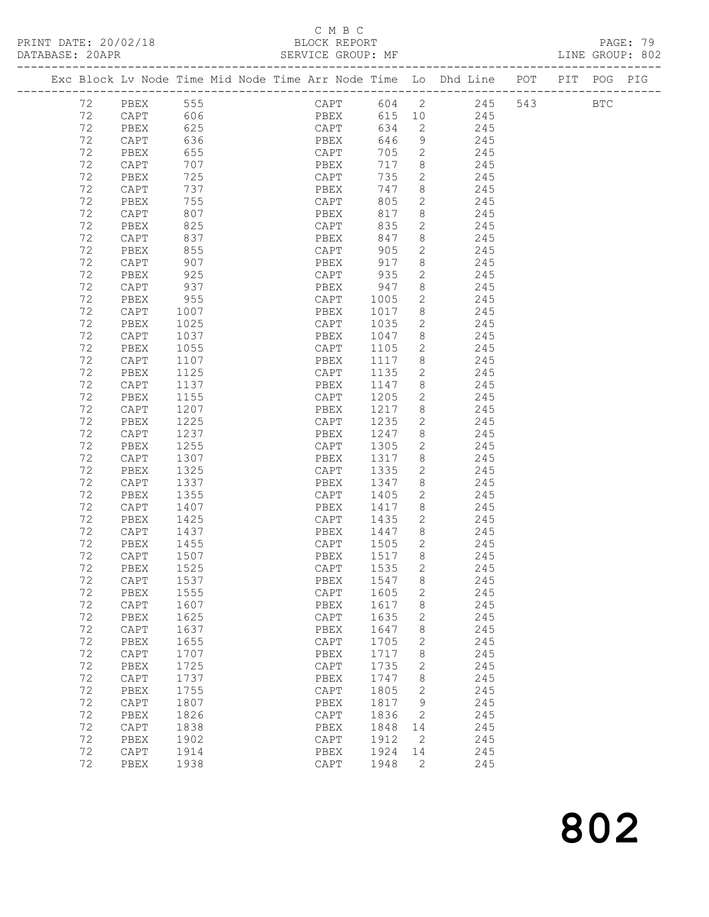PRINT DATE: 20/02/18 BLOCK REPORT BATABASE: 20APR BERVICE GROUP: MF

## C M B C<br>BLOCK REPORT

PAGE: 79<br>LINE GROUP: 802

|  |          |                            |                           |  |                      |                |                | Exc Block Lv Node Time Mid Node Time Arr Node Time Lo Dhd Line POT PIT POG PIG |  |  |
|--|----------|----------------------------|---------------------------|--|----------------------|----------------|----------------|--------------------------------------------------------------------------------|--|--|
|  |          | 72 PBEX 555<br>72 CAPT 606 |                           |  |                      |                |                | CAPT 604 2 245 543 BTC<br>PBEX 615 10 245                                      |  |  |
|  |          |                            |                           |  |                      |                |                |                                                                                |  |  |
|  | 72       | PBEX 625                   |                           |  | CAPT 634 2           |                |                | 245                                                                            |  |  |
|  | 72       | CAPT                       | 636                       |  | PBEX 646             |                | 9              | 245                                                                            |  |  |
|  | 72       | PBEX                       | 655                       |  | CAPT 705<br>PBEX 717 |                | $\overline{2}$ | 245                                                                            |  |  |
|  | 72       | CAPT                       | 707                       |  | PBEX                 | 717 8          |                | 245                                                                            |  |  |
|  | 72       | PBEX                       | 725                       |  | CAPT                 | 735            | $\overline{2}$ | 245                                                                            |  |  |
|  | 72       | CAPT                       | 737                       |  | PBEX                 | 747            | 8 <sup>8</sup> | 245                                                                            |  |  |
|  | 72       | PBEX                       | 755                       |  | CAPT                 | 805            | $\overline{2}$ | 245                                                                            |  |  |
|  | 72       | CAPT                       | 807                       |  | PBEX                 | 817            | 8 <sup>1</sup> | 245                                                                            |  |  |
|  | 72       | PBEX                       | 825                       |  | CAPT                 | 835            | $\overline{2}$ | 245                                                                            |  |  |
|  | 72       | CAPT                       | 837                       |  | PBEX                 | 847            | 8 <sup>8</sup> | 245                                                                            |  |  |
|  | 72       | PBEX                       | 855                       |  | CAPT                 | 905            | $\overline{2}$ | 245                                                                            |  |  |
|  | 72       | CAPT                       | 907                       |  | PBEX                 | 917            | 8              | 245                                                                            |  |  |
|  | 72       | PBEX                       | 925                       |  | CAPT                 | 935            | 2              | 245                                                                            |  |  |
|  | 72       | CAPT                       | 937                       |  | PBEX                 | 947            | 8 <sup>8</sup> | 245                                                                            |  |  |
|  | 72       | PBEX                       | 955<br>$\frac{355}{1007}$ |  | CAPT                 | 1005           | $\overline{2}$ | 245                                                                            |  |  |
|  | 72       | CAPT                       |                           |  | PBEX                 | 1017 8         |                | 245                                                                            |  |  |
|  | 72       | PBEX                       | 1025                      |  | CAPT                 | 1035           | $\overline{2}$ | 245                                                                            |  |  |
|  | 72       | CAPT                       | 1037                      |  | PBEX                 |                |                | 1047 8 245                                                                     |  |  |
|  | 72       | PBEX                       | 1055                      |  | CAPT                 | 1105           |                | 2 245                                                                          |  |  |
|  | 72       | CAPT                       | 1107                      |  | PBEX                 | 1117           | 8 <sup>8</sup> | 245                                                                            |  |  |
|  | 72       | PBEX                       | 1125                      |  | CAPT                 | 1135           | $\overline{2}$ | 245                                                                            |  |  |
|  | 72       | CAPT                       | 1137                      |  | PBEX                 | 1147           | 8 <sup>8</sup> | 245                                                                            |  |  |
|  | 72       | PBEX                       | 1155                      |  | CAPT                 | 1205           | $\overline{2}$ | 245                                                                            |  |  |
|  | 72       | CAPT                       | 1207                      |  | PBEX                 | 1217 8         |                | 245                                                                            |  |  |
|  | 72       | PBEX                       | 1225                      |  | CAPT                 | 1235           | $\overline{2}$ | 245                                                                            |  |  |
|  | 72       | CAPT                       | 1237                      |  | PBEX                 | 1247 8         |                | 245                                                                            |  |  |
|  | 72       | PBEX                       | 1255                      |  | CAPT                 | 1305           | $\overline{2}$ | 245                                                                            |  |  |
|  | 72       | CAPT                       | 1307                      |  | PBEX                 | 1317           | 8 <sup>8</sup> | 245                                                                            |  |  |
|  | 72       | PBEX                       | 1325                      |  | CAPT                 | 1335           | $\overline{2}$ | 245                                                                            |  |  |
|  | 72       | CAPT                       | 1337                      |  | PBEX                 | 1347           | 8 <sup>8</sup> | 245                                                                            |  |  |
|  | 72       | PBEX                       | 1355                      |  | CAPT                 | 1405           | $\overline{2}$ | 245                                                                            |  |  |
|  | 72       | CAPT                       | 1407                      |  | PBEX                 | 1417           | 8 <sup>8</sup> | 245                                                                            |  |  |
|  | 72       | PBEX                       | 1425                      |  | CAPT                 | 1435           | $\overline{2}$ | 245                                                                            |  |  |
|  | 72       | CAPT                       | 1437                      |  | PBEX                 | 1447 8         |                | 245                                                                            |  |  |
|  | 72       | PBEX<br>CAPT               | 1455                      |  | CAPT 1505 2          |                |                | 245                                                                            |  |  |
|  | 72<br>72 | PBEX                       | 1507<br>1525              |  | PBEX<br>CAPT         | 1517 8<br>1535 | $\overline{2}$ | 245<br>245                                                                     |  |  |
|  |          | 72 CAPT 1537               |                           |  |                      |                |                |                                                                                |  |  |
|  | 72       |                            | 1555                      |  | PBEX 1547 8<br>CAPT  | 1605           |                | 245<br>245                                                                     |  |  |
|  | 72       | PBEX<br>CAPT               | 1607                      |  | PBEX                 | 1617           | 2<br>8         | 245                                                                            |  |  |
|  | 72       | PBEX                       | 1625                      |  | CAPT                 | 1635           | $\mathbf{2}$   | 245                                                                            |  |  |
|  | 72       | CAPT                       | 1637                      |  | PBEX                 | 1647           | 8              | 245                                                                            |  |  |
|  | 72       | PBEX                       | 1655                      |  | $\texttt{CAPT}$      | 1705           | 2              | 245                                                                            |  |  |
|  | 72       | CAPT                       | 1707                      |  | PBEX                 | 1717           | 8              | 245                                                                            |  |  |
|  | 72       | PBEX                       | 1725                      |  | CAPT                 | 1735           | 2              | 245                                                                            |  |  |
|  | 72       | CAPT                       | 1737                      |  | PBEX                 | 1747           | 8              | 245                                                                            |  |  |
|  | 72       | PBEX                       | 1755                      |  | $\texttt{CAPT}$      | 1805           | 2              | 245                                                                            |  |  |
|  | 72       | CAPT                       | 1807                      |  | PBEX                 | 1817           | 9              | 245                                                                            |  |  |
|  | 72       | PBEX                       | 1826                      |  | $\texttt{CAPT}$      | 1836           | 2              | 245                                                                            |  |  |
|  | 72       | CAPT                       | 1838                      |  | PBEX                 | 1848           | 14             | 245                                                                            |  |  |
|  | 72       | PBEX                       | 1902                      |  | $\texttt{CAPT}$      | 1912           | 2              | 245                                                                            |  |  |
|  | 72       | CAPT                       | 1914                      |  | PBEX                 | 1924           | 14             | 245                                                                            |  |  |
|  | 72       | PBEX                       | 1938                      |  | $\texttt{CAPT}$      | 1948           | 2              | 245                                                                            |  |  |
|  |          |                            |                           |  |                      |                |                |                                                                                |  |  |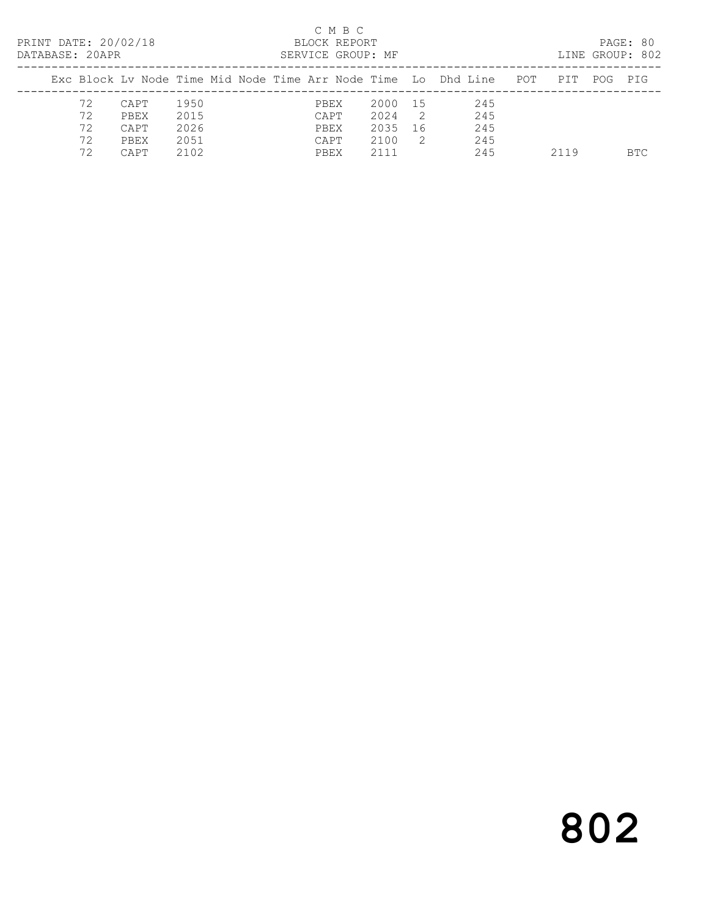| PRINT DATE: 20/02/18<br>DATABASE: 20APR |                            |                                      |                                      |  |                                      | C M B C<br>BLOCK REPORT | SERVICE GROUP: MF                       |                             |                                                                   |     |      |     | PAGE: 80<br>LINE GROUP: 802 |
|-----------------------------------------|----------------------------|--------------------------------------|--------------------------------------|--|--------------------------------------|-------------------------|-----------------------------------------|-----------------------------|-------------------------------------------------------------------|-----|------|-----|-----------------------------|
|                                         |                            |                                      |                                      |  |                                      |                         |                                         |                             | Exc Block Lv Node Time Mid Node Time Arr Node Time (Lo ) Dhd Line | POT | PTT  | POG | PTG                         |
|                                         | 72<br>72<br>72<br>72<br>72 | CAPT<br>PBEX<br>CAPT<br>PBEX<br>CAPT | 1950<br>2015<br>2026<br>2051<br>2102 |  | PBEX<br>CAPT<br>PBEX<br>CAPT<br>PBEX |                         | 2000 15<br>2024<br>2035<br>2100<br>2111 | $\overline{2}$<br>- 16<br>2 | 245<br>245<br>245<br>245<br>245                                   |     | 2119 |     | BTC.                        |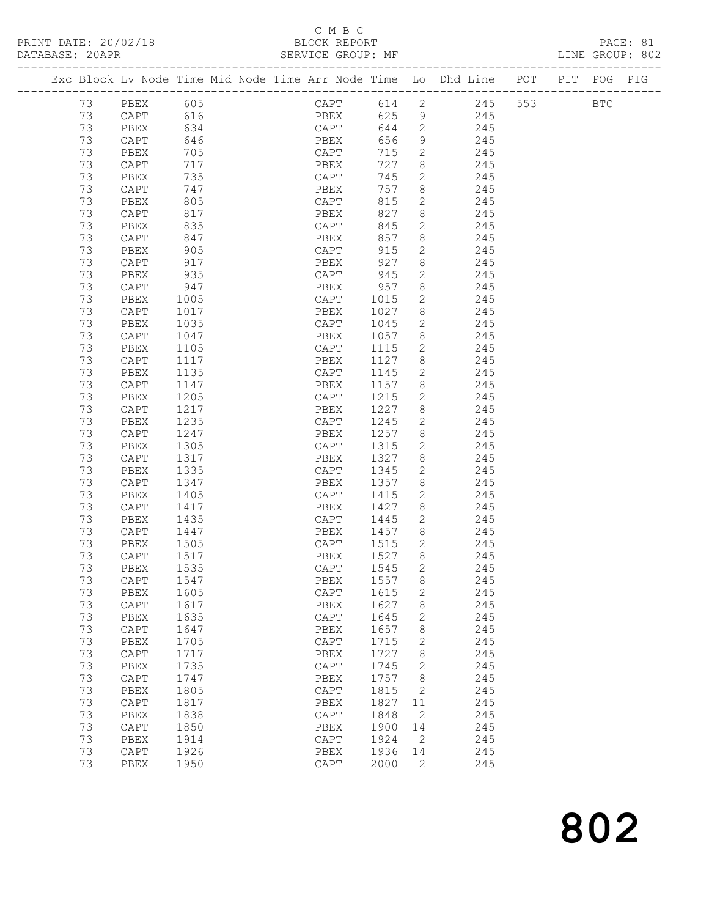## C M B C<br>BLOCK REPORT

PAGE: 81<br>LINE GROUP: 802

|  |    |                 |      |  |                 |          |                          | Exc Block Lv Node Time Mid Node Time Arr Node Time Lo Dhd Line POT PIT POG PIG |  |  |
|--|----|-----------------|------|--|-----------------|----------|--------------------------|--------------------------------------------------------------------------------|--|--|
|  |    | 73 PBEX 605     |      |  |                 |          |                          | CAPT 614 2 245 553 BTC                                                         |  |  |
|  | 73 | CAPT            | 616  |  | PBEX            | 625 9    |                          | 245                                                                            |  |  |
|  | 73 | PBEX 634        |      |  | CAPT            | 644 2    |                          | 245                                                                            |  |  |
|  | 73 | CAPT 646        |      |  | PBEX            | 656 9    |                          | 245                                                                            |  |  |
|  | 73 | PBEX            | 705  |  | CAPT<br>prv     | 715      | $\overline{2}$           | 245                                                                            |  |  |
|  | 73 | CAPT            | 717  |  | PBEX            | 727      | 8 <sup>8</sup>           | 245                                                                            |  |  |
|  | 73 | PBEX            | 735  |  | CAPT            | 745      | $\overline{2}$           | 245                                                                            |  |  |
|  | 73 | CAPT            | 747  |  | PBEX            | 757      | 8 <sup>8</sup>           | 245                                                                            |  |  |
|  | 73 | PBEX            | 805  |  | CAPT            | 815      | $\overline{2}$           | 245                                                                            |  |  |
|  | 73 | CAPT            | 817  |  | PBEX            | 827      | 8 <sup>8</sup>           | 245                                                                            |  |  |
|  | 73 | PBEX            | 835  |  | CAPT            | 845      | $\overline{2}$           | 245                                                                            |  |  |
|  | 73 | CAPT            | 847  |  | PBEX            | 857      | 8 <sup>8</sup>           | 245                                                                            |  |  |
|  | 73 | PBEX            | 905  |  | CAPT            | 915      | 2                        | 245                                                                            |  |  |
|  | 73 | CAPT            | 917  |  | PBEX            | 927      | 8                        | 245                                                                            |  |  |
|  | 73 | PBEX            | 935  |  | CAPT            | -<br>945 | $\overline{2}$           | 245                                                                            |  |  |
|  | 73 | CAPT            | 947  |  | PBEX            | 957      | 8 <sup>8</sup>           | 245                                                                            |  |  |
|  |    |                 |      |  |                 |          | $\overline{2}$           |                                                                                |  |  |
|  | 73 | PBEX            | 1005 |  | CAPT            | 1015     | 8 <sup>1</sup>           | 245                                                                            |  |  |
|  | 73 | CAPT            | 1017 |  | PBEX            | 1027     |                          | 245                                                                            |  |  |
|  | 73 | PBEX            | 1035 |  | CAPT            | 1045     | $\overline{2}$           | 245                                                                            |  |  |
|  | 73 | CAPT            | 1047 |  | PBEX            |          |                          | 1057 8 245                                                                     |  |  |
|  | 73 | PBEX            | 1105 |  | CAPT            | 1115     | $\overline{2}$           | 245                                                                            |  |  |
|  | 73 | CAPT            | 1117 |  | PBEX            | 1127     | 8 <sup>8</sup>           | 245                                                                            |  |  |
|  | 73 | PBEX            | 1135 |  | CAPT            | 1145     | $\overline{2}$           | 245                                                                            |  |  |
|  | 73 | CAPT            | 1147 |  | PBEX            | 1157     | 8 <sup>8</sup>           | 245                                                                            |  |  |
|  | 73 | PBEX            | 1205 |  | CAPT            | 1215     | $\overline{2}$           | 245                                                                            |  |  |
|  | 73 | CAPT            | 1217 |  | PBEX            | 1227 8   |                          | 245                                                                            |  |  |
|  | 73 | PBEX            | 1235 |  | CAPT            | 1245     | $\overline{2}$           | 245                                                                            |  |  |
|  | 73 | CAPT            | 1247 |  | PBEX            | 1257 8   |                          | 245                                                                            |  |  |
|  | 73 | PBEX            | 1305 |  | CAPT            | 1315     | $\overline{\phantom{a}}$ | 245                                                                            |  |  |
|  | 73 | CAPT            | 1317 |  | PBEX            | 1327     | 8 <sup>8</sup>           | 245                                                                            |  |  |
|  | 73 | PBEX            | 1335 |  | CAPT            | 1345     | $\overline{2}$           | 245                                                                            |  |  |
|  | 73 | CAPT            | 1347 |  | PBEX            | 1357     | 8 <sup>8</sup>           | 245                                                                            |  |  |
|  | 73 | PBEX            | 1405 |  | CAPT            | 1415     | $\overline{2}$           | 245                                                                            |  |  |
|  | 73 | CAPT            | 1417 |  | PBEX            | 1427     | 8 <sup>8</sup>           | 245                                                                            |  |  |
|  | 73 | PBEX            | 1435 |  | CAPT            | 1445     | $\overline{2}$           | 245                                                                            |  |  |
|  | 73 | CAPT            | 1447 |  | PBEX            | 1457 8   |                          | 245                                                                            |  |  |
|  | 73 | PBEX            | 1505 |  | CAPT            | 1515 2   |                          | 245                                                                            |  |  |
|  | 73 | CAPT            | 1517 |  | PBEX            | 1527 8   |                          | 245                                                                            |  |  |
|  | 73 | PBEX            | 1535 |  | CAPT            | 1545     | $\overline{2}$           | 245                                                                            |  |  |
|  |    | 73 CAPT 1547    |      |  | PBEX 1557 8     |          |                          | 245                                                                            |  |  |
|  | 73 | PBEX            | 1605 |  | CAPT            | 1615     | 2                        | 245                                                                            |  |  |
|  | 73 | CAPT            | 1617 |  | PBEX            | 1627     | 8                        | 245                                                                            |  |  |
|  | 73 | PBEX            | 1635 |  | CAPT            | 1645     | 2                        | 245                                                                            |  |  |
|  | 73 | $\texttt{CAPT}$ | 1647 |  | PBEX            | 1657     | 8                        | 245                                                                            |  |  |
|  | 73 | PBEX            | 1705 |  | $\texttt{CAPT}$ | 1715     | 2                        | 245                                                                            |  |  |
|  | 73 | $\texttt{CAPT}$ | 1717 |  | PBEX            | 1727     | 8                        | 245                                                                            |  |  |
|  | 73 | PBEX            | 1735 |  | CAPT            | 1745     | 2                        | 245                                                                            |  |  |
|  | 73 | CAPT            | 1747 |  | PBEX            | 1757     | 8                        | 245                                                                            |  |  |
|  | 73 | PBEX            | 1805 |  | $\texttt{CAPT}$ | 1815     | 2                        | 245                                                                            |  |  |
|  | 73 | CAPT            | 1817 |  | PBEX            | 1827     | 11                       | 245                                                                            |  |  |
|  | 73 | PBEX            | 1838 |  | CAPT            | 1848     | -2                       | 245                                                                            |  |  |
|  | 73 | CAPT            | 1850 |  | PBEX            | 1900     | 14                       | 245                                                                            |  |  |
|  | 73 | PBEX            | 1914 |  | $\texttt{CAPT}$ | 1924     | $\overline{2}$           | 245                                                                            |  |  |
|  | 73 | CAPT            | 1926 |  | PBEX            | 1936     | 14                       | 245                                                                            |  |  |
|  | 73 | PBEX            | 1950 |  | $\texttt{CAPT}$ | 2000     | 2                        | 245                                                                            |  |  |
|  |    |                 |      |  |                 |          |                          |                                                                                |  |  |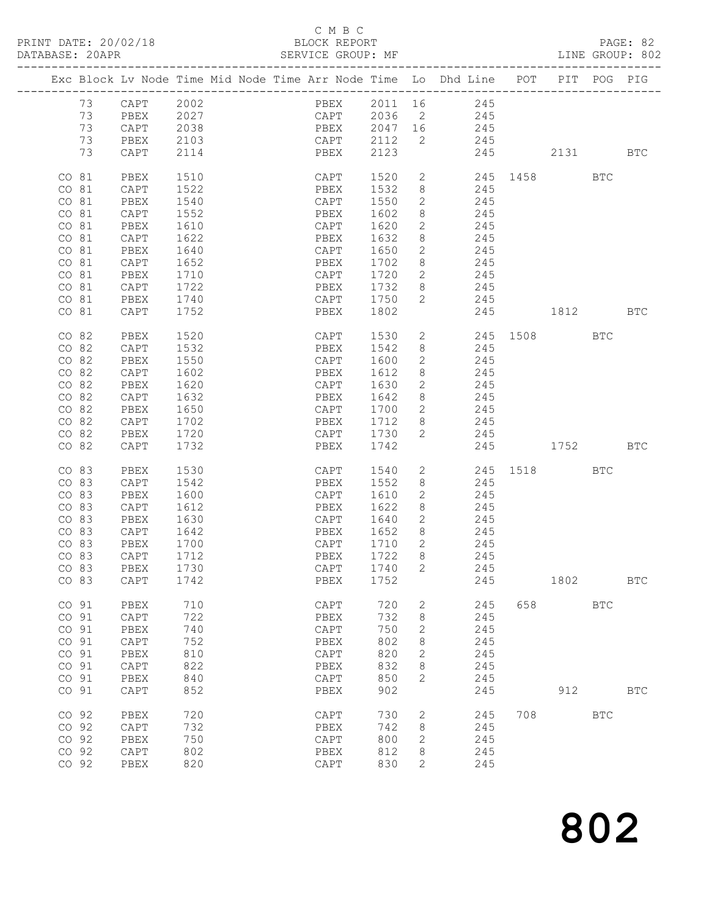|                |                 |              |  |              |      |                | Exc Block Lv Node Time Mid Node Time Arr Node Time Lo Dhd Line POT PIT POG PIG |              |            |            |            |
|----------------|-----------------|--------------|--|--------------|------|----------------|--------------------------------------------------------------------------------|--------------|------------|------------|------------|
| 73 CAPT        |                 | 2002         |  |              |      |                | PBEX 2011 16 245                                                               |              |            |            |            |
| 73             | PBEX            |              |  |              |      |                | 245                                                                            |              |            |            |            |
| 73             | CAPT            | 2027<br>2038 |  |              |      |                | 245                                                                            |              |            |            |            |
| 73             | PBEX            | 2103         |  | CAPT 2112    |      | $\overline{2}$ | 245                                                                            |              |            |            |            |
| 73             | CAPT            | 2114         |  | PBEX         | 2123 |                | 245                                                                            |              | 2131 BTC   |            |            |
|                |                 |              |  |              |      |                |                                                                                |              |            |            |            |
| CO 81          | PBEX            | 1510         |  | CAPT         | 1520 |                | $\overline{2}$                                                                 | 245 1458     |            | BTC        |            |
| CO 81          | CAPT            | 1522         |  | PBEX         | 1532 | 8              | 245                                                                            |              |            |            |            |
| CO 81          | PBEX            | 1540         |  | CAPT         | 1550 | $\mathbf{2}$   | 245                                                                            |              |            |            |            |
| CO 81          | CAPT            | 1552         |  | PBEX         | 1602 | 8              | 245                                                                            |              |            |            |            |
| CO 81          | PBEX            | 1610         |  | CAPT         | 1620 | $\mathbf{2}$   | 245                                                                            |              |            |            |            |
| CO 81          | CAPT            | 1622         |  | PBEX         | 1632 | 8              | 245                                                                            |              |            |            |            |
| CO 81          | PBEX            | 1640         |  | CAPT         | 1650 | $\mathbf{2}$   | 245                                                                            |              |            |            |            |
| CO 81          | CAPT            | 1652         |  | PBEX         | 1702 | 8              | 245                                                                            |              |            |            |            |
| CO 81          | PBEX            | 1710         |  | CAPT         | 1720 | $\overline{2}$ | 245                                                                            |              |            |            |            |
| CO 81          | CAPT            | 1722         |  | PBEX         | 1732 | 8              | 245                                                                            |              |            |            |            |
| CO 81<br>CO 81 | PBEX            | 1740         |  | CAPT         | 1750 | $\overline{2}$ | 245                                                                            |              |            |            |            |
|                | CAPT            | 1752         |  | PBEX         | 1802 |                | 245                                                                            |              | 1812 BTC   |            |            |
| CO 82          | PBEX            | 1520         |  | CAPT         | 1530 |                | $2 \left( \frac{1}{2} \right)$                                                 | 245 1508 BTC |            |            |            |
| CO 82          | CAPT            | 1532         |  | PBEX         | 1542 | 8              | 245                                                                            |              |            |            |            |
| CO 82          | PBEX            | 1550         |  | CAPT         | 1600 | $\overline{2}$ | 245                                                                            |              |            |            |            |
| CO 82          | CAPT            | 1602         |  | PBEX         | 1612 | 8              | 245                                                                            |              |            |            |            |
| CO 82          | PBEX            | 1620         |  | CAPT         | 1630 | $\mathbf{2}$   | 245                                                                            |              |            |            |            |
| CO 82          | CAPT            | 1632         |  | PBEX         | 1642 | 8              | 245                                                                            |              |            |            |            |
| CO 82          | PBEX            | 1650         |  | CAPT         | 1700 | $\mathbf{2}$   | 245                                                                            |              |            |            |            |
| CO 82          | CAPT            | 1702         |  | PBEX         | 1712 | 8              | 245                                                                            |              |            |            |            |
| CO 82          | PBEX            | 1720         |  | CAPT         | 1730 | 2              | 245                                                                            |              |            |            |            |
| CO 82          | CAPT            | 1732         |  | PBEX         | 1742 |                | 245                                                                            |              | 1752 BTC   |            |            |
| CO 83          | PBEX            | 1530         |  | CAPT         | 1540 | $2^{\circ}$    |                                                                                | 245 1518 BTC |            |            |            |
| CO 83          | CAPT            | 1542         |  | PBEX         | 1552 | 8              | 245                                                                            |              |            |            |            |
| CO 83          | PBEX            | 1600         |  | CAPT         | 1610 | $\mathbf{2}$   | 245                                                                            |              |            |            |            |
| CO 83          | CAPT            | 1612         |  | PBEX         | 1622 | 8              | 245                                                                            |              |            |            |            |
| CO 83          | PBEX            | 1630         |  | CAPT         | 1640 | $\overline{2}$ | 245                                                                            |              |            |            |            |
| CO 83          | CAPT            | 1642         |  | PBEX         | 1652 | 8              | 245                                                                            |              |            |            |            |
| CO 83          | PBEX            | 1700         |  | CAPT         | 1710 | $\overline{2}$ | 245                                                                            |              |            |            |            |
| CO 83          | CAPT            | 1712         |  | PBEX         | 1722 | 8              | 245                                                                            |              |            |            |            |
| CO 83          | PBEX            | 1730         |  | CAPT         | 1740 | 2              | 245                                                                            |              |            |            |            |
|                | CO 83 CAPT 1742 |              |  | PBEX 1752    |      |                | 245                                                                            |              | 1802       |            | BTC        |
| CO 91          | PBEX            | 710          |  | CAPT         | 720  | 2              | 245                                                                            | 658          |            | <b>BTC</b> |            |
| CO 91          | $\texttt{CAPT}$ | 722          |  | ${\tt PBEX}$ | 732  | 8              | 245                                                                            |              |            |            |            |
| CO 91          | PBEX            | 740          |  | CAPT         | 750  | $\mathbf{2}$   | 245                                                                            |              |            |            |            |
| CO 91          | $\texttt{CAPT}$ | 752          |  | PBEX         | 802  | 8              | 245                                                                            |              |            |            |            |
| CO 91          | PBEX            | 810          |  | CAPT         | 820  | 2              | 245                                                                            |              |            |            |            |
| CO 91          | $\texttt{CAPT}$ | 822          |  | ${\tt PBEX}$ | 832  | 8              | 245                                                                            |              |            |            |            |
| CO 91          | PBEX            | 840          |  | CAPT         | 850  | 2              | 245                                                                            |              |            |            |            |
| CO 91          | CAPT            | 852          |  | PBEX         | 902  |                | 245                                                                            |              | 912        |            | <b>BTC</b> |
| CO 92          | PBEX            | 720          |  | CAPT         | 730  | 2              | 245                                                                            | 708          | <b>BTC</b> |            |            |
| CO 92          | CAPT            | 732          |  | PBEX         | 742  | 8              | 245                                                                            |              |            |            |            |
| CO 92          | PBEX            | 750          |  | CAPT         | 800  | 2              | 245                                                                            |              |            |            |            |
| CO 92          | CAPT            | 802          |  | PBEX         | 812  | 8              | 245                                                                            |              |            |            |            |
| CO 92          | PBEX            | 820          |  | CAPT         | 830  | 2              | 245                                                                            |              |            |            |            |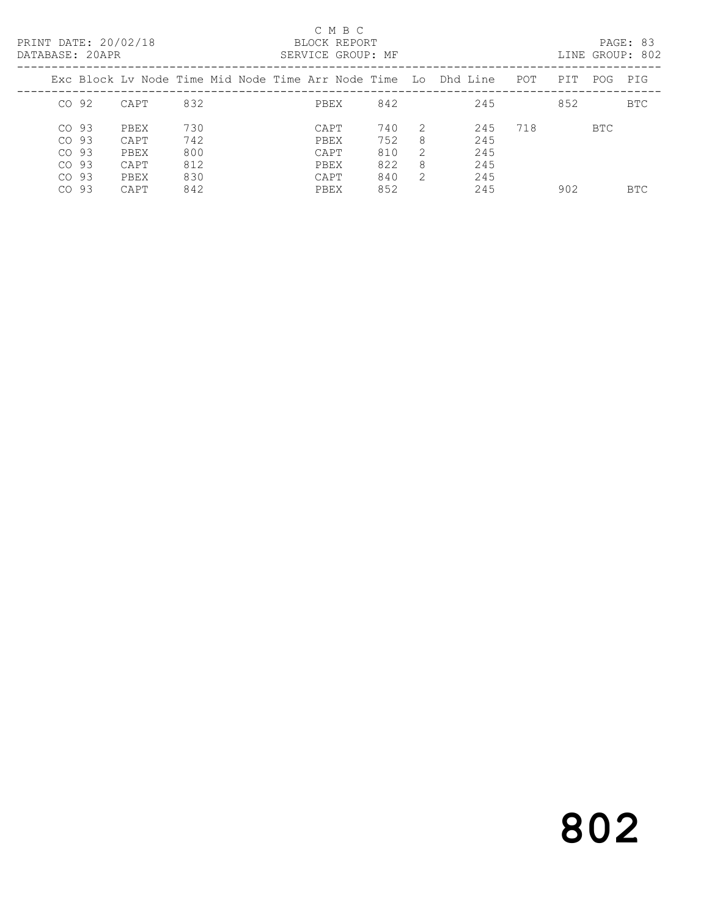## C M B C<br>BLOCK REPORT SERVICE GROUP: MF

|         |      |     |  |      |     |   | Exc Block Ly Node Time Mid Node Time Arr Node Time Lo Dhd Line | POT | PIT | POG.       | PTG        |
|---------|------|-----|--|------|-----|---|----------------------------------------------------------------|-----|-----|------------|------------|
| $CO$ 92 | CAPT | 832 |  | PBEX | 842 |   | 245                                                            |     | 852 |            | <b>BTC</b> |
| $CO$ 93 | PBEX | 730 |  | CAPT | 740 |   | 245                                                            | 718 |     | <b>BTC</b> |            |
| $CO$ 93 | CAPT | 742 |  | PBEX | 752 | 8 | 245                                                            |     |     |            |            |
| CO 93   | PBEX | 800 |  | CAPT | 810 | 2 | 245                                                            |     |     |            |            |
| CO 93   | CAPT | 812 |  | PBEX | 822 | 8 | 245                                                            |     |     |            |            |
| CO 93   | PBEX | 830 |  | CAPT | 840 | 2 | 245                                                            |     |     |            |            |
| CO 93   | CAPT | 842 |  | PBEX | 852 |   | 245                                                            |     | 902 |            | <b>BTC</b> |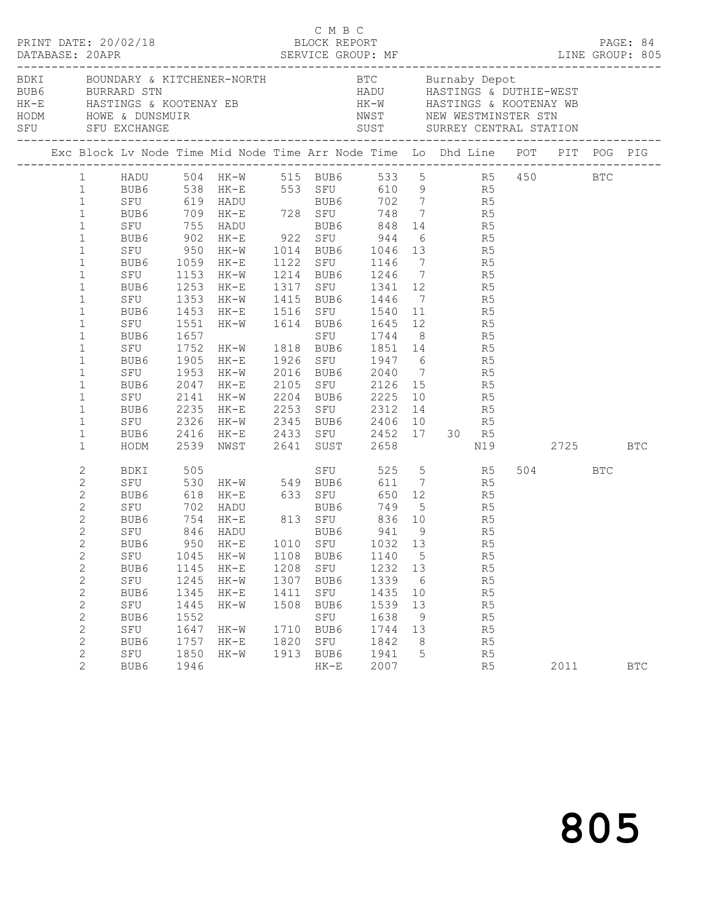| $\begin{array}{cccc}\n\texttt{CRINT} & \texttt{DATE:} & 20/02/18 & \texttt{C} & \texttt{M} & \texttt{B} & \texttt{C}\n\end{array}$<br>DATABASE: 20APR<br>BDKI BOUNDARY & KITCHENER-NORTH BTC Burnaby Depot                                                   |  |                                                                 |                                                                      |                                                                                                                                                                                                                                                                                                                                                                                                                                                                                                                                                                |                                      |                                                                                 |                                                                                                            |                                                                                 |           |                                                                      |          | PAGE: 84   |
|--------------------------------------------------------------------------------------------------------------------------------------------------------------------------------------------------------------------------------------------------------------|--|-----------------------------------------------------------------|----------------------------------------------------------------------|----------------------------------------------------------------------------------------------------------------------------------------------------------------------------------------------------------------------------------------------------------------------------------------------------------------------------------------------------------------------------------------------------------------------------------------------------------------------------------------------------------------------------------------------------------------|--------------------------------------|---------------------------------------------------------------------------------|------------------------------------------------------------------------------------------------------------|---------------------------------------------------------------------------------|-----------|----------------------------------------------------------------------|----------|------------|
| BUB6 BURRARD STN                                                                                                                                                                                                                                             |  |                                                                 |                                                                      |                                                                                                                                                                                                                                                                                                                                                                                                                                                                                                                                                                |                                      |                                                                                 | HADU HASTINGS & DUTHIE-WEST                                                                                |                                                                                 |           |                                                                      |          |            |
|                                                                                                                                                                                                                                                              |  |                                                                 |                                                                      | Exc Block Lv Node Time Mid Node Time Arr Node Time Lo Dhd Line POT PIT POG PIG                                                                                                                                                                                                                                                                                                                                                                                                                                                                                 |                                      |                                                                                 |                                                                                                            |                                                                                 |           |                                                                      |          |            |
| $\mathbf{1}$<br>$\mathbf 1$<br>$\,1$<br>$1\,$<br>$\,1$<br>$\mathbf 1$<br>$\mathbf 1$<br>$\mathbf{1}$<br>$\mathbf 1$<br>$\mathbf{1}$<br>$\mathbf 1$<br>$\mathbf 1$<br>$\mathbf 1$<br>$\mathbf 1$<br>$\mathbf 1$<br>$\mathbf 1$<br>$\mathbf 1$<br>$\mathbf{1}$ |  | BUB6 1905 HK-E<br>SFU 1953 HK-W<br>BUB6<br>SFU 2141 HK-W        |                                                                      | 1 HADU 504 HK-W 515 BUB6 533 5 R5 450 BTC<br>1 BUB6 538 HK-E 553 SFU 610 9 R5<br>SFU 619 HADU<br>BUB6 709 HK-E 728 SFU 748 7 R5<br>SFU 755 HADU BUB6 848 14 R5<br>BUB6 902 HK-E 922 SFU 944 6 R5<br>SFU 950 HK-W 1014 BUB6 1046 13 R5<br>BUB6 1059 HK-E 1122 SFU 1146 7 R5<br>SFU 1153 HK-W 1214 BUB6 1246 7 R5<br>BUB6 1253 HK-E 1317 SFU 1341 12 R5<br>SFU 1353 HK-W 1415 BUB6 1446 7 R5<br>BUB6 1453 HK-E 1516 SFU 1540 11 R5<br>SFU 1551 HK-W 1614 BUB6 1645 12 R5<br>BUB6 1657 SFU 1744 8 R5<br>SFU 1752 HK-W 1818 BUB6 1851 14<br>2047 HK-E<br>2235 HK-E |                                      |                                                                                 | 1926 SFU 1947 6 R5<br>2016 BUB6 2040 7 R5<br>2105 SFU 2126 15 R5<br>2204 BUB6 2225 10 R5<br>SFU 2312 14 R5 |                                                                                 |           | R5                                                                   |          |            |
| $\mathbf 1$<br>$\mathbf 1$<br>$\mathbf{1}$                                                                                                                                                                                                                   |  | HODM                                                            |                                                                      | BUB6 2235 HK-E 2253 SFU 2312 14 R5<br>SFU 2326 HK-W 2345 BUB6 2406 10 R5<br>BUB6 2416 HK-E 2433 SFU 2452 17 30 R5<br>$2416$ HK-E<br>2539 NWST 2641 SUST 2658 N19                                                                                                                                                                                                                                                                                                                                                                                               |                                      |                                                                                 |                                                                                                            |                                                                                 |           |                                                                      | 2725 BTC |            |
| $\sqrt{2}$<br>$\sqrt{2}$<br>$\sqrt{2}$<br>$\mathbf{2}$<br>$\overline{2}$<br>$\overline{c}$<br>$\overline{c}$<br>$\mathbf{2}$<br>$\mathbf{2}$<br>$\sqrt{2}$<br>$\sqrt{2}$<br>$\sqrt{2}$<br>$\mathbf{2}$<br>$\mathbf{2}$<br>$\mathbf{2}$<br>$\sqrt{2}$         |  | SFU<br>BUB6<br>SFU<br>BUB6<br>SFU<br>BUB6<br>SFU<br>BUB6<br>SFU | 1045<br>1145<br>1245<br>1345<br>1445<br>1552<br>1647<br>1757<br>1850 | BDKI 505<br>SFU 530 HK-W 549 BUB6 611 7 R5<br>BUB6 618 HK-E 633 SFU<br>SFU 702 HADU BUB6 749 5 R5<br>BUB6 754 HK-E 813 SFU 836 10 R5<br>SFU 846 HADU BUB6 941 9 R5<br>BUB6 950 HK-E 1010 SFU 1032 13<br>HK-W<br>$HK-E$<br>HK-W<br>$HK-E$<br>$HK-W$<br>HK-W<br>$HK-E$<br>$HK-W$                                                                                                                                                                                                                                                                                 | 1108<br>1307<br>1411<br>1508<br>1820 | BUB6<br>1208 SFU<br>BUB6<br>SFU<br>BUB6<br>SFU<br>1710 BUB6<br>SFU<br>1913 BUB6 | 1140<br>1232 13<br>1339<br>1435<br>1539<br>1638<br>1744<br>1842<br>1941                                    | $5\overline{)}$<br>6<br>10<br>13<br>9<br>13<br>8 <sup>8</sup><br>$5\phantom{0}$ | 650 12 R5 | R5<br>R5<br>R5<br>R <sub>5</sub><br>R5<br>R5<br>R5<br>R5<br>R5<br>R5 | 504 BTC  |            |
| $\overline{2}$                                                                                                                                                                                                                                               |  | BUB6                                                            | 1946                                                                 |                                                                                                                                                                                                                                                                                                                                                                                                                                                                                                                                                                |                                      | $HK-E$                                                                          | 2007                                                                                                       |                                                                                 |           | R5                                                                   | 2011     | <b>BTC</b> |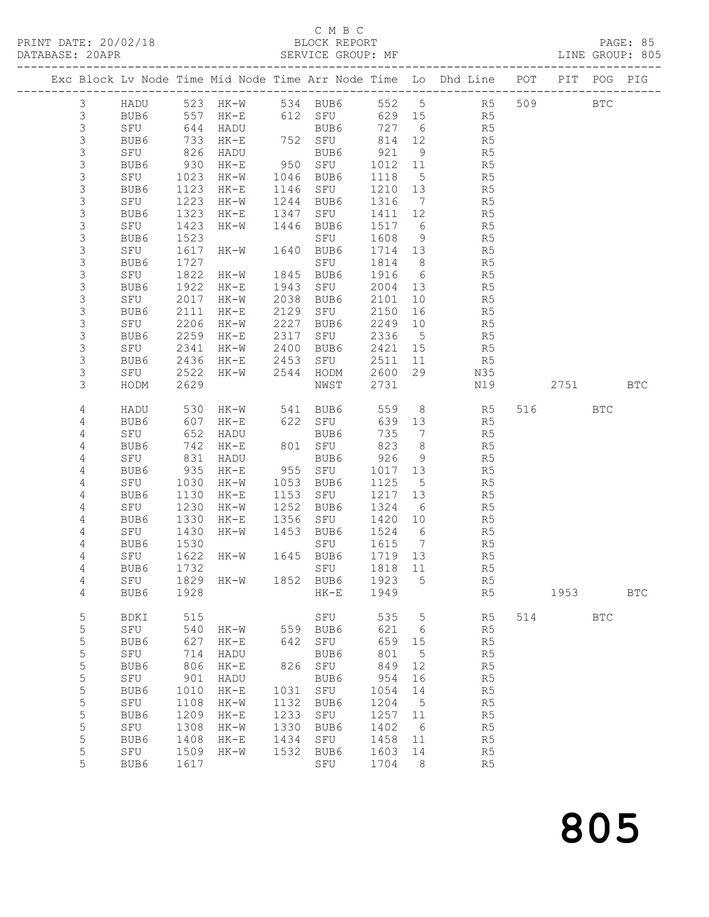## C M B C<br>BLOCK REPORT

## SERVICE GROUP: MF

|  |                |               |      |          |      |                  |      |                              | Exc Block Lv Node Time Mid Node Time Arr Node Time Lo Dhd Line POT |     | PIT  | POG        | PIG          |
|--|----------------|---------------|------|----------|------|------------------|------|------------------------------|--------------------------------------------------------------------|-----|------|------------|--------------|
|  | 3              | HADU          |      | 523 HK-W |      | 534 BUB6         |      |                              | 552 5 R5                                                           | 509 |      | <b>BTC</b> |              |
|  | $\mathsf 3$    | BUB6          |      | 557 HK-E |      | 612 SFU          | 629  | 15                           | R5                                                                 |     |      |            |              |
|  | $\mathsf S$    | SFU           | 644  | HADU     |      | BUB6             | 727  | 6                            | R <sub>5</sub>                                                     |     |      |            |              |
|  | 3              | BUB6          | 733  | HK-E     |      | 752 SFU          | 814  | 12                           | R5                                                                 |     |      |            |              |
|  | 3              | SFU           | 826  | HADU     |      | BUB6             | 921  | 9                            | R5                                                                 |     |      |            |              |
|  | $\mathsf 3$    | BUB6          | 930  | $HK-E$   | 950  | SFU              | 1012 | 11                           | R5                                                                 |     |      |            |              |
|  | $\mathfrak{Z}$ | SFU           | 1023 | HK-W     | 1046 | BUB6             | 1118 | $5\overline{)}$              | R <sub>5</sub>                                                     |     |      |            |              |
|  | $\mathsf 3$    | BUB6          | 1123 | $HK-E$   | 1146 | SFU              | 1210 | 13                           | R <sub>5</sub>                                                     |     |      |            |              |
|  | $\mathsf 3$    | SFU           | 1223 | $HK-W$   | 1244 | BUB6             | 1316 | $7\phantom{.0}\phantom{.0}7$ | R5                                                                 |     |      |            |              |
|  | $\mathsf 3$    | BUB6          | 1323 | $HK-E$   | 1347 | SFU              | 1411 | 12                           | R5                                                                 |     |      |            |              |
|  | $\mathsf 3$    | SFU           | 1423 | HK-W     | 1446 | BUB6             | 1517 | $6\overline{6}$              | R5                                                                 |     |      |            |              |
|  | $\mathsf 3$    | BUB6          | 1523 |          |      | SFU              | 1608 | 9                            | R5                                                                 |     |      |            |              |
|  | $\mathsf 3$    | SFU           | 1617 | HK-W     | 1640 | BUB6             | 1714 | 13                           | R5                                                                 |     |      |            |              |
|  | $\mathsf 3$    | BUB6          | 1727 |          |      | SFU              | 1814 | 8 <sup>8</sup>               | R5                                                                 |     |      |            |              |
|  | $\mathfrak{Z}$ | SFU           | 1822 | $HK-W$   | 1845 | BUB6             | 1916 | $6\overline{6}$              | R <sub>5</sub>                                                     |     |      |            |              |
|  | $\mathfrak{Z}$ | BUB6          | 1922 | $HK-E$   | 1943 | SFU              | 2004 | 13                           | R <sub>5</sub>                                                     |     |      |            |              |
|  | $\mathsf 3$    | SFU           | 2017 | $HK-W$   | 2038 | BUB6             | 2101 | 10                           | R5                                                                 |     |      |            |              |
|  | $\mathsf 3$    | BUB6          | 2111 | $HK-E$   | 2129 | SFU              | 2150 | 16                           | R5                                                                 |     |      |            |              |
|  | $\mathsf 3$    | SFU           | 2206 | $HK-W$   | 2227 | BUB6             | 2249 | 10                           | R5                                                                 |     |      |            |              |
|  | $\mathsf 3$    | BUB6          | 2259 | $HK-E$   | 2317 | SFU              | 2336 | $5\overline{)}$              | R5                                                                 |     |      |            |              |
|  | 3              | SFU           | 2341 | $HK-W$   | 2400 | BUB6             | 2421 | 15                           | R5                                                                 |     |      |            |              |
|  | $\mathsf 3$    | BUB6          | 2436 | $HK-E$   | 2453 | SFU              | 2511 | 11                           | R <sub>5</sub>                                                     |     |      |            |              |
|  | $\mathsf 3$    | SFU           | 2522 | HK-W     | 2544 | HODM             | 2600 | 29                           | N35                                                                |     |      |            |              |
|  | 3              | HODM          | 2629 |          |      | NWST             | 2731 |                              | N19                                                                |     | 2751 |            | <b>BTC</b>   |
|  | 4              | HADU          | 530  | HK-W     | 541  | BUB6             | 559  |                              | 8 R5                                                               | 516 |      | <b>BTC</b> |              |
|  | $\overline{4}$ | BUB6          | 607  | $HK-E$   | 622  | SFU              | 639  | 13                           | R5                                                                 |     |      |            |              |
|  | 4              | SFU           | 652  | HADU     |      | BUB6             | 735  | $7\overline{ }$              | R <sub>5</sub>                                                     |     |      |            |              |
|  | 4              | BUB6          | 742  | $HK-E$   |      | 801 SFU          | 823  | 8 <sup>8</sup>               | R5                                                                 |     |      |            |              |
|  | 4              | SFU           | 831  | HADU     |      | BUB6             | 926  | 9                            | R5                                                                 |     |      |            |              |
|  | $\overline{4}$ | BUB6          | 935  | HK-E     | 955  | SFU              | 1017 | 13                           | R5                                                                 |     |      |            |              |
|  | 4              | SFU           | 1030 | HK-W     | 1053 | BUB6             | 1125 | 5                            | R <sub>5</sub>                                                     |     |      |            |              |
|  | 4              | BUB6          | 1130 | $HK-E$   | 1153 | SFU              | 1217 | 13                           | R5                                                                 |     |      |            |              |
|  | 4              | SFU           | 1230 | $HK-W$   | 1252 | BUB6             | 1324 | $6\overline{6}$              | R5                                                                 |     |      |            |              |
|  | 4              | BUB6          | 1330 | $HK-E$   | 1356 | SFU              | 1420 | 10                           | R5                                                                 |     |      |            |              |
|  | 4              | SFU           | 1430 | HK-W     | 1453 | BUB6             | 1524 | $6\overline{6}$              | R5                                                                 |     |      |            |              |
|  | 4              | BUB6          | 1530 |          |      | SFU              | 1615 | $\overline{7}$               | R5                                                                 |     |      |            |              |
|  | 4              | SFU           | 1622 | HK-W     |      | 1645 BUB6        | 1719 | 13                           | R5                                                                 |     |      |            |              |
|  | 4              | BUB6          | 1732 |          |      | SFU              | 1818 | 11                           | R <sub>5</sub>                                                     |     |      |            |              |
|  | 4              | SFU 1829 HK-W |      |          |      | 1852 BUB6 1923 5 |      |                              | R5                                                                 |     |      |            |              |
|  | 4              | BUB6          | 1928 |          |      | $HK-E$           | 1949 |                              | R <sub>5</sub>                                                     |     | 1953 |            | $_{\rm BTC}$ |
|  | 5              | BDKI          | 515  |          |      | SFU              | 535  | 5                            | R5                                                                 | 514 |      | <b>BTC</b> |              |
|  | $\mathsf S$    | SFU           | 540  | $HK-W$   |      | 559 BUB6         | 621  | 6                            | R5                                                                 |     |      |            |              |
|  | 5              | BUB6          | 627  | $HK-E$   | 642  | SFU              | 659  | 15                           | R5                                                                 |     |      |            |              |
|  | $\mathsf S$    | SFU           | 714  | HADU     |      | BUB6             | 801  | 5                            | R <sub>5</sub>                                                     |     |      |            |              |
|  | $\mathsf S$    | BUB6          | 806  | $HK-E$   | 826  | SFU              | 849  | 12                           | R <sub>5</sub>                                                     |     |      |            |              |
|  | 5              | SFU           | 901  | HADU     |      | BUB6             | 954  | 16                           | R <sub>5</sub>                                                     |     |      |            |              |
|  | 5              | BUB6          | 1010 | $HK-E$   | 1031 | SFU              | 1054 | 14                           | R5                                                                 |     |      |            |              |
|  | $\mathsf S$    | SFU           | 1108 | $HK-W$   | 1132 | BUB6             | 1204 | 5                            | R <sub>5</sub>                                                     |     |      |            |              |
|  | 5              | BUB6          | 1209 | $HK-E$   | 1233 | SFU              | 1257 | 11                           | R <sub>5</sub>                                                     |     |      |            |              |
|  | $\mathsf S$    | SFU           | 1308 | $HK-W$   | 1330 | BUB6             | 1402 | - 6                          | R <sub>5</sub>                                                     |     |      |            |              |
|  | $\mathsf S$    | BUB6          | 1408 | $HK-E$   | 1434 | SFU              | 1458 | 11                           | R5                                                                 |     |      |            |              |
|  | 5              | SFU           | 1509 | HK-W     | 1532 | BUB6             | 1603 | 14                           | R5                                                                 |     |      |            |              |
|  | 5              | BUB6          | 1617 |          |      | SFU              | 1704 | 8                            | R5                                                                 |     |      |            |              |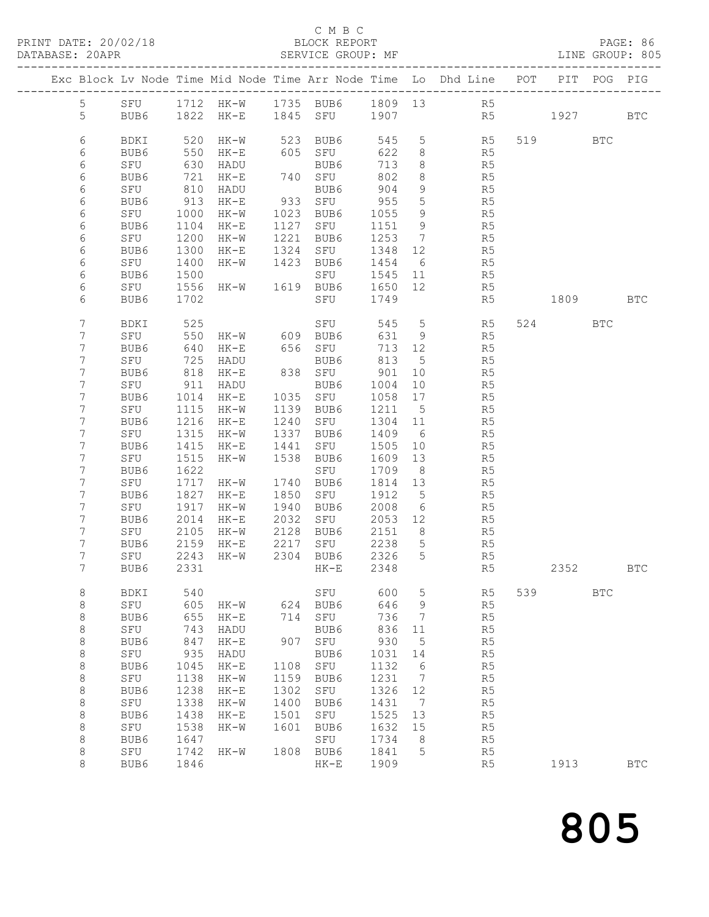## C M B C<br>BLOCK REPORT<br>SERVICE GROUP: MF

| DATABASE: 20APR |                                    |                  |              |                                                                  |                      | SERVICE GROUP: MF                         |                  |                       | LINE GROUP: 805                                                                |     |          |            |              |
|-----------------|------------------------------------|------------------|--------------|------------------------------------------------------------------|----------------------|-------------------------------------------|------------------|-----------------------|--------------------------------------------------------------------------------|-----|----------|------------|--------------|
|                 |                                    |                  |              |                                                                  |                      |                                           |                  |                       | Exc Block Lv Node Time Mid Node Time Arr Node Time Lo Dhd Line POT PIT POG PIG |     |          |            |              |
|                 |                                    |                  |              |                                                                  |                      |                                           |                  |                       | 5 SFU 1712 HK-W 1735 BUB6 1809 13 R5                                           |     |          |            |              |
|                 | 5                                  |                  |              |                                                                  |                      |                                           |                  |                       | BUB6 1822 HK-E 1845 SFU 1907 R5                                                |     | 1927 BTC |            |              |
|                 |                                    |                  |              |                                                                  |                      |                                           |                  |                       |                                                                                |     |          |            |              |
|                 | 6                                  | BDKI             |              | 520 HK-W                                                         |                      | 523 BUB6<br>605 SFU                       |                  |                       | 545 5 R5<br>622 8 R5                                                           |     | 519 BTC  |            |              |
|                 | 6                                  | BUB6             |              | 550 HK-E                                                         |                      |                                           |                  |                       |                                                                                |     |          |            |              |
|                 | 6                                  | SFU              |              | 630 HADU                                                         |                      | BUB6<br>740 SFU<br>BUB6                   | 713              |                       | $8 - 8$<br>R5                                                                  |     |          |            |              |
|                 | $\epsilon$                         | BUB6             | 721          | HK-E                                                             |                      |                                           | 802              |                       | $8 - 8$<br>R5                                                                  |     |          |            |              |
|                 | 6                                  | SFU              | 810          | HADU                                                             |                      |                                           |                  |                       | BUB6 904 9 R5<br>933 SFU 955 5 R5                                              |     |          |            |              |
|                 | $\epsilon$                         | BUB6<br>SFU 1000 |              | 913 HK-E                                                         |                      | 1023 BUB6                                 | 1055 9           |                       |                                                                                |     |          |            |              |
|                 | 6<br>$\epsilon$                    | BUB6             | 1104         | HK-W<br>HK-E                                                     |                      | SFU                                       | 1151 9           |                       | R5<br>R <sub>5</sub>                                                           |     |          |            |              |
|                 | 6                                  | SFU              | 1200         | HK-W                                                             | 1127<br>1221<br>1324 | BUB6                                      | 1253 7           |                       | R5                                                                             |     |          |            |              |
|                 | $\epsilon$                         | BUB6             | 1300         | HK-E                                                             |                      | SFU                                       | 1348             | 12                    | R5                                                                             |     |          |            |              |
|                 | 6                                  | SFU              | 1400         | HK-W 1423 BUB6                                                   |                      |                                           | 1454 6           |                       | R5                                                                             |     |          |            |              |
|                 | $\epsilon$                         | BUB6             |              |                                                                  |                      | SFU                                       | 1545 11          |                       | R5                                                                             |     |          |            |              |
|                 | $\epsilon$                         | SFU              |              |                                                                  |                      |                                           | 1650 12          |                       | R5                                                                             |     |          |            |              |
|                 | $\epsilon$                         | BUB6             | 1702         |                                                                  |                      | SFU 1749                                  |                  |                       | R5                                                                             |     | 1809 BTC |            |              |
|                 |                                    |                  |              |                                                                  |                      |                                           |                  |                       |                                                                                |     |          |            |              |
|                 | 7                                  | BDKI             | 525          | SFU<br>HK-W 609 BUB6<br>HK-E 656 SFU<br>HADU BUB6                |                      | SFU 545                                   |                  |                       | 5 <sub>1</sub><br>R5                                                           |     | 524 BTC  |            |              |
|                 | $7\phantom{.}$                     | SFU              | 550          |                                                                  |                      |                                           | $631$ 9          |                       | R5                                                                             |     |          |            |              |
|                 | $\boldsymbol{7}$                   | BUB6             | 640          |                                                                  |                      |                                           | 713 12           |                       | R5                                                                             |     |          |            |              |
|                 | $\boldsymbol{7}$<br>$\overline{7}$ | SFU<br>BUB6      | 725          | 818 HK-E                                                         |                      | 838 SFU 901 10                            | 813              | $5\overline{)}$       | R5<br>R5                                                                       |     |          |            |              |
|                 | $\overline{7}$                     | SFU              |              | 911 HADU                                                         |                      |                                           | 1004 10          |                       | R5                                                                             |     |          |            |              |
|                 | $\overline{7}$                     | BUB6             | 1014         | HK-E                                                             |                      | BUB6<br>1035 SFU<br>1139 BUB6             | 1058             | 17                    | R5                                                                             |     |          |            |              |
|                 | $7\phantom{.}$                     | SFU              |              | 1115 HK-W                                                        |                      |                                           | 1211 5           |                       | R5                                                                             |     |          |            |              |
|                 | $7\phantom{.}$                     | BUB6             |              | 1216 HK-E                                                        | 1240                 | SFU                                       | 1304 11          |                       | R5                                                                             |     |          |            |              |
|                 | $\overline{7}$                     | SFU              | 1315         | HK-W                                                             |                      |                                           | 1409             | 6                     | R <sub>5</sub>                                                                 |     |          |            |              |
|                 | $\boldsymbol{7}$                   | BUB6             | 1415         | HK-E                                                             |                      | 1337 BUB6<br>1441 SFU<br>1538 BUB6<br>SFU | 1505             | 10                    | R5                                                                             |     |          |            |              |
|                 | 7                                  | SFU              | 1515         | HK-W                                                             |                      |                                           | 1609 13          |                       | R <sub>5</sub>                                                                 |     |          |            |              |
|                 | $\overline{7}$                     | BUB6             | 1622         |                                                                  |                      | SFU                                       | 1709             | 8 <sup>8</sup>        | R5                                                                             |     |          |            |              |
|                 | 7                                  | SFU              |              | 1717 HK-W                                                        | 1740<br>1850<br>1940 | BUB6                                      | 1814 13          |                       | R5                                                                             |     |          |            |              |
|                 | $\overline{7}$                     | BUB6             |              | 1827 HK-E                                                        |                      | SFU                                       | 1912             |                       | $\frac{5}{6}$<br>R5                                                            |     |          |            |              |
|                 | $\overline{7}$                     | SFU              |              | 1917 HK-W                                                        |                      | BUB6                                      | 2008             | $6\overline{6}$       | R5                                                                             |     |          |            |              |
|                 | $7\phantom{.}$                     | BUB6             |              | 2014 HK-E                                                        | 2032                 | SFU                                       |                  |                       | 2053 12<br>R5                                                                  |     |          |            |              |
|                 | 7                                  | SFU              |              |                                                                  |                      |                                           | 2151 8           |                       | R <sub>5</sub>                                                                 |     |          |            |              |
|                 | 7                                  | BUB6             |              | 2105 HK-W 2128 BUB6<br>2159 HK-E 2217 SFU<br>2243 HK-W 2304 BUB6 |                      | SFU                                       | 2238 5<br>2326 5 |                       | R5                                                                             |     |          |            |              |
|                 | 7                                  | SFU              |              |                                                                  |                      |                                           |                  |                       | R5                                                                             |     |          |            |              |
|                 | 7                                  |                  |              |                                                                  |                      | BUB6 2331 HK-E 2348                       |                  |                       | R5                                                                             |     | 2352     |            | BTC.         |
|                 | 8                                  | BDKI             | 540          |                                                                  |                      | SFU                                       | 600              | 5                     | R5                                                                             | 539 |          | <b>BTC</b> |              |
|                 | $\,8\,$                            | SFU              | 605          | HK-W                                                             | 624                  | BUB6                                      | 646              | 9                     | R5                                                                             |     |          |            |              |
|                 | $\,8\,$                            | BUB6             | 655          | $HK-E$                                                           |                      | 714 SFU                                   | 736              | 7                     | R <sub>5</sub>                                                                 |     |          |            |              |
|                 | $\,8\,$                            | SFU              | 743          | HADU                                                             |                      | BUB6                                      | 836              | 11                    | R <sub>5</sub>                                                                 |     |          |            |              |
|                 | $\,8\,$                            | BUB6             | 847          | $HK-E$                                                           |                      | 907 SFU                                   | 930              | 5                     | R <sub>5</sub>                                                                 |     |          |            |              |
|                 | $\,8\,$                            | SFU              | 935          | HADU                                                             |                      | BUB6                                      | 1031             | 14                    | R5                                                                             |     |          |            |              |
|                 | $\,8\,$                            | BUB6             | 1045         | $HK-E$                                                           | 1108 SFU             |                                           | 1132             | 6                     | R5                                                                             |     |          |            |              |
|                 | $\,8\,$                            | SFU              | 1138<br>1238 | $HK-W$                                                           | 1159<br>1302         | BUB6                                      | 1231             | -7                    | R5                                                                             |     |          |            |              |
|                 | $\,8\,$<br>$\,8\,$                 | BUB6<br>SFU      | 1338         | $\rm{HK\!-\!E}$<br>$HK-W$                                        | 1400                 | SFU<br>BUB6                               | 1326<br>1431     | 12<br>$7\phantom{.0}$ | R <sub>5</sub><br>R <sub>5</sub>                                               |     |          |            |              |
|                 | $\,8\,$                            | BUB6             | 1438         | $HK-E$                                                           | 1501                 | SFU                                       | 1525             | 13                    | R <sub>5</sub>                                                                 |     |          |            |              |
|                 | $\,8\,$                            | SFU              | 1538         | $HK-W$                                                           | 1601                 | BUB6                                      | 1632             | 15                    | R5                                                                             |     |          |            |              |
|                 | $\,8\,$                            | BUB6             | 1647         |                                                                  |                      | SFU                                       | 1734             | 8                     | R5                                                                             |     |          |            |              |
|                 | $\,8\,$                            | SFU              | 1742         | HK-W                                                             |                      | 1808 BUB6                                 | 1841             | 5                     | R5                                                                             |     |          |            |              |
|                 | 8                                  | BUB6             | 1846         |                                                                  |                      | $HK-E$                                    | 1909             |                       | R5                                                                             |     | 1913     |            | $_{\rm BTC}$ |
|                 |                                    |                  |              |                                                                  |                      |                                           |                  |                       |                                                                                |     |          |            |              |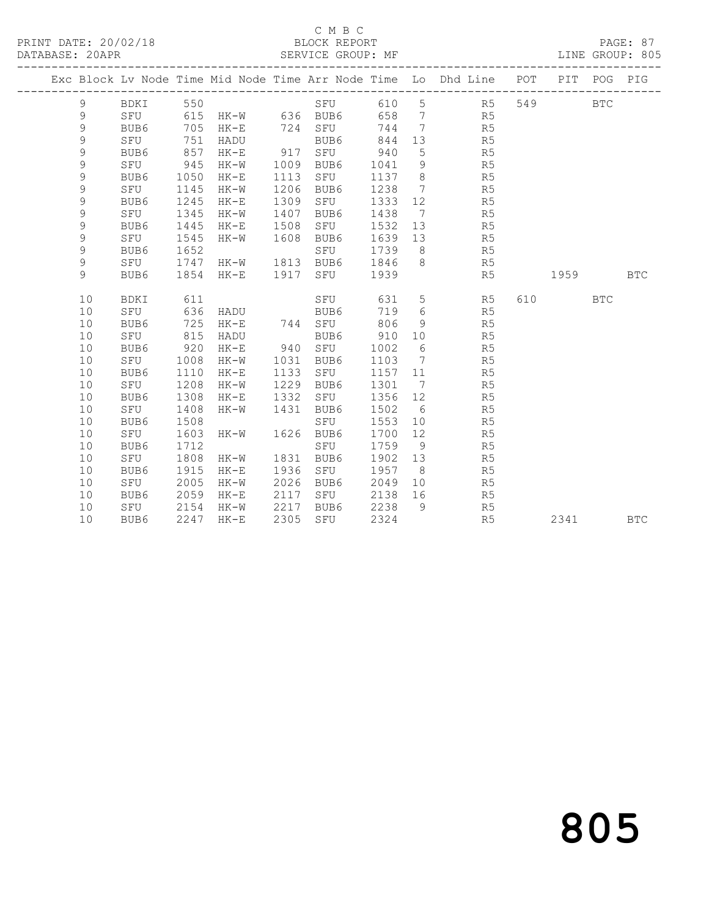## C M B C<br>BLOCK REPORT

|  |               | -------------------- |              |                       |              |                  |              |                 | Exc Block Lv Node Time Mid Node Time Arr Node Time Lo Dhd Line POT |     | PIT     | POG        | PIG        |
|--|---------------|----------------------|--------------|-----------------------|--------------|------------------|--------------|-----------------|--------------------------------------------------------------------|-----|---------|------------|------------|
|  | 9             | BDKI                 | 550          |                       |              | SFU              | 610 5        |                 | R <sub>5</sub>                                                     | 549 |         | <b>BTC</b> |            |
|  | 9             |                      |              | SFU 615 HK-W 636 BUB6 |              |                  | 658          | $7\overline{)}$ | R5                                                                 |     |         |            |            |
|  | $\mathsf 9$   | BUB6                 | 705          | HK-E                  |              | 724 SFU 744      |              | $7\overline{)}$ | R5                                                                 |     |         |            |            |
|  | $\mathsf 9$   | SFU                  | 751          | HADU                  |              | BUB6             | 844          | 13              | R5                                                                 |     |         |            |            |
|  | $\mathsf 9$   | BUB6                 | 857          | $HK-E$                |              | 917 SFU          | 940          | 5               | R <sub>5</sub>                                                     |     |         |            |            |
|  | $\mathsf 9$   | SFU                  | 945          | $HK-W$                | 1009         | BUB6             | 1041         | 9               | R5                                                                 |     |         |            |            |
|  | $\mathsf 9$   | BUB6                 | 1050         | $HK-E$                | 1113         | SFU              | 1137         | 8 <sup>8</sup>  | R5                                                                 |     |         |            |            |
|  | $\mathcal{G}$ | SFU                  | 1145         | HK-W                  | 1206         | BUB6             | 1238         | $7\overline{ }$ | R5                                                                 |     |         |            |            |
|  | $\mathcal{G}$ | BUB6                 | 1245         | $HK-E$                | 1309         | SFU              | 1333         | 12              | R <sub>5</sub>                                                     |     |         |            |            |
|  | 9             | SFU                  | 1345         | HK-W                  | 1407         | BUB6             | 1438         | $\overline{7}$  | R5                                                                 |     |         |            |            |
|  | $\mathsf 9$   | BUB6                 | 1445         | $HK-E$                | 1508         | SFU              | 1532         | 13              | R <sub>5</sub>                                                     |     |         |            |            |
|  | $\mathsf 9$   | SFU                  | 1545         | $HK-W$                | 1608         | BUB6             | 1639         | 13              | R <sub>5</sub>                                                     |     |         |            |            |
|  | $\mathsf 9$   | BUB6                 | 1652         |                       |              | SFU              | 1739         | 8 <sup>8</sup>  | R <sub>5</sub>                                                     |     |         |            |            |
|  | $\mathsf 9$   | SFU                  | 1747         | SPU<br>HK-W 1813 BUB6 |              |                  | 1846         | 8 <sup>8</sup>  | R5                                                                 |     |         |            |            |
|  | $\mathcal{G}$ | BUB6                 | 1854         | HK-E                  | 1917         | SFU              | 1939         |                 | R5                                                                 |     | 1959    |            | <b>BTC</b> |
|  |               |                      |              |                       |              |                  |              |                 |                                                                    |     |         |            |            |
|  | 10            | BDKI                 | 611          |                       |              | SFU              | 631          | $5\overline{)}$ | R5                                                                 |     | 610 BTC |            |            |
|  | 10            | SFU                  | 636          | HADU                  |              | BUB6<br>744 SFU  | 719          | 6               | R5                                                                 |     |         |            |            |
|  | 10            | BUB6                 | 725          | HK-E                  |              |                  | 806          | 9               | R5                                                                 |     |         |            |            |
|  | 10            | SFU                  | 815          | HADU                  |              | BUB6             | 910          | 10              | R5                                                                 |     |         |            |            |
|  | 10            | BUB6                 | 920          | $HK-E$                |              | 940 SFU          | 1002         | $6\overline{6}$ | R <sub>5</sub>                                                     |     |         |            |            |
|  | 10            | SFU                  | 1008         | $HK-W$                | 1031         | BUB6             | 1103         | $7\overline{)}$ | R5                                                                 |     |         |            |            |
|  | 10            | BUB6                 | 1110         | $HK-E$                | 1133         | SFU              | 1157         | 11              | R5                                                                 |     |         |            |            |
|  | 10            | SFU                  | 1208         | HK-W                  | 1229         | BUB6             | 1301         | $\overline{7}$  | R5                                                                 |     |         |            |            |
|  | 10            | BUB6                 | 1308         | $HK-E$                | 1332<br>1431 | SFU              | 1356         | 12              | R5                                                                 |     |         |            |            |
|  | 10            | SFU                  | 1408<br>1508 | $HK-W$                |              | BUB6             | 1502         | $6\overline{6}$ | R5                                                                 |     |         |            |            |
|  | 10<br>10      | BUB6<br>SFU          | 1603         | HK-W                  |              | SFU<br>1626 BUB6 | 1553<br>1700 | 10              | R <sub>5</sub><br>R <sub>5</sub>                                   |     |         |            |            |
|  | 10            | BUB6                 | 1712         |                       |              | SFU              | 1759         | 12<br>9         | R <sub>5</sub>                                                     |     |         |            |            |
|  |               | SFU                  | 1808         | HK-W                  | 1831         | BUB6             | 1902         | 13              | R <sub>5</sub>                                                     |     |         |            |            |
|  | 10<br>10      | BUB6                 | 1915         |                       | 1936         |                  | 1957         | 8 <sup>8</sup>  | R <sub>5</sub>                                                     |     |         |            |            |
|  | 10            | SFU                  | 2005         | $HK-E$<br>$HK-W$      | 2026         | SFU<br>BUB6      | 2049         | 10              | R <sub>5</sub>                                                     |     |         |            |            |
|  | 10            | BUB6                 | 2059         | $HK-E$                | 2117         | SFU              | 2138         | 16              | R5                                                                 |     |         |            |            |
|  | 10            | SFU                  | 2154         | $HK-W$                | 2217         | BUB6             | 2238         | 9               | R5                                                                 |     |         |            |            |
|  | 10            | BUB6                 | 2247         | $HK-E$                | 2305         | SFU              | 2324         |                 | R5                                                                 |     | 2341    |            | <b>BTC</b> |
|  |               |                      |              |                       |              |                  |              |                 |                                                                    |     |         |            |            |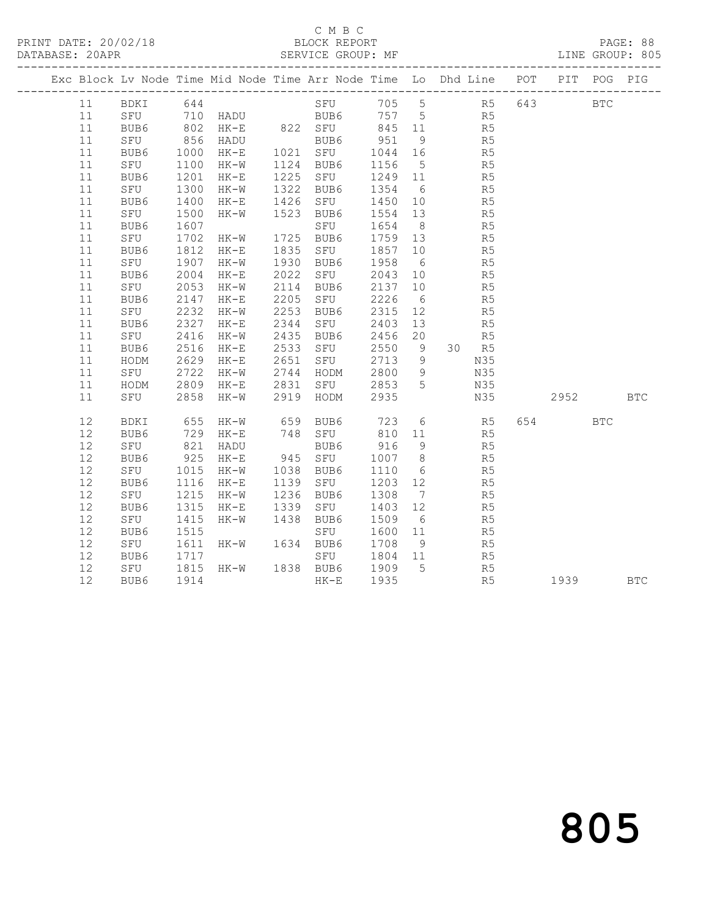## C M B C<br>BLOCK REPORT

PAGE: 88<br>LINE GROUP: 805

|  |        |               |                                                                                                                            |                |                      |                                                               |         |                 | Exc Block Lv Node Time Mid Node Time Arr Node Time Lo Dhd Line POT PIT POG PIG |            |            |            |
|--|--------|---------------|----------------------------------------------------------------------------------------------------------------------------|----------------|----------------------|---------------------------------------------------------------|---------|-----------------|--------------------------------------------------------------------------------|------------|------------|------------|
|  | 11     | BDKI 644      |                                                                                                                            |                |                      |                                                               |         |                 | SFU 705 5 R5 643                                                               | <b>BTC</b> |            |            |
|  | 11     |               |                                                                                                                            |                |                      | SFU 710 HADU BUB6 757 5 R5                                    |         |                 |                                                                                |            |            |            |
|  | 11     | BUB6 802 HK-E |                                                                                                                            |                |                      | 822 SFU 845 11                                                |         |                 | R <sub>5</sub>                                                                 |            |            |            |
|  | 11     | SFU           |                                                                                                                            | 856 HADU       |                      | BUB6<br>BUB6<br>1021 SFU                                      | 951     | 9               | R5                                                                             |            |            |            |
|  | 11     | BUB6          | 1000                                                                                                                       | $HK-E$         |                      |                                                               | 1044    | 16              | R5                                                                             |            |            |            |
|  | $11\,$ | SFU           | 1100                                                                                                                       | $HK-W$         |                      | 1124 BUB6                                                     | 1156    | $5\overline{)}$ | R5                                                                             |            |            |            |
|  | $11\,$ | BUB6          | 1201                                                                                                                       | $HK-E$         | 1225                 | SFU                                                           | 1249 11 |                 | R5                                                                             |            |            |            |
|  | $11\,$ | SFU           | 1300                                                                                                                       | HK-W           | 1322<br>1426         | BUB6                                                          | 1354    | $6\overline{6}$ | R5                                                                             |            |            |            |
|  | 11     | BUB6          | 1400                                                                                                                       | $HK-E$         |                      | SFU                                                           | 1450    | 10              | R5                                                                             |            |            |            |
|  | 11     | SFU           | 1500                                                                                                                       | $HK-W$         |                      | 1523 BUB6                                                     | 1554 13 |                 | R5                                                                             |            |            |            |
|  | 11     | BUB6          | 1607                                                                                                                       |                |                      |                                                               | 1654    | 8 <sup>8</sup>  | R5                                                                             |            |            |            |
|  | 11     | SFU           | 1702                                                                                                                       | $HK-W$         |                      | SFU<br>1725 BUB6<br>1835 SFU                                  | 1759 13 |                 | R5                                                                             |            |            |            |
|  | 11     | BUB6          | 1812                                                                                                                       | HK-E           |                      | SFU                                                           | 1857    | 10              | R5                                                                             |            |            |            |
|  | $11\,$ | SFU           | 1907                                                                                                                       | $HK-W$         | 1930                 | BUB6                                                          | 1958    | $6\overline{6}$ | R <sub>5</sub>                                                                 |            |            |            |
|  | $1\,1$ | BUB6          | 2004                                                                                                                       | $HK-E$         | 2022                 | SFU                                                           | 2043    | 10              | R <sub>5</sub>                                                                 |            |            |            |
|  | $11\,$ | SFU           | 2053                                                                                                                       | HK-W           | 2114                 | BUB6                                                          | 2137    | 10              | R5                                                                             |            |            |            |
|  | 11     | BUB6          | 2147                                                                                                                       | HK-E           | 2205                 | SFU                                                           | 2226    | $6\overline{6}$ | R <sub>5</sub>                                                                 |            |            |            |
|  | 11     | SFU           | 2232                                                                                                                       | $HK-W$         | 2253                 | BUB6                                                          | 2315    | 12              | R5                                                                             |            |            |            |
|  | 11     | BUB6          | 2327                                                                                                                       | $HK-E$         |                      | SFU                                                           | 2403    | 13              | R5                                                                             |            |            |            |
|  | 11     | SFU           | 2416                                                                                                                       | $HK-W$         | 2344<br>2435<br>2533 | BUB6                                                          | 2456    | 20              | R5                                                                             |            |            |            |
|  | $11\,$ | BUB6          | 2516                                                                                                                       | HK-E           |                      | SFU                                                           | 2550    | 9               | 30 R5                                                                          |            |            |            |
|  | $11\,$ | HODM          | 2629                                                                                                                       | HK-E           | 2651                 | SFU                                                           | 2713    | 9               | N35                                                                            |            |            |            |
|  | 11     | SFU           | 2722                                                                                                                       | $HK-W$         |                      |                                                               | 2800 9  |                 | N35                                                                            |            |            |            |
|  | 11     | HODM          | 2809                                                                                                                       | HK-E           |                      |                                                               |         |                 | N35                                                                            |            |            |            |
|  | 11     | SFU           | 2858                                                                                                                       | HK-W           |                      | 2744 HODM<br>2831 SFU<br>2919 HODM<br>SFU 2853 5<br>HODM 2935 |         |                 | N35                                                                            | 2952       | <b>BTC</b> |            |
|  | 12     | <b>BDKI</b>   | 655                                                                                                                        | HK-W           | 659                  | BUB6                                                          | 723     |                 | 6 R5                                                                           | 654 BTC    |            |            |
|  | 12     | BUB6          | 729                                                                                                                        | HK-E           |                      | 748 SFU<br>BUB6                                               | 810     | 11              | R5                                                                             |            |            |            |
|  | 12     | SFU           | $\begin{array}{c} \n \overline{\phantom{0}} \\  821 \\  \overline{\phantom{0}} \\  \overline{\phantom{0}} \\  \end{array}$ | HADU           |                      |                                                               | 916     | 9               | R5                                                                             |            |            |            |
|  | 12     | BUB6          | 925                                                                                                                        | HK-E           |                      | 945 SFU                                                       | 1007    | 8 <sup>8</sup>  | R5                                                                             |            |            |            |
|  | $12\,$ | SFU           | 1015                                                                                                                       | HK-W           | 1038<br>1139<br>1236 | BUB6                                                          | 1110    | $6\overline{6}$ | R5                                                                             |            |            |            |
|  | 12     | BUB6          | 1116                                                                                                                       | HK-E           |                      | SFU                                                           | 1203    | 12              | R5                                                                             |            |            |            |
|  | 12     | SFU           | 1215                                                                                                                       | HK-W           |                      | BUB6                                                          | 1308    | $7\overline{)}$ | R5                                                                             |            |            |            |
|  | 12     | BUB6          | 1315                                                                                                                       | HK-E           | 1339                 | SFU                                                           | 1403    | 12              | R5                                                                             |            |            |            |
|  | $12\,$ | SFU           | 1415                                                                                                                       | $HK-W$         | 1438                 | BUB6                                                          | 1509    | 6               | R5                                                                             |            |            |            |
|  | 12     | BUB6          | 1515                                                                                                                       |                |                      | SFU                                                           | 1600    | 11              | R <sub>5</sub>                                                                 |            |            |            |
|  | 12     | SFU           | 1611                                                                                                                       | HK-W           |                      | 1634 BUB6                                                     | 1708    | 9               | R5                                                                             |            |            |            |
|  | $12\,$ | BUB6          | 1717                                                                                                                       |                |                      | SFU                                                           | 1804 11 |                 | R5                                                                             |            |            |            |
|  | 12     | SFU           | 1815                                                                                                                       | HK-W 1838 BUB6 |                      |                                                               | 1909    | $5^{\circ}$     | R <sub>5</sub>                                                                 |            |            |            |
|  | 12     | BUB6          | 1914                                                                                                                       |                |                      | $HK-E$                                                        | 1935    |                 | R <sub>5</sub>                                                                 | 1939       |            | <b>BTC</b> |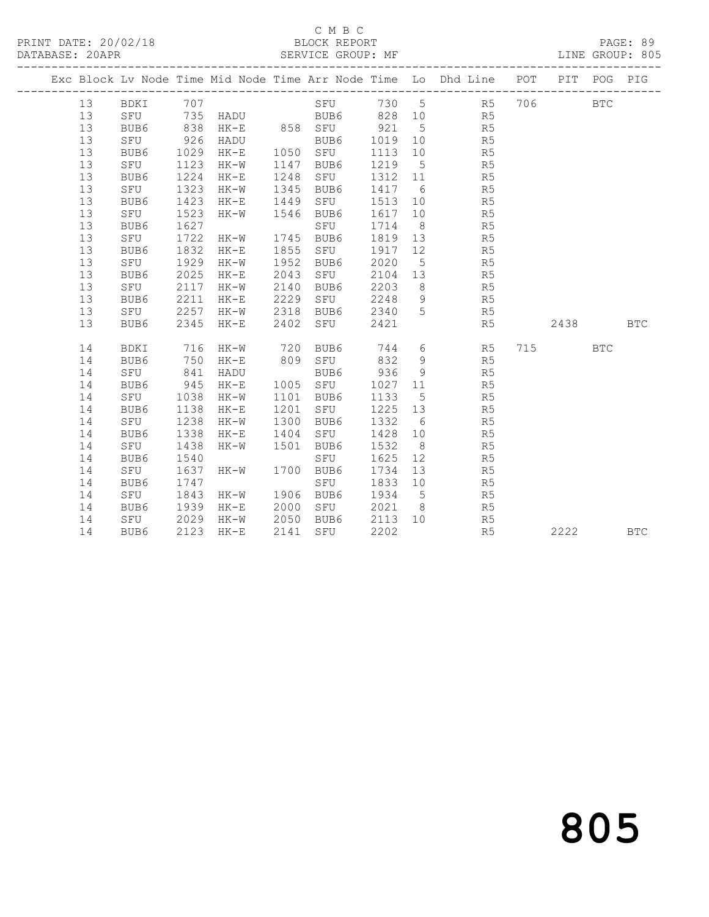## C M B C<br>BLOCK REPORT

|  |    |          |      |          |      |                                                |         |                 | Exc Block Lv Node Time Mid Node Time Arr Node Time Lo Dhd Line POT |     | PIT        | POG | PIG        |
|--|----|----------|------|----------|------|------------------------------------------------|---------|-----------------|--------------------------------------------------------------------|-----|------------|-----|------------|
|  | 13 | BDKI 707 |      |          |      |                                                |         |                 | SFU 730 5 R5                                                       | 706 | <b>BTC</b> |     |            |
|  | 13 |          |      |          |      |                                                |         |                 | SFU 735 HADU BUB6 828 10 R5                                        |     |            |     |            |
|  | 13 | BUB6     | 838  | HK-E     |      | 858 SFU 921                                    |         | $5\overline{)}$ | R <sub>5</sub>                                                     |     |            |     |            |
|  | 13 | SFU      | 926  | HADU     |      | BUB6                                           | 1019 10 |                 | R5                                                                 |     |            |     |            |
|  | 13 | BUB6     | 1029 | $HK-E$   |      | 1050 SFU                                       | 1113    | 10              | R5                                                                 |     |            |     |            |
|  | 13 | SFU      | 1123 | $HK-W$   | 1147 | BUB6                                           | 1219    | $5^{\circ}$     | R5                                                                 |     |            |     |            |
|  | 13 | BUB6     | 1224 | $HK-E$   |      | 1248 SFU<br>1345 BUB6<br>1449 SFU<br>1546 BUB6 | 1312    | 11              | R5                                                                 |     |            |     |            |
|  | 13 | SFU      | 1323 | HK-W     |      |                                                | 1417 6  |                 | R5                                                                 |     |            |     |            |
|  | 13 | BUB6     | 1423 | $HK-E$   |      |                                                | 1513    | 10              | R5                                                                 |     |            |     |            |
|  | 13 | SFU      | 1523 | $HK-W$   |      |                                                | 1617    | 10              | R5                                                                 |     |            |     |            |
|  | 13 | BUB6     | 1627 |          |      | SFU                                            | 1714    | 8 <sup>8</sup>  | R5                                                                 |     |            |     |            |
|  | 13 | SFU      | 1722 | $HK-W$   |      | 1745 BUB6                                      | 1819 13 |                 | R5                                                                 |     |            |     |            |
|  | 13 | BUB6     | 1832 | $HK-E$   | 1855 | SFU                                            | 1917    | 12              | R5                                                                 |     |            |     |            |
|  | 13 | SFU      | 1929 | HK-W     | 1952 | BUB6                                           | 2020    | $5\overline{)}$ | R5                                                                 |     |            |     |            |
|  | 13 | BUB6     | 2025 | $HK-E$   | 2043 | SFU                                            | 2104 13 |                 | R5                                                                 |     |            |     |            |
|  | 13 | SFU      | 2117 | HK-W     | 2140 | BUB6                                           | 2203    |                 | $8 \overline{)}$<br>R5                                             |     |            |     |            |
|  | 13 | BUB6     | 2211 | $HK-E$   | 2229 | SFU                                            | 2248 9  |                 | R5                                                                 |     |            |     |            |
|  | 13 | SFU 2257 |      | $HK-W$   | 2318 | BUB6                                           | 2340 5  |                 | R5                                                                 |     |            |     |            |
|  | 13 | BUB6     | 2345 | HK-E     | 2402 | SFU                                            | 2421    |                 | R5                                                                 |     | 2438       |     | <b>BTC</b> |
|  | 14 | BDKI     |      | 716 HK-W | 720  | BUB6                                           |         |                 | 744 6<br>R5                                                        |     | 715 BTC    |     |            |
|  | 14 | BUB6     | 750  | HK-E     | 809  | SFU                                            | 832     | 9               | R <sub>5</sub>                                                     |     |            |     |            |
|  | 14 | SFU      | 841  | HADU     |      | BUB6                                           | 936     | 9               | R5                                                                 |     |            |     |            |
|  | 14 | BUB6     | 945  | HK-E     |      | 1005 SFU                                       | 1027    | 11              | R5                                                                 |     |            |     |            |
|  | 14 | SFU      | 1038 | HK-W     | 1101 | BUB6                                           | 1133    | $5\overline{)}$ | R5                                                                 |     |            |     |            |
|  | 14 | BUB6     | 1138 | $HK-E$   | 1201 | SFU                                            | 1225 13 |                 | R5                                                                 |     |            |     |            |
|  | 14 | SFU      | 1238 | HK-W     | 1300 | BUB6                                           | 1332    | $6\overline{6}$ | R5                                                                 |     |            |     |            |
|  | 14 | BUB6     | 1338 | $HK-E$   | 1404 | SFU                                            | 1428    | 10              | R5                                                                 |     |            |     |            |
|  | 14 | SFU      | 1438 | $HK-W$   | 1501 | BUB6                                           | 1532    | 8 <sup>8</sup>  | R <sub>5</sub>                                                     |     |            |     |            |
|  | 14 | BUB6     | 1540 |          |      | SFU                                            | 1625    | 12              | R5                                                                 |     |            |     |            |
|  | 14 | SFU      | 1637 | HK-W     | 1700 | BUB6                                           | 1734    | 13              | R5                                                                 |     |            |     |            |
|  | 14 | BUB6     | 1747 |          |      | SFU                                            | 1833    | 10              | R <sub>5</sub>                                                     |     |            |     |            |
|  | 14 | SFU      | 1843 | HK-W     | 1906 | BUB6                                           | 1934    | $5\overline{)}$ | R <sub>5</sub>                                                     |     |            |     |            |
|  | 14 | BUB6     | 1939 | HK-E     | 2000 | SFU                                            | 2021 8  |                 | R <sub>5</sub>                                                     |     |            |     |            |
|  | 14 | SFU      | 2029 | HK-W     | 2050 | BUB6                                           | 2113    | 10              | R5                                                                 |     |            |     |            |
|  | 14 | BUB6     | 2123 | $HK-E$   | 2141 | SFU                                            | 2202    |                 | R5                                                                 |     | 2222       |     | <b>BTC</b> |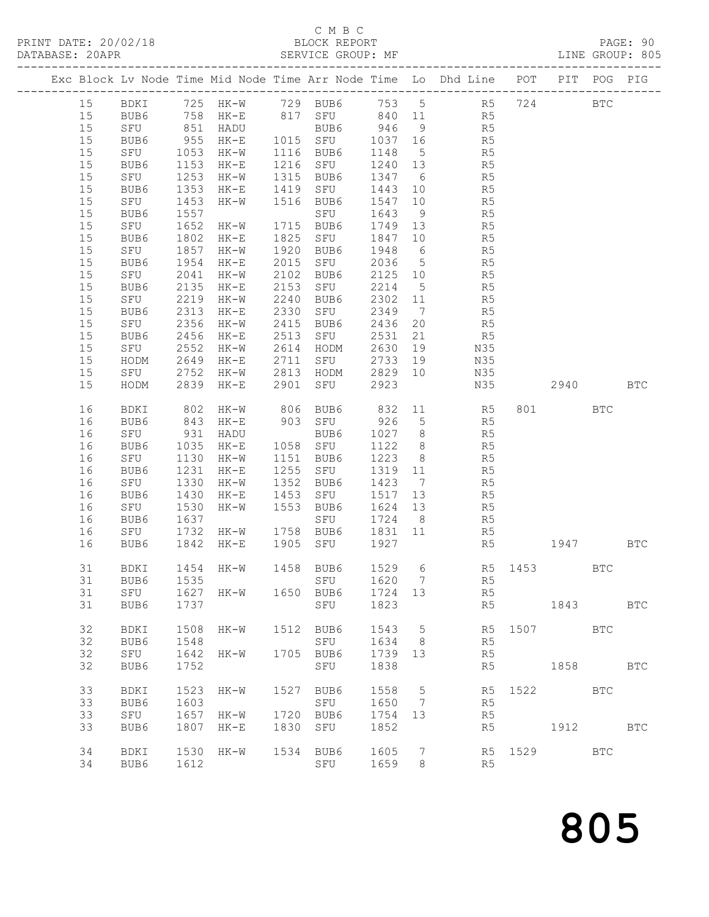## C M B C<br>BLOCK REPORT

|  |        |             |      |           |                  |                                   |         |                 | Exc Block Lv Node Time Mid Node Time Arr Node Time Lo Dhd Line POT PIT POG PIG |                                                                                                                                                                                                                                |             |            |            |
|--|--------|-------------|------|-----------|------------------|-----------------------------------|---------|-----------------|--------------------------------------------------------------------------------|--------------------------------------------------------------------------------------------------------------------------------------------------------------------------------------------------------------------------------|-------------|------------|------------|
|  | 15     |             |      |           |                  |                                   |         |                 | BDKI 725 HK-W 729 BUB6 753 5 R5 724                                            |                                                                                                                                                                                                                                | <b>BTC</b>  |            |            |
|  | 15     | BUB6        |      | 758 HK-E  |                  |                                   |         |                 | 817 SFU 840 11 R5                                                              |                                                                                                                                                                                                                                |             |            |            |
|  | 15     | SFU         |      | 851 HADU  |                  | BUB6 946                          |         | 9               | R5                                                                             |                                                                                                                                                                                                                                |             |            |            |
|  | $15$   | BUB6        | 955  | HK-E      |                  |                                   | 1037 16 |                 | R5                                                                             |                                                                                                                                                                                                                                |             |            |            |
|  | 15     | SFU         | 1053 | HK-W      |                  | 1015 SFU<br>1116 BUB6<br>1216 SFU | 1148    | $5\overline{)}$ | R5                                                                             |                                                                                                                                                                                                                                |             |            |            |
|  | $15\,$ | BUB6        | 1153 | $HK-E$    |                  |                                   | 1240    | 13              | R <sub>5</sub>                                                                 |                                                                                                                                                                                                                                |             |            |            |
|  | $15$   | SFU         | 1253 | $HK-W$    | 1315             | BUB6                              | 1347    | 6               | R5                                                                             |                                                                                                                                                                                                                                |             |            |            |
|  | $15$   | BUB6        | 1353 | HK-E      | 1419             | SFU                               | 1443    | 10              | R5                                                                             |                                                                                                                                                                                                                                |             |            |            |
|  | 15     | SFU         | 1453 | HK-W      | 1516             | BUB6                              | 1547    | 10              | R5                                                                             |                                                                                                                                                                                                                                |             |            |            |
|  | $15$   | BUB6        | 1557 |           |                  | SFU                               | 1643    | 9               | R5                                                                             |                                                                                                                                                                                                                                |             |            |            |
|  | $15$   | SFU         | 1652 | $HK-W$    |                  | 1715 BUB6                         | 1749 13 |                 | R5                                                                             |                                                                                                                                                                                                                                |             |            |            |
|  | $15$   | BUB6        | 1802 | HK-E      | 1825             | SFU                               | 1847    | 10              | R5                                                                             |                                                                                                                                                                                                                                |             |            |            |
|  | 15     | SFU         | 1857 | $HK-W$    | 1920             | BUB6                              | 1948    | $6\overline{6}$ | R5                                                                             |                                                                                                                                                                                                                                |             |            |            |
|  | $15$   | BUB6        | 1954 | $HK-E$    | 2015             | SFU                               | 2036    | $5\overline{)}$ | R <sub>5</sub>                                                                 |                                                                                                                                                                                                                                |             |            |            |
|  | $15$   | SFU         | 2041 | $HK-W$    | 2102             | BUB6                              | 2125    | 10              | R5                                                                             |                                                                                                                                                                                                                                |             |            |            |
|  | $15$   | BUB6        | 2135 | $HK-E$    | 2153             | SFU                               | 2214    | $5\overline{)}$ | R5                                                                             |                                                                                                                                                                                                                                |             |            |            |
|  | $15$   | SFU         | 2219 | $HK-W$    | 2240             | BUB6                              | 2302    | 11              | R5                                                                             |                                                                                                                                                                                                                                |             |            |            |
|  | $15$   | BUB6        | 2313 | $HK-E$    | 2330             | SFU                               | 2349    | $7\overline{7}$ | R5                                                                             |                                                                                                                                                                                                                                |             |            |            |
|  | $15$   | SFU         | 2356 | HK-W      | 2415             | BUB6                              | 2436    | 20              | R5                                                                             |                                                                                                                                                                                                                                |             |            |            |
|  | $15\,$ | BUB6        | 2456 | $HK-E$    | 2513             | SFU                               | 2531    | 21              | R5                                                                             |                                                                                                                                                                                                                                |             |            |            |
|  | $15$   | SFU         | 2552 | $HK-W$    |                  | HODM                              | 2630    | 19              | N35                                                                            |                                                                                                                                                                                                                                |             |            |            |
|  | 15     | HODM        | 2649 | HK-E      | 2614<br>2711     | SFU                               | 2733    | 19              | N35                                                                            |                                                                                                                                                                                                                                |             |            |            |
|  | $15$   | SFU         | 2752 | HK-W      | 2813             | HODM                              | 2829 10 |                 | N35                                                                            |                                                                                                                                                                                                                                |             |            |            |
|  | 15     | HODM        | 2839 | $HK-E$    | 2901             | SFU                               | 2923    |                 | N35                                                                            |                                                                                                                                                                                                                                | 2940        | <b>BTC</b> |            |
|  | 16     | BDKI        | 802  | $HK-W$    |                  | 806 BUB6 832 11<br>903 SFU 926 5  |         |                 | 832 11 R5                                                                      |                                                                                                                                                                                                                                | 801 BTC     |            |            |
|  | 16     | BUB6        | 843  | HK-E      |                  |                                   |         |                 | R5                                                                             |                                                                                                                                                                                                                                |             |            |            |
|  | 16     | SFU         | 931  | HADU      |                  | BUB6                              | 1027 8  |                 | R5                                                                             |                                                                                                                                                                                                                                |             |            |            |
|  | 16     | BUB6        | 1035 | HK-E      | 1058<br>1151     | SFU                               | 1122    | 8 <sup>8</sup>  | R5                                                                             |                                                                                                                                                                                                                                |             |            |            |
|  | 16     | SFU         | 1130 | $HK-W$    | 1151             | BUB6                              | 1223    | 8 <sup>8</sup>  | R <sub>5</sub>                                                                 |                                                                                                                                                                                                                                |             |            |            |
|  | 16     | BUB6        | 1231 | $HK-E$    | $\frac{1}{1255}$ | SFU                               | 1319    | 11              | R5                                                                             |                                                                                                                                                                                                                                |             |            |            |
|  | 16     | SFU         | 1330 | $HK-W$    | 1352             | BUB6                              | 1423    | $\overline{7}$  | R5                                                                             |                                                                                                                                                                                                                                |             |            |            |
|  | 16     | BUB6        | 1430 | HK-E      | 1453             | SFU                               | 1517 13 |                 | R5                                                                             |                                                                                                                                                                                                                                |             |            |            |
|  | 16     | SFU         | 1530 | $HK-W$    | 1553             | BUB6                              | 1624    | 13              | R5                                                                             |                                                                                                                                                                                                                                |             |            |            |
|  | 16     | BUB6        | 1637 |           |                  | SFU                               | 1724 8  |                 | R5                                                                             |                                                                                                                                                                                                                                |             |            |            |
|  | 16     | SFU         | 1732 | $HK-W$    |                  | 1758 BUB6                         | 1831 11 |                 | R5                                                                             |                                                                                                                                                                                                                                |             |            |            |
|  | 16     | BUB6        | 1842 | HK-E      | 1905             | SFU                               | 1927    |                 | R5                                                                             |                                                                                                                                                                                                                                | 1947 BTC    |            |            |
|  | 31     | BDKI        |      | 1454 HK-W |                  | 1458 BUB6                         | 1529 6  |                 | R5 1453 BTC                                                                    |                                                                                                                                                                                                                                |             |            |            |
|  |        |             |      |           |                  | 31 BUB6 1535 SFU 1620 7           |         |                 |                                                                                | R5                                                                                                                                                                                                                             |             |            |            |
|  | 31     | SFU         |      | 1627 HK-W |                  | 1650 BUB6                         | 1724 13 |                 | R5                                                                             |                                                                                                                                                                                                                                |             |            |            |
|  | 31     | BUB6        | 1737 |           |                  | SFU                               | 1823    |                 |                                                                                | R5 and the state of the state of the state of the state of the state of the state of the state of the state of the state of the state of the state of the state of the state of the state of the state of the state of the sta | 1843        |            | <b>BTC</b> |
|  | 32     | BDKI        | 1508 | HK-W      |                  | 1512 BUB6                         | 1543    | $5\overline{)}$ |                                                                                | R5 1507 BTC                                                                                                                                                                                                                    |             |            |            |
|  | 32     | BUB6        | 1548 |           |                  | SFU                               | 1634 8  |                 | R5                                                                             |                                                                                                                                                                                                                                |             |            |            |
|  | 32     | SFU         | 1642 | HK-W      |                  | 1705 BUB6                         | 1739 13 |                 | R5                                                                             |                                                                                                                                                                                                                                |             |            |            |
|  | 32     | BUB6        | 1752 |           |                  | SFU                               | 1838    |                 | R5                                                                             |                                                                                                                                                                                                                                | 1858   1900 |            | <b>BTC</b> |
|  |        |             |      |           |                  |                                   |         |                 |                                                                                |                                                                                                                                                                                                                                |             |            |            |
|  | 33     | <b>BDKI</b> | 1523 | HK-W      |                  | 1527 BUB6                         | 1558    | $5^{\circ}$     |                                                                                | R5 1522 BTC                                                                                                                                                                                                                    |             |            |            |
|  | 33     | BUB6        | 1603 |           |                  | SFU                               | 1650    | $7\overline{)}$ | R <sub>5</sub>                                                                 |                                                                                                                                                                                                                                |             |            |            |
|  | 33     | SFU         | 1657 | HK-W      |                  | 1720 BUB6                         | 1754    | 13              | R5                                                                             |                                                                                                                                                                                                                                |             |            |            |
|  | 33     | BUB6        | 1807 | $HK-E$    |                  | 1830 SFU                          | 1852    |                 | R5                                                                             |                                                                                                                                                                                                                                | 1912        |            | <b>BTC</b> |
|  | 34     | BDKI        | 1530 | HK-W      |                  | 1534 BUB6                         | 1605    | $\overline{7}$  |                                                                                | R5 1529 BTC                                                                                                                                                                                                                    |             |            |            |
|  | 34     | BUB6        | 1612 |           |                  | SFU                               | 1659    | 8               | R5                                                                             |                                                                                                                                                                                                                                |             |            |            |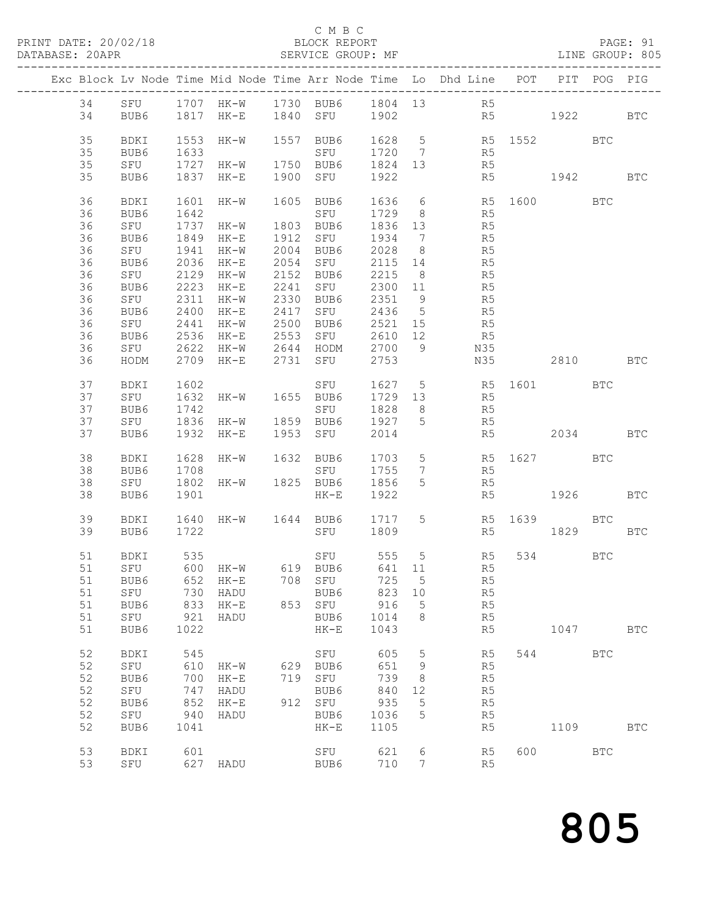|  |          |      |               |                     |              |                                |         |                 | Exc Block Lv Node Time Mid Node Time Arr Node Time Lo Dhd Line POT PIT POG PIG |                |          |            |
|--|----------|------|---------------|---------------------|--------------|--------------------------------|---------|-----------------|--------------------------------------------------------------------------------|----------------|----------|------------|
|  | 34       |      |               |                     |              |                                |         |                 |                                                                                |                |          |            |
|  | 34       |      |               |                     |              |                                |         |                 | SFU 1707 HK-W 1730 BUB6 1804 13 R5<br>BUB6 1817 HK-E 1840 SFU 1902 R5          | R <sub>5</sub> | 1922 BTC |            |
|  |          |      |               |                     |              |                                |         |                 |                                                                                |                |          |            |
|  | 35       | BDKI | 1553          | HK-W                |              | 1557 BUB6                      |         |                 | 1628 5 R5 1552 BTC<br>1720 7 R5<br>1824 13 R5                                  |                |          |            |
|  | 35       | BUB6 | 1633          |                     |              | SFU                            |         |                 |                                                                                |                |          |            |
|  | 35       | SFU  | 1727          | HK-W                |              | 1750 BUB6                      | 1824 13 |                 |                                                                                |                |          |            |
|  | 35       | BUB6 | 1837          | $HK-E$              |              | 1900 SFU                       | 1922    |                 | R5                                                                             |                | 1942     | <b>BTC</b> |
|  |          |      |               |                     |              |                                |         |                 |                                                                                |                |          |            |
|  | 36       | BDKI | 1601          | HK-W                |              | 1605 BUB6                      | 1636    | $6\overline{6}$ | R5 1600 BTC                                                                    |                |          |            |
|  | 36       | BUB6 | 1642          |                     |              | SFU                            | 1729    | 8 <sup>8</sup>  | R5                                                                             |                |          |            |
|  | 36       | SFU  | 1737          | HK-W                |              | 1803 BUB6                      | 1836    | 13              | R5                                                                             |                |          |            |
|  | 36       | BUB6 | 1849          | HK-E                | 1912         | SFU                            | 1934    | $\overline{7}$  | R5                                                                             |                |          |            |
|  | 36       | SFU  | 1941          | HK-W                | 2004         | BUB6                           | 2028    | 8 <sup>8</sup>  | R5                                                                             |                |          |            |
|  | 36       | BUB6 | 2036          | $HK-E$              | 2054         | SFU                            | 2115    | 14              | R5                                                                             |                |          |            |
|  | 36       | SFU  | 2129          | $HK-W$              | 2152         | BUB6                           | 2215    | 8 <sup>8</sup>  | R5                                                                             |                |          |            |
|  | 36       | BUB6 | 2223          | $HK-E$              | 2241         | SFU                            | 2300    | 11              | R5                                                                             |                |          |            |
|  | 36       | SFU  | 2311          | $HK-W$              | 2330         | BUB6                           | 2351    | 9               | R5                                                                             |                |          |            |
|  | 36       | BUB6 | $2311$ $2400$ | $HK-E$              | 2417         | SFU                            | 2436    | $5\overline{)}$ | R5                                                                             |                |          |            |
|  | 36       | SFU  | 2441          | $HK-W$              | 2500         | BUB6                           | 2521 15 |                 | R5                                                                             |                |          |            |
|  | 36       | BUB6 | 2536          | $HK-E$              | 2553         | SFU                            | 2610 12 |                 | R <sub>5</sub>                                                                 |                |          |            |
|  | 36       | SFU  | 2622          | $HK-W$              |              | HODM                           | 2700    | $\overline{9}$  | N35                                                                            |                |          |            |
|  | 36       | HODM | 2709          | HK-E                | 2644<br>2731 | SFU 2753                       |         |                 | N35                                                                            |                | 2810 BTC |            |
|  |          |      |               |                     |              |                                |         |                 |                                                                                |                |          |            |
|  | 37       | BDKI | 1602          |                     |              | SFU                            | 1627 5  |                 | R5 1601 BTC                                                                    |                |          |            |
|  | 37       | SFU  | 1632          | HK-W                |              | 1655 BUB6                      | 1729 13 |                 | R <sub>5</sub>                                                                 |                |          |            |
|  | 37       | BUB6 | 1742          |                     |              | SFU                            | 1828    | 8 <sup>1</sup>  |                                                                                |                |          |            |
|  | 37       | SFU  |               | 1836 HK-W           |              | 1859 BUB6                      | 1927 5  |                 | R5<br>R5                                                                       |                |          |            |
|  | 37       | BUB6 | 1932          | HK-E                |              | 1953 SFU                       | 2014    |                 | R5                                                                             |                | 2034 BTC |            |
|  |          |      |               |                     |              |                                |         |                 |                                                                                |                |          |            |
|  | 38       | BDKI | 1628          | HK-W                |              | 1632 BUB6                      |         |                 | $1703$ 5 R5 1627 BTC<br>1755 7 R5                                              |                |          |            |
|  | 38       | BUB6 | 1708          |                     |              | SFU                            | 1755    | $7\overline{ }$ | R5                                                                             |                |          |            |
|  | 38       | SFU  | 1802          | $HK-W$              |              | 1825 BUB6                      | 1856    | $5\overline{)}$ | R5                                                                             |                |          |            |
|  | 38       | BUB6 | 1901          |                     |              | $HK-E$                         | 1922    |                 | R5                                                                             |                | 1926 BTC |            |
|  |          |      |               |                     |              |                                |         |                 |                                                                                |                |          |            |
|  | 39       | BDKI |               | 1640 HK-W 1644 BUB6 |              |                                | 1717 5  |                 |                                                                                | R5 1639 BTC    |          |            |
|  | 39       | BUB6 | 1722          |                     |              | SFU 1809                       |         |                 | R5                                                                             |                | 1829     | <b>BTC</b> |
|  |          |      |               |                     |              |                                |         |                 |                                                                                |                |          |            |
|  | 51<br>51 | BDKI |               |                     |              | SFU 555 5<br>BUB6 641 11       |         |                 | R5                                                                             |                | 534 BTC  |            |
|  |          | SFU  |               |                     |              |                                |         |                 | R5                                                                             |                |          |            |
|  |          |      |               |                     |              | 51 BUB6 652 HK-E 708 SFU 725 5 |         |                 | R5                                                                             |                |          |            |
|  | 51<br>51 | SFU  | 730           | HADU                |              | BUB6<br>853 SFU                | 823     | 10              | R5                                                                             |                |          |            |
|  | 51       | BUB6 | 833           | $HK-E$              |              |                                | 916     | $5^{\circ}$     | R <sub>5</sub>                                                                 |                |          |            |
|  | 51       | SFU  | 921<br>1022   | HADU                |              | BUB6                           | 1014    | 8               | R5                                                                             |                | 1047 BTC |            |
|  |          | BUB6 |               |                     |              | $HK-E$                         | 1043    |                 | R5                                                                             |                |          |            |
|  | 52       | BDKI | 545           |                     |              | SFU                            | 605     | $5^{\circ}$     | R5                                                                             |                | 544 BTC  |            |
|  | 52       | SFU  | 610           | HK-W                |              | 629 BUB6                       | 651     | $\overline{9}$  | R5                                                                             |                |          |            |
|  | 52       | BUB6 | 700           | $HK-E$              |              | 719 SFU                        | 739     | 8 <sup>8</sup>  | R5                                                                             |                |          |            |
|  | 52       | SFU  | 747           | HADU                |              | BUB6                           | 840     | 12              | R5                                                                             |                |          |            |
|  | 52       | BUB6 | 852           | $HK-E$              | 912 SFU      |                                | 935     | 5               | R5                                                                             |                |          |            |
|  | 52       | SFU  | 940           | HADU                |              | BUB6                           | 1036    | $5\phantom{.0}$ | R5                                                                             |                |          |            |
|  | 52       | BUB6 | 1041          |                     |              | $\rm{HK\!-\!E}$                | 1105    |                 | R5                                                                             |                | 1109     | <b>BTC</b> |
|  |          |      |               |                     |              |                                |         |                 |                                                                                |                |          |            |
|  | 53       | BDKI | 601           |                     |              | SFU                            | 621     | 6               | R5                                                                             |                | 600 BTC  |            |
|  | 53       | SFU  |               | 627 HADU            |              | BUB6                           | 710     | $7\overline{ }$ | R5                                                                             |                |          |            |
|  |          |      |               |                     |              |                                |         |                 |                                                                                |                |          |            |